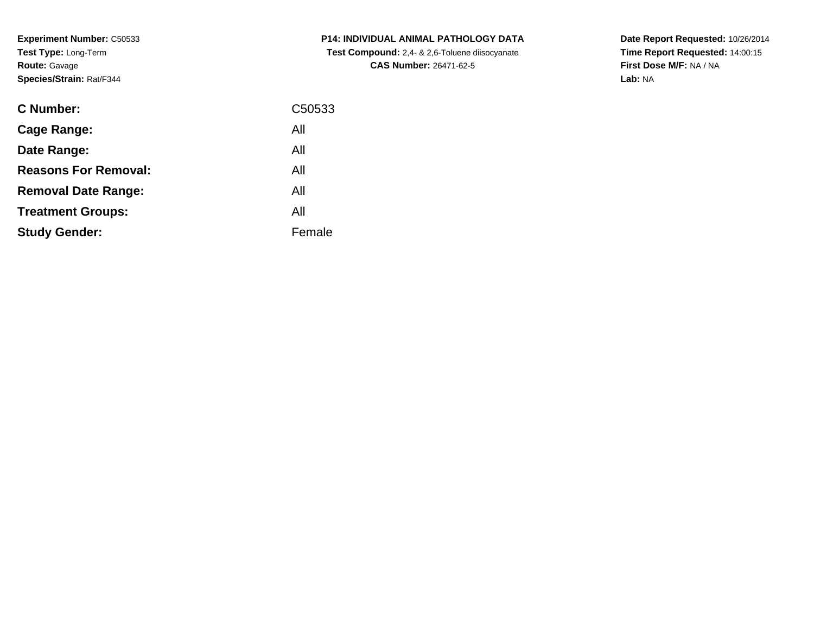**Experiment Number:** C50533**Test Type:** Long-Term**Route:** Gavage**Species/Strain:** Rat/F344

| <b>C Number:</b>            | C50533 |
|-----------------------------|--------|
| Cage Range:                 | All    |
| Date Range:                 | All    |
| <b>Reasons For Removal:</b> | All    |
| <b>Removal Date Range:</b>  | All    |
| <b>Treatment Groups:</b>    | All    |
| <b>Study Gender:</b>        | Female |
|                             |        |

**P14: INDIVIDUAL ANIMAL PATHOLOGY DATA Test Compound:** 2,4- & 2,6-Toluene diisocyanate**CAS Number:** 26471-62-5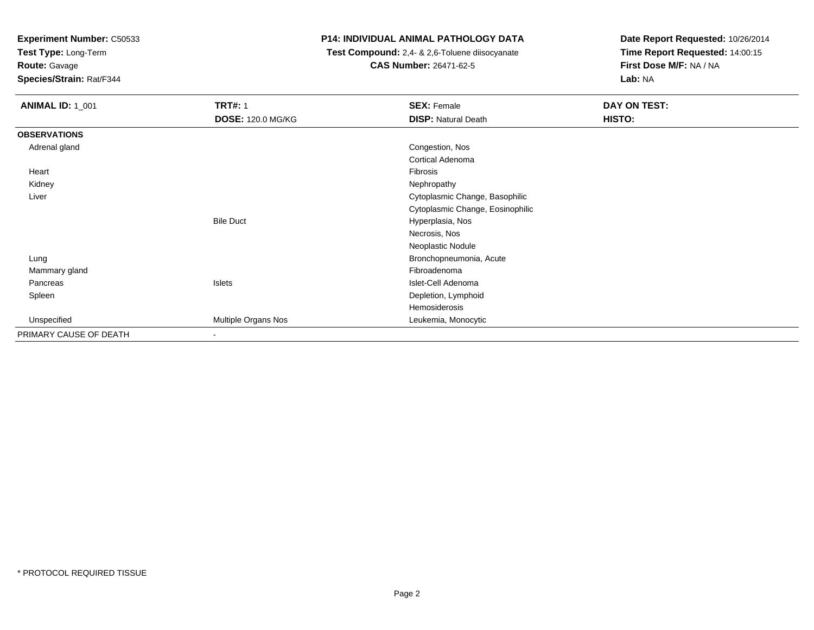**Test Type:** Long-Term

**Route:** Gavage

**Species/Strain:** Rat/F344

# **P14: INDIVIDUAL ANIMAL PATHOLOGY DATA**

 **Test Compound:** 2,4- & 2,6-Toluene diisocyanate**CAS Number:** 26471-62-5

| <b>ANIMAL ID: 1_001</b> | <b>TRT#: 1</b>           | <b>SEX: Female</b>               | DAY ON TEST: |  |
|-------------------------|--------------------------|----------------------------------|--------------|--|
|                         | <b>DOSE: 120.0 MG/KG</b> | <b>DISP: Natural Death</b>       | HISTO:       |  |
| <b>OBSERVATIONS</b>     |                          |                                  |              |  |
| Adrenal gland           |                          | Congestion, Nos                  |              |  |
|                         |                          | Cortical Adenoma                 |              |  |
| Heart                   |                          | Fibrosis                         |              |  |
| Kidney                  |                          | Nephropathy                      |              |  |
| Liver                   |                          | Cytoplasmic Change, Basophilic   |              |  |
|                         |                          | Cytoplasmic Change, Eosinophilic |              |  |
|                         | <b>Bile Duct</b>         | Hyperplasia, Nos                 |              |  |
|                         |                          | Necrosis, Nos                    |              |  |
|                         |                          | Neoplastic Nodule                |              |  |
| Lung                    |                          | Bronchopneumonia, Acute          |              |  |
| Mammary gland           |                          | Fibroadenoma                     |              |  |
| Pancreas                | Islets                   | Islet-Cell Adenoma               |              |  |
| Spleen                  |                          | Depletion, Lymphoid              |              |  |
|                         |                          | Hemosiderosis                    |              |  |
| Unspecified             | Multiple Organs Nos      | Leukemia, Monocytic              |              |  |
| PRIMARY CAUSE OF DEATH  | $\overline{\phantom{a}}$ |                                  |              |  |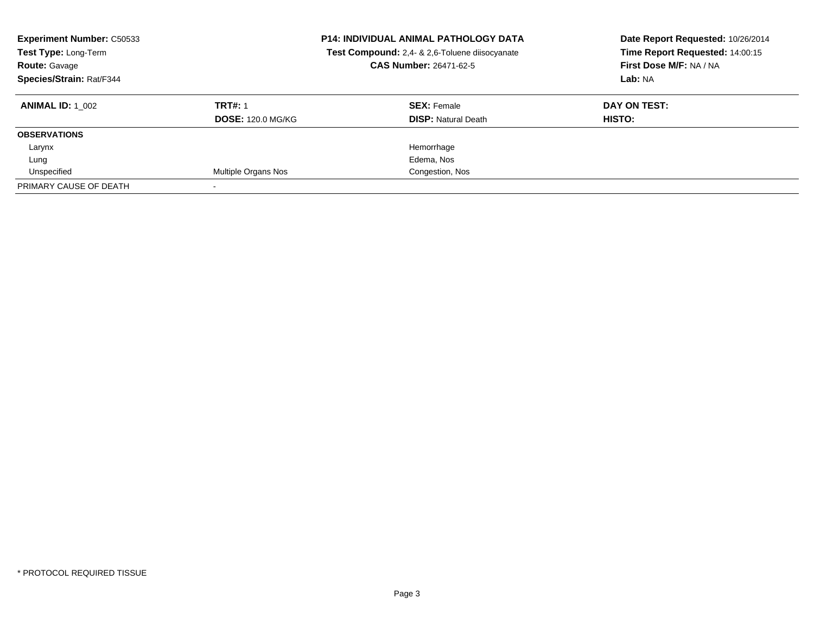| <b>Experiment Number: C50533</b><br>Test Type: Long-Term<br><b>CAS Number: 26471-62-5</b><br><b>Route: Gavage</b><br>Species/Strain: Rat/F344 |                          | <b>P14: INDIVIDUAL ANIMAL PATHOLOGY DATA</b><br>Test Compound: 2,4- & 2,6-Toluene diisocyanate | Date Report Requested: 10/26/2014<br>Time Report Requested: 14:00:15<br>First Dose M/F: NA / NA<br>Lab: NA |
|-----------------------------------------------------------------------------------------------------------------------------------------------|--------------------------|------------------------------------------------------------------------------------------------|------------------------------------------------------------------------------------------------------------|
| <b>ANIMAL ID: 1 002</b>                                                                                                                       | <b>TRT#: 1</b>           | <b>SEX: Female</b>                                                                             | DAY ON TEST:                                                                                               |
|                                                                                                                                               | <b>DOSE: 120.0 MG/KG</b> | <b>DISP:</b> Natural Death                                                                     | HISTO:                                                                                                     |
| <b>OBSERVATIONS</b>                                                                                                                           |                          |                                                                                                |                                                                                                            |
| Larynx                                                                                                                                        |                          | Hemorrhage                                                                                     |                                                                                                            |
| Lung                                                                                                                                          |                          | Edema, Nos                                                                                     |                                                                                                            |
| Unspecified                                                                                                                                   | Multiple Organs Nos      | Congestion, Nos                                                                                |                                                                                                            |
| PRIMARY CAUSE OF DEATH                                                                                                                        |                          |                                                                                                |                                                                                                            |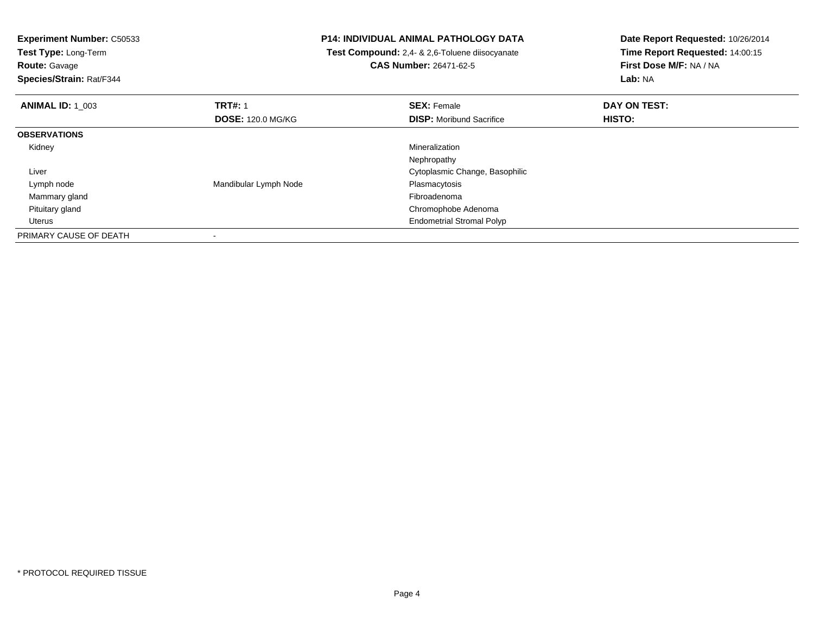| <b>P14: INDIVIDUAL ANIMAL PATHOLOGY DATA</b><br><b>Experiment Number: C50533</b><br>Test Type: Long-Term<br><b>Test Compound:</b> 2,4- & 2,6-Toluene diisocyanate |                          | Date Report Requested: 10/26/2014 |                                 |
|-------------------------------------------------------------------------------------------------------------------------------------------------------------------|--------------------------|-----------------------------------|---------------------------------|
|                                                                                                                                                                   |                          |                                   | Time Report Requested: 14:00:15 |
| <b>Route: Gavage</b>                                                                                                                                              |                          | <b>CAS Number: 26471-62-5</b>     | First Dose M/F: NA / NA         |
| Species/Strain: Rat/F344                                                                                                                                          |                          | Lab: NA                           |                                 |
| <b>ANIMAL ID: 1 003</b>                                                                                                                                           | <b>TRT#: 1</b>           | <b>SEX: Female</b>                | DAY ON TEST:                    |
|                                                                                                                                                                   | <b>DOSE: 120.0 MG/KG</b> | <b>DISP:</b> Moribund Sacrifice   | <b>HISTO:</b>                   |
| <b>OBSERVATIONS</b>                                                                                                                                               |                          |                                   |                                 |
| Kidney                                                                                                                                                            |                          | Mineralization                    |                                 |
|                                                                                                                                                                   |                          | Nephropathy                       |                                 |
| Liver                                                                                                                                                             |                          | Cytoplasmic Change, Basophilic    |                                 |
| Lymph node                                                                                                                                                        | Mandibular Lymph Node    | Plasmacytosis                     |                                 |
| Mammary gland                                                                                                                                                     |                          | Fibroadenoma                      |                                 |
| Pituitary gland                                                                                                                                                   |                          | Chromophobe Adenoma               |                                 |
| Uterus                                                                                                                                                            |                          | <b>Endometrial Stromal Polyp</b>  |                                 |
| PRIMARY CAUSE OF DEATH                                                                                                                                            |                          |                                   |                                 |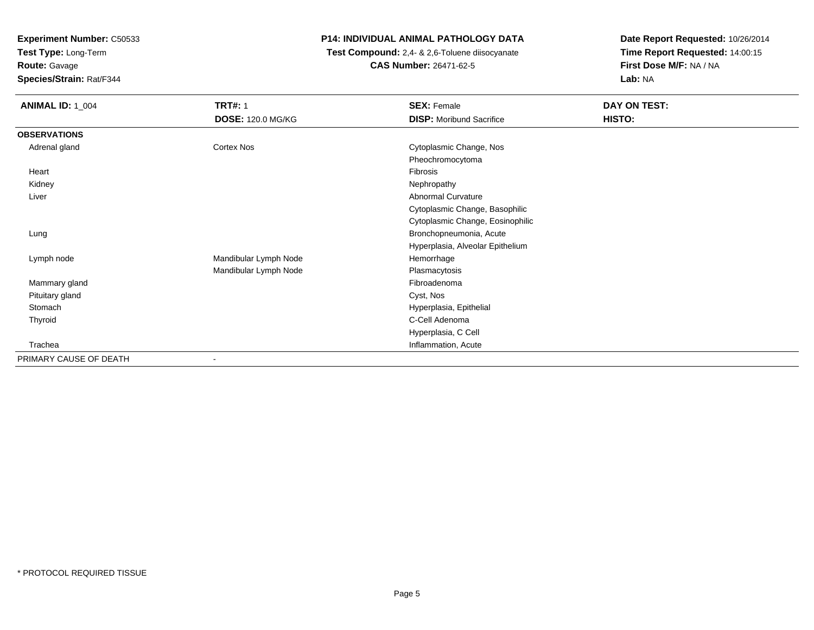**Test Type:** Long-Term

**Route:** Gavage

**Species/Strain:** Rat/F344

## **P14: INDIVIDUAL ANIMAL PATHOLOGY DATA**

 **Test Compound:** 2,4- & 2,6-Toluene diisocyanate**CAS Number:** 26471-62-5

| <b>ANIMAL ID: 1_004</b> | <b>TRT#: 1</b>           | <b>SEX: Female</b>               | DAY ON TEST: |
|-------------------------|--------------------------|----------------------------------|--------------|
|                         | <b>DOSE: 120.0 MG/KG</b> | <b>DISP:</b> Moribund Sacrifice  | HISTO:       |
| <b>OBSERVATIONS</b>     |                          |                                  |              |
| Adrenal gland           | Cortex Nos               | Cytoplasmic Change, Nos          |              |
|                         |                          | Pheochromocytoma                 |              |
| Heart                   |                          | Fibrosis                         |              |
| Kidney                  |                          | Nephropathy                      |              |
| Liver                   |                          | Abnormal Curvature               |              |
|                         |                          | Cytoplasmic Change, Basophilic   |              |
|                         |                          | Cytoplasmic Change, Eosinophilic |              |
| Lung                    |                          | Bronchopneumonia, Acute          |              |
|                         |                          | Hyperplasia, Alveolar Epithelium |              |
| Lymph node              | Mandibular Lymph Node    | Hemorrhage                       |              |
|                         | Mandibular Lymph Node    | Plasmacytosis                    |              |
| Mammary gland           |                          | Fibroadenoma                     |              |
| Pituitary gland         |                          | Cyst, Nos                        |              |
| Stomach                 |                          | Hyperplasia, Epithelial          |              |
| Thyroid                 |                          | C-Cell Adenoma                   |              |
|                         |                          | Hyperplasia, C Cell              |              |
| Trachea                 |                          | Inflammation, Acute              |              |
| PRIMARY CAUSE OF DEATH  |                          |                                  |              |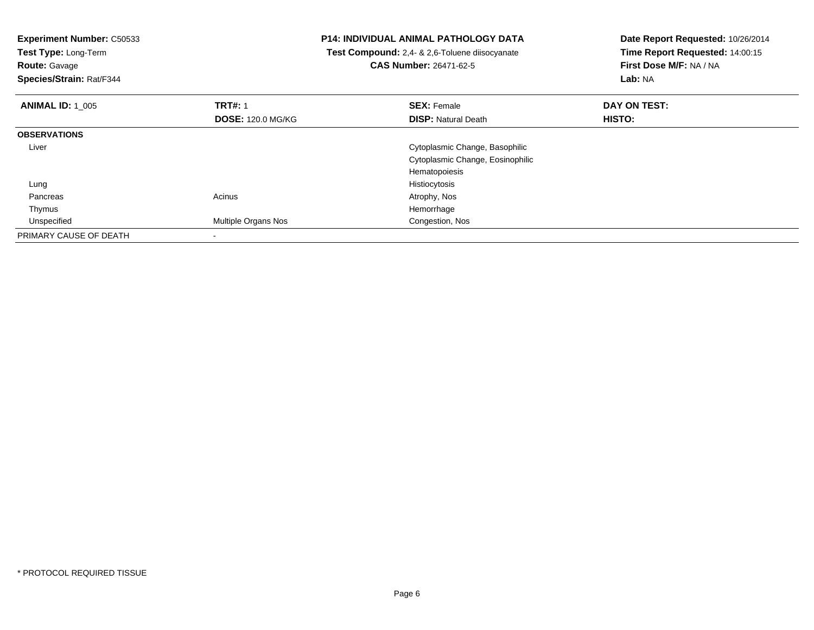| <b>Experiment Number: C50533</b><br>Test Type: Long-Term<br><b>Route: Gavage</b><br>Species/Strain: Rat/F344 |                          | <b>P14: INDIVIDUAL ANIMAL PATHOLOGY DATA</b><br>Test Compound: 2,4- & 2,6-Toluene diisocyanate<br><b>CAS Number: 26471-62-5</b> | Date Report Requested: 10/26/2014<br>Time Report Requested: 14:00:15<br>First Dose M/F: NA / NA<br>Lab: NA |
|--------------------------------------------------------------------------------------------------------------|--------------------------|---------------------------------------------------------------------------------------------------------------------------------|------------------------------------------------------------------------------------------------------------|
| <b>ANIMAL ID: 1 005</b>                                                                                      | <b>TRT#: 1</b>           | <b>SEX: Female</b>                                                                                                              | DAY ON TEST:                                                                                               |
|                                                                                                              | <b>DOSE: 120.0 MG/KG</b> | <b>DISP: Natural Death</b>                                                                                                      | HISTO:                                                                                                     |
| <b>OBSERVATIONS</b>                                                                                          |                          |                                                                                                                                 |                                                                                                            |
| Liver                                                                                                        |                          | Cytoplasmic Change, Basophilic                                                                                                  |                                                                                                            |
|                                                                                                              |                          | Cytoplasmic Change, Eosinophilic                                                                                                |                                                                                                            |
|                                                                                                              |                          | Hematopoiesis                                                                                                                   |                                                                                                            |
| Lung                                                                                                         |                          | Histiocytosis                                                                                                                   |                                                                                                            |
| Pancreas                                                                                                     | Acinus                   | Atrophy, Nos                                                                                                                    |                                                                                                            |
| Thymus                                                                                                       |                          | Hemorrhage                                                                                                                      |                                                                                                            |
| Unspecified                                                                                                  | Multiple Organs Nos      | Congestion, Nos                                                                                                                 |                                                                                                            |
| PRIMARY CAUSE OF DEATH                                                                                       |                          |                                                                                                                                 |                                                                                                            |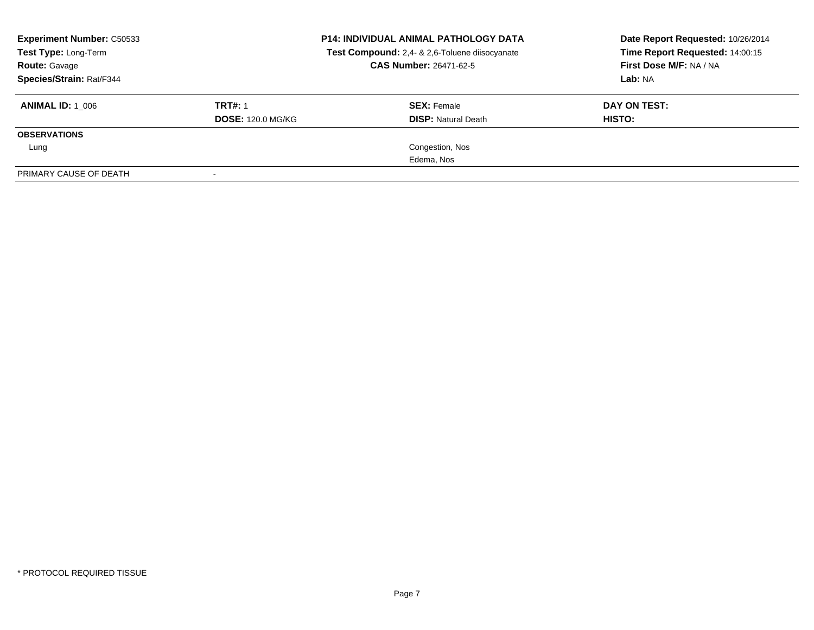| <b>Experiment Number: C50533</b><br>Test Type: Long-Term<br><b>Route: Gavage</b><br>Species/Strain: Rat/F344 |                          | <b>P14: INDIVIDUAL ANIMAL PATHOLOGY DATA</b><br>Test Compound: 2,4- & 2,6-Toluene diisocyanate<br><b>CAS Number: 26471-62-5</b> | Date Report Requested: 10/26/2014<br>Time Report Requested: 14:00:15<br>First Dose M/F: NA / NA<br>Lab: NA |  |
|--------------------------------------------------------------------------------------------------------------|--------------------------|---------------------------------------------------------------------------------------------------------------------------------|------------------------------------------------------------------------------------------------------------|--|
| <b>ANIMAL ID: 1 006</b>                                                                                      | <b>TRT#: 1</b>           | <b>SEX: Female</b>                                                                                                              | DAY ON TEST:                                                                                               |  |
|                                                                                                              | <b>DOSE: 120.0 MG/KG</b> | <b>DISP:</b> Natural Death                                                                                                      | HISTO:                                                                                                     |  |
| <b>OBSERVATIONS</b>                                                                                          |                          |                                                                                                                                 |                                                                                                            |  |
| Lung                                                                                                         |                          | Congestion, Nos                                                                                                                 |                                                                                                            |  |
|                                                                                                              |                          | Edema, Nos                                                                                                                      |                                                                                                            |  |
| PRIMARY CAUSE OF DEATH                                                                                       |                          |                                                                                                                                 |                                                                                                            |  |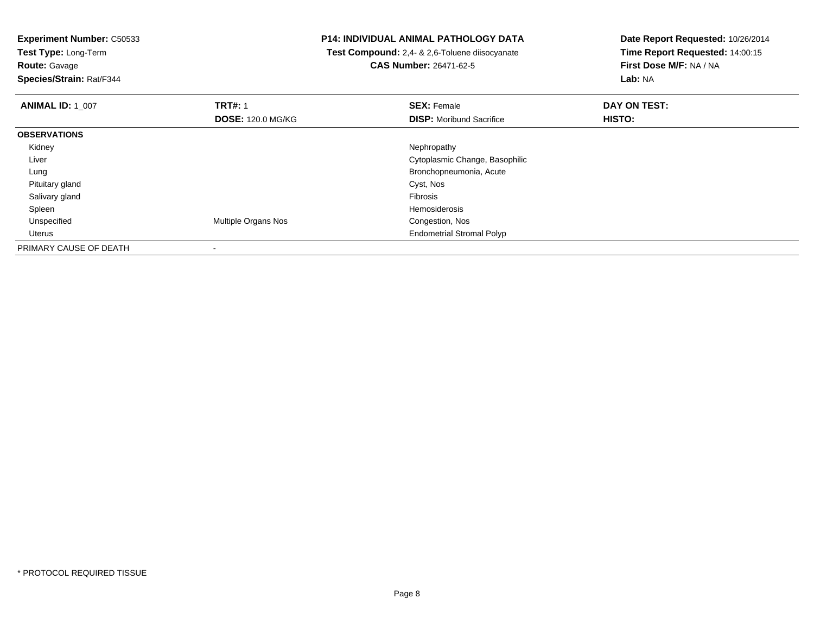**Test Type:** Long-Term

**Route:** Gavage

**Species/Strain:** Rat/F344

#### **P14: INDIVIDUAL ANIMAL PATHOLOGY DATA**

 **Test Compound:** 2,4- & 2,6-Toluene diisocyanate**CAS Number:** 26471-62-5

| <b>ANIMAL ID: 1_007</b> | <b>TRT#: 1</b>             | <b>SEX: Female</b>               | DAY ON TEST: |  |
|-------------------------|----------------------------|----------------------------------|--------------|--|
|                         | <b>DOSE: 120.0 MG/KG</b>   | <b>DISP: Moribund Sacrifice</b>  | HISTO:       |  |
| <b>OBSERVATIONS</b>     |                            |                                  |              |  |
| Kidney                  |                            | Nephropathy                      |              |  |
| Liver                   |                            | Cytoplasmic Change, Basophilic   |              |  |
| Lung                    |                            | Bronchopneumonia, Acute          |              |  |
| Pituitary gland         |                            | Cyst, Nos                        |              |  |
| Salivary gland          |                            | Fibrosis                         |              |  |
| Spleen                  |                            | Hemosiderosis                    |              |  |
| Unspecified             | <b>Multiple Organs Nos</b> | Congestion, Nos                  |              |  |
| Uterus                  |                            | <b>Endometrial Stromal Polyp</b> |              |  |
| PRIMARY CAUSE OF DEATH  |                            |                                  |              |  |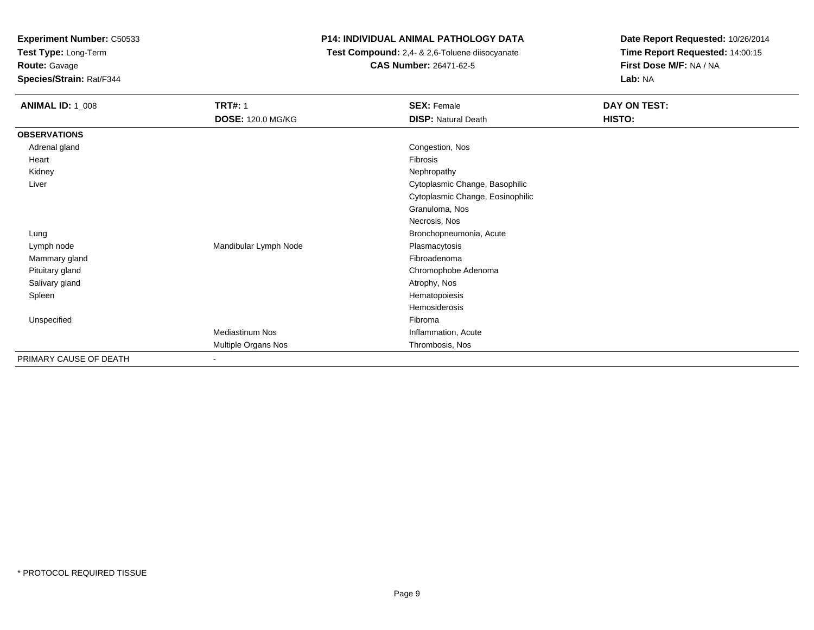**Test Type:** Long-Term

**Route:** Gavage

**Species/Strain:** Rat/F344

# **P14: INDIVIDUAL ANIMAL PATHOLOGY DATA**

 **Test Compound:** 2,4- & 2,6-Toluene diisocyanate**CAS Number:** 26471-62-5

| <b>ANIMAL ID: 1_008</b> | <b>TRT#: 1</b>           | <b>SEX: Female</b>               | DAY ON TEST: |  |
|-------------------------|--------------------------|----------------------------------|--------------|--|
|                         | <b>DOSE: 120.0 MG/KG</b> | <b>DISP: Natural Death</b>       | HISTO:       |  |
| <b>OBSERVATIONS</b>     |                          |                                  |              |  |
| Adrenal gland           |                          | Congestion, Nos                  |              |  |
| Heart                   |                          | Fibrosis                         |              |  |
| Kidney                  |                          | Nephropathy                      |              |  |
| Liver                   |                          | Cytoplasmic Change, Basophilic   |              |  |
|                         |                          | Cytoplasmic Change, Eosinophilic |              |  |
|                         |                          | Granuloma, Nos                   |              |  |
|                         |                          | Necrosis, Nos                    |              |  |
| Lung                    |                          | Bronchopneumonia, Acute          |              |  |
| Lymph node              | Mandibular Lymph Node    | Plasmacytosis                    |              |  |
| Mammary gland           |                          | Fibroadenoma                     |              |  |
| Pituitary gland         |                          | Chromophobe Adenoma              |              |  |
| Salivary gland          |                          | Atrophy, Nos                     |              |  |
| Spleen                  |                          | Hematopoiesis                    |              |  |
|                         |                          | Hemosiderosis                    |              |  |
| Unspecified             |                          | Fibroma                          |              |  |
|                         | <b>Mediastinum Nos</b>   | Inflammation, Acute              |              |  |
|                         | Multiple Organs Nos      | Thrombosis, Nos                  |              |  |
| PRIMARY CAUSE OF DEATH  |                          |                                  |              |  |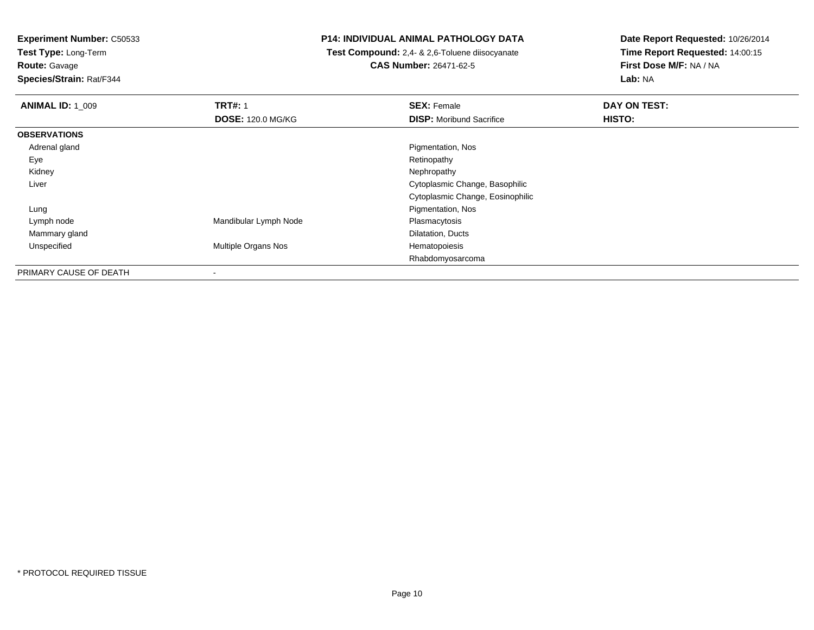**Test Type:** Long-Term**Route:** Gavage

**Species/Strain:** Rat/F344

#### **P14: INDIVIDUAL ANIMAL PATHOLOGY DATA**

 **Test Compound:** 2,4- & 2,6-Toluene diisocyanate**CAS Number:** 26471-62-5

| <b>ANIMAL ID: 1_009</b> | <b>TRT#: 1</b>             | <b>SEX: Female</b>               | DAY ON TEST: |
|-------------------------|----------------------------|----------------------------------|--------------|
|                         | <b>DOSE: 120.0 MG/KG</b>   | <b>DISP:</b> Moribund Sacrifice  | HISTO:       |
| <b>OBSERVATIONS</b>     |                            |                                  |              |
| Adrenal gland           |                            | Pigmentation, Nos                |              |
| Eye                     |                            | Retinopathy                      |              |
| Kidney                  |                            | Nephropathy                      |              |
| Liver                   |                            | Cytoplasmic Change, Basophilic   |              |
|                         |                            | Cytoplasmic Change, Eosinophilic |              |
| Lung                    |                            | Pigmentation, Nos                |              |
| Lymph node              | Mandibular Lymph Node      | Plasmacytosis                    |              |
| Mammary gland           |                            | Dilatation, Ducts                |              |
| Unspecified             | <b>Multiple Organs Nos</b> | Hematopoiesis                    |              |
|                         |                            | Rhabdomyosarcoma                 |              |
| PRIMARY CAUSE OF DEATH  | $\overline{\phantom{a}}$   |                                  |              |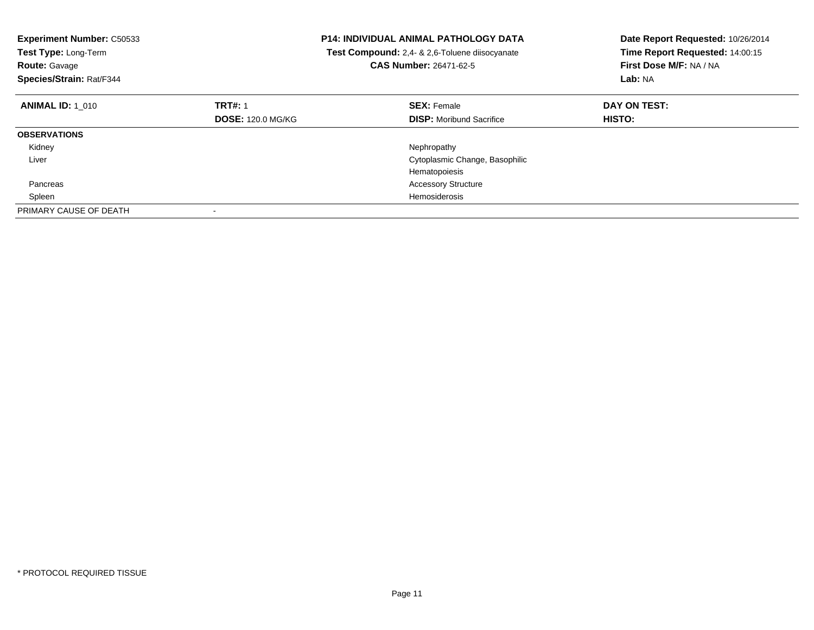| <b>Experiment Number: C50533</b><br>Test Type: Long-Term<br><b>Route: Gavage</b><br>Species/Strain: Rat/F344 |                          | <b>P14: INDIVIDUAL ANIMAL PATHOLOGY DATA</b><br>Test Compound: 2,4- & 2,6-Toluene diisocyanate<br>CAS Number: 26471-62-5 | Date Report Requested: 10/26/2014<br>Time Report Requested: 14:00:15<br>First Dose M/F: NA / NA<br>Lab: NA |
|--------------------------------------------------------------------------------------------------------------|--------------------------|--------------------------------------------------------------------------------------------------------------------------|------------------------------------------------------------------------------------------------------------|
| <b>ANIMAL ID: 1 010</b>                                                                                      | <b>TRT#: 1</b>           | <b>SEX: Female</b>                                                                                                       | DAY ON TEST:                                                                                               |
|                                                                                                              | <b>DOSE: 120.0 MG/KG</b> | <b>DISP:</b> Moribund Sacrifice                                                                                          | <b>HISTO:</b>                                                                                              |
| <b>OBSERVATIONS</b>                                                                                          |                          |                                                                                                                          |                                                                                                            |
| Kidney                                                                                                       |                          | Nephropathy                                                                                                              |                                                                                                            |
| Liver                                                                                                        |                          | Cytoplasmic Change, Basophilic                                                                                           |                                                                                                            |
|                                                                                                              |                          | Hematopoiesis                                                                                                            |                                                                                                            |
| Pancreas                                                                                                     |                          | <b>Accessory Structure</b>                                                                                               |                                                                                                            |
| Spleen                                                                                                       |                          | <b>Hemosiderosis</b>                                                                                                     |                                                                                                            |
| PRIMARY CAUSE OF DEATH                                                                                       |                          |                                                                                                                          |                                                                                                            |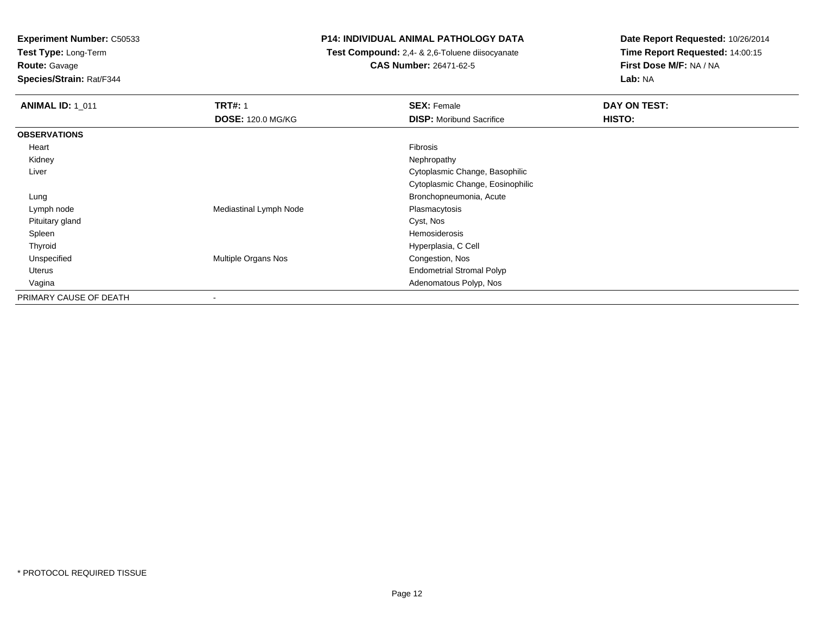**Test Type:** Long-Term

**Route:** Gavage

**Species/Strain:** Rat/F344

#### **P14: INDIVIDUAL ANIMAL PATHOLOGY DATA**

 **Test Compound:** 2,4- & 2,6-Toluene diisocyanate**CAS Number:** 26471-62-5

| <b>ANIMAL ID: 1 011</b> | <b>TRT#: 1</b>           | <b>SEX: Female</b>               | <b>DAY ON TEST:</b> |
|-------------------------|--------------------------|----------------------------------|---------------------|
|                         | <b>DOSE: 120.0 MG/KG</b> | <b>DISP: Moribund Sacrifice</b>  | HISTO:              |
| <b>OBSERVATIONS</b>     |                          |                                  |                     |
| Heart                   |                          | Fibrosis                         |                     |
| Kidney                  |                          | Nephropathy                      |                     |
| Liver                   |                          | Cytoplasmic Change, Basophilic   |                     |
|                         |                          | Cytoplasmic Change, Eosinophilic |                     |
| Lung                    |                          | Bronchopneumonia, Acute          |                     |
| Lymph node              | Mediastinal Lymph Node   | Plasmacytosis                    |                     |
| Pituitary gland         |                          | Cyst, Nos                        |                     |
| Spleen                  |                          | Hemosiderosis                    |                     |
| Thyroid                 |                          | Hyperplasia, C Cell              |                     |
| Unspecified             | Multiple Organs Nos      | Congestion, Nos                  |                     |
| Uterus                  |                          | <b>Endometrial Stromal Polyp</b> |                     |
| Vagina                  |                          | Adenomatous Polyp, Nos           |                     |
| PRIMARY CAUSE OF DEATH  | $\overline{\phantom{a}}$ |                                  |                     |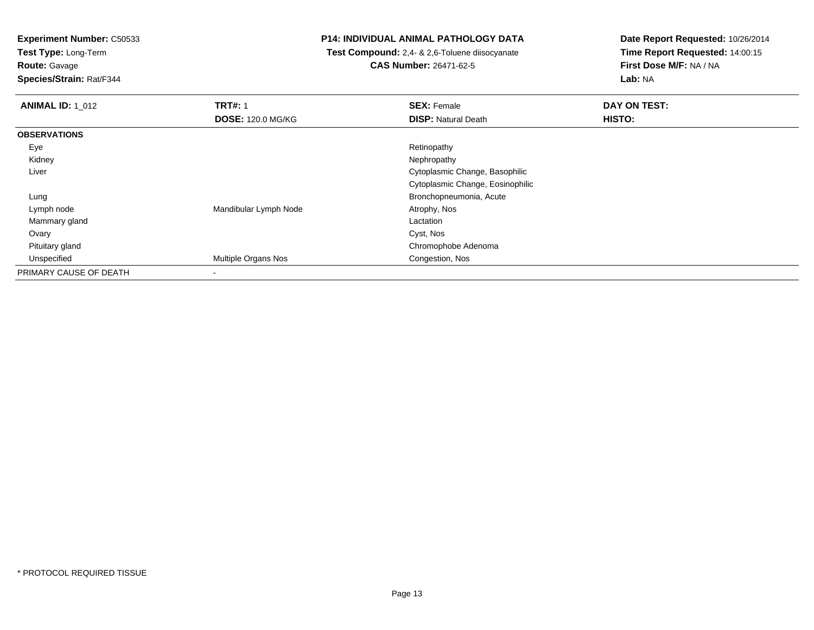**Test Type:** Long-Term

**Route:** Gavage

**Species/Strain:** Rat/F344

#### **P14: INDIVIDUAL ANIMAL PATHOLOGY DATA**

 **Test Compound:** 2,4- & 2,6-Toluene diisocyanate**CAS Number:** 26471-62-5

| <b>ANIMAL ID: 1_012</b> | <b>TRT#: 1</b>           | <b>SEX: Female</b>               | DAY ON TEST: |
|-------------------------|--------------------------|----------------------------------|--------------|
|                         | <b>DOSE: 120.0 MG/KG</b> | <b>DISP: Natural Death</b>       | HISTO:       |
| <b>OBSERVATIONS</b>     |                          |                                  |              |
| Eye                     |                          | Retinopathy                      |              |
| Kidney                  |                          | Nephropathy                      |              |
| Liver                   |                          | Cytoplasmic Change, Basophilic   |              |
|                         |                          | Cytoplasmic Change, Eosinophilic |              |
| Lung                    |                          | Bronchopneumonia, Acute          |              |
| Lymph node              | Mandibular Lymph Node    | Atrophy, Nos                     |              |
| Mammary gland           |                          | Lactation                        |              |
| Ovary                   |                          | Cyst, Nos                        |              |
| Pituitary gland         |                          | Chromophobe Adenoma              |              |
| Unspecified             | Multiple Organs Nos      | Congestion, Nos                  |              |
| PRIMARY CAUSE OF DEATH  | ٠                        |                                  |              |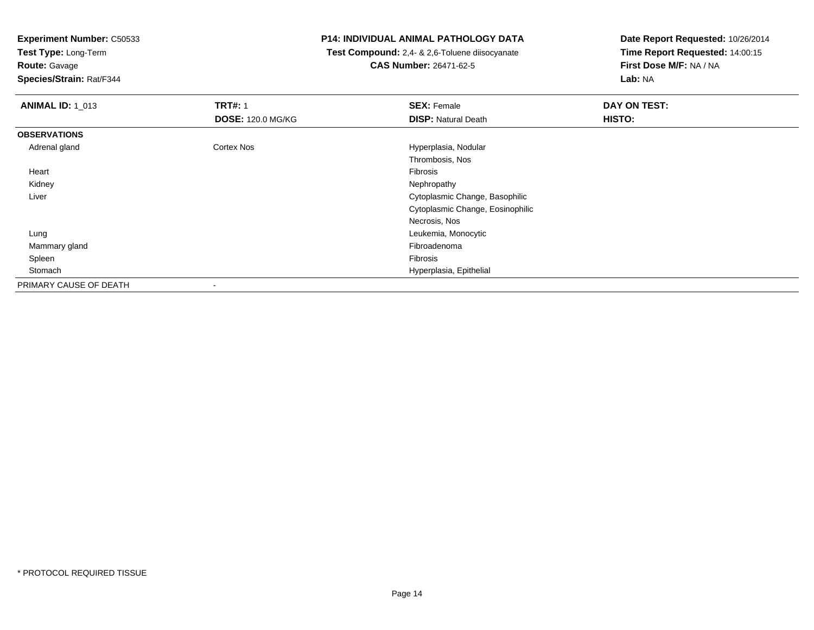**Test Type:** Long-Term

**Route:** Gavage

**Species/Strain:** Rat/F344

#### **P14: INDIVIDUAL ANIMAL PATHOLOGY DATA**

 **Test Compound:** 2,4- & 2,6-Toluene diisocyanate**CAS Number:** 26471-62-5

| <b>ANIMAL ID: 1_013</b> | <b>TRT#: 1</b>           | <b>SEX: Female</b>               | DAY ON TEST: |  |
|-------------------------|--------------------------|----------------------------------|--------------|--|
|                         | <b>DOSE: 120.0 MG/KG</b> | <b>DISP: Natural Death</b>       | HISTO:       |  |
| <b>OBSERVATIONS</b>     |                          |                                  |              |  |
| Adrenal gland           | <b>Cortex Nos</b>        | Hyperplasia, Nodular             |              |  |
|                         |                          | Thrombosis, Nos                  |              |  |
| Heart                   |                          | Fibrosis                         |              |  |
| Kidney                  |                          | Nephropathy                      |              |  |
| Liver                   |                          | Cytoplasmic Change, Basophilic   |              |  |
|                         |                          | Cytoplasmic Change, Eosinophilic |              |  |
|                         |                          | Necrosis, Nos                    |              |  |
| Lung                    |                          | Leukemia, Monocytic              |              |  |
| Mammary gland           |                          | Fibroadenoma                     |              |  |
| Spleen                  |                          | Fibrosis                         |              |  |
| Stomach                 |                          | Hyperplasia, Epithelial          |              |  |
| PRIMARY CAUSE OF DEATH  |                          |                                  |              |  |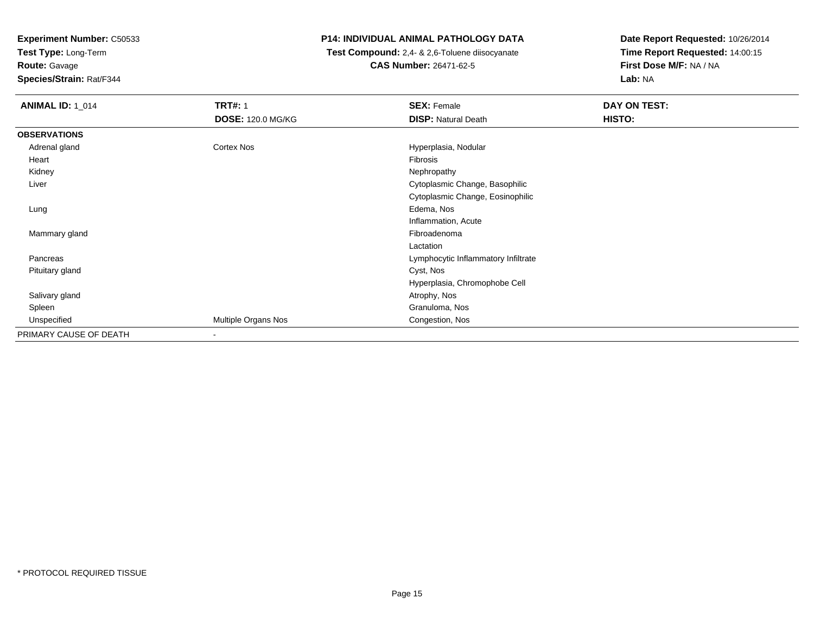**Test Type:** Long-Term

**Route:** Gavage

**Species/Strain:** Rat/F344

# **P14: INDIVIDUAL ANIMAL PATHOLOGY DATA**

 **Test Compound:** 2,4- & 2,6-Toluene diisocyanate**CAS Number:** 26471-62-5

| <b>ANIMAL ID: 1_014</b> | <b>TRT#: 1</b>           | <b>SEX: Female</b>                  | <b>DAY ON TEST:</b> |  |
|-------------------------|--------------------------|-------------------------------------|---------------------|--|
|                         | <b>DOSE: 120.0 MG/KG</b> | <b>DISP: Natural Death</b>          | HISTO:              |  |
| <b>OBSERVATIONS</b>     |                          |                                     |                     |  |
| Adrenal gland           | Cortex Nos               | Hyperplasia, Nodular                |                     |  |
| Heart                   |                          | Fibrosis                            |                     |  |
| Kidney                  |                          | Nephropathy                         |                     |  |
| Liver                   |                          | Cytoplasmic Change, Basophilic      |                     |  |
|                         |                          | Cytoplasmic Change, Eosinophilic    |                     |  |
| Lung                    |                          | Edema, Nos                          |                     |  |
|                         |                          | Inflammation, Acute                 |                     |  |
| Mammary gland           |                          | Fibroadenoma                        |                     |  |
|                         |                          | Lactation                           |                     |  |
| Pancreas                |                          | Lymphocytic Inflammatory Infiltrate |                     |  |
| Pituitary gland         |                          | Cyst, Nos                           |                     |  |
|                         |                          | Hyperplasia, Chromophobe Cell       |                     |  |
| Salivary gland          |                          | Atrophy, Nos                        |                     |  |
| Spleen                  |                          | Granuloma, Nos                      |                     |  |
| Unspecified             | Multiple Organs Nos      | Congestion, Nos                     |                     |  |
| PRIMARY CAUSE OF DEATH  | $\overline{\phantom{a}}$ |                                     |                     |  |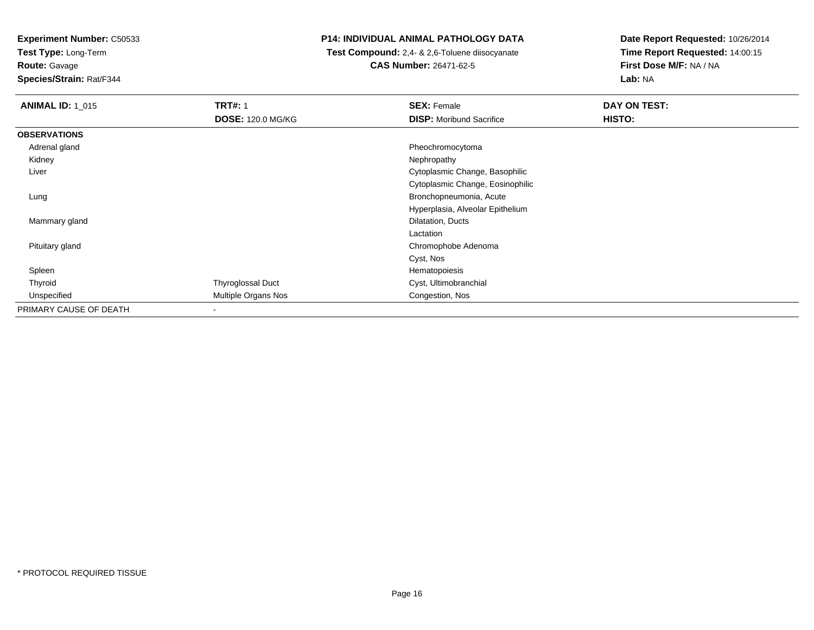**Test Type:** Long-Term

**Route:** Gavage

**Species/Strain:** Rat/F344

#### **P14: INDIVIDUAL ANIMAL PATHOLOGY DATA**

 **Test Compound:** 2,4- & 2,6-Toluene diisocyanate**CAS Number:** 26471-62-5

| <b>ANIMAL ID: 1 015</b> | <b>TRT#: 1</b><br><b>DOSE: 120.0 MG/KG</b> | <b>SEX: Female</b><br><b>DISP:</b> Moribund Sacrifice | DAY ON TEST:<br>HISTO: |
|-------------------------|--------------------------------------------|-------------------------------------------------------|------------------------|
| <b>OBSERVATIONS</b>     |                                            |                                                       |                        |
| Adrenal gland           |                                            | Pheochromocytoma                                      |                        |
| Kidney                  |                                            | Nephropathy                                           |                        |
| Liver                   |                                            | Cytoplasmic Change, Basophilic                        |                        |
|                         |                                            | Cytoplasmic Change, Eosinophilic                      |                        |
| Lung                    |                                            | Bronchopneumonia, Acute                               |                        |
|                         |                                            | Hyperplasia, Alveolar Epithelium                      |                        |
| Mammary gland           |                                            | Dilatation, Ducts                                     |                        |
|                         |                                            | Lactation                                             |                        |
| Pituitary gland         |                                            | Chromophobe Adenoma                                   |                        |
|                         |                                            | Cyst, Nos                                             |                        |
| Spleen                  |                                            | Hematopoiesis                                         |                        |
| Thyroid                 | Thyroglossal Duct                          | Cyst, Ultimobranchial                                 |                        |
| Unspecified             | Multiple Organs Nos                        | Congestion, Nos                                       |                        |
| PRIMARY CAUSE OF DEATH  | $\blacksquare$                             |                                                       |                        |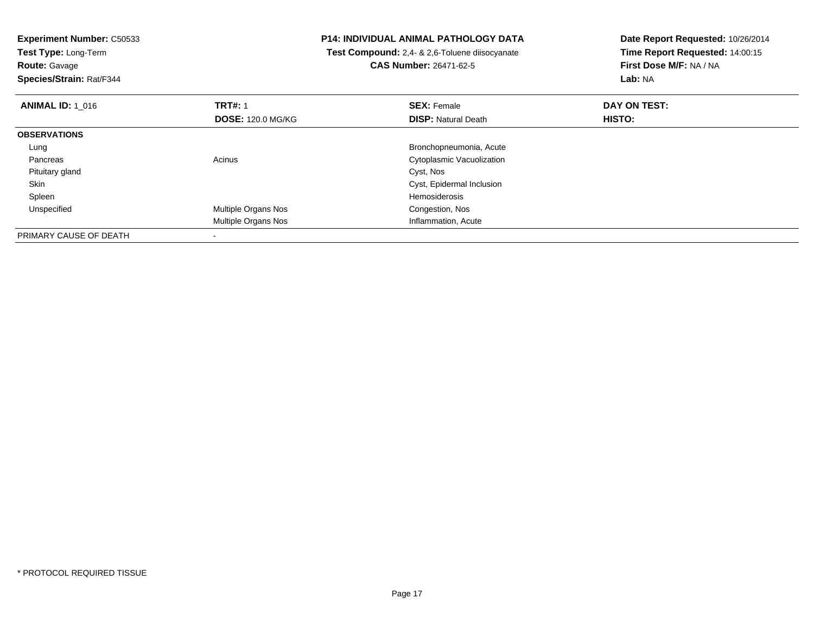| <b>Experiment Number: C50533</b><br>Test Type: Long-Term<br><b>Route: Gavage</b><br>Species/Strain: Rat/F344 |                          | P14: INDIVIDUAL ANIMAL PATHOLOGY DATA<br><b>Test Compound:</b> 2,4- & 2,6-Toluene diisocyanate<br><b>CAS Number: 26471-62-5</b> | Date Report Requested: 10/26/2014<br>Time Report Requested: 14:00:15<br>First Dose M/F: NA / NA<br>Lab: NA |
|--------------------------------------------------------------------------------------------------------------|--------------------------|---------------------------------------------------------------------------------------------------------------------------------|------------------------------------------------------------------------------------------------------------|
| <b>ANIMAL ID: 1 016</b>                                                                                      | <b>TRT#: 1</b>           | <b>SEX: Female</b>                                                                                                              | DAY ON TEST:                                                                                               |
|                                                                                                              | <b>DOSE: 120.0 MG/KG</b> | <b>DISP: Natural Death</b>                                                                                                      | HISTO:                                                                                                     |
| <b>OBSERVATIONS</b>                                                                                          |                          |                                                                                                                                 |                                                                                                            |
| Lung                                                                                                         |                          | Bronchopneumonia, Acute                                                                                                         |                                                                                                            |
| Pancreas                                                                                                     | Acinus                   | Cytoplasmic Vacuolization                                                                                                       |                                                                                                            |
| Pituitary gland                                                                                              |                          | Cyst, Nos                                                                                                                       |                                                                                                            |
| Skin                                                                                                         |                          | Cyst, Epidermal Inclusion                                                                                                       |                                                                                                            |
| Spleen                                                                                                       |                          | Hemosiderosis                                                                                                                   |                                                                                                            |
| Unspecified                                                                                                  | Multiple Organs Nos      | Congestion, Nos                                                                                                                 |                                                                                                            |
|                                                                                                              | Multiple Organs Nos      | Inflammation, Acute                                                                                                             |                                                                                                            |
| PRIMARY CAUSE OF DEATH                                                                                       |                          |                                                                                                                                 |                                                                                                            |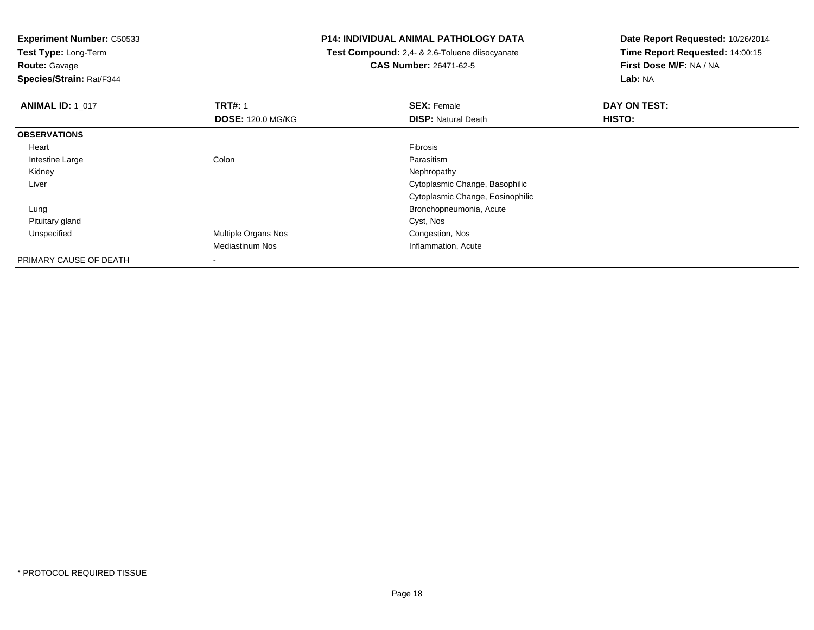**Test Type:** Long-Term

**Route:** Gavage

**Species/Strain:** Rat/F344

#### **P14: INDIVIDUAL ANIMAL PATHOLOGY DATA**

 **Test Compound:** 2,4- & 2,6-Toluene diisocyanate**CAS Number:** 26471-62-5

| <b>ANIMAL ID: 1_017</b> | <b>TRT#: 1</b>           | <b>SEX: Female</b>               | DAY ON TEST: |
|-------------------------|--------------------------|----------------------------------|--------------|
|                         | <b>DOSE: 120.0 MG/KG</b> | <b>DISP:</b> Natural Death       | HISTO:       |
| <b>OBSERVATIONS</b>     |                          |                                  |              |
| Heart                   |                          | Fibrosis                         |              |
| Intestine Large         | Colon                    | Parasitism                       |              |
| Kidney                  |                          | Nephropathy                      |              |
| Liver                   |                          | Cytoplasmic Change, Basophilic   |              |
|                         |                          | Cytoplasmic Change, Eosinophilic |              |
| Lung                    |                          | Bronchopneumonia, Acute          |              |
| Pituitary gland         |                          | Cyst, Nos                        |              |
| Unspecified             | Multiple Organs Nos      | Congestion, Nos                  |              |
|                         | <b>Mediastinum Nos</b>   | Inflammation, Acute              |              |
| PRIMARY CAUSE OF DEATH  | $\,$                     |                                  |              |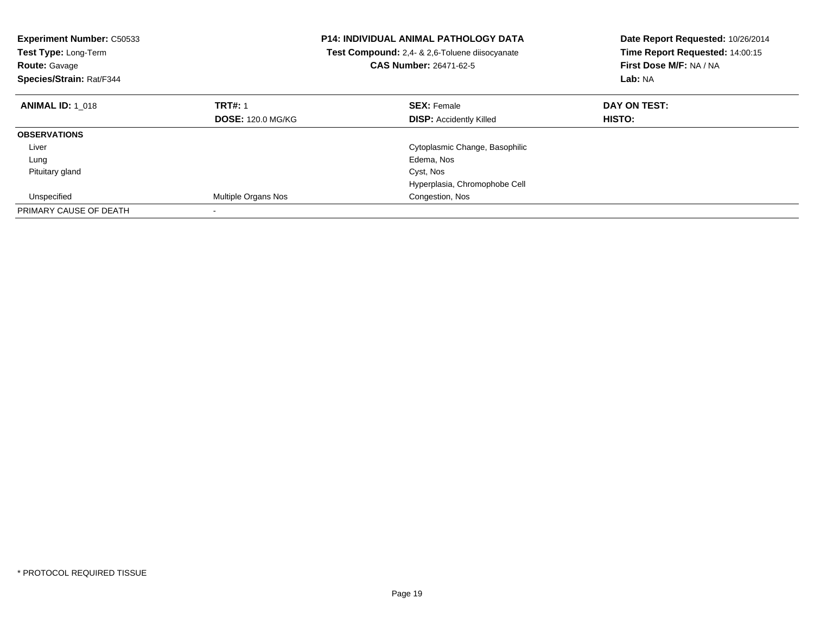| <b>Experiment Number: C50533</b><br><b>Test Type: Long-Term</b><br><b>Route: Gavage</b><br>Species/Strain: Rat/F344 |                          | <b>P14: INDIVIDUAL ANIMAL PATHOLOGY DATA</b><br><b>Test Compound:</b> 2,4- & 2,6-Toluene diisocyanate<br>CAS Number: 26471-62-5 | Date Report Requested: 10/26/2014<br>Time Report Requested: 14:00:15<br>First Dose M/F: NA / NA<br>Lab: NA |
|---------------------------------------------------------------------------------------------------------------------|--------------------------|---------------------------------------------------------------------------------------------------------------------------------|------------------------------------------------------------------------------------------------------------|
| <b>ANIMAL ID: 1 018</b>                                                                                             | <b>TRT#: 1</b>           | <b>SEX: Female</b>                                                                                                              | DAY ON TEST:                                                                                               |
|                                                                                                                     | <b>DOSE: 120.0 MG/KG</b> | <b>DISP: Accidently Killed</b>                                                                                                  | <b>HISTO:</b>                                                                                              |
| <b>OBSERVATIONS</b>                                                                                                 |                          |                                                                                                                                 |                                                                                                            |
| Liver                                                                                                               |                          | Cytoplasmic Change, Basophilic                                                                                                  |                                                                                                            |
| Lung                                                                                                                |                          | Edema, Nos                                                                                                                      |                                                                                                            |
| Pituitary gland                                                                                                     |                          | Cyst, Nos                                                                                                                       |                                                                                                            |
|                                                                                                                     |                          | Hyperplasia, Chromophobe Cell                                                                                                   |                                                                                                            |
| Unspecified                                                                                                         | Multiple Organs Nos      | Congestion, Nos                                                                                                                 |                                                                                                            |
| PRIMARY CAUSE OF DEATH                                                                                              |                          |                                                                                                                                 |                                                                                                            |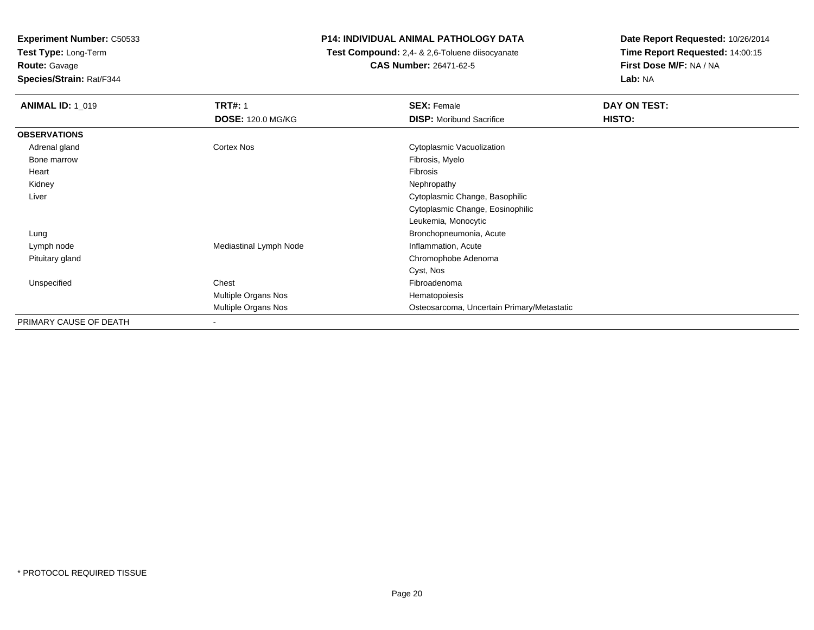**Test Type:** Long-Term**Route:** Gavage

**Species/Strain:** Rat/F344

## **P14: INDIVIDUAL ANIMAL PATHOLOGY DATA**

 **Test Compound:** 2,4- & 2,6-Toluene diisocyanate**CAS Number:** 26471-62-5

| <b>ANIMAL ID: 1_019</b> | <b>TRT#: 1</b>           | <b>SEX: Female</b>                         | DAY ON TEST: |  |
|-------------------------|--------------------------|--------------------------------------------|--------------|--|
|                         | <b>DOSE: 120.0 MG/KG</b> | <b>DISP:</b> Moribund Sacrifice            | HISTO:       |  |
| <b>OBSERVATIONS</b>     |                          |                                            |              |  |
| Adrenal gland           | Cortex Nos               | Cytoplasmic Vacuolization                  |              |  |
| Bone marrow             |                          | Fibrosis, Myelo                            |              |  |
| Heart                   |                          | Fibrosis                                   |              |  |
| Kidney                  |                          | Nephropathy                                |              |  |
| Liver                   |                          | Cytoplasmic Change, Basophilic             |              |  |
|                         |                          | Cytoplasmic Change, Eosinophilic           |              |  |
|                         |                          | Leukemia, Monocytic                        |              |  |
| Lung                    |                          | Bronchopneumonia, Acute                    |              |  |
| Lymph node              | Mediastinal Lymph Node   | Inflammation, Acute                        |              |  |
| Pituitary gland         |                          | Chromophobe Adenoma                        |              |  |
|                         |                          | Cyst, Nos                                  |              |  |
| Unspecified             | Chest                    | Fibroadenoma                               |              |  |
|                         | Multiple Organs Nos      | Hematopoiesis                              |              |  |
|                         | Multiple Organs Nos      | Osteosarcoma, Uncertain Primary/Metastatic |              |  |
| PRIMARY CAUSE OF DEATH  | ۰                        |                                            |              |  |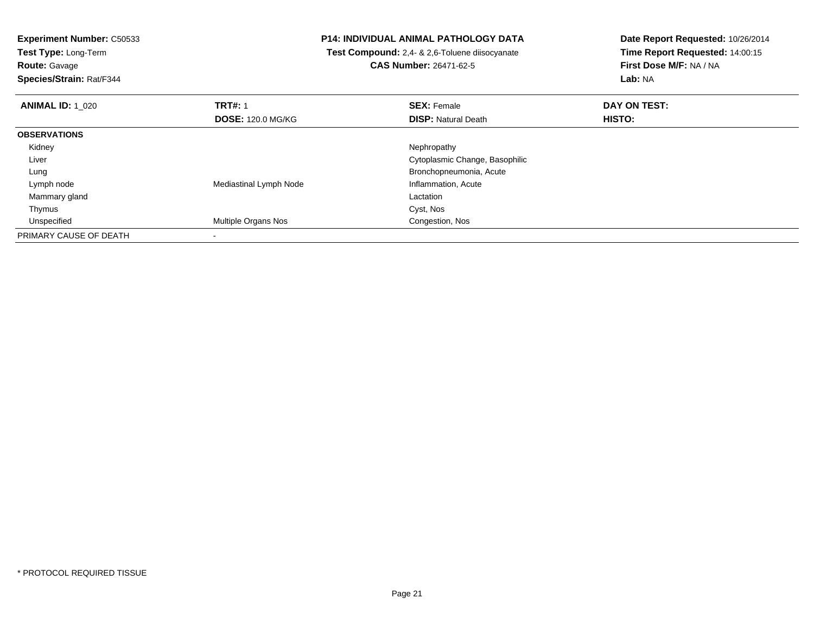**Test Type:** Long-Term

**Route:** Gavage

**Species/Strain:** Rat/F344

#### **P14: INDIVIDUAL ANIMAL PATHOLOGY DATA**

 **Test Compound:** 2,4- & 2,6-Toluene diisocyanate**CAS Number:** 26471-62-5

| <b>ANIMAL ID: 1_020</b> | <b>TRT#: 1</b>           | <b>SEX: Female</b>             | DAY ON TEST:  |  |
|-------------------------|--------------------------|--------------------------------|---------------|--|
|                         | <b>DOSE: 120.0 MG/KG</b> | <b>DISP: Natural Death</b>     | <b>HISTO:</b> |  |
| <b>OBSERVATIONS</b>     |                          |                                |               |  |
| Kidney                  |                          | Nephropathy                    |               |  |
| Liver                   |                          | Cytoplasmic Change, Basophilic |               |  |
| Lung                    |                          | Bronchopneumonia, Acute        |               |  |
| Lymph node              | Mediastinal Lymph Node   | Inflammation, Acute            |               |  |
| Mammary gland           |                          | Lactation                      |               |  |
| Thymus                  |                          | Cyst, Nos                      |               |  |
| Unspecified             | Multiple Organs Nos      | Congestion, Nos                |               |  |
| PRIMARY CAUSE OF DEATH  |                          |                                |               |  |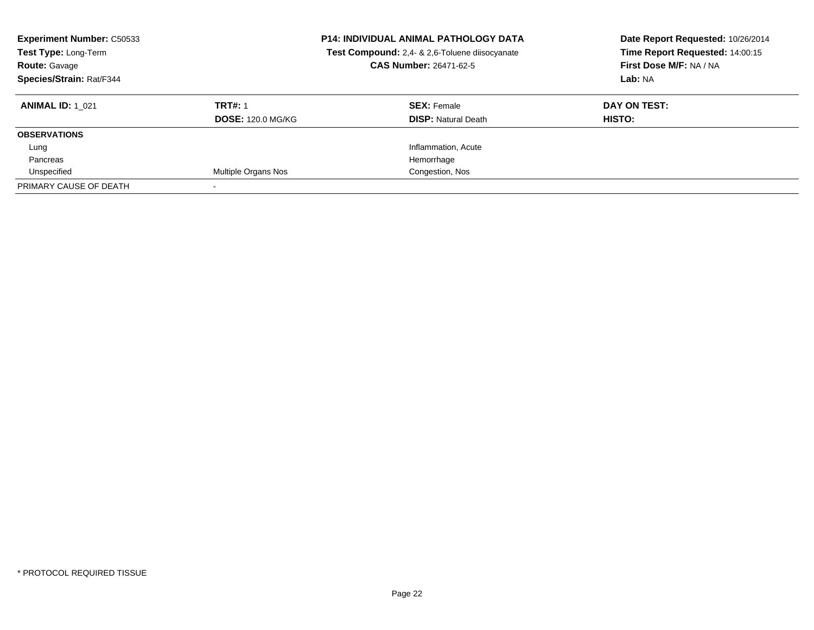| <b>Experiment Number: C50533</b><br>Test Type: Long-Term<br><b>Route: Gavage</b><br>Species/Strain: Rat/F344 |                          | <b>P14: INDIVIDUAL ANIMAL PATHOLOGY DATA</b><br>Test Compound: 2,4- & 2,6-Toluene diisocyanate<br><b>CAS Number: 26471-62-5</b> | Date Report Requested: 10/26/2014<br>Time Report Requested: 14:00:15<br>First Dose M/F: NA / NA<br>Lab: NA |
|--------------------------------------------------------------------------------------------------------------|--------------------------|---------------------------------------------------------------------------------------------------------------------------------|------------------------------------------------------------------------------------------------------------|
| <b>ANIMAL ID: 1 021</b>                                                                                      | <b>TRT#: 1</b>           | <b>SEX: Female</b>                                                                                                              | DAY ON TEST:                                                                                               |
|                                                                                                              | <b>DOSE: 120.0 MG/KG</b> | <b>DISP:</b> Natural Death                                                                                                      | HISTO:                                                                                                     |
| <b>OBSERVATIONS</b>                                                                                          |                          |                                                                                                                                 |                                                                                                            |
| Lung                                                                                                         |                          | Inflammation, Acute                                                                                                             |                                                                                                            |
| Pancreas                                                                                                     |                          | Hemorrhage                                                                                                                      |                                                                                                            |
| Unspecified                                                                                                  | Multiple Organs Nos      | Congestion, Nos                                                                                                                 |                                                                                                            |
| PRIMARY CAUSE OF DEATH                                                                                       |                          |                                                                                                                                 |                                                                                                            |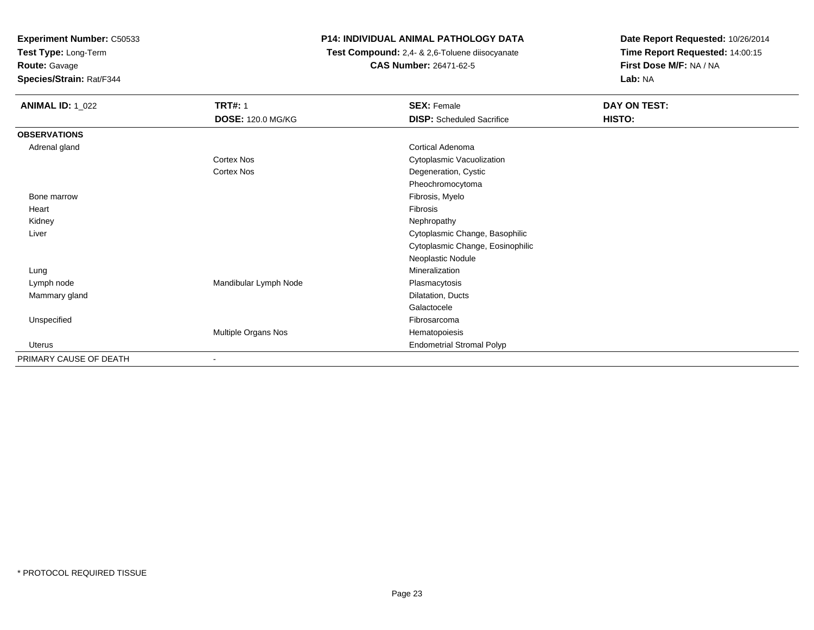**Test Type:** Long-Term

**Route:** Gavage

**Species/Strain:** Rat/F344

## **P14: INDIVIDUAL ANIMAL PATHOLOGY DATA**

 **Test Compound:** 2,4- & 2,6-Toluene diisocyanate**CAS Number:** 26471-62-5

| <b>ANIMAL ID: 1_022</b> | <b>TRT#: 1</b>           | <b>SEX: Female</b>               | DAY ON TEST: |
|-------------------------|--------------------------|----------------------------------|--------------|
|                         | <b>DOSE: 120.0 MG/KG</b> | <b>DISP:</b> Scheduled Sacrifice | HISTO:       |
| <b>OBSERVATIONS</b>     |                          |                                  |              |
| Adrenal gland           |                          | Cortical Adenoma                 |              |
|                         | Cortex Nos               | Cytoplasmic Vacuolization        |              |
|                         | <b>Cortex Nos</b>        | Degeneration, Cystic             |              |
|                         |                          | Pheochromocytoma                 |              |
| Bone marrow             |                          | Fibrosis, Myelo                  |              |
| Heart                   |                          | Fibrosis                         |              |
| Kidney                  |                          | Nephropathy                      |              |
| Liver                   |                          | Cytoplasmic Change, Basophilic   |              |
|                         |                          | Cytoplasmic Change, Eosinophilic |              |
|                         |                          | Neoplastic Nodule                |              |
| Lung                    |                          | Mineralization                   |              |
| Lymph node              | Mandibular Lymph Node    | Plasmacytosis                    |              |
| Mammary gland           |                          | Dilatation, Ducts                |              |
|                         |                          | Galactocele                      |              |
| Unspecified             |                          | Fibrosarcoma                     |              |
|                         | Multiple Organs Nos      | Hematopoiesis                    |              |
| Uterus                  |                          | <b>Endometrial Stromal Polyp</b> |              |
| PRIMARY CAUSE OF DEATH  |                          |                                  |              |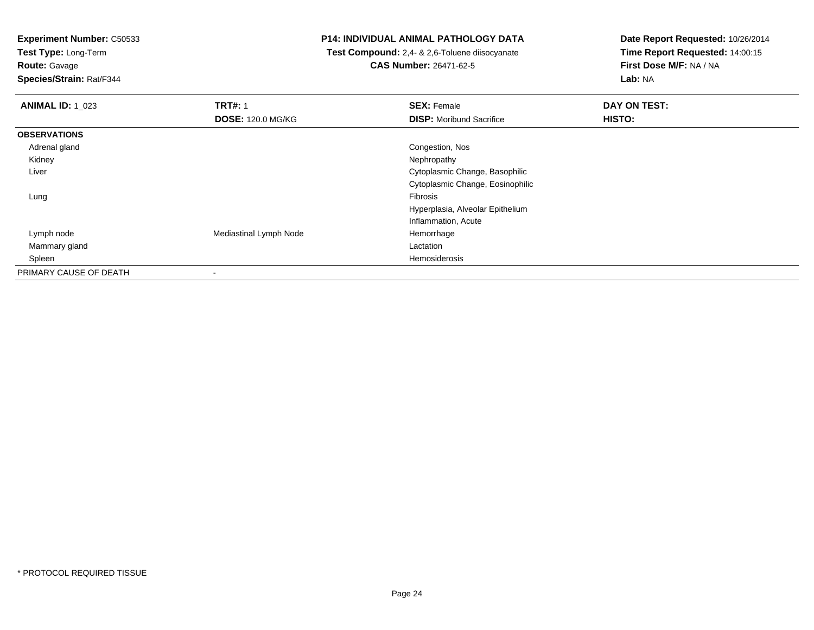**Test Type:** Long-Term

**Route:** Gavage

**Species/Strain:** Rat/F344

#### **P14: INDIVIDUAL ANIMAL PATHOLOGY DATA**

 **Test Compound:** 2,4- & 2,6-Toluene diisocyanate**CAS Number:** 26471-62-5

| <b>ANIMAL ID: 1_023</b> | <b>TRT#: 1</b>           | <b>SEX: Female</b>               | DAY ON TEST:  |  |
|-------------------------|--------------------------|----------------------------------|---------------|--|
|                         | <b>DOSE: 120.0 MG/KG</b> | <b>DISP:</b> Moribund Sacrifice  | <b>HISTO:</b> |  |
| <b>OBSERVATIONS</b>     |                          |                                  |               |  |
| Adrenal gland           |                          | Congestion, Nos                  |               |  |
| Kidney                  |                          | Nephropathy                      |               |  |
| Liver                   |                          | Cytoplasmic Change, Basophilic   |               |  |
|                         |                          | Cytoplasmic Change, Eosinophilic |               |  |
| Lung                    |                          | Fibrosis                         |               |  |
|                         |                          | Hyperplasia, Alveolar Epithelium |               |  |
|                         |                          | Inflammation, Acute              |               |  |
| Lymph node              | Mediastinal Lymph Node   | Hemorrhage                       |               |  |
| Mammary gland           |                          | Lactation                        |               |  |
| Spleen                  |                          | Hemosiderosis                    |               |  |
| PRIMARY CAUSE OF DEATH  | $\overline{\phantom{a}}$ |                                  |               |  |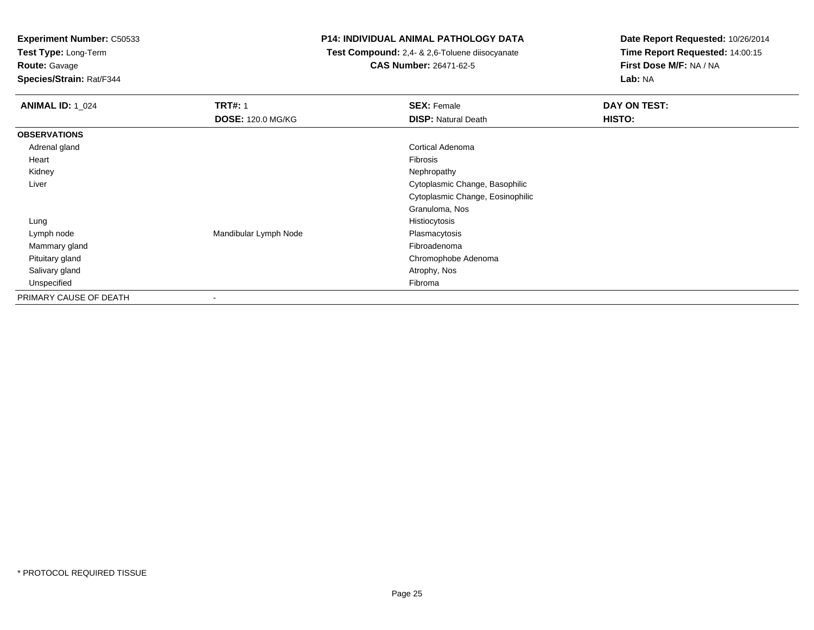**Test Type:** Long-Term

**Route:** Gavage

**Species/Strain:** Rat/F344

### **P14: INDIVIDUAL ANIMAL PATHOLOGY DATA**

 **Test Compound:** 2,4- & 2,6-Toluene diisocyanate**CAS Number:** 26471-62-5

| <b>ANIMAL ID: 1_024</b> | <b>TRT#: 1</b>           | <b>SEX: Female</b>               | DAY ON TEST: |  |
|-------------------------|--------------------------|----------------------------------|--------------|--|
|                         | <b>DOSE: 120.0 MG/KG</b> | <b>DISP: Natural Death</b>       | HISTO:       |  |
| <b>OBSERVATIONS</b>     |                          |                                  |              |  |
| Adrenal gland           |                          | Cortical Adenoma                 |              |  |
| Heart                   |                          | Fibrosis                         |              |  |
| Kidney                  |                          | Nephropathy                      |              |  |
| Liver                   |                          | Cytoplasmic Change, Basophilic   |              |  |
|                         |                          | Cytoplasmic Change, Eosinophilic |              |  |
|                         |                          | Granuloma, Nos                   |              |  |
| Lung                    |                          | Histiocytosis                    |              |  |
| Lymph node              | Mandibular Lymph Node    | Plasmacytosis                    |              |  |
| Mammary gland           |                          | Fibroadenoma                     |              |  |
| Pituitary gland         |                          | Chromophobe Adenoma              |              |  |
| Salivary gland          |                          | Atrophy, Nos                     |              |  |
| Unspecified             |                          | Fibroma                          |              |  |
| PRIMARY CAUSE OF DEATH  |                          |                                  |              |  |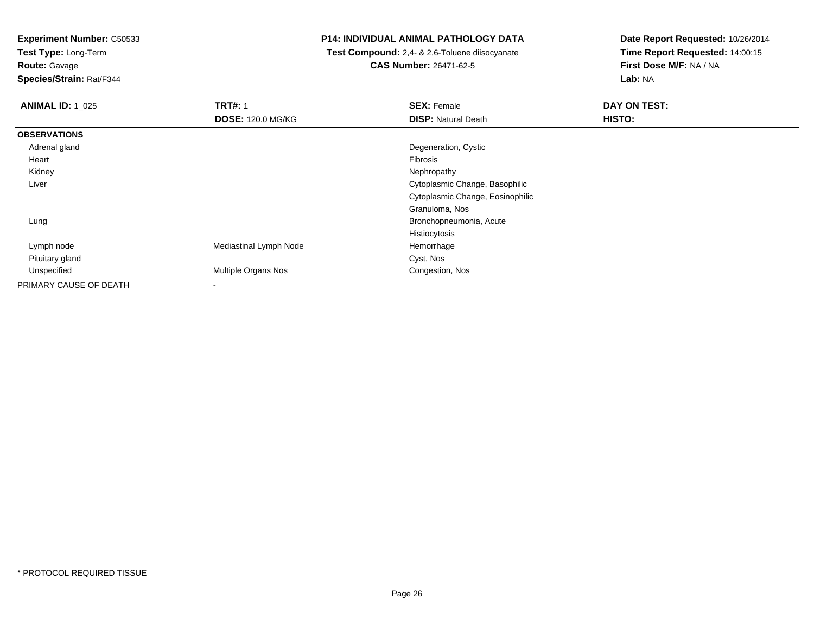**Test Type:** Long-Term

**Route:** Gavage

**Species/Strain:** Rat/F344

#### **P14: INDIVIDUAL ANIMAL PATHOLOGY DATA**

 **Test Compound:** 2,4- & 2,6-Toluene diisocyanate**CAS Number:** 26471-62-5

| <b>ANIMAL ID: 1_025</b> | <b>TRT#: 1</b>           | <b>SEX: Female</b>               | DAY ON TEST: |  |
|-------------------------|--------------------------|----------------------------------|--------------|--|
|                         | <b>DOSE: 120.0 MG/KG</b> | <b>DISP: Natural Death</b>       | HISTO:       |  |
| <b>OBSERVATIONS</b>     |                          |                                  |              |  |
| Adrenal gland           |                          | Degeneration, Cystic             |              |  |
| Heart                   |                          | Fibrosis                         |              |  |
| Kidney                  |                          | Nephropathy                      |              |  |
| Liver                   |                          | Cytoplasmic Change, Basophilic   |              |  |
|                         |                          | Cytoplasmic Change, Eosinophilic |              |  |
|                         |                          | Granuloma, Nos                   |              |  |
| Lung                    |                          | Bronchopneumonia, Acute          |              |  |
|                         |                          | Histiocytosis                    |              |  |
| Lymph node              | Mediastinal Lymph Node   | Hemorrhage                       |              |  |
| Pituitary gland         |                          | Cyst, Nos                        |              |  |
| Unspecified             | Multiple Organs Nos      | Congestion, Nos                  |              |  |
| PRIMARY CAUSE OF DEATH  | $\blacksquare$           |                                  |              |  |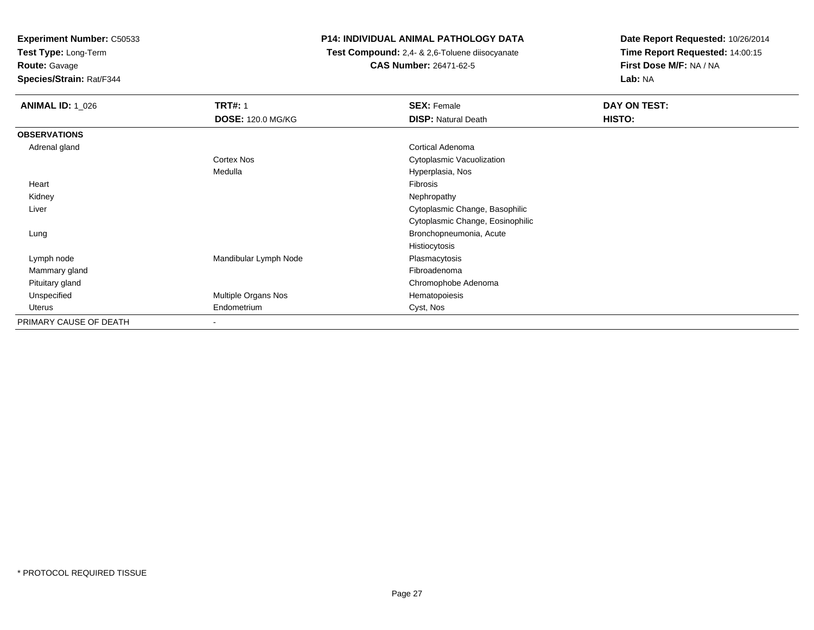**Test Type:** Long-Term

**Route:** Gavage

**Species/Strain:** Rat/F344

## **P14: INDIVIDUAL ANIMAL PATHOLOGY DATA**

 **Test Compound:** 2,4- & 2,6-Toluene diisocyanate**CAS Number:** 26471-62-5

| <b>ANIMAL ID: 1 026</b> | <b>TRT#: 1</b>           | <b>SEX: Female</b>               | DAY ON TEST: |
|-------------------------|--------------------------|----------------------------------|--------------|
|                         | <b>DOSE: 120.0 MG/KG</b> | <b>DISP: Natural Death</b>       | HISTO:       |
| <b>OBSERVATIONS</b>     |                          |                                  |              |
| Adrenal gland           |                          | <b>Cortical Adenoma</b>          |              |
|                         | Cortex Nos               | Cytoplasmic Vacuolization        |              |
|                         | Medulla                  | Hyperplasia, Nos                 |              |
| Heart                   |                          | Fibrosis                         |              |
| Kidney                  |                          | Nephropathy                      |              |
| Liver                   |                          | Cytoplasmic Change, Basophilic   |              |
|                         |                          | Cytoplasmic Change, Eosinophilic |              |
| Lung                    |                          | Bronchopneumonia, Acute          |              |
|                         |                          | Histiocytosis                    |              |
| Lymph node              | Mandibular Lymph Node    | Plasmacytosis                    |              |
| Mammary gland           |                          | Fibroadenoma                     |              |
| Pituitary gland         |                          | Chromophobe Adenoma              |              |
| Unspecified             | Multiple Organs Nos      | Hematopoiesis                    |              |
| Uterus                  | Endometrium              | Cyst, Nos                        |              |
| PRIMARY CAUSE OF DEATH  | $\overline{\phantom{a}}$ |                                  |              |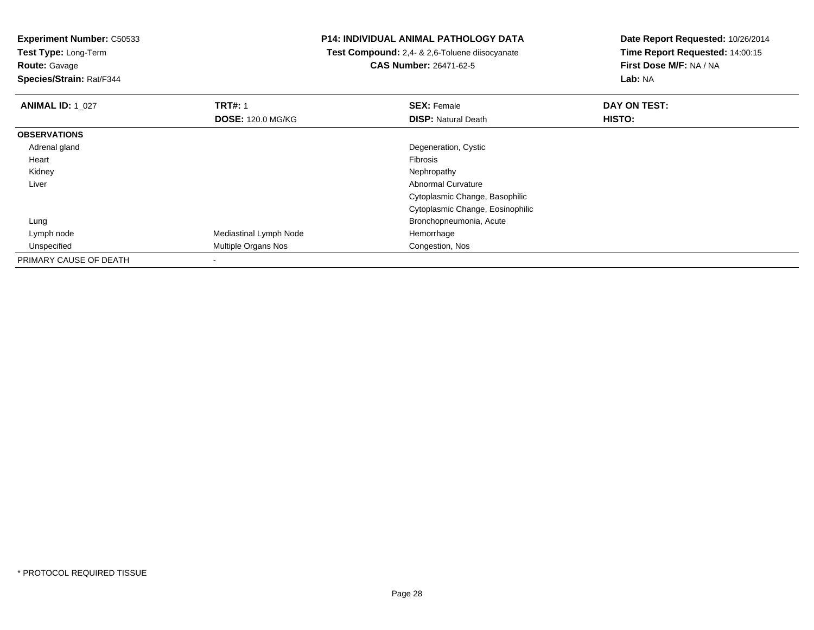**Test Type:** Long-Term

**Route:** Gavage

**Species/Strain:** Rat/F344

#### **P14: INDIVIDUAL ANIMAL PATHOLOGY DATA**

 **Test Compound:** 2,4- & 2,6-Toluene diisocyanate**CAS Number:** 26471-62-5

| <b>ANIMAL ID: 1_027</b> | <b>TRT#: 1</b>             | <b>SEX: Female</b>               | DAY ON TEST: |  |
|-------------------------|----------------------------|----------------------------------|--------------|--|
|                         | <b>DOSE: 120.0 MG/KG</b>   | <b>DISP: Natural Death</b>       | HISTO:       |  |
| <b>OBSERVATIONS</b>     |                            |                                  |              |  |
| Adrenal gland           |                            | Degeneration, Cystic             |              |  |
| Heart                   |                            | Fibrosis                         |              |  |
| Kidney                  |                            | Nephropathy                      |              |  |
| Liver                   |                            | <b>Abnormal Curvature</b>        |              |  |
|                         |                            | Cytoplasmic Change, Basophilic   |              |  |
|                         |                            | Cytoplasmic Change, Eosinophilic |              |  |
| Lung                    |                            | Bronchopneumonia, Acute          |              |  |
| Lymph node              | Mediastinal Lymph Node     | Hemorrhage                       |              |  |
| Unspecified             | <b>Multiple Organs Nos</b> | Congestion, Nos                  |              |  |
| PRIMARY CAUSE OF DEATH  |                            |                                  |              |  |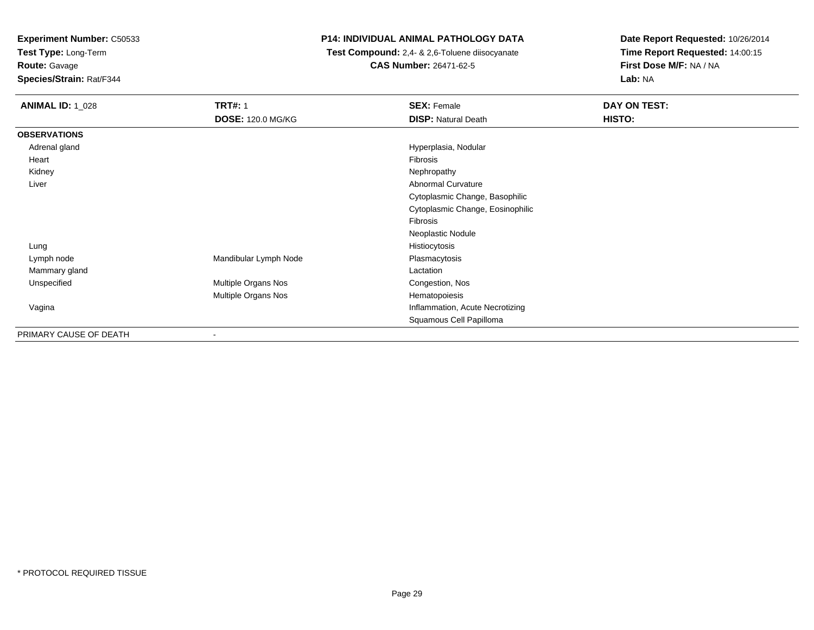**Test Type:** Long-Term

**Route:** Gavage

**Species/Strain:** Rat/F344

# **P14: INDIVIDUAL ANIMAL PATHOLOGY DATA**

 **Test Compound:** 2,4- & 2,6-Toluene diisocyanate**CAS Number:** 26471-62-5

| <b>ANIMAL ID: 1_028</b> | <b>TRT#: 1</b>           | <b>SEX: Female</b>               | DAY ON TEST: |
|-------------------------|--------------------------|----------------------------------|--------------|
|                         | <b>DOSE: 120.0 MG/KG</b> | <b>DISP: Natural Death</b>       | HISTO:       |
| <b>OBSERVATIONS</b>     |                          |                                  |              |
| Adrenal gland           |                          | Hyperplasia, Nodular             |              |
| Heart                   |                          | Fibrosis                         |              |
| Kidney                  |                          | Nephropathy                      |              |
| Liver                   |                          | <b>Abnormal Curvature</b>        |              |
|                         |                          | Cytoplasmic Change, Basophilic   |              |
|                         |                          | Cytoplasmic Change, Eosinophilic |              |
|                         |                          | Fibrosis                         |              |
|                         |                          | Neoplastic Nodule                |              |
| Lung                    |                          | Histiocytosis                    |              |
| Lymph node              | Mandibular Lymph Node    | Plasmacytosis                    |              |
| Mammary gland           |                          | Lactation                        |              |
| Unspecified             | Multiple Organs Nos      | Congestion, Nos                  |              |
|                         | Multiple Organs Nos      | Hematopoiesis                    |              |
| Vagina                  |                          | Inflammation, Acute Necrotizing  |              |
|                         |                          | Squamous Cell Papilloma          |              |
| PRIMARY CAUSE OF DEATH  | -                        |                                  |              |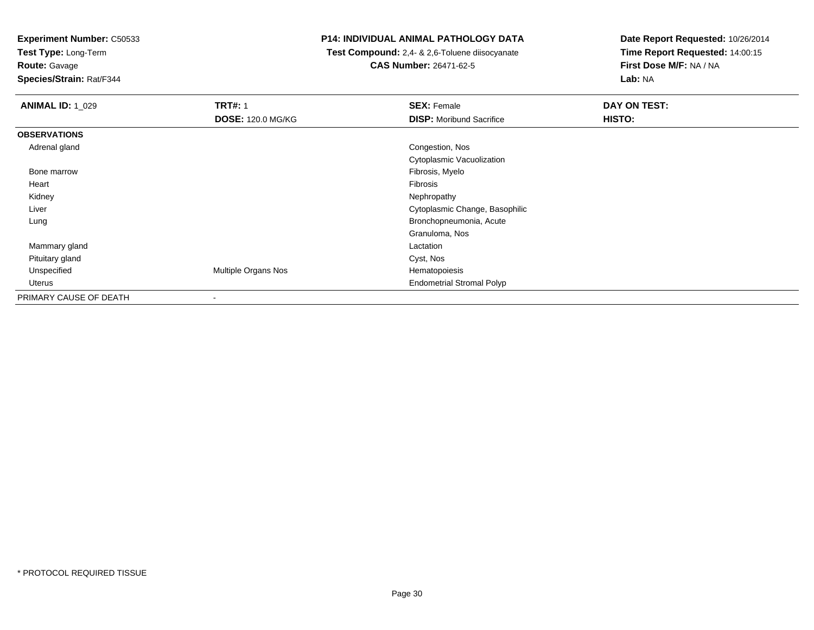**Test Type:** Long-Term

**Route:** Gavage

**Species/Strain:** Rat/F344

#### **P14: INDIVIDUAL ANIMAL PATHOLOGY DATA**

 **Test Compound:** 2,4- & 2,6-Toluene diisocyanate**CAS Number:** 26471-62-5

| <b>ANIMAL ID: 1_029</b> | <b>TRT#: 1</b>           | <b>SEX: Female</b>               | DAY ON TEST: |  |
|-------------------------|--------------------------|----------------------------------|--------------|--|
|                         | <b>DOSE: 120.0 MG/KG</b> | <b>DISP:</b> Moribund Sacrifice  | HISTO:       |  |
| <b>OBSERVATIONS</b>     |                          |                                  |              |  |
| Adrenal gland           |                          | Congestion, Nos                  |              |  |
|                         |                          | Cytoplasmic Vacuolization        |              |  |
| Bone marrow             |                          | Fibrosis, Myelo                  |              |  |
| Heart                   |                          | Fibrosis                         |              |  |
| Kidney                  |                          | Nephropathy                      |              |  |
| Liver                   |                          | Cytoplasmic Change, Basophilic   |              |  |
| Lung                    |                          | Bronchopneumonia, Acute          |              |  |
|                         |                          | Granuloma, Nos                   |              |  |
| Mammary gland           |                          | Lactation                        |              |  |
| Pituitary gland         |                          | Cyst, Nos                        |              |  |
| Unspecified             | Multiple Organs Nos      | Hematopoiesis                    |              |  |
| Uterus                  |                          | <b>Endometrial Stromal Polyp</b> |              |  |
| PRIMARY CAUSE OF DEATH  |                          |                                  |              |  |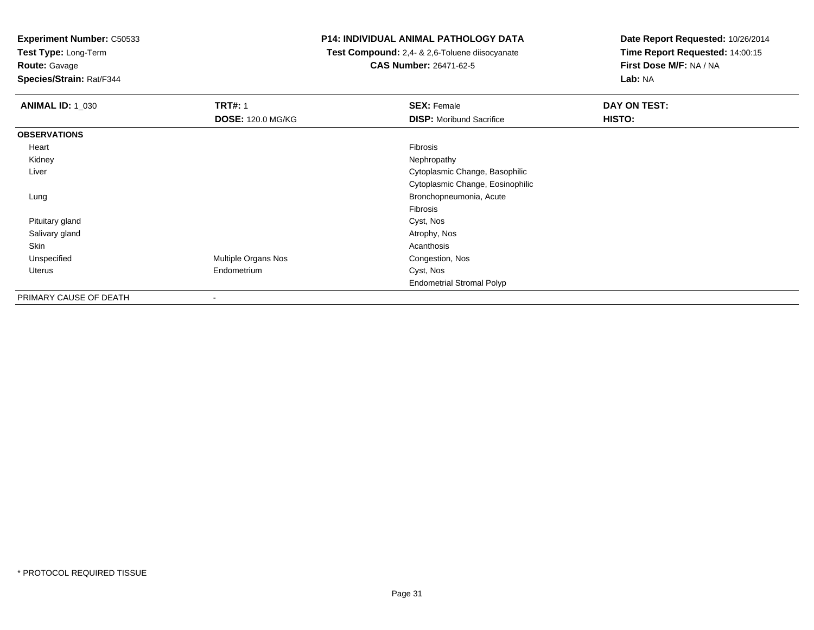**Test Type:** Long-Term

**Route:** Gavage

**Species/Strain:** Rat/F344

#### **P14: INDIVIDUAL ANIMAL PATHOLOGY DATA**

 **Test Compound:** 2,4- & 2,6-Toluene diisocyanate**CAS Number:** 26471-62-5

| <b>ANIMAL ID: 1_030</b> | <b>TRT#: 1</b>           | <b>SEX: Female</b>               | DAY ON TEST: |
|-------------------------|--------------------------|----------------------------------|--------------|
|                         | <b>DOSE: 120.0 MG/KG</b> | <b>DISP:</b> Moribund Sacrifice  | HISTO:       |
| <b>OBSERVATIONS</b>     |                          |                                  |              |
| Heart                   |                          | Fibrosis                         |              |
| Kidney                  |                          | Nephropathy                      |              |
| Liver                   |                          | Cytoplasmic Change, Basophilic   |              |
|                         |                          | Cytoplasmic Change, Eosinophilic |              |
| Lung                    |                          | Bronchopneumonia, Acute          |              |
|                         |                          | Fibrosis                         |              |
| Pituitary gland         |                          | Cyst, Nos                        |              |
| Salivary gland          |                          | Atrophy, Nos                     |              |
| Skin                    |                          | Acanthosis                       |              |
| Unspecified             | Multiple Organs Nos      | Congestion, Nos                  |              |
| Uterus                  | Endometrium              | Cyst, Nos                        |              |
|                         |                          | <b>Endometrial Stromal Polyp</b> |              |
| PRIMARY CAUSE OF DEATH  | $\overline{\phantom{a}}$ |                                  |              |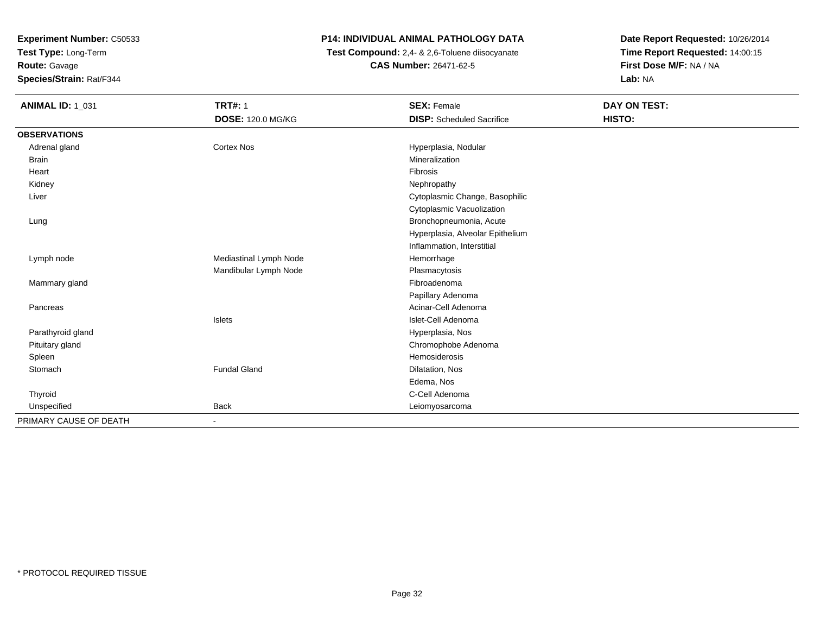**Test Type:** Long-Term

**Route:** Gavage

**Species/Strain:** Rat/F344

# **P14: INDIVIDUAL ANIMAL PATHOLOGY DATA**

 **Test Compound:** 2,4- & 2,6-Toluene diisocyanate**CAS Number:** 26471-62-5

| <b>ANIMAL ID: 1_031</b> | <b>TRT#: 1</b>           | <b>SEX: Female</b>               | DAY ON TEST: |
|-------------------------|--------------------------|----------------------------------|--------------|
|                         | <b>DOSE: 120.0 MG/KG</b> | <b>DISP:</b> Scheduled Sacrifice | HISTO:       |
| <b>OBSERVATIONS</b>     |                          |                                  |              |
| Adrenal gland           | <b>Cortex Nos</b>        | Hyperplasia, Nodular             |              |
| <b>Brain</b>            |                          | Mineralization                   |              |
| Heart                   |                          | Fibrosis                         |              |
| Kidney                  |                          | Nephropathy                      |              |
| Liver                   |                          | Cytoplasmic Change, Basophilic   |              |
|                         |                          | Cytoplasmic Vacuolization        |              |
| Lung                    |                          | Bronchopneumonia, Acute          |              |
|                         |                          | Hyperplasia, Alveolar Epithelium |              |
|                         |                          | Inflammation, Interstitial       |              |
| Lymph node              | Mediastinal Lymph Node   | Hemorrhage                       |              |
|                         | Mandibular Lymph Node    | Plasmacytosis                    |              |
| Mammary gland           |                          | Fibroadenoma                     |              |
|                         |                          | Papillary Adenoma                |              |
| Pancreas                |                          | Acinar-Cell Adenoma              |              |
|                         | Islets                   | Islet-Cell Adenoma               |              |
| Parathyroid gland       |                          | Hyperplasia, Nos                 |              |
| Pituitary gland         |                          | Chromophobe Adenoma              |              |
| Spleen                  |                          | Hemosiderosis                    |              |
| Stomach                 | <b>Fundal Gland</b>      | Dilatation, Nos                  |              |
|                         |                          | Edema, Nos                       |              |
| Thyroid                 |                          | C-Cell Adenoma                   |              |
| Unspecified             | <b>Back</b>              | Leiomyosarcoma                   |              |
| PRIMARY CAUSE OF DEATH  |                          |                                  |              |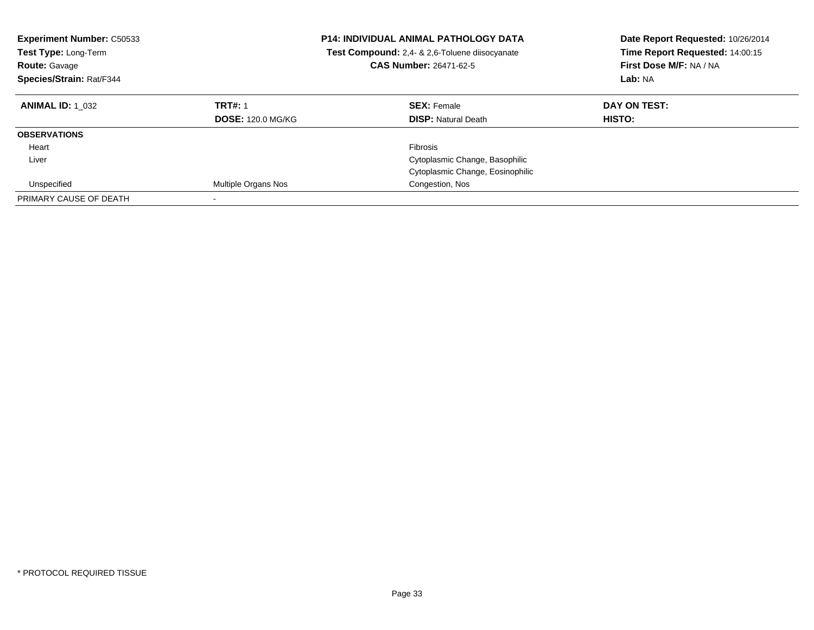| <b>Experiment Number: C50533</b><br>Test Type: Long-Term<br><b>Route: Gavage</b><br>Species/Strain: Rat/F344 | <b>P14: INDIVIDUAL ANIMAL PATHOLOGY DATA</b><br>Test Compound: 2,4- & 2,6-Toluene diisocyanate<br>CAS Number: 26471-62-5 |                                  | Date Report Requested: 10/26/2014<br>Time Report Requested: 14:00:15<br>First Dose M/F: NA / NA<br>Lab: NA |
|--------------------------------------------------------------------------------------------------------------|--------------------------------------------------------------------------------------------------------------------------|----------------------------------|------------------------------------------------------------------------------------------------------------|
| <b>ANIMAL ID: 1 032</b>                                                                                      | <b>TRT#: 1</b>                                                                                                           | <b>SEX: Female</b>               | DAY ON TEST:                                                                                               |
|                                                                                                              | <b>DOSE: 120.0 MG/KG</b>                                                                                                 | <b>DISP:</b> Natural Death       | HISTO:                                                                                                     |
| <b>OBSERVATIONS</b>                                                                                          |                                                                                                                          |                                  |                                                                                                            |
| Heart                                                                                                        |                                                                                                                          | <b>Fibrosis</b>                  |                                                                                                            |
| Liver                                                                                                        |                                                                                                                          | Cytoplasmic Change, Basophilic   |                                                                                                            |
|                                                                                                              |                                                                                                                          | Cytoplasmic Change, Eosinophilic |                                                                                                            |
| Unspecified                                                                                                  | <b>Multiple Organs Nos</b>                                                                                               | Congestion, Nos                  |                                                                                                            |
| PRIMARY CAUSE OF DEATH                                                                                       |                                                                                                                          |                                  |                                                                                                            |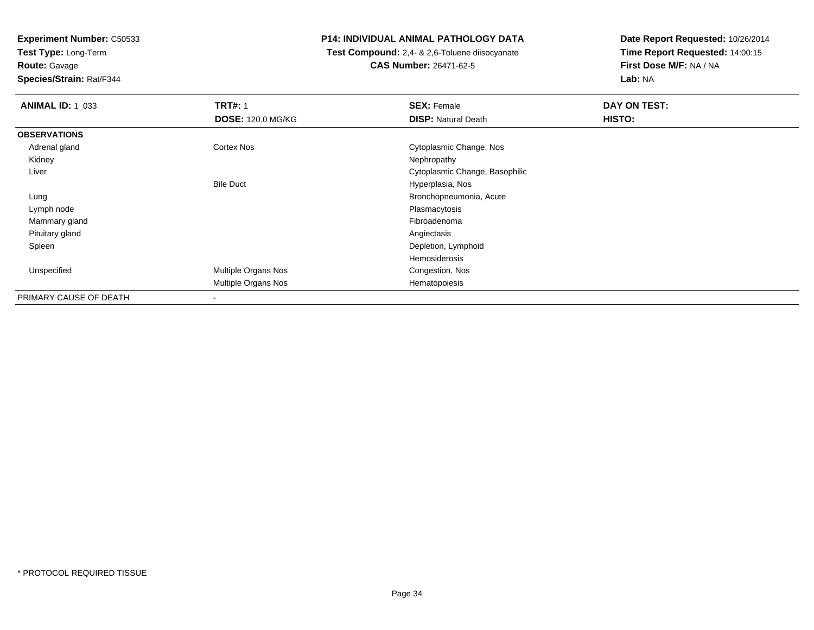**Test Type:** Long-Term

**Route:** Gavage

**Species/Strain:** Rat/F344

#### **P14: INDIVIDUAL ANIMAL PATHOLOGY DATA**

 **Test Compound:** 2,4- & 2,6-Toluene diisocyanate**CAS Number:** 26471-62-5

| <b>ANIMAL ID: 1_033</b> | <b>TRT#: 1</b>           | <b>SEX: Female</b>             | DAY ON TEST: |  |
|-------------------------|--------------------------|--------------------------------|--------------|--|
|                         | <b>DOSE: 120.0 MG/KG</b> | <b>DISP: Natural Death</b>     | HISTO:       |  |
| <b>OBSERVATIONS</b>     |                          |                                |              |  |
| Adrenal gland           | Cortex Nos               | Cytoplasmic Change, Nos        |              |  |
| Kidney                  |                          | Nephropathy                    |              |  |
| Liver                   |                          | Cytoplasmic Change, Basophilic |              |  |
|                         | <b>Bile Duct</b>         | Hyperplasia, Nos               |              |  |
| Lung                    |                          | Bronchopneumonia, Acute        |              |  |
| Lymph node              |                          | Plasmacytosis                  |              |  |
| Mammary gland           |                          | Fibroadenoma                   |              |  |
| Pituitary gland         |                          | Angiectasis                    |              |  |
| Spleen                  |                          | Depletion, Lymphoid            |              |  |
|                         |                          | Hemosiderosis                  |              |  |
| Unspecified             | Multiple Organs Nos      | Congestion, Nos                |              |  |
|                         | Multiple Organs Nos      | Hematopoiesis                  |              |  |
| PRIMARY CAUSE OF DEATH  | $\,$                     |                                |              |  |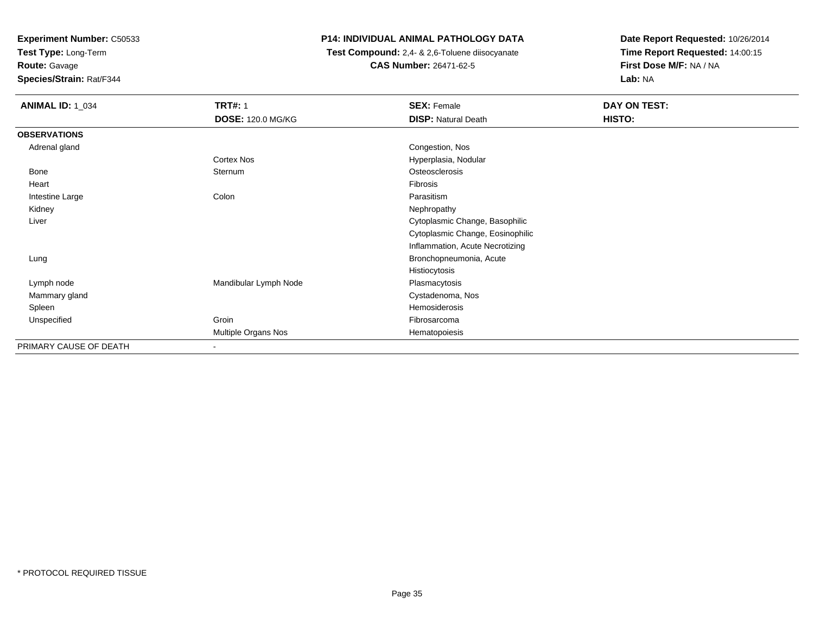**Test Type:** Long-Term

# **Route:** Gavage

**Species/Strain:** Rat/F344

# **P14: INDIVIDUAL ANIMAL PATHOLOGY DATA**

 **Test Compound:** 2,4- & 2,6-Toluene diisocyanate**CAS Number:** 26471-62-5

| <b>ANIMAL ID: 1_034</b> | <b>TRT#: 1</b><br><b>DOSE: 120.0 MG/KG</b> | <b>SEX: Female</b><br><b>DISP: Natural Death</b> | DAY ON TEST:<br>HISTO: |
|-------------------------|--------------------------------------------|--------------------------------------------------|------------------------|
| <b>OBSERVATIONS</b>     |                                            |                                                  |                        |
| Adrenal gland           |                                            | Congestion, Nos                                  |                        |
|                         | Cortex Nos                                 | Hyperplasia, Nodular                             |                        |
| <b>Bone</b>             | Sternum                                    | Osteosclerosis                                   |                        |
| Heart                   |                                            | Fibrosis                                         |                        |
| Intestine Large         | Colon                                      | Parasitism                                       |                        |
| Kidney                  |                                            | Nephropathy                                      |                        |
| Liver                   |                                            | Cytoplasmic Change, Basophilic                   |                        |
|                         |                                            | Cytoplasmic Change, Eosinophilic                 |                        |
|                         |                                            | Inflammation, Acute Necrotizing                  |                        |
| Lung                    |                                            | Bronchopneumonia, Acute                          |                        |
|                         |                                            | Histiocytosis                                    |                        |
| Lymph node              | Mandibular Lymph Node                      | Plasmacytosis                                    |                        |
| Mammary gland           |                                            | Cystadenoma, Nos                                 |                        |
| Spleen                  |                                            | Hemosiderosis                                    |                        |
| Unspecified             | Groin                                      | Fibrosarcoma                                     |                        |
|                         | Multiple Organs Nos                        | Hematopoiesis                                    |                        |
| PRIMARY CAUSE OF DEATH  | $\,$                                       |                                                  |                        |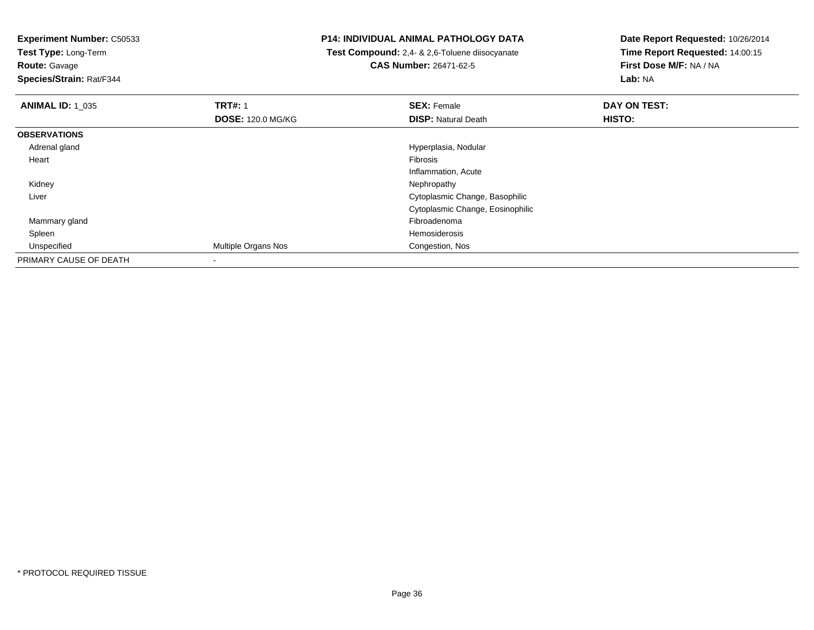**Test Type:** Long-Term

**Route:** Gavage

**Species/Strain:** Rat/F344

#### **P14: INDIVIDUAL ANIMAL PATHOLOGY DATA**

 **Test Compound:** 2,4- & 2,6-Toluene diisocyanate**CAS Number:** 26471-62-5

| <b>ANIMAL ID: 1_035</b> | <b>TRT#: 1</b>           | <b>SEX: Female</b>               | DAY ON TEST: |  |
|-------------------------|--------------------------|----------------------------------|--------------|--|
|                         | <b>DOSE: 120.0 MG/KG</b> | <b>DISP: Natural Death</b>       | HISTO:       |  |
| <b>OBSERVATIONS</b>     |                          |                                  |              |  |
| Adrenal gland           |                          | Hyperplasia, Nodular             |              |  |
| Heart                   |                          | Fibrosis                         |              |  |
|                         |                          | Inflammation, Acute              |              |  |
| Kidney                  |                          | Nephropathy                      |              |  |
| Liver                   |                          | Cytoplasmic Change, Basophilic   |              |  |
|                         |                          | Cytoplasmic Change, Eosinophilic |              |  |
| Mammary gland           |                          | Fibroadenoma                     |              |  |
| Spleen                  |                          | Hemosiderosis                    |              |  |
| Unspecified             | Multiple Organs Nos      | Congestion, Nos                  |              |  |
| PRIMARY CAUSE OF DEATH  | $\,$                     |                                  |              |  |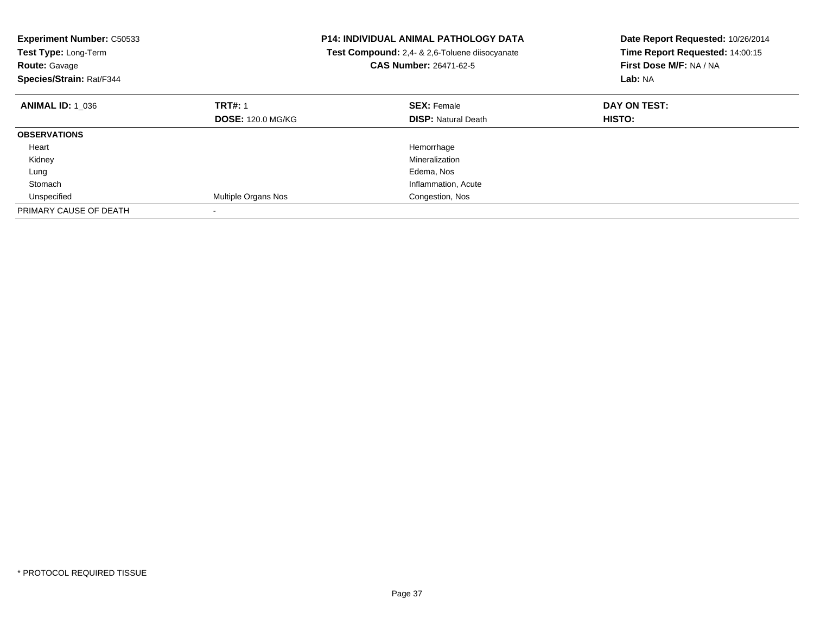| <b>Experiment Number: C50533</b><br>Test Type: Long-Term<br><b>Route: Gavage</b><br>Species/Strain: Rat/F344 |                          | <b>P14: INDIVIDUAL ANIMAL PATHOLOGY DATA</b><br>Test Compound: 2,4- & 2,6-Toluene diisocyanate<br><b>CAS Number: 26471-62-5</b> | Date Report Requested: 10/26/2014<br>Time Report Requested: 14:00:15<br>First Dose M/F: NA / NA<br>Lab: NA |
|--------------------------------------------------------------------------------------------------------------|--------------------------|---------------------------------------------------------------------------------------------------------------------------------|------------------------------------------------------------------------------------------------------------|
| <b>ANIMAL ID: 1 036</b>                                                                                      | <b>TRT#: 1</b>           | <b>SEX: Female</b>                                                                                                              | DAY ON TEST:                                                                                               |
|                                                                                                              | <b>DOSE: 120.0 MG/KG</b> | <b>DISP:</b> Natural Death                                                                                                      | HISTO:                                                                                                     |
| <b>OBSERVATIONS</b>                                                                                          |                          |                                                                                                                                 |                                                                                                            |
| Heart                                                                                                        |                          | Hemorrhage                                                                                                                      |                                                                                                            |
| Kidney                                                                                                       |                          | Mineralization                                                                                                                  |                                                                                                            |
| Lung                                                                                                         |                          | Edema, Nos                                                                                                                      |                                                                                                            |
| Stomach                                                                                                      |                          | Inflammation, Acute                                                                                                             |                                                                                                            |
| Unspecified                                                                                                  | Multiple Organs Nos      | Congestion, Nos                                                                                                                 |                                                                                                            |
| PRIMARY CAUSE OF DEATH                                                                                       |                          |                                                                                                                                 |                                                                                                            |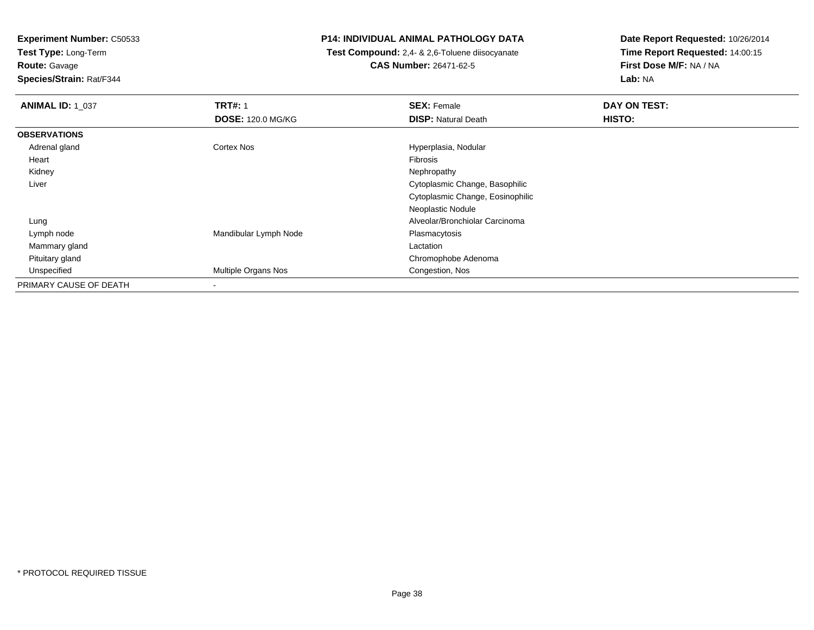**Test Type:** Long-Term

**Route:** Gavage

**Species/Strain:** Rat/F344

# **P14: INDIVIDUAL ANIMAL PATHOLOGY DATA**

 **Test Compound:** 2,4- & 2,6-Toluene diisocyanate**CAS Number:** 26471-62-5

| <b>ANIMAL ID: 1_037</b> | <b>TRT#: 1</b>           | <b>SEX: Female</b>               | DAY ON TEST: |
|-------------------------|--------------------------|----------------------------------|--------------|
|                         | <b>DOSE: 120.0 MG/KG</b> | <b>DISP: Natural Death</b>       | HISTO:       |
| <b>OBSERVATIONS</b>     |                          |                                  |              |
| Adrenal gland           | Cortex Nos               | Hyperplasia, Nodular             |              |
| Heart                   |                          | Fibrosis                         |              |
| Kidney                  |                          | Nephropathy                      |              |
| Liver                   |                          | Cytoplasmic Change, Basophilic   |              |
|                         |                          | Cytoplasmic Change, Eosinophilic |              |
|                         |                          | Neoplastic Nodule                |              |
| Lung                    |                          | Alveolar/Bronchiolar Carcinoma   |              |
| Lymph node              | Mandibular Lymph Node    | Plasmacytosis                    |              |
| Mammary gland           |                          | Lactation                        |              |
| Pituitary gland         |                          | Chromophobe Adenoma              |              |
| Unspecified             | Multiple Organs Nos      | Congestion, Nos                  |              |
| PRIMARY CAUSE OF DEATH  | $\blacksquare$           |                                  |              |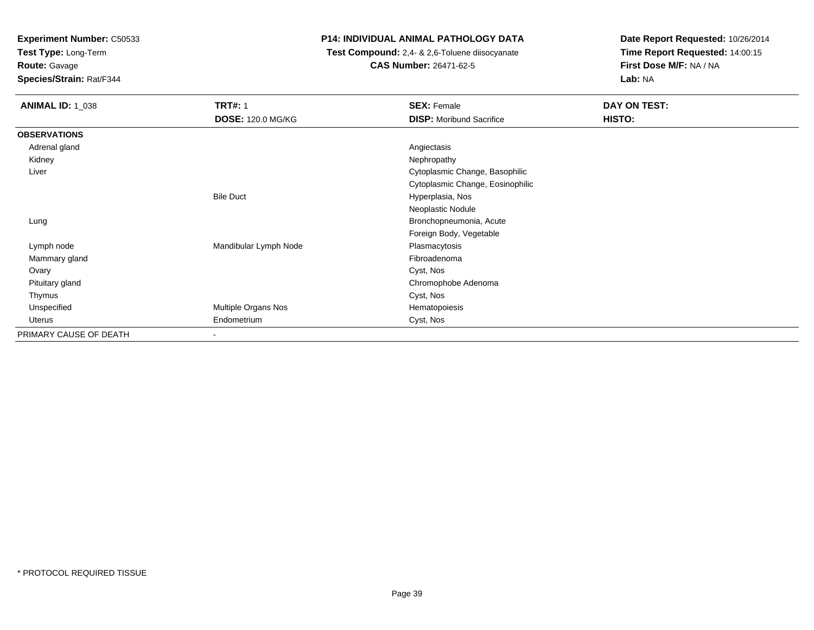**Test Type:** Long-Term

**Route:** Gavage

**Species/Strain:** Rat/F344

# **P14: INDIVIDUAL ANIMAL PATHOLOGY DATA**

 **Test Compound:** 2,4- & 2,6-Toluene diisocyanate**CAS Number:** 26471-62-5

| <b>ANIMAL ID: 1 038</b> | <b>TRT#: 1</b>           | <b>SEX: Female</b>               | DAY ON TEST: |
|-------------------------|--------------------------|----------------------------------|--------------|
|                         | <b>DOSE: 120.0 MG/KG</b> | <b>DISP:</b> Moribund Sacrifice  | HISTO:       |
| <b>OBSERVATIONS</b>     |                          |                                  |              |
| Adrenal gland           |                          | Angiectasis                      |              |
| Kidney                  |                          | Nephropathy                      |              |
| Liver                   |                          | Cytoplasmic Change, Basophilic   |              |
|                         |                          | Cytoplasmic Change, Eosinophilic |              |
|                         | <b>Bile Duct</b>         | Hyperplasia, Nos                 |              |
|                         |                          | Neoplastic Nodule                |              |
| Lung                    |                          | Bronchopneumonia, Acute          |              |
|                         |                          | Foreign Body, Vegetable          |              |
| Lymph node              | Mandibular Lymph Node    | Plasmacytosis                    |              |
| Mammary gland           |                          | Fibroadenoma                     |              |
| Ovary                   |                          | Cyst, Nos                        |              |
| Pituitary gland         |                          | Chromophobe Adenoma              |              |
| Thymus                  |                          | Cyst, Nos                        |              |
| Unspecified             | Multiple Organs Nos      | Hematopoiesis                    |              |
| Uterus                  | Endometrium              | Cyst, Nos                        |              |
| PRIMARY CAUSE OF DEATH  | ۰                        |                                  |              |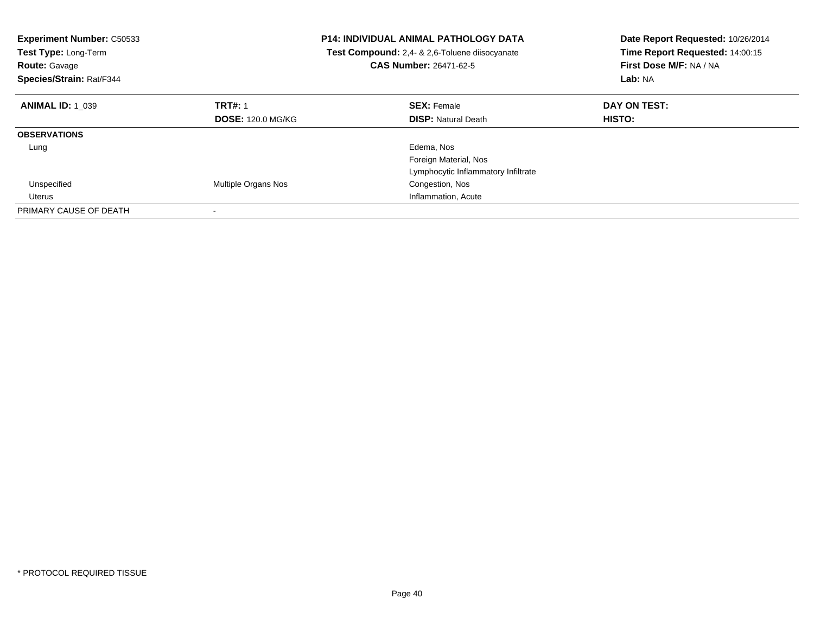| <b>Experiment Number: C50533</b><br><b>Test Type: Long-Term</b><br><b>Route: Gavage</b><br>Species/Strain: Rat/F344 | <b>P14: INDIVIDUAL ANIMAL PATHOLOGY DATA</b><br><b>Test Compound:</b> 2,4- & 2,6-Toluene diisocyanate<br>CAS Number: 26471-62-5 |                                     | Date Report Requested: 10/26/2014<br>Time Report Requested: 14:00:15<br>First Dose M/F: NA / NA<br>Lab: NA |
|---------------------------------------------------------------------------------------------------------------------|---------------------------------------------------------------------------------------------------------------------------------|-------------------------------------|------------------------------------------------------------------------------------------------------------|
| <b>ANIMAL ID: 1 039</b>                                                                                             | <b>TRT#: 1</b>                                                                                                                  | <b>SEX: Female</b>                  | DAY ON TEST:                                                                                               |
|                                                                                                                     | <b>DOSE: 120.0 MG/KG</b>                                                                                                        | <b>DISP:</b> Natural Death          | <b>HISTO:</b>                                                                                              |
| <b>OBSERVATIONS</b>                                                                                                 |                                                                                                                                 |                                     |                                                                                                            |
| Lung                                                                                                                |                                                                                                                                 | Edema, Nos                          |                                                                                                            |
|                                                                                                                     |                                                                                                                                 | Foreign Material, Nos               |                                                                                                            |
|                                                                                                                     |                                                                                                                                 | Lymphocytic Inflammatory Infiltrate |                                                                                                            |
| Unspecified                                                                                                         | Multiple Organs Nos                                                                                                             | Congestion, Nos                     |                                                                                                            |
| Uterus                                                                                                              |                                                                                                                                 | Inflammation, Acute                 |                                                                                                            |
| PRIMARY CAUSE OF DEATH                                                                                              |                                                                                                                                 |                                     |                                                                                                            |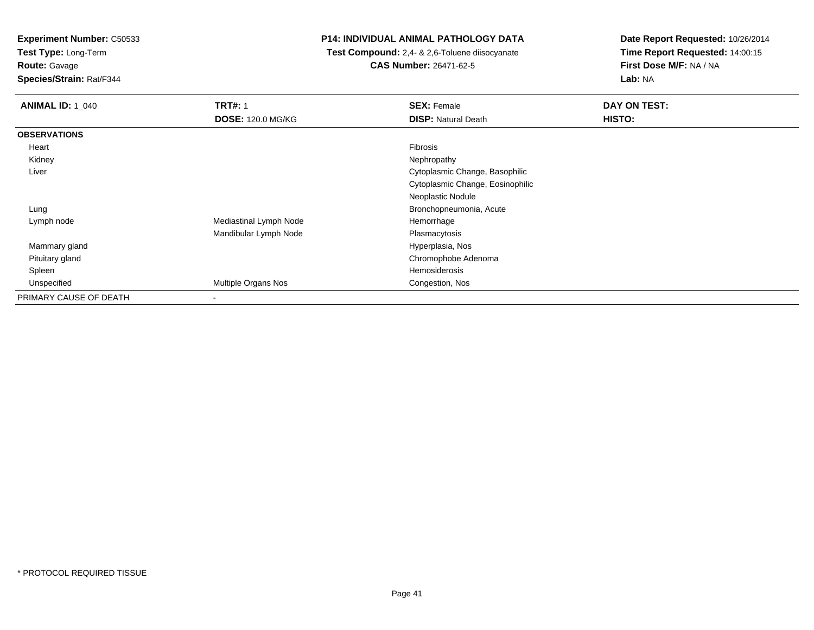**Test Type:** Long-Term

**Route:** Gavage

**Species/Strain:** Rat/F344

# **P14: INDIVIDUAL ANIMAL PATHOLOGY DATA**

 **Test Compound:** 2,4- & 2,6-Toluene diisocyanate**CAS Number:** 26471-62-5

| <b>ANIMAL ID: 1 040</b> | <b>TRT#: 1</b>           | <b>SEX: Female</b>               | DAY ON TEST: |
|-------------------------|--------------------------|----------------------------------|--------------|
|                         | <b>DOSE: 120.0 MG/KG</b> | <b>DISP: Natural Death</b>       | HISTO:       |
| <b>OBSERVATIONS</b>     |                          |                                  |              |
| Heart                   |                          | Fibrosis                         |              |
| Kidney                  |                          | Nephropathy                      |              |
| Liver                   |                          | Cytoplasmic Change, Basophilic   |              |
|                         |                          | Cytoplasmic Change, Eosinophilic |              |
|                         |                          | Neoplastic Nodule                |              |
| Lung                    |                          | Bronchopneumonia, Acute          |              |
| Lymph node              | Mediastinal Lymph Node   | Hemorrhage                       |              |
|                         | Mandibular Lymph Node    | Plasmacytosis                    |              |
| Mammary gland           |                          | Hyperplasia, Nos                 |              |
| Pituitary gland         |                          | Chromophobe Adenoma              |              |
| Spleen                  |                          | Hemosiderosis                    |              |
| Unspecified             | Multiple Organs Nos      | Congestion, Nos                  |              |
| PRIMARY CAUSE OF DEATH  | $\overline{\phantom{a}}$ |                                  |              |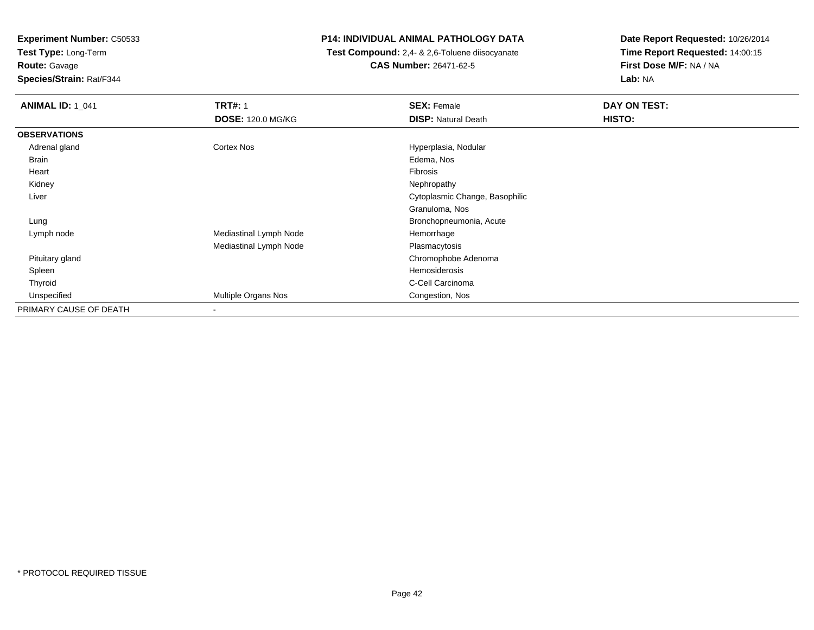**Test Type:** Long-Term**Route:** Gavage

**Species/Strain:** Rat/F344

# **P14: INDIVIDUAL ANIMAL PATHOLOGY DATA**

 **Test Compound:** 2,4- & 2,6-Toluene diisocyanate**CAS Number:** 26471-62-5

| <b>ANIMAL ID: 1_041</b> | <b>TRT#: 1</b>           | <b>SEX: Female</b>             | DAY ON TEST: |  |
|-------------------------|--------------------------|--------------------------------|--------------|--|
|                         | <b>DOSE: 120.0 MG/KG</b> | <b>DISP: Natural Death</b>     | HISTO:       |  |
| <b>OBSERVATIONS</b>     |                          |                                |              |  |
| Adrenal gland           | Cortex Nos               | Hyperplasia, Nodular           |              |  |
| Brain                   |                          | Edema, Nos                     |              |  |
| Heart                   |                          | Fibrosis                       |              |  |
| Kidney                  |                          | Nephropathy                    |              |  |
| Liver                   |                          | Cytoplasmic Change, Basophilic |              |  |
|                         |                          | Granuloma, Nos                 |              |  |
| Lung                    |                          | Bronchopneumonia, Acute        |              |  |
| Lymph node              | Mediastinal Lymph Node   | Hemorrhage                     |              |  |
|                         | Mediastinal Lymph Node   | Plasmacytosis                  |              |  |
| Pituitary gland         |                          | Chromophobe Adenoma            |              |  |
| Spleen                  |                          | Hemosiderosis                  |              |  |
| Thyroid                 |                          | C-Cell Carcinoma               |              |  |
| Unspecified             | Multiple Organs Nos      | Congestion, Nos                |              |  |
| PRIMARY CAUSE OF DEATH  |                          |                                |              |  |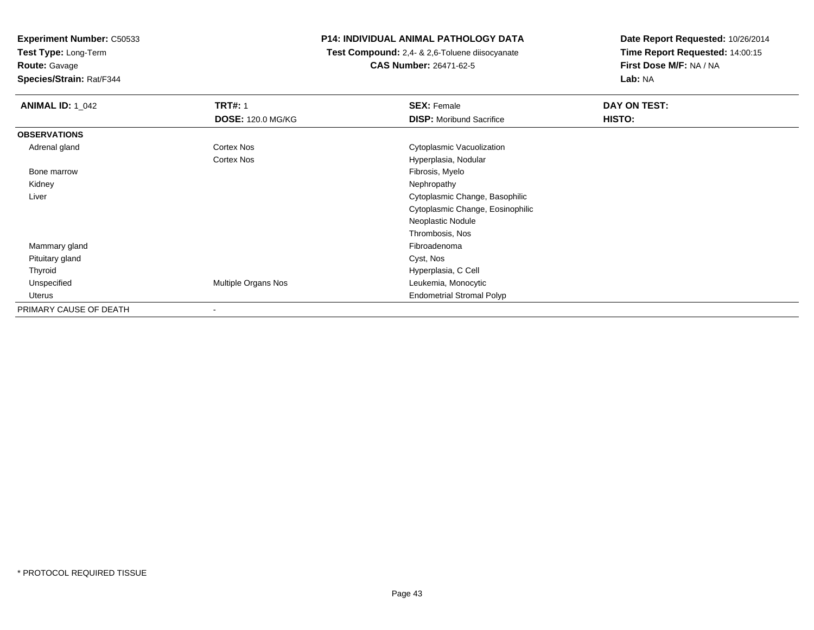**Test Type:** Long-Term

**Route:** Gavage

**Species/Strain:** Rat/F344

# **P14: INDIVIDUAL ANIMAL PATHOLOGY DATA**

 **Test Compound:** 2,4- & 2,6-Toluene diisocyanate**CAS Number:** 26471-62-5

| <b>ANIMAL ID: 1_042</b> | <b>TRT#: 1</b>           | <b>SEX: Female</b>               | DAY ON TEST: |  |
|-------------------------|--------------------------|----------------------------------|--------------|--|
|                         | <b>DOSE: 120.0 MG/KG</b> | <b>DISP: Moribund Sacrifice</b>  | HISTO:       |  |
| <b>OBSERVATIONS</b>     |                          |                                  |              |  |
| Adrenal gland           | <b>Cortex Nos</b>        | Cytoplasmic Vacuolization        |              |  |
|                         | <b>Cortex Nos</b>        | Hyperplasia, Nodular             |              |  |
| Bone marrow             |                          | Fibrosis, Myelo                  |              |  |
| Kidney                  |                          | Nephropathy                      |              |  |
| Liver                   |                          | Cytoplasmic Change, Basophilic   |              |  |
|                         |                          | Cytoplasmic Change, Eosinophilic |              |  |
|                         |                          | Neoplastic Nodule                |              |  |
|                         |                          | Thrombosis, Nos                  |              |  |
| Mammary gland           |                          | Fibroadenoma                     |              |  |
| Pituitary gland         |                          | Cyst, Nos                        |              |  |
| Thyroid                 |                          | Hyperplasia, C Cell              |              |  |
| Unspecified             | Multiple Organs Nos      | Leukemia, Monocytic              |              |  |
| Uterus                  |                          | <b>Endometrial Stromal Polyp</b> |              |  |
| PRIMARY CAUSE OF DEATH  |                          |                                  |              |  |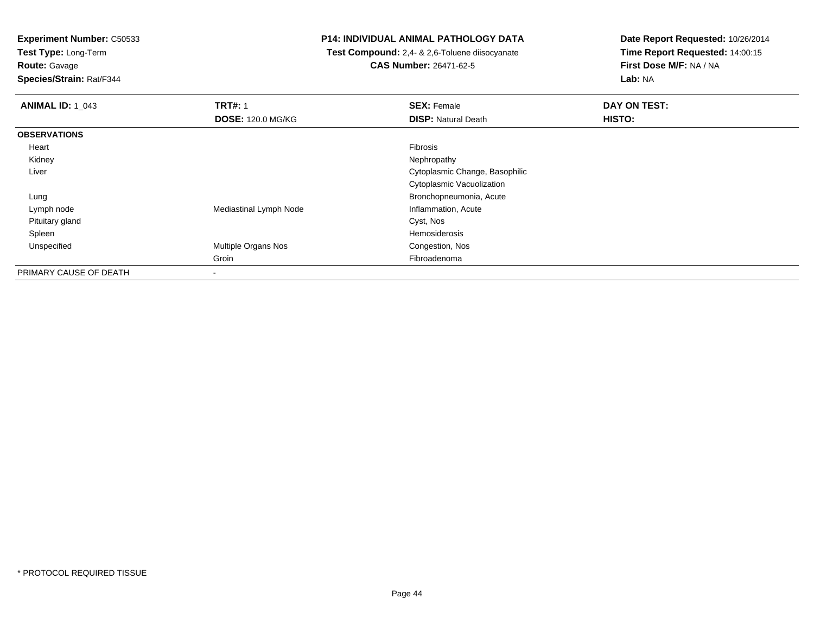**Test Type:** Long-Term

**Route:** Gavage

**Species/Strain:** Rat/F344

# **P14: INDIVIDUAL ANIMAL PATHOLOGY DATA**

 **Test Compound:** 2,4- & 2,6-Toluene diisocyanate**CAS Number:** 26471-62-5

| <b>ANIMAL ID: 1_043</b> | <b>TRT#: 1</b>           | <b>SEX: Female</b>             | DAY ON TEST: |  |
|-------------------------|--------------------------|--------------------------------|--------------|--|
|                         | <b>DOSE: 120.0 MG/KG</b> | <b>DISP: Natural Death</b>     | HISTO:       |  |
| <b>OBSERVATIONS</b>     |                          |                                |              |  |
| Heart                   |                          | Fibrosis                       |              |  |
| Kidney                  |                          | Nephropathy                    |              |  |
| Liver                   |                          | Cytoplasmic Change, Basophilic |              |  |
|                         |                          | Cytoplasmic Vacuolization      |              |  |
| Lung                    |                          | Bronchopneumonia, Acute        |              |  |
| Lymph node              | Mediastinal Lymph Node   | Inflammation, Acute            |              |  |
| Pituitary gland         |                          | Cyst, Nos                      |              |  |
| Spleen                  |                          | Hemosiderosis                  |              |  |
| Unspecified             | Multiple Organs Nos      | Congestion, Nos                |              |  |
|                         | Groin                    | Fibroadenoma                   |              |  |
| PRIMARY CAUSE OF DEATH  | $\,$                     |                                |              |  |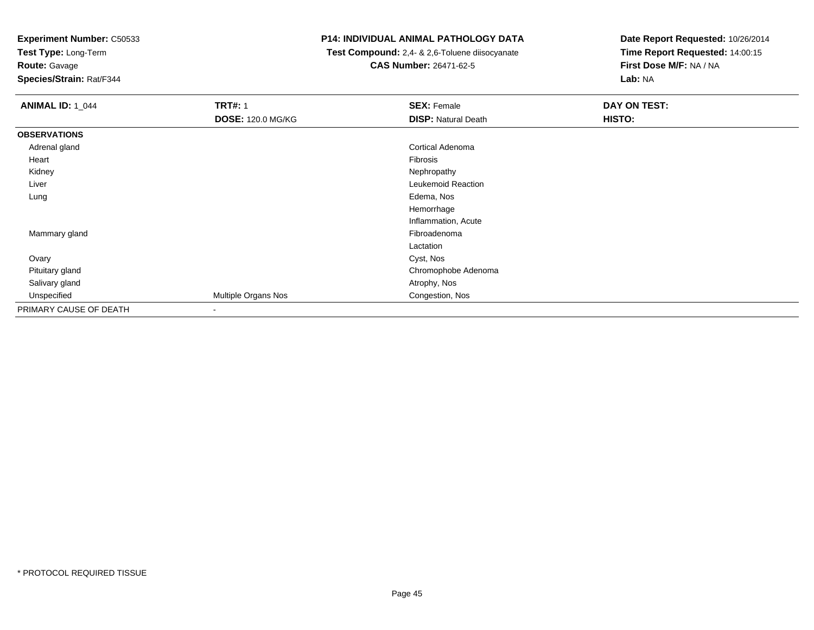**Test Type:** Long-Term

**Route:** Gavage

**Species/Strain:** Rat/F344

# **P14: INDIVIDUAL ANIMAL PATHOLOGY DATA**

 **Test Compound:** 2,4- & 2,6-Toluene diisocyanate**CAS Number:** 26471-62-5

| <b>ANIMAL ID: 1_044</b> | <b>TRT#: 1</b><br><b>DOSE: 120.0 MG/KG</b> | <b>SEX: Female</b><br><b>DISP: Natural Death</b> | DAY ON TEST:<br>HISTO: |
|-------------------------|--------------------------------------------|--------------------------------------------------|------------------------|
| <b>OBSERVATIONS</b>     |                                            |                                                  |                        |
| Adrenal gland           |                                            | Cortical Adenoma                                 |                        |
| Heart                   |                                            | Fibrosis                                         |                        |
| Kidney                  |                                            | Nephropathy                                      |                        |
| Liver                   |                                            | Leukemoid Reaction                               |                        |
| Lung                    |                                            | Edema, Nos                                       |                        |
|                         |                                            | Hemorrhage                                       |                        |
|                         |                                            | Inflammation, Acute                              |                        |
| Mammary gland           |                                            | Fibroadenoma                                     |                        |
|                         |                                            | Lactation                                        |                        |
| Ovary                   |                                            | Cyst, Nos                                        |                        |
| Pituitary gland         |                                            | Chromophobe Adenoma                              |                        |
| Salivary gland          |                                            | Atrophy, Nos                                     |                        |
| Unspecified             | Multiple Organs Nos                        | Congestion, Nos                                  |                        |
| PRIMARY CAUSE OF DEATH  | $\blacksquare$                             |                                                  |                        |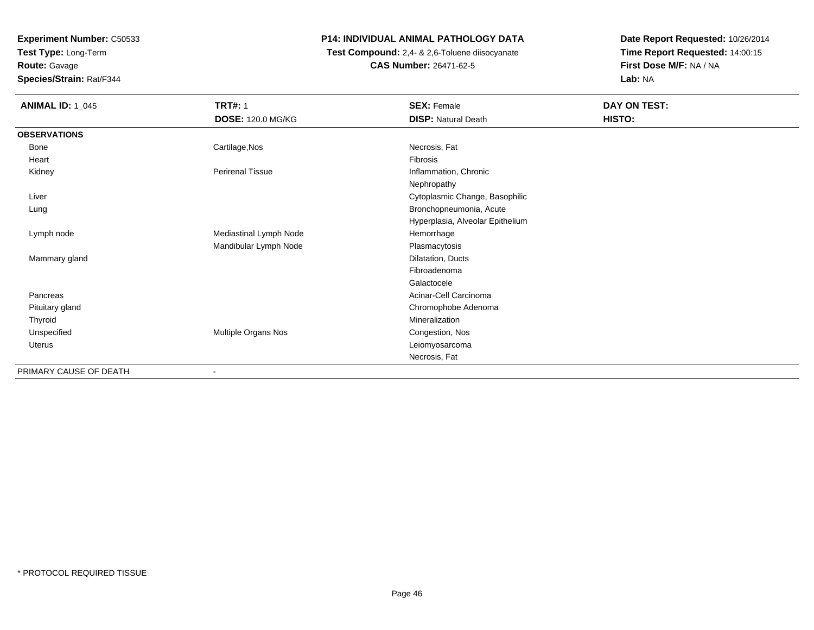**Experiment Number:** C50533**Test Type:** Long-Term

**Route:** Gavage

**Species/Strain:** Rat/F344

# **P14: INDIVIDUAL ANIMAL PATHOLOGY DATA**

 **Test Compound:** 2,4- & 2,6-Toluene diisocyanate**CAS Number:** 26471-62-5

| <b>ANIMAL ID: 1_045</b> | <b>TRT#: 1</b>           | <b>SEX: Female</b>               | DAY ON TEST: |
|-------------------------|--------------------------|----------------------------------|--------------|
|                         | <b>DOSE: 120.0 MG/KG</b> | <b>DISP: Natural Death</b>       | HISTO:       |
| <b>OBSERVATIONS</b>     |                          |                                  |              |
| Bone                    | Cartilage, Nos           | Necrosis, Fat                    |              |
| Heart                   |                          | Fibrosis                         |              |
| Kidney                  | <b>Perirenal Tissue</b>  | Inflammation, Chronic            |              |
|                         |                          | Nephropathy                      |              |
| Liver                   |                          | Cytoplasmic Change, Basophilic   |              |
| Lung                    |                          | Bronchopneumonia, Acute          |              |
|                         |                          | Hyperplasia, Alveolar Epithelium |              |
| Lymph node              | Mediastinal Lymph Node   | Hemorrhage                       |              |
|                         | Mandibular Lymph Node    | Plasmacytosis                    |              |
| Mammary gland           |                          | Dilatation, Ducts                |              |
|                         |                          | Fibroadenoma                     |              |
|                         |                          | Galactocele                      |              |
| Pancreas                |                          | Acinar-Cell Carcinoma            |              |
| Pituitary gland         |                          | Chromophobe Adenoma              |              |
| Thyroid                 |                          | Mineralization                   |              |
| Unspecified             | Multiple Organs Nos      | Congestion, Nos                  |              |
| Uterus                  |                          | Leiomyosarcoma                   |              |
|                         |                          | Necrosis, Fat                    |              |
| PRIMARY CAUSE OF DEATH  |                          |                                  |              |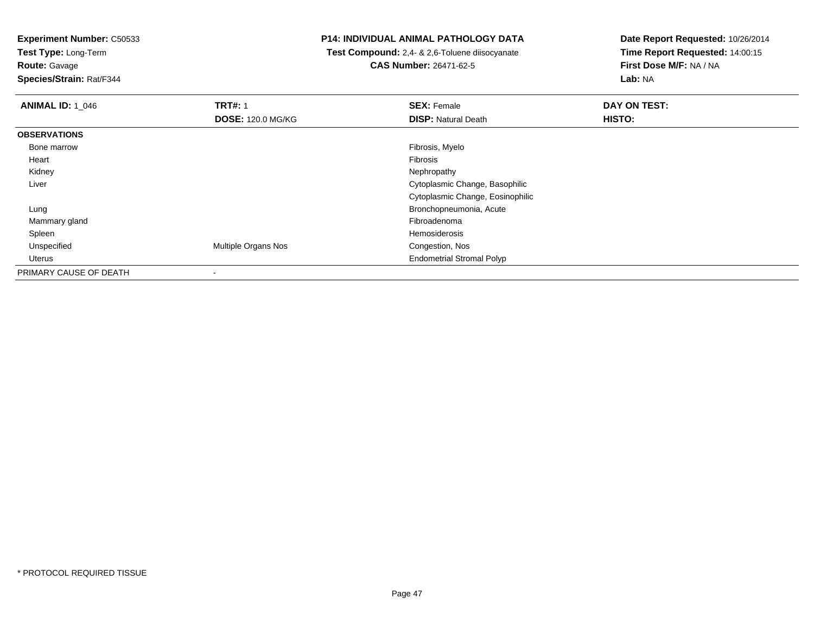**Test Type:** Long-Term

**Route:** Gavage

**Species/Strain:** Rat/F344

# **P14: INDIVIDUAL ANIMAL PATHOLOGY DATA**

 **Test Compound:** 2,4- & 2,6-Toluene diisocyanate**CAS Number:** 26471-62-5

| <b>ANIMAL ID: 1 046</b> | <b>TRT#: 1</b>             | <b>SEX: Female</b>               | DAY ON TEST: |
|-------------------------|----------------------------|----------------------------------|--------------|
|                         | <b>DOSE: 120.0 MG/KG</b>   | <b>DISP: Natural Death</b>       | HISTO:       |
| <b>OBSERVATIONS</b>     |                            |                                  |              |
| Bone marrow             |                            | Fibrosis, Myelo                  |              |
| Heart                   |                            | <b>Fibrosis</b>                  |              |
| Kidney                  |                            | Nephropathy                      |              |
| Liver                   |                            | Cytoplasmic Change, Basophilic   |              |
|                         |                            | Cytoplasmic Change, Eosinophilic |              |
| Lung                    |                            | Bronchopneumonia, Acute          |              |
| Mammary gland           |                            | Fibroadenoma                     |              |
| Spleen                  |                            | Hemosiderosis                    |              |
| Unspecified             | <b>Multiple Organs Nos</b> | Congestion, Nos                  |              |
| Uterus                  |                            | <b>Endometrial Stromal Polyp</b> |              |
| PRIMARY CAUSE OF DEATH  |                            |                                  |              |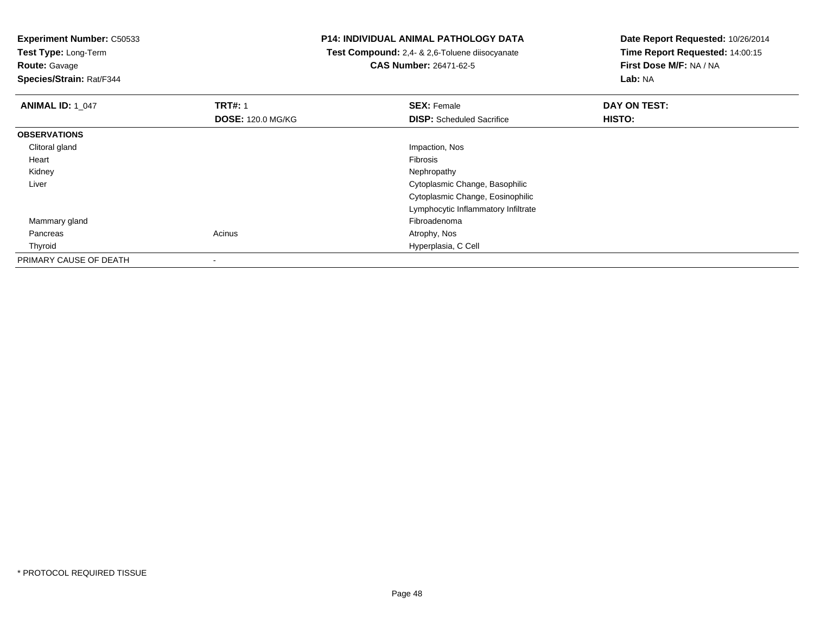**Test Type:** Long-Term

**Route:** Gavage

**Species/Strain:** Rat/F344

# **P14: INDIVIDUAL ANIMAL PATHOLOGY DATA**

 **Test Compound:** 2,4- & 2,6-Toluene diisocyanate**CAS Number:** 26471-62-5

| <b>ANIMAL ID: 1_047</b> | <b>TRT#: 1</b>           | <b>SEX: Female</b>                  | DAY ON TEST: |  |
|-------------------------|--------------------------|-------------------------------------|--------------|--|
|                         | <b>DOSE: 120.0 MG/KG</b> | <b>DISP:</b> Scheduled Sacrifice    | HISTO:       |  |
| <b>OBSERVATIONS</b>     |                          |                                     |              |  |
| Clitoral gland          |                          | Impaction, Nos                      |              |  |
| Heart                   |                          | Fibrosis                            |              |  |
| Kidney                  |                          | Nephropathy                         |              |  |
| Liver                   |                          | Cytoplasmic Change, Basophilic      |              |  |
|                         |                          | Cytoplasmic Change, Eosinophilic    |              |  |
|                         |                          | Lymphocytic Inflammatory Infiltrate |              |  |
| Mammary gland           |                          | Fibroadenoma                        |              |  |
| Pancreas                | Acinus                   | Atrophy, Nos                        |              |  |
| Thyroid                 |                          | Hyperplasia, C Cell                 |              |  |
| PRIMARY CAUSE OF DEATH  |                          |                                     |              |  |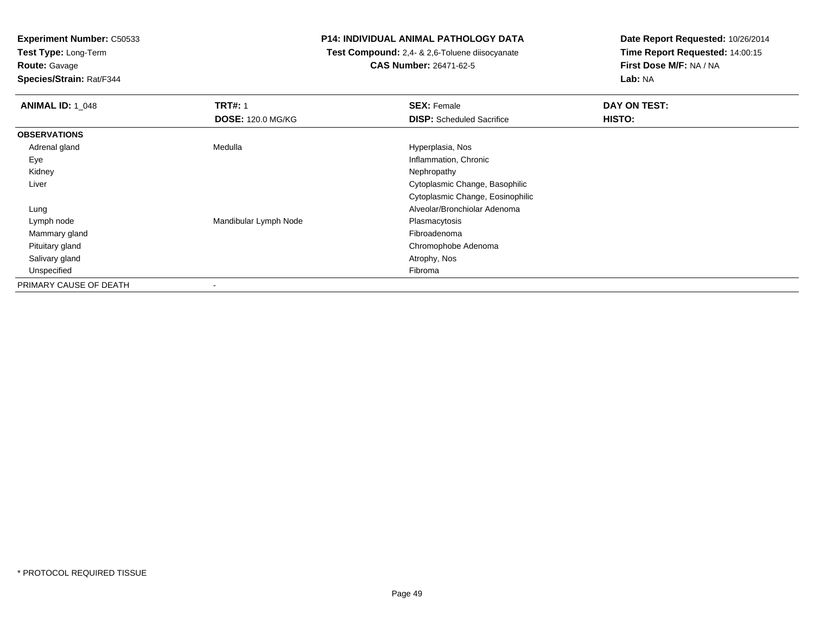**Test Type:** Long-Term

**Route:** Gavage

**Species/Strain:** Rat/F344

# **P14: INDIVIDUAL ANIMAL PATHOLOGY DATA**

 **Test Compound:** 2,4- & 2,6-Toluene diisocyanate**CAS Number:** 26471-62-5

| <b>ANIMAL ID: 1 048</b> | <b>TRT#: 1</b>           | <b>SEX: Female</b>               | DAY ON TEST: |
|-------------------------|--------------------------|----------------------------------|--------------|
|                         | <b>DOSE: 120.0 MG/KG</b> | <b>DISP:</b> Scheduled Sacrifice | HISTO:       |
| <b>OBSERVATIONS</b>     |                          |                                  |              |
| Adrenal gland           | Medulla                  | Hyperplasia, Nos                 |              |
| Eye                     |                          | Inflammation, Chronic            |              |
| Kidney                  |                          | Nephropathy                      |              |
| Liver                   |                          | Cytoplasmic Change, Basophilic   |              |
|                         |                          | Cytoplasmic Change, Eosinophilic |              |
| Lung                    |                          | Alveolar/Bronchiolar Adenoma     |              |
| Lymph node              | Mandibular Lymph Node    | Plasmacytosis                    |              |
| Mammary gland           |                          | Fibroadenoma                     |              |
| Pituitary gland         |                          | Chromophobe Adenoma              |              |
| Salivary gland          |                          | Atrophy, Nos                     |              |
| Unspecified             |                          | Fibroma                          |              |
| PRIMARY CAUSE OF DEATH  | ۰                        |                                  |              |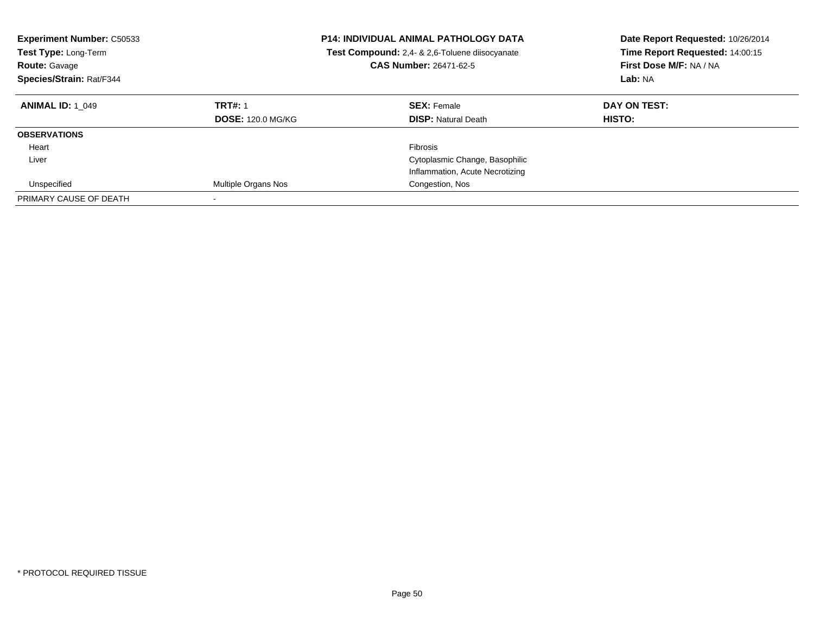| <b>Experiment Number: C50533</b><br>Test Type: Long-Term<br><b>Route: Gavage</b><br>Species/Strain: Rat/F344 |                            | <b>P14: INDIVIDUAL ANIMAL PATHOLOGY DATA</b><br>Test Compound: 2,4- & 2,6-Toluene diisocyanate<br><b>CAS Number: 26471-62-5</b> | Date Report Requested: 10/26/2014<br>Time Report Requested: 14:00:15<br>First Dose M/F: NA / NA<br>Lab: NA |
|--------------------------------------------------------------------------------------------------------------|----------------------------|---------------------------------------------------------------------------------------------------------------------------------|------------------------------------------------------------------------------------------------------------|
| <b>ANIMAL ID: 1 049</b>                                                                                      | <b>TRT#: 1</b>             | <b>SEX: Female</b>                                                                                                              | DAY ON TEST:                                                                                               |
|                                                                                                              | <b>DOSE: 120.0 MG/KG</b>   | <b>DISP:</b> Natural Death                                                                                                      | HISTO:                                                                                                     |
| <b>OBSERVATIONS</b>                                                                                          |                            |                                                                                                                                 |                                                                                                            |
| Heart                                                                                                        |                            | <b>Fibrosis</b>                                                                                                                 |                                                                                                            |
| Liver                                                                                                        |                            | Cytoplasmic Change, Basophilic                                                                                                  |                                                                                                            |
|                                                                                                              |                            | Inflammation, Acute Necrotizing                                                                                                 |                                                                                                            |
| Unspecified                                                                                                  | <b>Multiple Organs Nos</b> | Congestion, Nos                                                                                                                 |                                                                                                            |
| PRIMARY CAUSE OF DEATH                                                                                       |                            |                                                                                                                                 |                                                                                                            |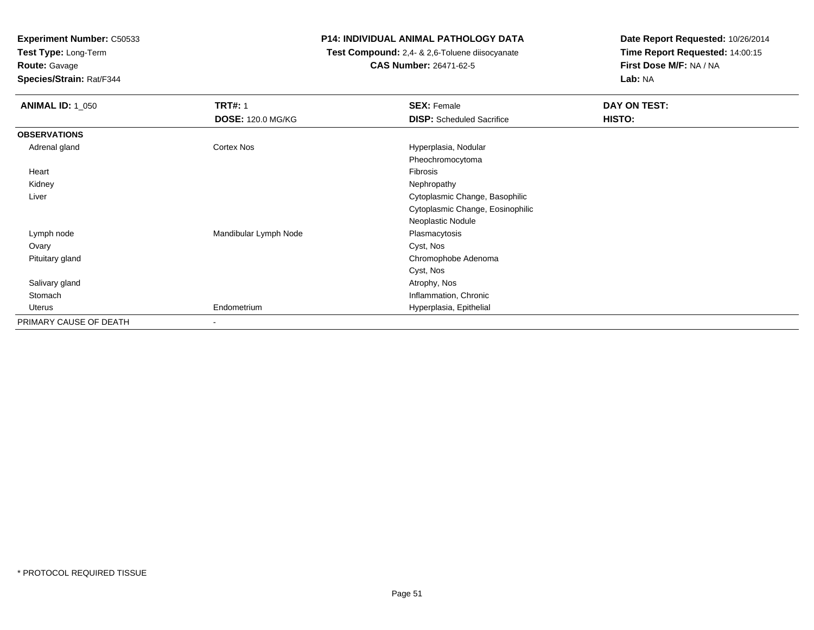**Test Type:** Long-Term

**Route:** Gavage

**Species/Strain:** Rat/F344

# **P14: INDIVIDUAL ANIMAL PATHOLOGY DATA**

 **Test Compound:** 2,4- & 2,6-Toluene diisocyanate**CAS Number:** 26471-62-5

| <b>ANIMAL ID: 1_050</b> | <b>TRT#: 1</b>           | <b>SEX: Female</b>               | DAY ON TEST: |  |
|-------------------------|--------------------------|----------------------------------|--------------|--|
|                         | <b>DOSE: 120.0 MG/KG</b> | <b>DISP:</b> Scheduled Sacrifice | HISTO:       |  |
| <b>OBSERVATIONS</b>     |                          |                                  |              |  |
| Adrenal gland           | Cortex Nos               | Hyperplasia, Nodular             |              |  |
|                         |                          | Pheochromocytoma                 |              |  |
| Heart                   |                          | Fibrosis                         |              |  |
| Kidney                  |                          | Nephropathy                      |              |  |
| Liver                   |                          | Cytoplasmic Change, Basophilic   |              |  |
|                         |                          | Cytoplasmic Change, Eosinophilic |              |  |
|                         |                          | Neoplastic Nodule                |              |  |
| Lymph node              | Mandibular Lymph Node    | Plasmacytosis                    |              |  |
| Ovary                   |                          | Cyst, Nos                        |              |  |
| Pituitary gland         |                          | Chromophobe Adenoma              |              |  |
|                         |                          | Cyst, Nos                        |              |  |
| Salivary gland          |                          | Atrophy, Nos                     |              |  |
| Stomach                 |                          | Inflammation, Chronic            |              |  |
| Uterus                  | Endometrium              | Hyperplasia, Epithelial          |              |  |
| PRIMARY CAUSE OF DEATH  | $\overline{\phantom{a}}$ |                                  |              |  |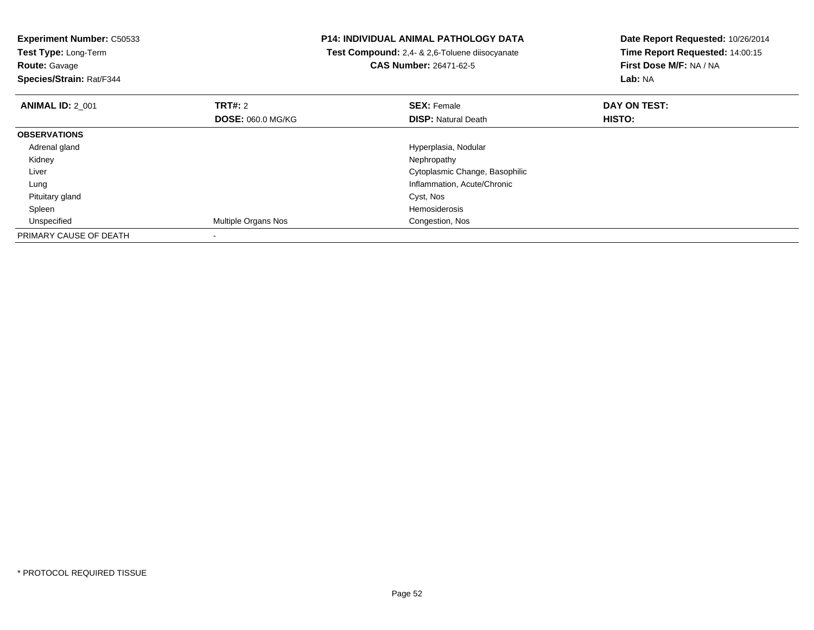| <b>Experiment Number: C50533</b><br>Test Type: Long-Term<br><b>Route: Gavage</b><br>Species/Strain: Rat/F344 |                          | <b>P14: INDIVIDUAL ANIMAL PATHOLOGY DATA</b><br>Test Compound: 2,4- & 2,6-Toluene diisocyanate<br><b>CAS Number: 26471-62-5</b> | Date Report Requested: 10/26/2014<br>Time Report Requested: 14:00:15<br>First Dose M/F: NA / NA<br>Lab: NA |
|--------------------------------------------------------------------------------------------------------------|--------------------------|---------------------------------------------------------------------------------------------------------------------------------|------------------------------------------------------------------------------------------------------------|
| <b>ANIMAL ID: 2 001</b>                                                                                      | <b>TRT#: 2</b>           | <b>SEX: Female</b>                                                                                                              | DAY ON TEST:                                                                                               |
|                                                                                                              | <b>DOSE: 060.0 MG/KG</b> | <b>DISP:</b> Natural Death                                                                                                      | HISTO:                                                                                                     |
| <b>OBSERVATIONS</b>                                                                                          |                          |                                                                                                                                 |                                                                                                            |
| Adrenal gland                                                                                                |                          | Hyperplasia, Nodular                                                                                                            |                                                                                                            |
| Kidney                                                                                                       |                          | Nephropathy                                                                                                                     |                                                                                                            |
| Liver                                                                                                        |                          | Cytoplasmic Change, Basophilic                                                                                                  |                                                                                                            |
| Lung                                                                                                         |                          | Inflammation, Acute/Chronic                                                                                                     |                                                                                                            |
| Pituitary gland                                                                                              |                          | Cyst, Nos                                                                                                                       |                                                                                                            |
| Spleen                                                                                                       |                          | Hemosiderosis                                                                                                                   |                                                                                                            |
| Unspecified                                                                                                  | Multiple Organs Nos      | Congestion, Nos                                                                                                                 |                                                                                                            |
| PRIMARY CAUSE OF DEATH                                                                                       |                          |                                                                                                                                 |                                                                                                            |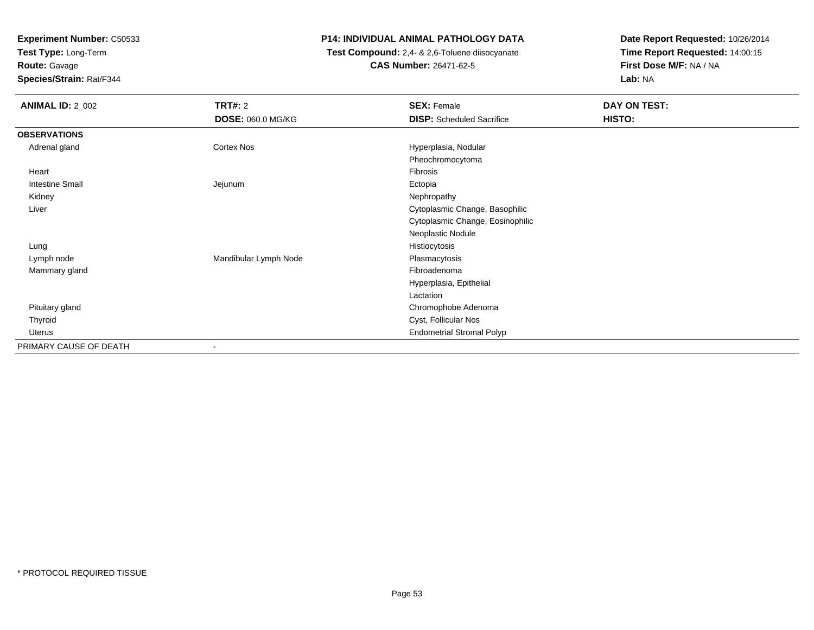**Test Type:** Long-Term**Route:** Gavage

**Species/Strain:** Rat/F344

# **P14: INDIVIDUAL ANIMAL PATHOLOGY DATA**

 **Test Compound:** 2,4- & 2,6-Toluene diisocyanate**CAS Number:** 26471-62-5

| <b>ANIMAL ID: 2_002</b> | <b>TRT#: 2</b>           | <b>SEX: Female</b>               | DAY ON TEST: |  |
|-------------------------|--------------------------|----------------------------------|--------------|--|
|                         | <b>DOSE: 060.0 MG/KG</b> | <b>DISP:</b> Scheduled Sacrifice | HISTO:       |  |
| <b>OBSERVATIONS</b>     |                          |                                  |              |  |
| Adrenal gland           | Cortex Nos               | Hyperplasia, Nodular             |              |  |
|                         |                          | Pheochromocytoma                 |              |  |
| Heart                   |                          | Fibrosis                         |              |  |
| <b>Intestine Small</b>  | Jejunum                  | Ectopia                          |              |  |
| Kidney                  |                          | Nephropathy                      |              |  |
| Liver                   |                          | Cytoplasmic Change, Basophilic   |              |  |
|                         |                          | Cytoplasmic Change, Eosinophilic |              |  |
|                         |                          | Neoplastic Nodule                |              |  |
| Lung                    |                          | Histiocytosis                    |              |  |
| Lymph node              | Mandibular Lymph Node    | Plasmacytosis                    |              |  |
| Mammary gland           |                          | Fibroadenoma                     |              |  |
|                         |                          | Hyperplasia, Epithelial          |              |  |
|                         |                          | Lactation                        |              |  |
| Pituitary gland         |                          | Chromophobe Adenoma              |              |  |
| Thyroid                 |                          | Cyst, Follicular Nos             |              |  |
| Uterus                  |                          | <b>Endometrial Stromal Polyp</b> |              |  |
| PRIMARY CAUSE OF DEATH  | ۰                        |                                  |              |  |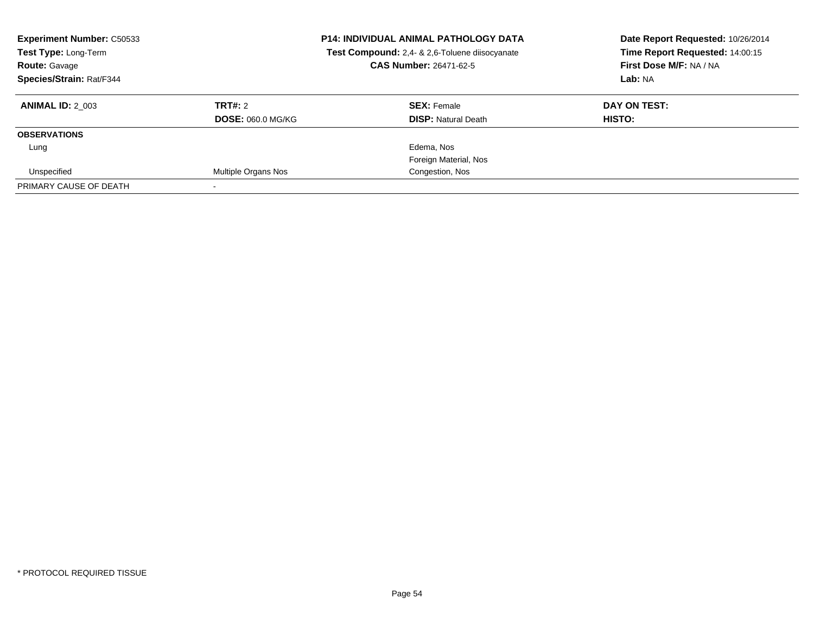| <b>Experiment Number: C50533</b><br>Test Type: Long-Term<br><b>Route: Gavage</b><br>Species/Strain: Rat/F344 |                          | <b>P14: INDIVIDUAL ANIMAL PATHOLOGY DATA</b><br>Test Compound: 2,4- & 2,6-Toluene diisocyanate<br><b>CAS Number: 26471-62-5</b> | Date Report Requested: 10/26/2014<br>Time Report Requested: 14:00:15<br>First Dose M/F: NA / NA<br>Lab: NA |
|--------------------------------------------------------------------------------------------------------------|--------------------------|---------------------------------------------------------------------------------------------------------------------------------|------------------------------------------------------------------------------------------------------------|
| <b>ANIMAL ID: 2 003</b>                                                                                      | TRT#: 2                  | <b>SEX: Female</b>                                                                                                              | DAY ON TEST:                                                                                               |
|                                                                                                              | <b>DOSE: 060.0 MG/KG</b> | <b>DISP: Natural Death</b>                                                                                                      | HISTO:                                                                                                     |
| <b>OBSERVATIONS</b>                                                                                          |                          |                                                                                                                                 |                                                                                                            |
| Lung                                                                                                         |                          | Edema, Nos                                                                                                                      |                                                                                                            |
|                                                                                                              |                          | Foreign Material, Nos                                                                                                           |                                                                                                            |
| Unspecified                                                                                                  | Multiple Organs Nos      | Congestion, Nos                                                                                                                 |                                                                                                            |
| PRIMARY CAUSE OF DEATH                                                                                       |                          |                                                                                                                                 |                                                                                                            |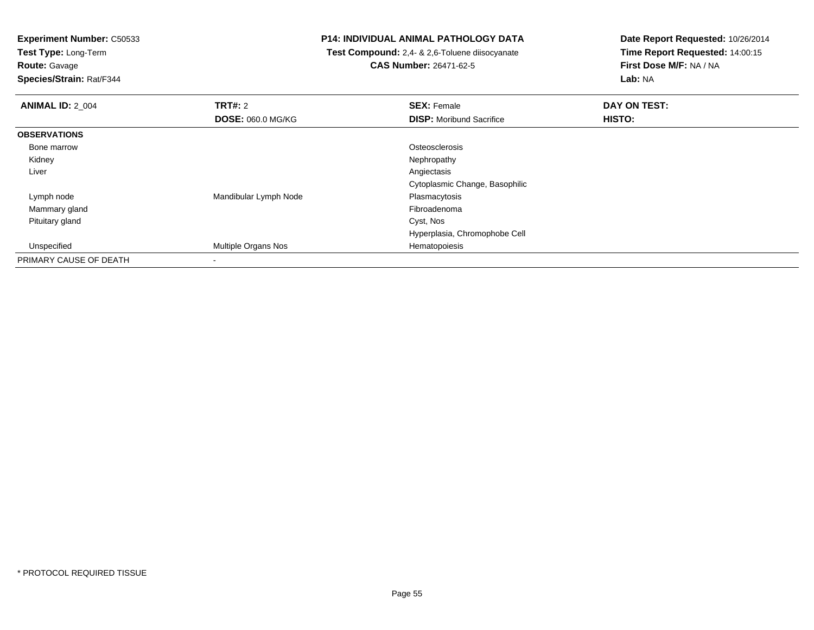**Test Type:** Long-Term

**Route:** Gavage

**Species/Strain:** Rat/F344

# **P14: INDIVIDUAL ANIMAL PATHOLOGY DATA**

 **Test Compound:** 2,4- & 2,6-Toluene diisocyanate**CAS Number:** 26471-62-5

| <b>ANIMAL ID: 2_004</b> | <b>TRT#: 2</b>             | <b>SEX: Female</b>              | DAY ON TEST: |  |
|-------------------------|----------------------------|---------------------------------|--------------|--|
|                         | <b>DOSE: 060.0 MG/KG</b>   | <b>DISP:</b> Moribund Sacrifice | HISTO:       |  |
| <b>OBSERVATIONS</b>     |                            |                                 |              |  |
| Bone marrow             |                            | Osteosclerosis                  |              |  |
| Kidney                  |                            | Nephropathy                     |              |  |
| Liver                   |                            | Angiectasis                     |              |  |
|                         |                            | Cytoplasmic Change, Basophilic  |              |  |
| Lymph node              | Mandibular Lymph Node      | Plasmacytosis                   |              |  |
| Mammary gland           |                            | Fibroadenoma                    |              |  |
| Pituitary gland         |                            | Cyst, Nos                       |              |  |
|                         |                            | Hyperplasia, Chromophobe Cell   |              |  |
| Unspecified             | <b>Multiple Organs Nos</b> | Hematopoiesis                   |              |  |
| PRIMARY CAUSE OF DEATH  |                            |                                 |              |  |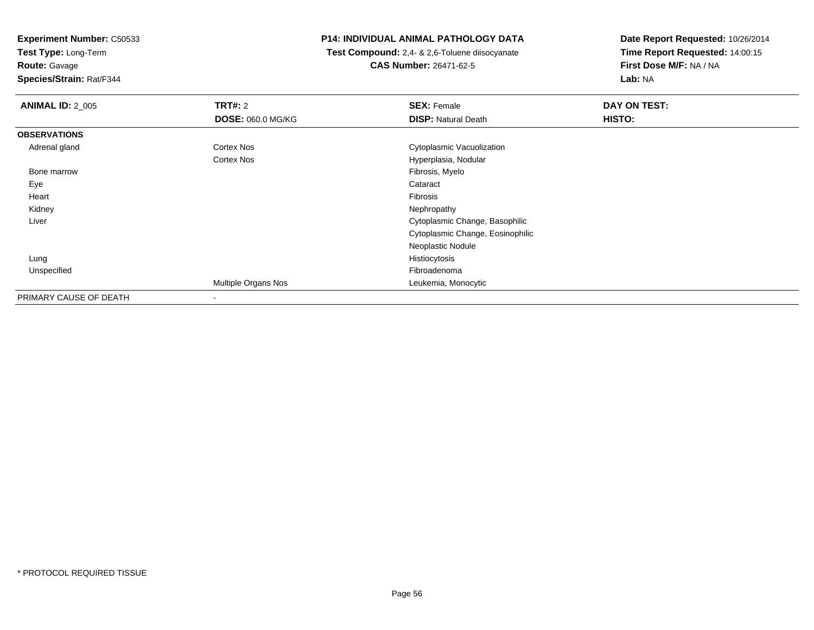**Test Type:** Long-Term

# **Route:** Gavage

**Species/Strain:** Rat/F344

# **P14: INDIVIDUAL ANIMAL PATHOLOGY DATA**

 **Test Compound:** 2,4- & 2,6-Toluene diisocyanate**CAS Number:** 26471-62-5

| <b>ANIMAL ID: 2 005</b> | <b>TRT#: 2</b><br>DOSE: 060.0 MG/KG | <b>SEX: Female</b><br><b>DISP: Natural Death</b> | DAY ON TEST:<br>HISTO: |
|-------------------------|-------------------------------------|--------------------------------------------------|------------------------|
| <b>OBSERVATIONS</b>     |                                     |                                                  |                        |
| Adrenal gland           | Cortex Nos                          | Cytoplasmic Vacuolization                        |                        |
|                         | Cortex Nos                          | Hyperplasia, Nodular                             |                        |
| Bone marrow             |                                     | Fibrosis, Myelo                                  |                        |
| Eye                     |                                     | Cataract                                         |                        |
| Heart                   |                                     | Fibrosis                                         |                        |
| Kidney                  |                                     | Nephropathy                                      |                        |
| Liver                   |                                     | Cytoplasmic Change, Basophilic                   |                        |
|                         |                                     | Cytoplasmic Change, Eosinophilic                 |                        |
|                         |                                     | Neoplastic Nodule                                |                        |
| Lung                    |                                     | Histiocytosis                                    |                        |
| Unspecified             |                                     | Fibroadenoma                                     |                        |
|                         | Multiple Organs Nos                 | Leukemia, Monocytic                              |                        |
| PRIMARY CAUSE OF DEATH  | ۰                                   |                                                  |                        |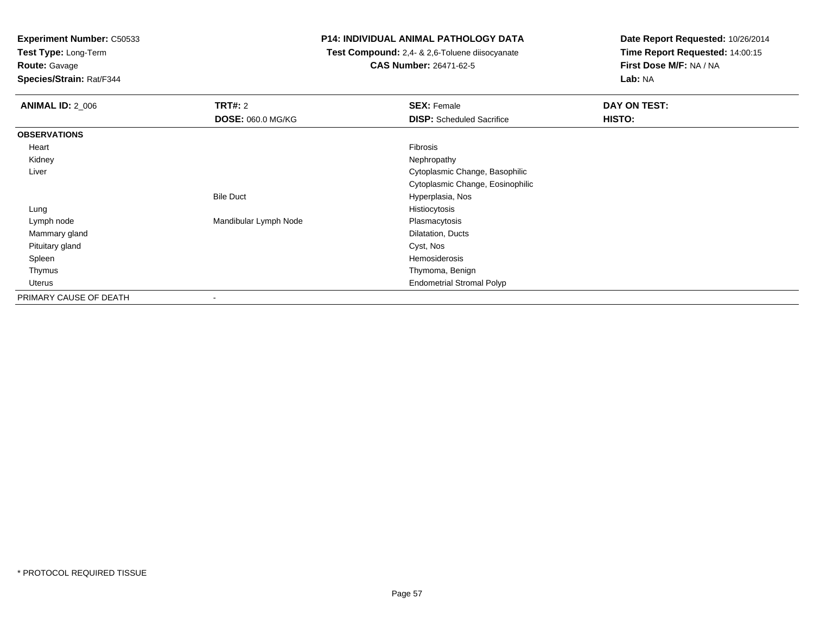**Test Type:** Long-Term

**Route:** Gavage

**Species/Strain:** Rat/F344

# **P14: INDIVIDUAL ANIMAL PATHOLOGY DATA**

 **Test Compound:** 2,4- & 2,6-Toluene diisocyanate**CAS Number:** 26471-62-5

| <b>ANIMAL ID: 2 006</b> | <b>TRT#: 2</b>        | <b>SEX: Female</b>               | <b>DAY ON TEST:</b> |
|-------------------------|-----------------------|----------------------------------|---------------------|
|                         | DOSE: 060.0 MG/KG     | <b>DISP:</b> Scheduled Sacrifice | HISTO:              |
| <b>OBSERVATIONS</b>     |                       |                                  |                     |
| Heart                   |                       | Fibrosis                         |                     |
| Kidney                  |                       | Nephropathy                      |                     |
| Liver                   |                       | Cytoplasmic Change, Basophilic   |                     |
|                         |                       | Cytoplasmic Change, Eosinophilic |                     |
|                         | <b>Bile Duct</b>      | Hyperplasia, Nos                 |                     |
| Lung                    |                       | Histiocytosis                    |                     |
| Lymph node              | Mandibular Lymph Node | Plasmacytosis                    |                     |
| Mammary gland           |                       | Dilatation, Ducts                |                     |
| Pituitary gland         |                       | Cyst, Nos                        |                     |
| Spleen                  |                       | Hemosiderosis                    |                     |
| Thymus                  |                       | Thymoma, Benign                  |                     |
| Uterus                  |                       | <b>Endometrial Stromal Polyp</b> |                     |
| PRIMARY CAUSE OF DEATH  |                       |                                  |                     |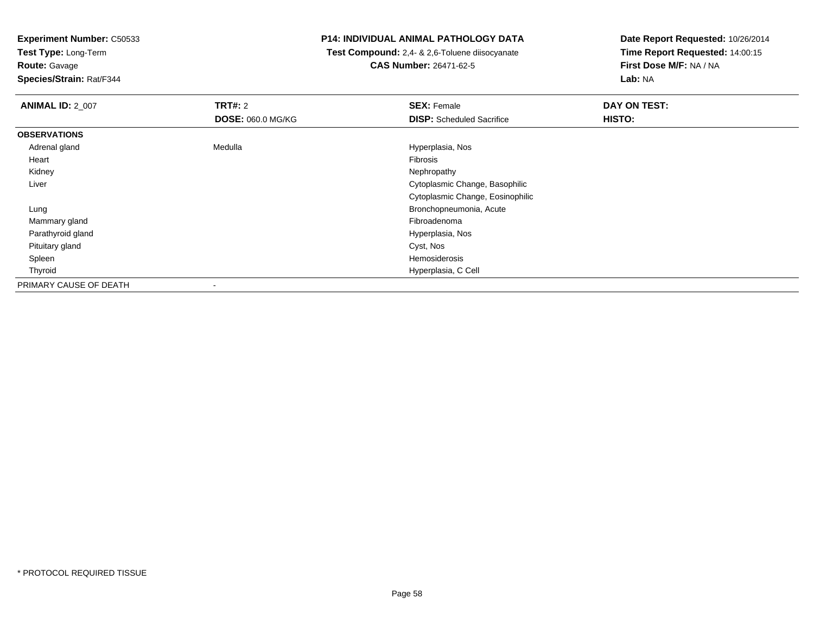**Test Type:** Long-Term

**Route:** Gavage

**Species/Strain:** Rat/F344

# **P14: INDIVIDUAL ANIMAL PATHOLOGY DATA**

 **Test Compound:** 2,4- & 2,6-Toluene diisocyanate**CAS Number:** 26471-62-5

| <b>ANIMAL ID: 2_007</b> | TRT#: 2<br><b>DOSE: 060.0 MG/KG</b> | <b>SEX: Female</b><br><b>DISP:</b> Scheduled Sacrifice | DAY ON TEST:<br>HISTO: |
|-------------------------|-------------------------------------|--------------------------------------------------------|------------------------|
| <b>OBSERVATIONS</b>     |                                     |                                                        |                        |
| Adrenal gland           | Medulla                             | Hyperplasia, Nos                                       |                        |
| Heart                   |                                     | Fibrosis                                               |                        |
| Kidney                  |                                     | Nephropathy                                            |                        |
| Liver                   |                                     | Cytoplasmic Change, Basophilic                         |                        |
|                         |                                     | Cytoplasmic Change, Eosinophilic                       |                        |
| Lung                    |                                     | Bronchopneumonia, Acute                                |                        |
| Mammary gland           |                                     | Fibroadenoma                                           |                        |
| Parathyroid gland       |                                     | Hyperplasia, Nos                                       |                        |
| Pituitary gland         |                                     | Cyst, Nos                                              |                        |
| Spleen                  |                                     | Hemosiderosis                                          |                        |
| Thyroid                 |                                     | Hyperplasia, C Cell                                    |                        |
| PRIMARY CAUSE OF DEATH  | $\overline{\phantom{a}}$            |                                                        |                        |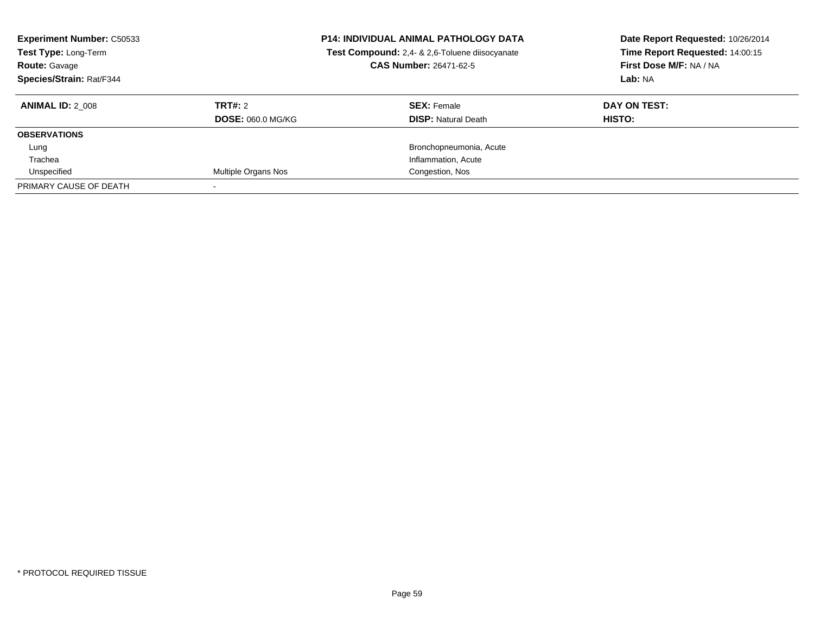| <b>Experiment Number: C50533</b><br>Test Type: Long-Term<br><b>Route: Gavage</b><br>Species/Strain: Rat/F344 |                          | <b>P14: INDIVIDUAL ANIMAL PATHOLOGY DATA</b><br>Test Compound: 2,4- & 2,6-Toluene diisocyanate<br><b>CAS Number: 26471-62-5</b> | Date Report Requested: 10/26/2014<br>Time Report Requested: 14:00:15<br>First Dose M/F: NA / NA<br>Lab: NA |
|--------------------------------------------------------------------------------------------------------------|--------------------------|---------------------------------------------------------------------------------------------------------------------------------|------------------------------------------------------------------------------------------------------------|
| <b>ANIMAL ID: 2 008</b>                                                                                      | TRT#: 2                  | <b>SEX: Female</b>                                                                                                              | DAY ON TEST:                                                                                               |
|                                                                                                              | <b>DOSE: 060.0 MG/KG</b> | <b>DISP:</b> Natural Death                                                                                                      | HISTO:                                                                                                     |
| <b>OBSERVATIONS</b>                                                                                          |                          |                                                                                                                                 |                                                                                                            |
| Lung                                                                                                         |                          | Bronchopneumonia, Acute                                                                                                         |                                                                                                            |
| Trachea                                                                                                      |                          | Inflammation, Acute                                                                                                             |                                                                                                            |
| Unspecified                                                                                                  | Multiple Organs Nos      | Congestion, Nos                                                                                                                 |                                                                                                            |
| PRIMARY CAUSE OF DEATH                                                                                       |                          |                                                                                                                                 |                                                                                                            |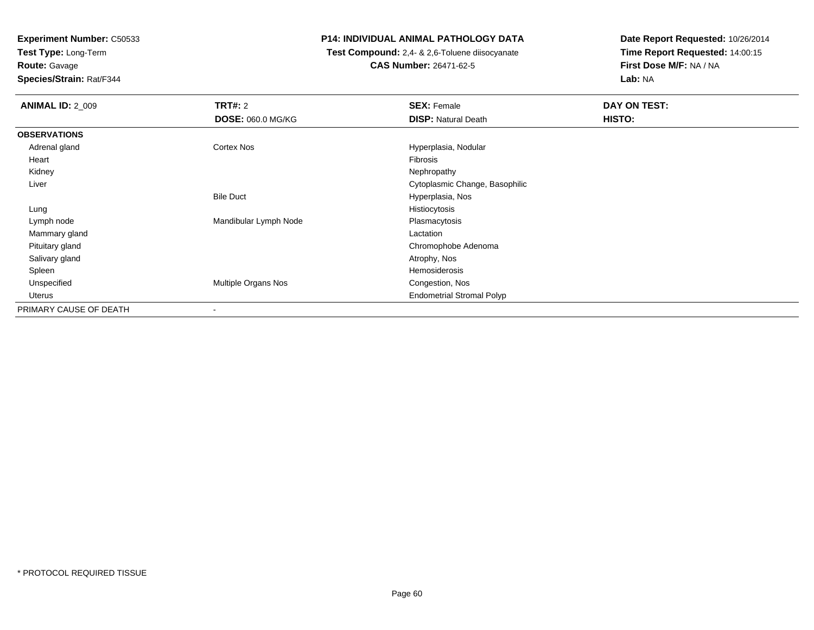**Test Type:** Long-Term

**Route:** Gavage

**Species/Strain:** Rat/F344

# **P14: INDIVIDUAL ANIMAL PATHOLOGY DATA**

 **Test Compound:** 2,4- & 2,6-Toluene diisocyanate**CAS Number:** 26471-62-5

| <b>ANIMAL ID: 2_009</b> | TRT#: 2                  | <b>SEX: Female</b>               | DAY ON TEST: |
|-------------------------|--------------------------|----------------------------------|--------------|
|                         | DOSE: 060.0 MG/KG        | <b>DISP: Natural Death</b>       | HISTO:       |
| <b>OBSERVATIONS</b>     |                          |                                  |              |
| Adrenal gland           | Cortex Nos               | Hyperplasia, Nodular             |              |
| Heart                   |                          | Fibrosis                         |              |
| Kidney                  |                          | Nephropathy                      |              |
| Liver                   |                          | Cytoplasmic Change, Basophilic   |              |
|                         | <b>Bile Duct</b>         | Hyperplasia, Nos                 |              |
| Lung                    |                          | Histiocytosis                    |              |
| Lymph node              | Mandibular Lymph Node    | Plasmacytosis                    |              |
| Mammary gland           |                          | Lactation                        |              |
| Pituitary gland         |                          | Chromophobe Adenoma              |              |
| Salivary gland          |                          | Atrophy, Nos                     |              |
| Spleen                  |                          | Hemosiderosis                    |              |
| Unspecified             | Multiple Organs Nos      | Congestion, Nos                  |              |
| Uterus                  |                          | <b>Endometrial Stromal Polyp</b> |              |
| PRIMARY CAUSE OF DEATH  | $\overline{\phantom{a}}$ |                                  |              |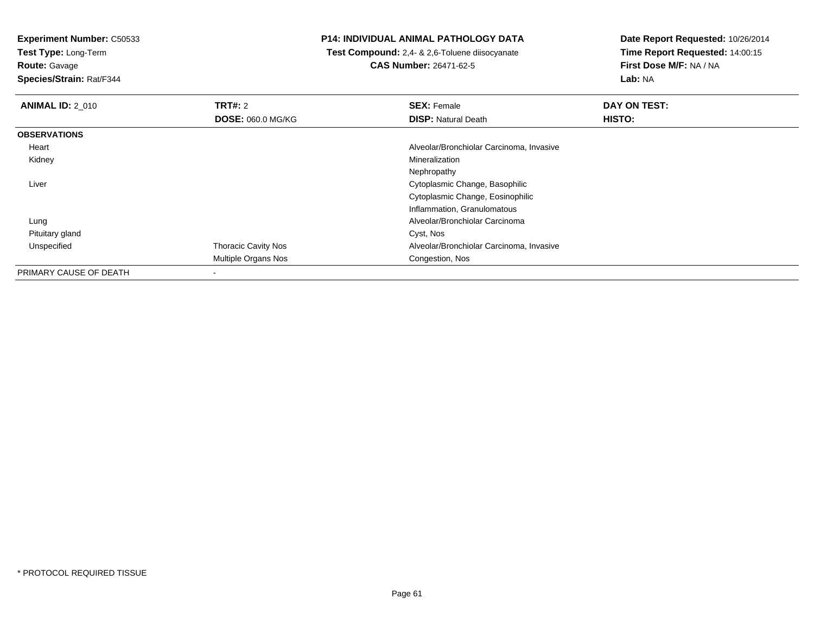**Test Type:** Long-Term

**Route:** Gavage

**Species/Strain:** Rat/F344

# **P14: INDIVIDUAL ANIMAL PATHOLOGY DATA**

 **Test Compound:** 2,4- & 2,6-Toluene diisocyanate**CAS Number:** 26471-62-5

| <b>ANIMAL ID: 2 010</b> | TRT#: 2                    | <b>SEX: Female</b>                       | DAY ON TEST: |
|-------------------------|----------------------------|------------------------------------------|--------------|
|                         | <b>DOSE: 060.0 MG/KG</b>   | <b>DISP: Natural Death</b>               | HISTO:       |
| <b>OBSERVATIONS</b>     |                            |                                          |              |
| Heart                   |                            | Alveolar/Bronchiolar Carcinoma, Invasive |              |
| Kidney                  |                            | Mineralization                           |              |
|                         |                            | Nephropathy                              |              |
| Liver                   |                            | Cytoplasmic Change, Basophilic           |              |
|                         |                            | Cytoplasmic Change, Eosinophilic         |              |
|                         |                            | Inflammation, Granulomatous              |              |
| Lung                    |                            | Alveolar/Bronchiolar Carcinoma           |              |
| Pituitary gland         |                            | Cyst, Nos                                |              |
| Unspecified             | <b>Thoracic Cavity Nos</b> | Alveolar/Bronchiolar Carcinoma, Invasive |              |
|                         | Multiple Organs Nos        | Congestion, Nos                          |              |
| PRIMARY CAUSE OF DEATH  | ٠                          |                                          |              |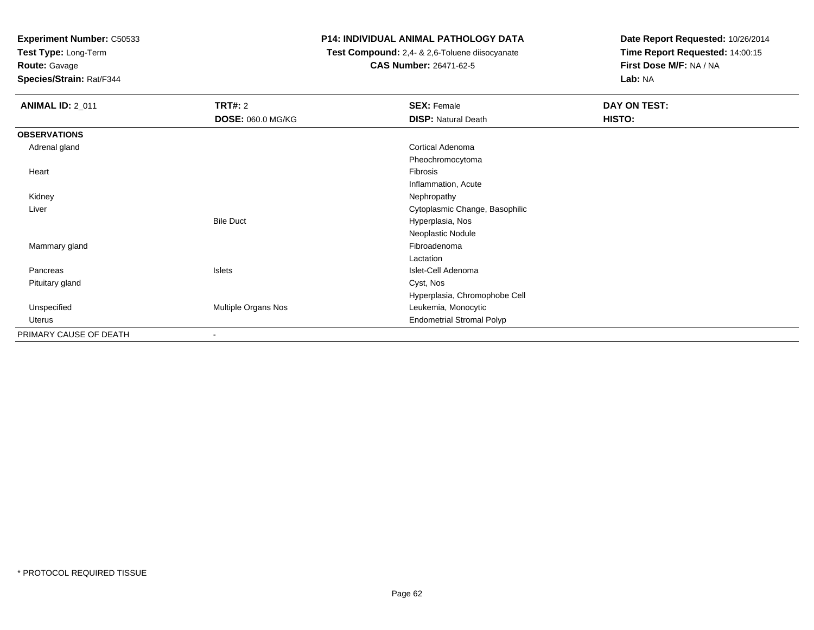**Test Type:** Long-Term

**Route:** Gavage

**Species/Strain:** Rat/F344

# **P14: INDIVIDUAL ANIMAL PATHOLOGY DATA**

 **Test Compound:** 2,4- & 2,6-Toluene diisocyanate**CAS Number:** 26471-62-5

| <b>ANIMAL ID: 2_011</b> | <b>TRT#: 2</b>           | <b>SEX: Female</b>               | DAY ON TEST: |
|-------------------------|--------------------------|----------------------------------|--------------|
|                         | <b>DOSE: 060.0 MG/KG</b> | <b>DISP: Natural Death</b>       | HISTO:       |
| <b>OBSERVATIONS</b>     |                          |                                  |              |
| Adrenal gland           |                          | Cortical Adenoma                 |              |
|                         |                          | Pheochromocytoma                 |              |
| Heart                   |                          | Fibrosis                         |              |
|                         |                          | Inflammation, Acute              |              |
| Kidney                  |                          | Nephropathy                      |              |
| Liver                   |                          | Cytoplasmic Change, Basophilic   |              |
|                         | <b>Bile Duct</b>         | Hyperplasia, Nos                 |              |
|                         |                          | Neoplastic Nodule                |              |
| Mammary gland           |                          | Fibroadenoma                     |              |
|                         |                          | Lactation                        |              |
| Pancreas                | Islets                   | Islet-Cell Adenoma               |              |
| Pituitary gland         |                          | Cyst, Nos                        |              |
|                         |                          | Hyperplasia, Chromophobe Cell    |              |
| Unspecified             | Multiple Organs Nos      | Leukemia, Monocytic              |              |
| Uterus                  |                          | <b>Endometrial Stromal Polyp</b> |              |
| PRIMARY CAUSE OF DEATH  |                          |                                  |              |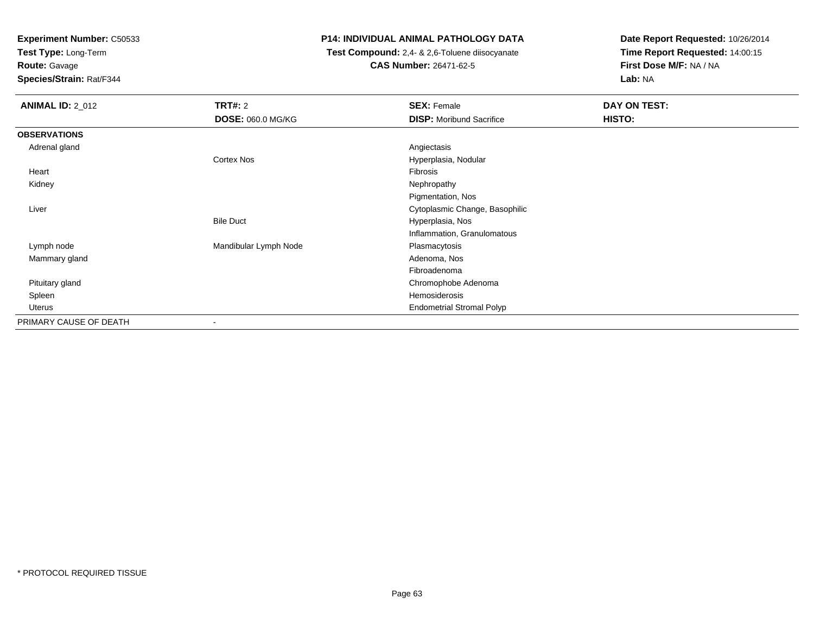**Test Type:** Long-Term

**Route:** Gavage

**Species/Strain:** Rat/F344

# **P14: INDIVIDUAL ANIMAL PATHOLOGY DATA**

 **Test Compound:** 2,4- & 2,6-Toluene diisocyanate**CAS Number:** 26471-62-5

| <b>ANIMAL ID: 2_012</b> | <b>TRT#: 2</b>           | <b>SEX: Female</b>               | DAY ON TEST: |
|-------------------------|--------------------------|----------------------------------|--------------|
|                         | <b>DOSE: 060.0 MG/KG</b> | <b>DISP:</b> Moribund Sacrifice  | HISTO:       |
| <b>OBSERVATIONS</b>     |                          |                                  |              |
| Adrenal gland           |                          | Angiectasis                      |              |
|                         | Cortex Nos               | Hyperplasia, Nodular             |              |
| Heart                   |                          | Fibrosis                         |              |
| Kidney                  |                          | Nephropathy                      |              |
|                         |                          | Pigmentation, Nos                |              |
| Liver                   |                          | Cytoplasmic Change, Basophilic   |              |
|                         | <b>Bile Duct</b>         | Hyperplasia, Nos                 |              |
|                         |                          | Inflammation, Granulomatous      |              |
| Lymph node              | Mandibular Lymph Node    | Plasmacytosis                    |              |
| Mammary gland           |                          | Adenoma, Nos                     |              |
|                         |                          | Fibroadenoma                     |              |
| Pituitary gland         |                          | Chromophobe Adenoma              |              |
| Spleen                  |                          | Hemosiderosis                    |              |
| Uterus                  |                          | <b>Endometrial Stromal Polyp</b> |              |
| PRIMARY CAUSE OF DEATH  | ۰                        |                                  |              |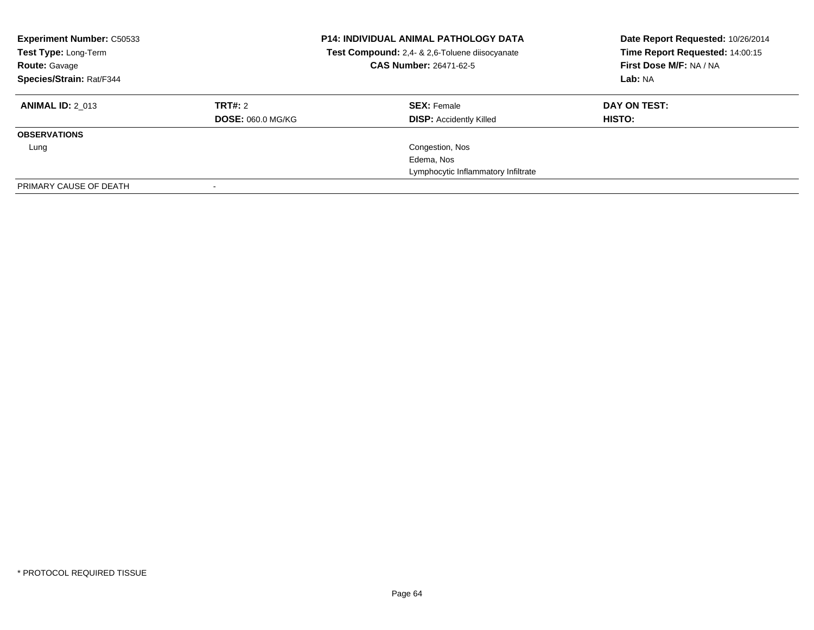| <b>Experiment Number: C50533</b><br>Test Type: Long-Term<br><b>Route: Gavage</b><br>Species/Strain: Rat/F344 |                          | <b>P14: INDIVIDUAL ANIMAL PATHOLOGY DATA</b><br>Test Compound: 2,4- & 2,6-Toluene diisocyanate<br>CAS Number: 26471-62-5 | Date Report Requested: 10/26/2014<br>Time Report Requested: 14:00:15<br>First Dose M/F: NA / NA<br>Lab: NA |
|--------------------------------------------------------------------------------------------------------------|--------------------------|--------------------------------------------------------------------------------------------------------------------------|------------------------------------------------------------------------------------------------------------|
| <b>ANIMAL ID: 2 013</b>                                                                                      | TRT#: 2                  | <b>SEX: Female</b>                                                                                                       | DAY ON TEST:                                                                                               |
|                                                                                                              | <b>DOSE: 060.0 MG/KG</b> | <b>DISP:</b> Accidently Killed                                                                                           | HISTO:                                                                                                     |
| <b>OBSERVATIONS</b>                                                                                          |                          |                                                                                                                          |                                                                                                            |
| Lung                                                                                                         |                          | Congestion, Nos                                                                                                          |                                                                                                            |
|                                                                                                              |                          | Edema, Nos                                                                                                               |                                                                                                            |
|                                                                                                              |                          | Lymphocytic Inflammatory Infiltrate                                                                                      |                                                                                                            |
| PRIMARY CAUSE OF DEATH                                                                                       |                          |                                                                                                                          |                                                                                                            |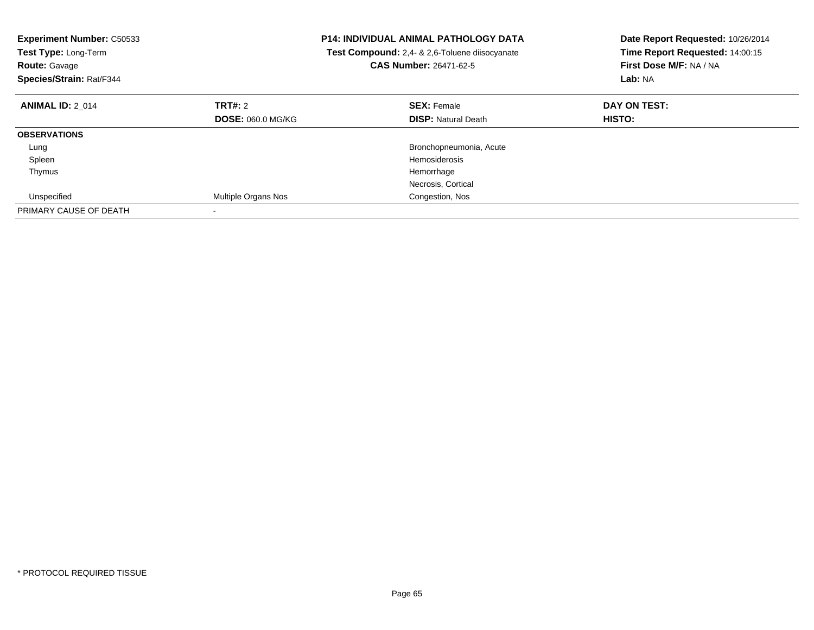| <b>Experiment Number: C50533</b><br>Test Type: Long-Term<br><b>Route: Gavage</b><br>Species/Strain: Rat/F344 | <b>P14: INDIVIDUAL ANIMAL PATHOLOGY DATA</b><br>Test Compound: 2,4- & 2,6-Toluene diisocyanate<br><b>CAS Number: 26471-62-5</b> |                            | Date Report Requested: 10/26/2014<br>Time Report Requested: 14:00:15<br>First Dose M/F: NA / NA<br>Lab: NA |
|--------------------------------------------------------------------------------------------------------------|---------------------------------------------------------------------------------------------------------------------------------|----------------------------|------------------------------------------------------------------------------------------------------------|
| <b>ANIMAL ID: 2 014</b>                                                                                      | TRT#: 2                                                                                                                         | <b>SEX: Female</b>         | DAY ON TEST:                                                                                               |
|                                                                                                              | <b>DOSE: 060.0 MG/KG</b>                                                                                                        | <b>DISP:</b> Natural Death | HISTO:                                                                                                     |
| <b>OBSERVATIONS</b>                                                                                          |                                                                                                                                 |                            |                                                                                                            |
| Lung                                                                                                         |                                                                                                                                 | Bronchopneumonia, Acute    |                                                                                                            |
| Spleen                                                                                                       |                                                                                                                                 | Hemosiderosis              |                                                                                                            |
| Thymus                                                                                                       |                                                                                                                                 | Hemorrhage                 |                                                                                                            |
|                                                                                                              |                                                                                                                                 | Necrosis, Cortical         |                                                                                                            |
| Unspecified                                                                                                  | Multiple Organs Nos                                                                                                             | Congestion, Nos            |                                                                                                            |
| PRIMARY CAUSE OF DEATH                                                                                       |                                                                                                                                 |                            |                                                                                                            |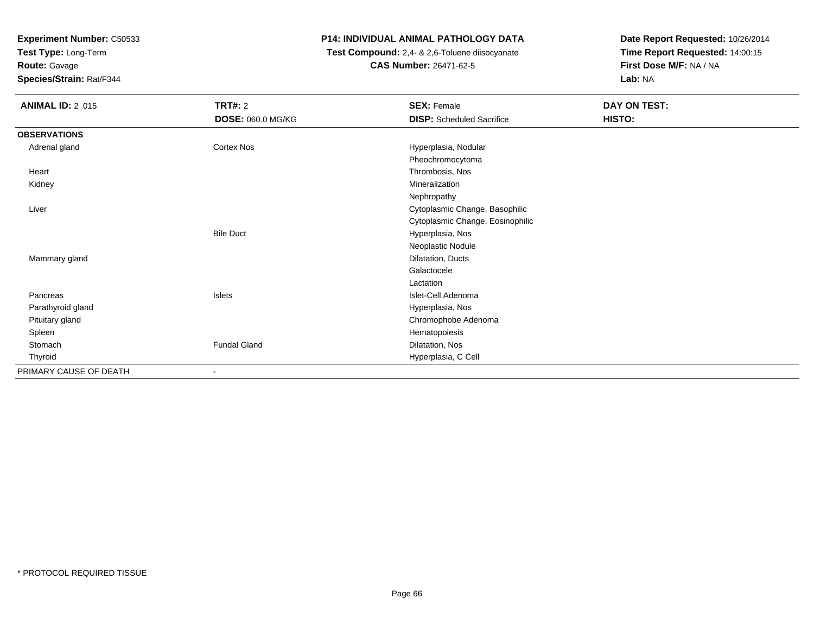**Test Type:** Long-Term

**Route:** Gavage

**Species/Strain:** Rat/F344

# **P14: INDIVIDUAL ANIMAL PATHOLOGY DATA**

 **Test Compound:** 2,4- & 2,6-Toluene diisocyanate**CAS Number:** 26471-62-5

| <b>ANIMAL ID: 2_015</b> | <b>TRT#: 2</b>           | <b>SEX: Female</b>               | DAY ON TEST: |
|-------------------------|--------------------------|----------------------------------|--------------|
|                         | <b>DOSE: 060.0 MG/KG</b> | <b>DISP:</b> Scheduled Sacrifice | HISTO:       |
| <b>OBSERVATIONS</b>     |                          |                                  |              |
| Adrenal gland           | Cortex Nos               | Hyperplasia, Nodular             |              |
|                         |                          | Pheochromocytoma                 |              |
| Heart                   |                          | Thrombosis, Nos                  |              |
| Kidney                  |                          | Mineralization                   |              |
|                         |                          | Nephropathy                      |              |
| Liver                   |                          | Cytoplasmic Change, Basophilic   |              |
|                         |                          | Cytoplasmic Change, Eosinophilic |              |
|                         | <b>Bile Duct</b>         | Hyperplasia, Nos                 |              |
|                         |                          | Neoplastic Nodule                |              |
| Mammary gland           |                          | Dilatation, Ducts                |              |
|                         |                          | Galactocele                      |              |
|                         |                          | Lactation                        |              |
| Pancreas                | Islets                   | Islet-Cell Adenoma               |              |
| Parathyroid gland       |                          | Hyperplasia, Nos                 |              |
| Pituitary gland         |                          | Chromophobe Adenoma              |              |
| Spleen                  |                          | Hematopoiesis                    |              |
| Stomach                 | <b>Fundal Gland</b>      | Dilatation, Nos                  |              |
| Thyroid                 |                          | Hyperplasia, C Cell              |              |
| PRIMARY CAUSE OF DEATH  |                          |                                  |              |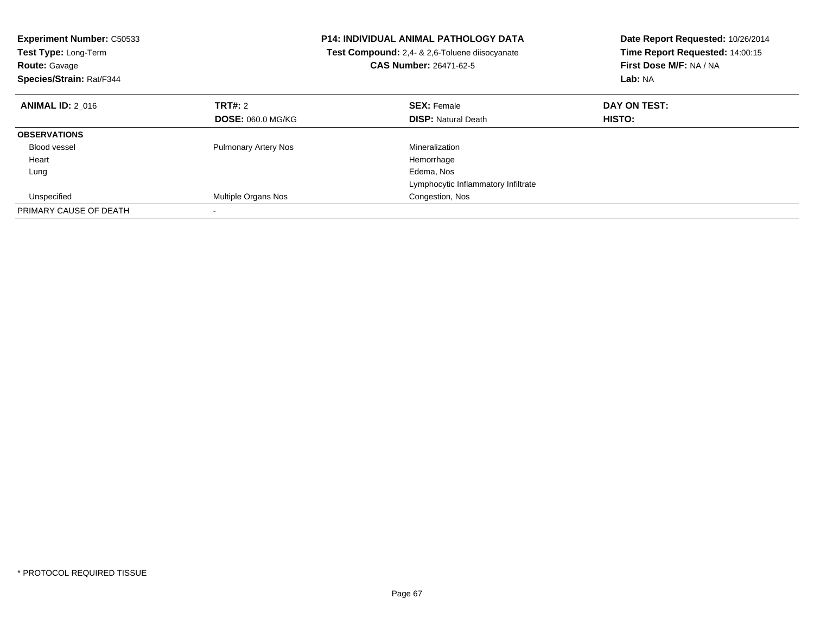| <b>Experiment Number: C50533</b><br>Test Type: Long-Term<br><b>Route: Gavage</b><br>Species/Strain: Rat/F344 |                             | <b>P14: INDIVIDUAL ANIMAL PATHOLOGY DATA</b><br>Test Compound: 2,4- & 2,6-Toluene diisocyanate<br><b>CAS Number: 26471-62-5</b> | Date Report Requested: 10/26/2014<br>Time Report Requested: 14:00:15<br>First Dose M/F: NA / NA<br>Lab: NA |
|--------------------------------------------------------------------------------------------------------------|-----------------------------|---------------------------------------------------------------------------------------------------------------------------------|------------------------------------------------------------------------------------------------------------|
| <b>ANIMAL ID: 2 016</b>                                                                                      | <b>TRT#: 2</b>              | <b>SEX: Female</b>                                                                                                              | DAY ON TEST:                                                                                               |
|                                                                                                              | <b>DOSE: 060.0 MG/KG</b>    | <b>DISP: Natural Death</b>                                                                                                      | HISTO:                                                                                                     |
| <b>OBSERVATIONS</b>                                                                                          |                             |                                                                                                                                 |                                                                                                            |
| Blood vessel                                                                                                 | <b>Pulmonary Artery Nos</b> | Mineralization                                                                                                                  |                                                                                                            |
| Heart                                                                                                        |                             | Hemorrhage                                                                                                                      |                                                                                                            |
| Lung                                                                                                         |                             | Edema, Nos                                                                                                                      |                                                                                                            |
|                                                                                                              |                             | Lymphocytic Inflammatory Infiltrate                                                                                             |                                                                                                            |
| Unspecified                                                                                                  | Multiple Organs Nos         | Congestion, Nos                                                                                                                 |                                                                                                            |
| PRIMARY CAUSE OF DEATH                                                                                       |                             |                                                                                                                                 |                                                                                                            |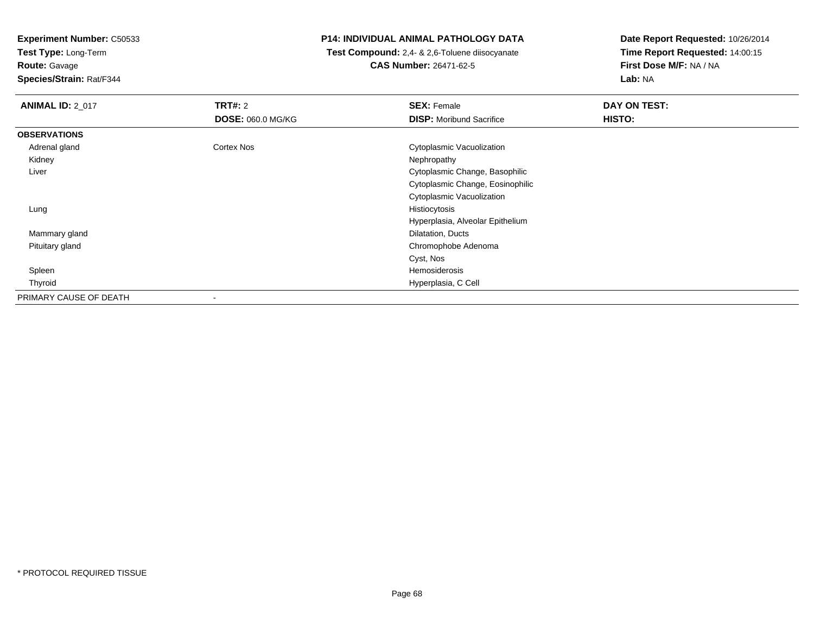**Test Type:** Long-Term

**Route:** Gavage

**Species/Strain:** Rat/F344

# **P14: INDIVIDUAL ANIMAL PATHOLOGY DATA**

 **Test Compound:** 2,4- & 2,6-Toluene diisocyanate**CAS Number:** 26471-62-5

| <b>ANIMAL ID: 2 017</b> | TRT#: 2                  | <b>SEX: Female</b>               | DAY ON TEST: |
|-------------------------|--------------------------|----------------------------------|--------------|
|                         | <b>DOSE: 060.0 MG/KG</b> | <b>DISP:</b> Moribund Sacrifice  | HISTO:       |
| <b>OBSERVATIONS</b>     |                          |                                  |              |
| Adrenal gland           | Cortex Nos               | <b>Cytoplasmic Vacuolization</b> |              |
| Kidney                  |                          | Nephropathy                      |              |
| Liver                   |                          | Cytoplasmic Change, Basophilic   |              |
|                         |                          | Cytoplasmic Change, Eosinophilic |              |
|                         |                          | <b>Cytoplasmic Vacuolization</b> |              |
| Lung                    |                          | Histiocytosis                    |              |
|                         |                          | Hyperplasia, Alveolar Epithelium |              |
| Mammary gland           |                          | Dilatation, Ducts                |              |
| Pituitary gland         |                          | Chromophobe Adenoma              |              |
|                         |                          | Cyst, Nos                        |              |
| Spleen                  |                          | Hemosiderosis                    |              |
| Thyroid                 |                          | Hyperplasia, C Cell              |              |
| PRIMARY CAUSE OF DEATH  |                          |                                  |              |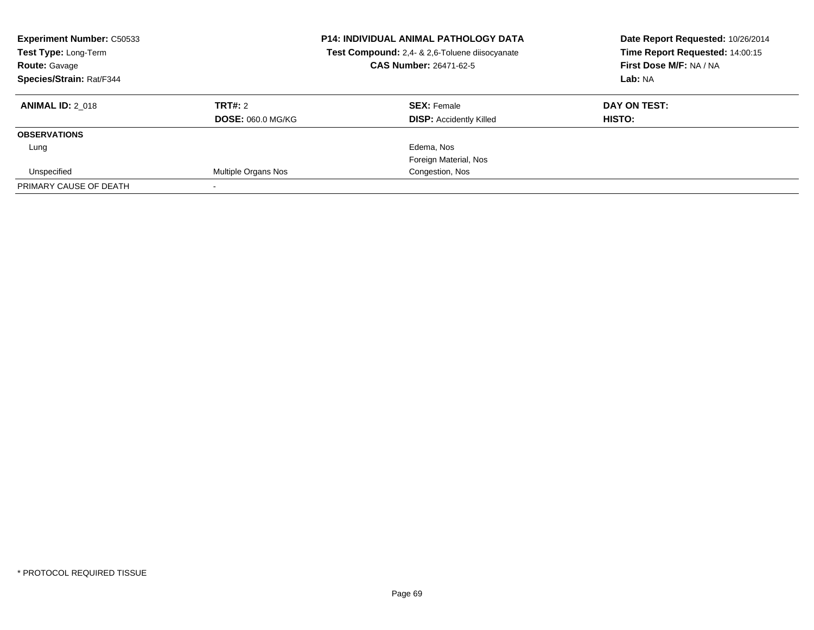| <b>Experiment Number: C50533</b><br>Test Type: Long-Term<br><b>Route: Gavage</b><br>Species/Strain: Rat/F344 |                          | <b>P14: INDIVIDUAL ANIMAL PATHOLOGY DATA</b><br>Test Compound: 2,4- & 2,6-Toluene diisocyanate<br><b>CAS Number: 26471-62-5</b> | Date Report Requested: 10/26/2014<br>Time Report Requested: 14:00:15<br>First Dose M/F: NA / NA<br>Lab: NA |
|--------------------------------------------------------------------------------------------------------------|--------------------------|---------------------------------------------------------------------------------------------------------------------------------|------------------------------------------------------------------------------------------------------------|
| <b>ANIMAL ID: 2 018</b>                                                                                      | TRT#: 2                  | <b>SEX: Female</b>                                                                                                              | DAY ON TEST:                                                                                               |
|                                                                                                              | <b>DOSE: 060.0 MG/KG</b> | <b>DISP:</b> Accidently Killed                                                                                                  | HISTO:                                                                                                     |
| <b>OBSERVATIONS</b>                                                                                          |                          |                                                                                                                                 |                                                                                                            |
| Lung                                                                                                         |                          | Edema, Nos                                                                                                                      |                                                                                                            |
|                                                                                                              |                          | Foreign Material, Nos                                                                                                           |                                                                                                            |
| Unspecified                                                                                                  | Multiple Organs Nos      | Congestion, Nos                                                                                                                 |                                                                                                            |
| PRIMARY CAUSE OF DEATH                                                                                       |                          |                                                                                                                                 |                                                                                                            |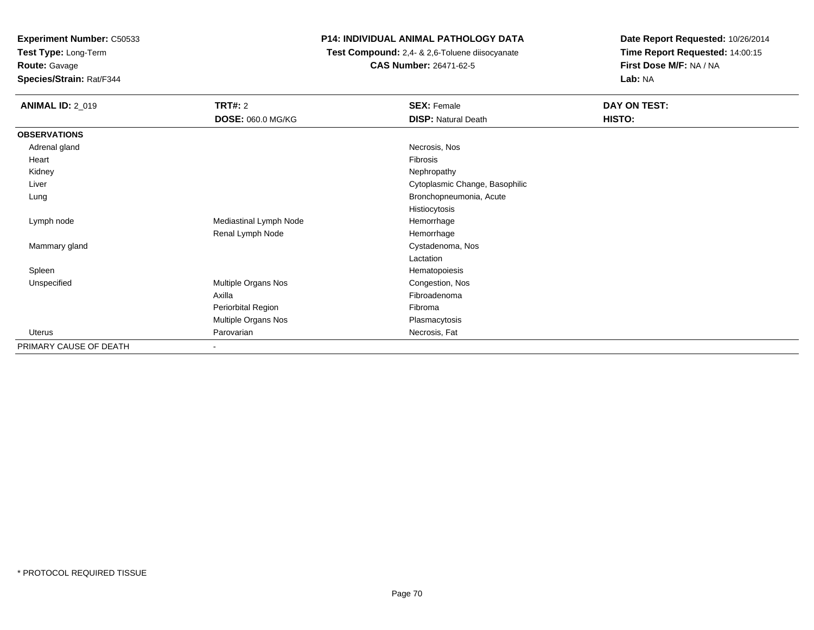**Test Type:** Long-Term**Route:** Gavage

**Species/Strain:** Rat/F344

# **P14: INDIVIDUAL ANIMAL PATHOLOGY DATA**

 **Test Compound:** 2,4- & 2,6-Toluene diisocyanate**CAS Number:** 26471-62-5

| <b>ANIMAL ID: 2_019</b> | <b>TRT#: 2</b>           | <b>SEX: Female</b>             | DAY ON TEST: |
|-------------------------|--------------------------|--------------------------------|--------------|
|                         | <b>DOSE: 060.0 MG/KG</b> | <b>DISP: Natural Death</b>     | HISTO:       |
| <b>OBSERVATIONS</b>     |                          |                                |              |
| Adrenal gland           |                          | Necrosis, Nos                  |              |
| Heart                   |                          | Fibrosis                       |              |
| Kidney                  |                          | Nephropathy                    |              |
| Liver                   |                          | Cytoplasmic Change, Basophilic |              |
| Lung                    |                          | Bronchopneumonia, Acute        |              |
|                         |                          | Histiocytosis                  |              |
| Lymph node              | Mediastinal Lymph Node   | Hemorrhage                     |              |
|                         | Renal Lymph Node         | Hemorrhage                     |              |
| Mammary gland           |                          | Cystadenoma, Nos               |              |
|                         |                          | Lactation                      |              |
| Spleen                  |                          | Hematopoiesis                  |              |
| Unspecified             | Multiple Organs Nos      | Congestion, Nos                |              |
|                         | Axilla                   | Fibroadenoma                   |              |
|                         | Periorbital Region       | Fibroma                        |              |
|                         | Multiple Organs Nos      | Plasmacytosis                  |              |
| Uterus                  | Parovarian               | Necrosis, Fat                  |              |
| PRIMARY CAUSE OF DEATH  | $\overline{\phantom{a}}$ |                                |              |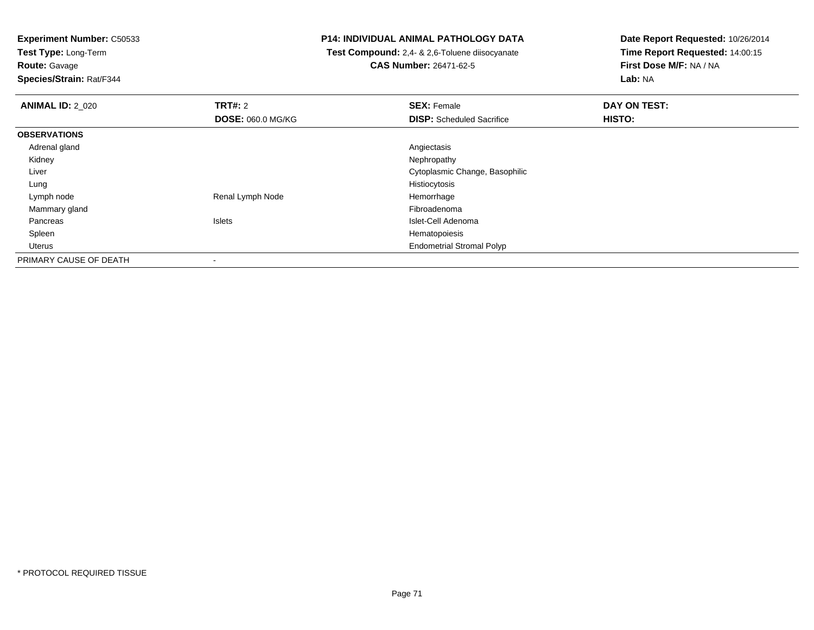**Test Type:** Long-Term

**Route:** Gavage

**Species/Strain:** Rat/F344

# **P14: INDIVIDUAL ANIMAL PATHOLOGY DATA**

 **Test Compound:** 2,4- & 2,6-Toluene diisocyanate**CAS Number:** 26471-62-5

| <b>ANIMAL ID: 2 020</b> | <b>TRT#: 2</b>           | <b>SEX: Female</b>               | DAY ON TEST: |  |
|-------------------------|--------------------------|----------------------------------|--------------|--|
|                         | <b>DOSE: 060.0 MG/KG</b> | <b>DISP:</b> Scheduled Sacrifice | HISTO:       |  |
| <b>OBSERVATIONS</b>     |                          |                                  |              |  |
| Adrenal gland           |                          | Angiectasis                      |              |  |
| Kidney                  |                          | Nephropathy                      |              |  |
| Liver                   |                          | Cytoplasmic Change, Basophilic   |              |  |
| Lung                    |                          | Histiocytosis                    |              |  |
| Lymph node              | Renal Lymph Node         | Hemorrhage                       |              |  |
| Mammary gland           |                          | Fibroadenoma                     |              |  |
| Pancreas                | <b>Islets</b>            | Islet-Cell Adenoma               |              |  |
| Spleen                  |                          | Hematopoiesis                    |              |  |
| Uterus                  |                          | <b>Endometrial Stromal Polyp</b> |              |  |
| PRIMARY CAUSE OF DEATH  |                          |                                  |              |  |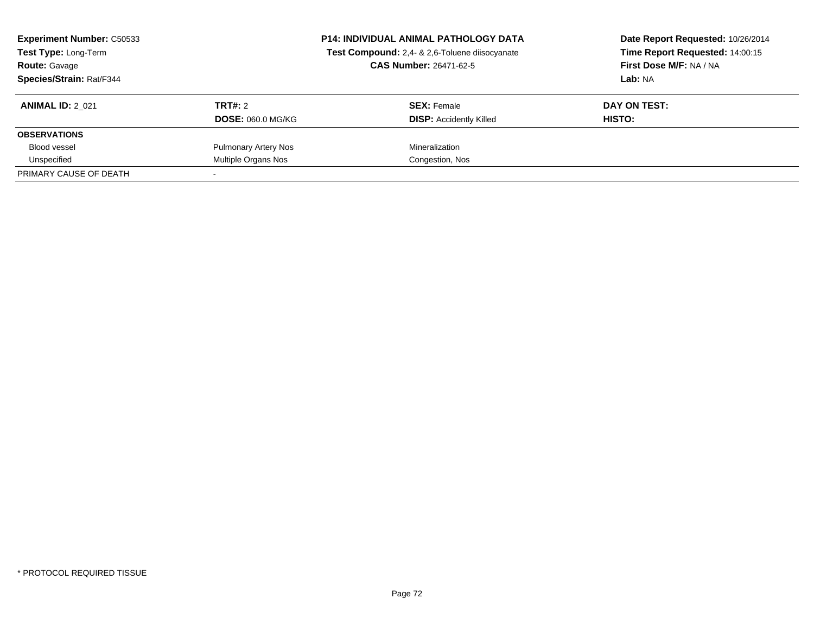| <b>Experiment Number: C50533</b><br><b>Test Type: Long-Term</b><br><b>Route: Gavage</b><br>Species/Strain: Rat/F344 |                             | <b>P14: INDIVIDUAL ANIMAL PATHOLOGY DATA</b><br>Test Compound: 2,4- & 2,6-Toluene diisocyanate<br><b>CAS Number: 26471-62-5</b> | Date Report Requested: 10/26/2014<br>Time Report Requested: 14:00:15<br>First Dose M/F: NA / NA<br>Lab: NA |
|---------------------------------------------------------------------------------------------------------------------|-----------------------------|---------------------------------------------------------------------------------------------------------------------------------|------------------------------------------------------------------------------------------------------------|
| <b>ANIMAL ID: 2 021</b>                                                                                             | TRT#: 2                     | <b>SEX: Female</b>                                                                                                              | DAY ON TEST:                                                                                               |
|                                                                                                                     | <b>DOSE: 060.0 MG/KG</b>    | <b>DISP: Accidently Killed</b>                                                                                                  | <b>HISTO:</b>                                                                                              |
| <b>OBSERVATIONS</b>                                                                                                 |                             |                                                                                                                                 |                                                                                                            |
| <b>Blood vessel</b>                                                                                                 | <b>Pulmonary Artery Nos</b> | Mineralization                                                                                                                  |                                                                                                            |
| Unspecified                                                                                                         | Multiple Organs Nos         | Congestion, Nos                                                                                                                 |                                                                                                            |
| PRIMARY CAUSE OF DEATH                                                                                              |                             |                                                                                                                                 |                                                                                                            |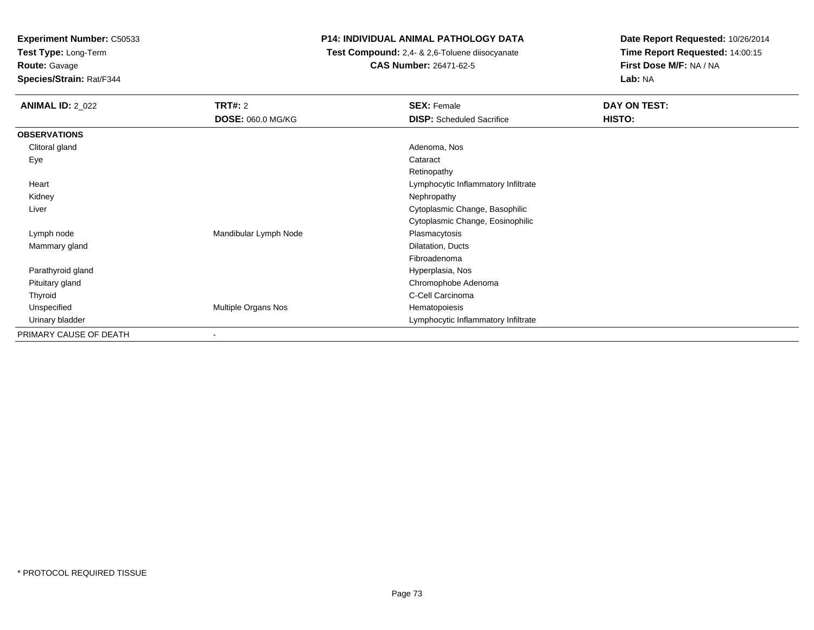**Test Type:** Long-Term

### **Route:** Gavage

**Species/Strain:** Rat/F344

### **P14: INDIVIDUAL ANIMAL PATHOLOGY DATA**

 **Test Compound:** 2,4- & 2,6-Toluene diisocyanate**CAS Number:** 26471-62-5

| <b>ANIMAL ID: 2_022</b> | <b>TRT#: 2</b>             | <b>SEX: Female</b>                  | DAY ON TEST: |
|-------------------------|----------------------------|-------------------------------------|--------------|
|                         | <b>DOSE: 060.0 MG/KG</b>   | <b>DISP:</b> Scheduled Sacrifice    | HISTO:       |
| <b>OBSERVATIONS</b>     |                            |                                     |              |
| Clitoral gland          |                            | Adenoma, Nos                        |              |
| Eye                     |                            | Cataract                            |              |
|                         |                            | Retinopathy                         |              |
| Heart                   |                            | Lymphocytic Inflammatory Infiltrate |              |
| Kidney                  |                            | Nephropathy                         |              |
| Liver                   |                            | Cytoplasmic Change, Basophilic      |              |
|                         |                            | Cytoplasmic Change, Eosinophilic    |              |
| Lymph node              | Mandibular Lymph Node      | Plasmacytosis                       |              |
| Mammary gland           |                            | Dilatation, Ducts                   |              |
|                         |                            | Fibroadenoma                        |              |
| Parathyroid gland       |                            | Hyperplasia, Nos                    |              |
| Pituitary gland         |                            | Chromophobe Adenoma                 |              |
| Thyroid                 |                            | C-Cell Carcinoma                    |              |
| Unspecified             | <b>Multiple Organs Nos</b> | Hematopoiesis                       |              |
| Urinary bladder         |                            | Lymphocytic Inflammatory Infiltrate |              |
| PRIMARY CAUSE OF DEATH  | ۰                          |                                     |              |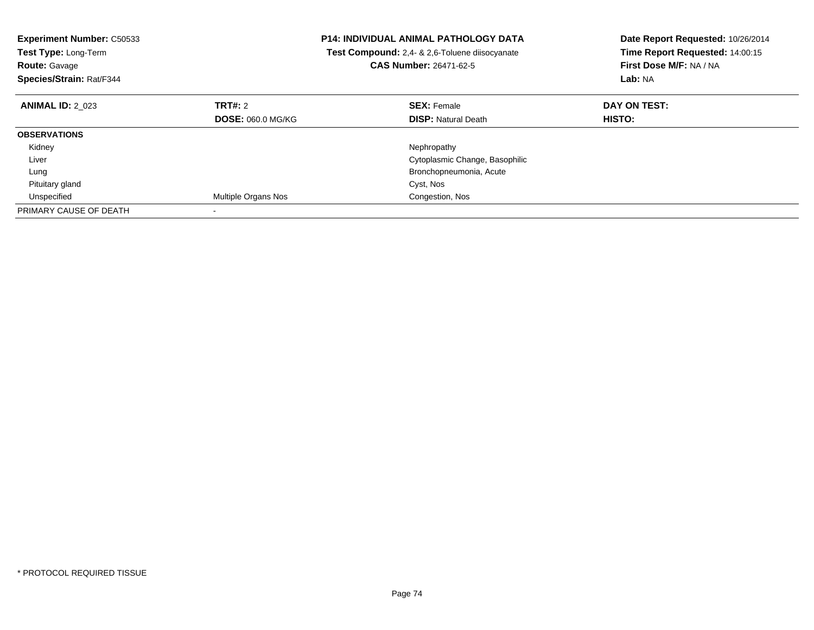| <b>Experiment Number: C50533</b><br>Test Type: Long-Term<br><b>Route: Gavage</b><br>Species/Strain: Rat/F344 |                          | <b>P14: INDIVIDUAL ANIMAL PATHOLOGY DATA</b><br>Test Compound: 2,4- & 2,6-Toluene diisocyanate<br><b>CAS Number: 26471-62-5</b> | Date Report Requested: 10/26/2014<br>Time Report Requested: 14:00:15<br>First Dose M/F: NA / NA<br>Lab: NA |
|--------------------------------------------------------------------------------------------------------------|--------------------------|---------------------------------------------------------------------------------------------------------------------------------|------------------------------------------------------------------------------------------------------------|
| <b>ANIMAL ID: 2 023</b>                                                                                      | <b>TRT#: 2</b>           | <b>SEX: Female</b>                                                                                                              | DAY ON TEST:                                                                                               |
|                                                                                                              | <b>DOSE: 060.0 MG/KG</b> | <b>DISP: Natural Death</b>                                                                                                      | HISTO:                                                                                                     |
| <b>OBSERVATIONS</b>                                                                                          |                          |                                                                                                                                 |                                                                                                            |
| Kidney                                                                                                       |                          | Nephropathy                                                                                                                     |                                                                                                            |
| Liver                                                                                                        |                          | Cytoplasmic Change, Basophilic                                                                                                  |                                                                                                            |
| Lung                                                                                                         |                          | Bronchopneumonia, Acute                                                                                                         |                                                                                                            |
| Pituitary gland                                                                                              |                          | Cyst, Nos                                                                                                                       |                                                                                                            |
| Unspecified                                                                                                  | Multiple Organs Nos      | Congestion, Nos                                                                                                                 |                                                                                                            |
| PRIMARY CAUSE OF DEATH                                                                                       |                          |                                                                                                                                 |                                                                                                            |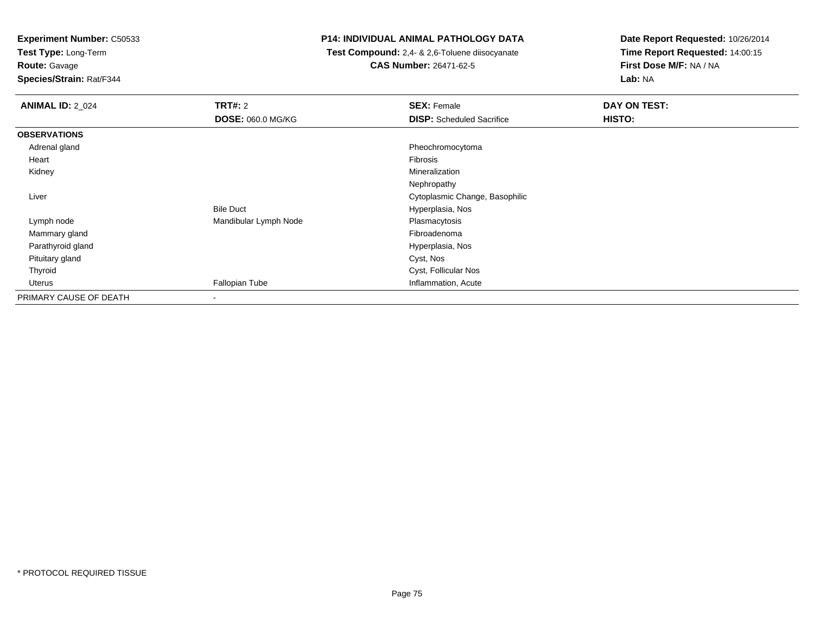**Test Type:** Long-Term

**Route:** Gavage

**Species/Strain:** Rat/F344

### **P14: INDIVIDUAL ANIMAL PATHOLOGY DATA**

 **Test Compound:** 2,4- & 2,6-Toluene diisocyanate**CAS Number:** 26471-62-5

| <b>ANIMAL ID: 2_024</b> | TRT#: 2                  | <b>SEX: Female</b>               | DAY ON TEST: |
|-------------------------|--------------------------|----------------------------------|--------------|
|                         | <b>DOSE: 060.0 MG/KG</b> | <b>DISP:</b> Scheduled Sacrifice | HISTO:       |
| <b>OBSERVATIONS</b>     |                          |                                  |              |
| Adrenal gland           |                          | Pheochromocytoma                 |              |
| Heart                   |                          | Fibrosis                         |              |
| Kidney                  |                          | Mineralization                   |              |
|                         |                          | Nephropathy                      |              |
| Liver                   |                          | Cytoplasmic Change, Basophilic   |              |
|                         | <b>Bile Duct</b>         | Hyperplasia, Nos                 |              |
| Lymph node              | Mandibular Lymph Node    | Plasmacytosis                    |              |
| Mammary gland           |                          | Fibroadenoma                     |              |
| Parathyroid gland       |                          | Hyperplasia, Nos                 |              |
| Pituitary gland         |                          | Cyst, Nos                        |              |
| Thyroid                 |                          | Cyst, Follicular Nos             |              |
| Uterus                  | Fallopian Tube           | Inflammation, Acute              |              |
| PRIMARY CAUSE OF DEATH  | $\overline{\phantom{a}}$ |                                  |              |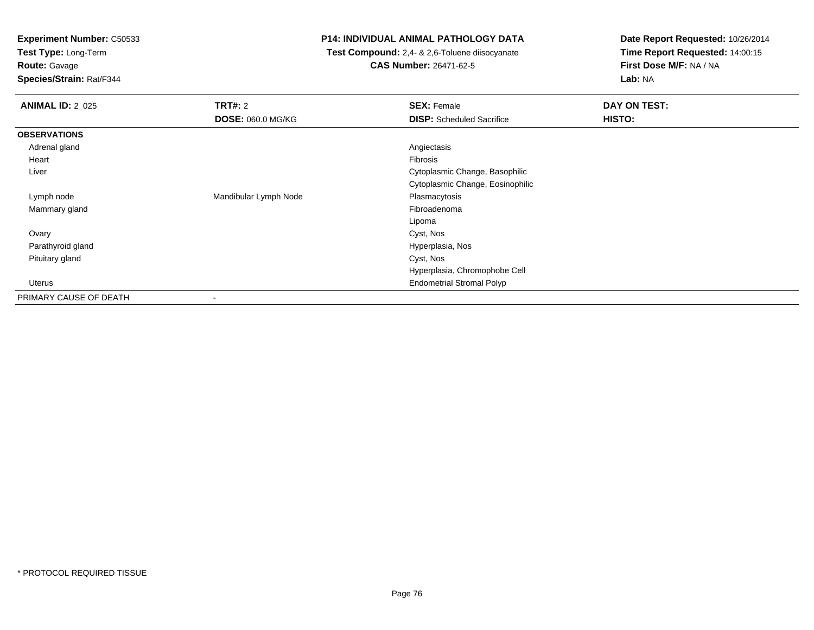**Test Type:** Long-Term

**Route:** Gavage

**Species/Strain:** Rat/F344

### **P14: INDIVIDUAL ANIMAL PATHOLOGY DATA**

 **Test Compound:** 2,4- & 2,6-Toluene diisocyanate**CAS Number:** 26471-62-5

| <b>ANIMAL ID: 2_025</b> | TRT#: 2                  | <b>SEX: Female</b>               | DAY ON TEST: |
|-------------------------|--------------------------|----------------------------------|--------------|
|                         | <b>DOSE: 060.0 MG/KG</b> | <b>DISP:</b> Scheduled Sacrifice | HISTO:       |
| <b>OBSERVATIONS</b>     |                          |                                  |              |
| Adrenal gland           |                          | Angiectasis                      |              |
| Heart                   |                          | Fibrosis                         |              |
| Liver                   |                          | Cytoplasmic Change, Basophilic   |              |
|                         |                          | Cytoplasmic Change, Eosinophilic |              |
| Lymph node              | Mandibular Lymph Node    | Plasmacytosis                    |              |
| Mammary gland           |                          | Fibroadenoma                     |              |
|                         |                          | Lipoma                           |              |
| Ovary                   |                          | Cyst, Nos                        |              |
| Parathyroid gland       |                          | Hyperplasia, Nos                 |              |
| Pituitary gland         |                          | Cyst, Nos                        |              |
|                         |                          | Hyperplasia, Chromophobe Cell    |              |
| Uterus                  |                          | <b>Endometrial Stromal Polyp</b> |              |
| PRIMARY CAUSE OF DEATH  | $\overline{\phantom{a}}$ |                                  |              |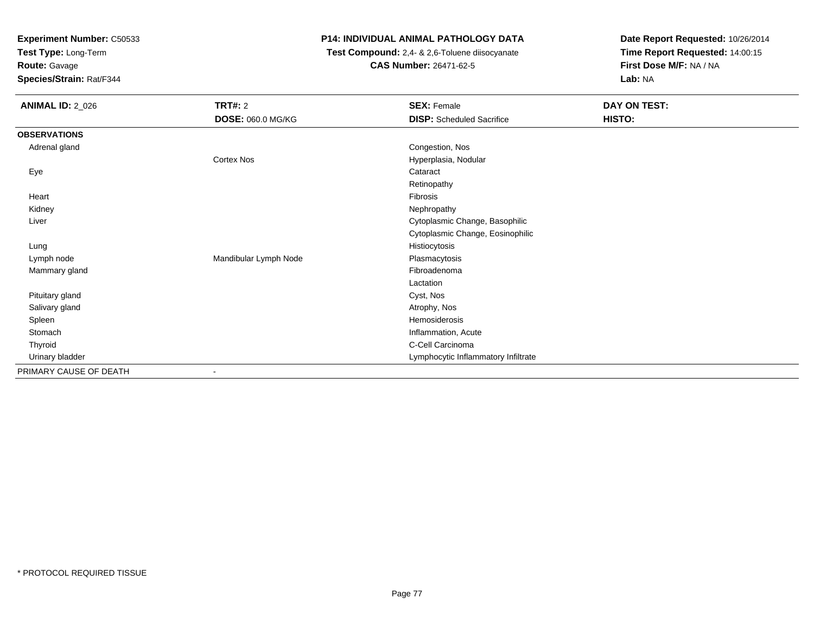**Test Type:** Long-Term

# **Route:** Gavage

**Species/Strain:** Rat/F344

### **P14: INDIVIDUAL ANIMAL PATHOLOGY DATA**

 **Test Compound:** 2,4- & 2,6-Toluene diisocyanate**CAS Number:** 26471-62-5

| <b>ANIMAL ID: 2_026</b> | TRT#: 2               | <b>SEX: Female</b>                  | DAY ON TEST: |
|-------------------------|-----------------------|-------------------------------------|--------------|
|                         | DOSE: 060.0 MG/KG     | <b>DISP:</b> Scheduled Sacrifice    | HISTO:       |
| <b>OBSERVATIONS</b>     |                       |                                     |              |
| Adrenal gland           |                       | Congestion, Nos                     |              |
|                         | <b>Cortex Nos</b>     | Hyperplasia, Nodular                |              |
| Eye                     |                       | Cataract                            |              |
|                         |                       | Retinopathy                         |              |
| Heart                   |                       | Fibrosis                            |              |
| Kidney                  |                       | Nephropathy                         |              |
| Liver                   |                       | Cytoplasmic Change, Basophilic      |              |
|                         |                       | Cytoplasmic Change, Eosinophilic    |              |
| Lung                    |                       | Histiocytosis                       |              |
| Lymph node              | Mandibular Lymph Node | Plasmacytosis                       |              |
| Mammary gland           |                       | Fibroadenoma                        |              |
|                         |                       | Lactation                           |              |
| Pituitary gland         |                       | Cyst, Nos                           |              |
| Salivary gland          |                       | Atrophy, Nos                        |              |
| Spleen                  |                       | Hemosiderosis                       |              |
| Stomach                 |                       | Inflammation, Acute                 |              |
| Thyroid                 |                       | C-Cell Carcinoma                    |              |
| Urinary bladder         |                       | Lymphocytic Inflammatory Infiltrate |              |
| PRIMARY CAUSE OF DEATH  |                       |                                     |              |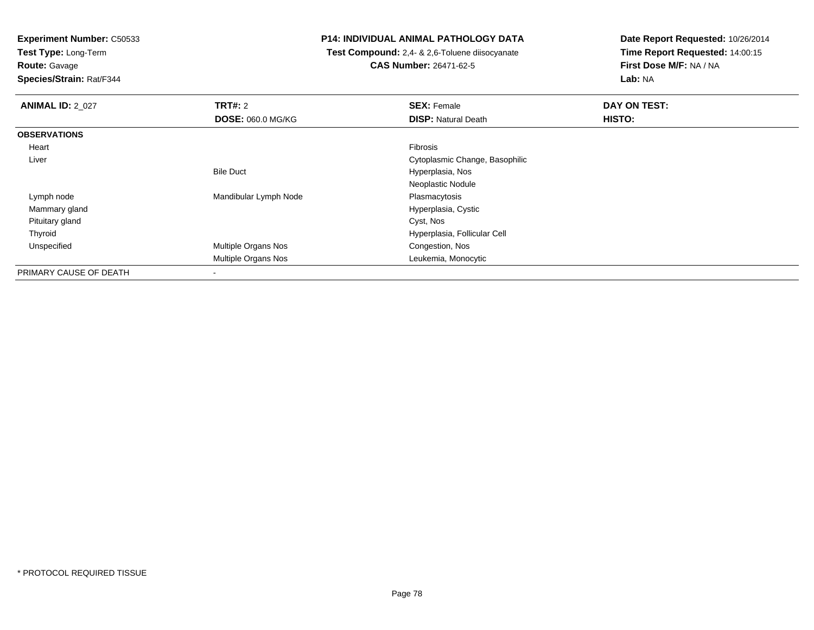**Test Type:** Long-Term

**Route:** Gavage

**Species/Strain:** Rat/F344

### **P14: INDIVIDUAL ANIMAL PATHOLOGY DATA**

 **Test Compound:** 2,4- & 2,6-Toluene diisocyanate**CAS Number:** 26471-62-5

| <b>ANIMAL ID: 2 027</b> | TRT#: 2                  | <b>SEX: Female</b>             | DAY ON TEST: |  |
|-------------------------|--------------------------|--------------------------------|--------------|--|
|                         | <b>DOSE: 060.0 MG/KG</b> | <b>DISP: Natural Death</b>     | HISTO:       |  |
| <b>OBSERVATIONS</b>     |                          |                                |              |  |
| Heart                   |                          | Fibrosis                       |              |  |
| Liver                   |                          | Cytoplasmic Change, Basophilic |              |  |
|                         | <b>Bile Duct</b>         | Hyperplasia, Nos               |              |  |
|                         |                          | Neoplastic Nodule              |              |  |
| Lymph node              | Mandibular Lymph Node    | Plasmacytosis                  |              |  |
| Mammary gland           |                          | Hyperplasia, Cystic            |              |  |
| Pituitary gland         |                          | Cyst, Nos                      |              |  |
| Thyroid                 |                          | Hyperplasia, Follicular Cell   |              |  |
| Unspecified             | Multiple Organs Nos      | Congestion, Nos                |              |  |
|                         | Multiple Organs Nos      | Leukemia, Monocytic            |              |  |
| PRIMARY CAUSE OF DEATH  | ٠                        |                                |              |  |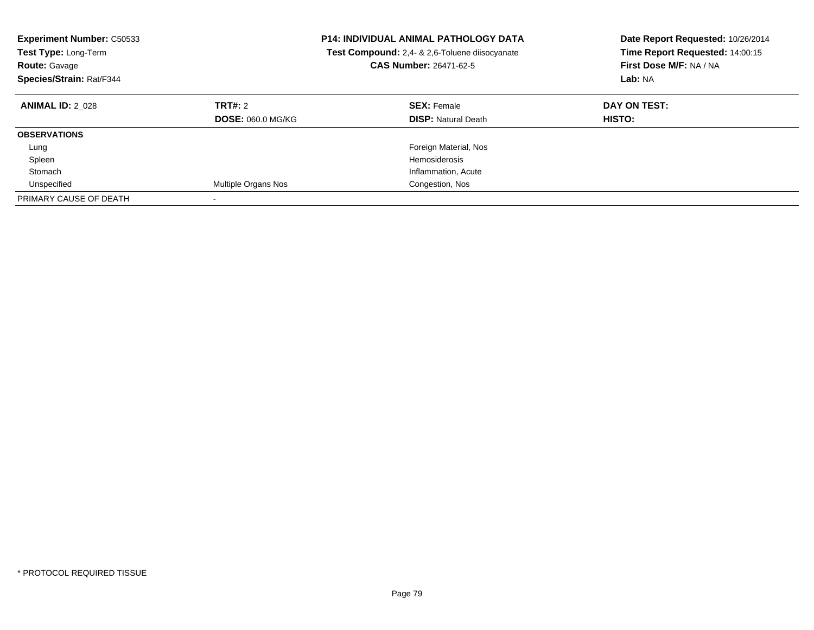| <b>Experiment Number: C50533</b><br><b>Test Type: Long-Term</b><br><b>Route: Gavage</b><br>Species/Strain: Rat/F344 |                                            | <b>P14: INDIVIDUAL ANIMAL PATHOLOGY DATA</b><br>Test Compound: 2,4- & 2,6-Toluene diisocyanate<br><b>CAS Number: 26471-62-5</b> | Date Report Requested: 10/26/2014<br>Time Report Requested: 14:00:15<br>First Dose M/F: NA / NA<br>Lab: NA |
|---------------------------------------------------------------------------------------------------------------------|--------------------------------------------|---------------------------------------------------------------------------------------------------------------------------------|------------------------------------------------------------------------------------------------------------|
| <b>ANIMAL ID: 2 028</b>                                                                                             | <b>TRT#: 2</b><br><b>DOSE: 060.0 MG/KG</b> | <b>SEX: Female</b><br><b>DISP:</b> Natural Death                                                                                | DAY ON TEST:<br><b>HISTO:</b>                                                                              |
| <b>OBSERVATIONS</b>                                                                                                 |                                            |                                                                                                                                 |                                                                                                            |
| Lung                                                                                                                |                                            | Foreign Material, Nos                                                                                                           |                                                                                                            |
| Spleen                                                                                                              |                                            | Hemosiderosis                                                                                                                   |                                                                                                            |
| Stomach                                                                                                             |                                            | Inflammation, Acute                                                                                                             |                                                                                                            |
| Unspecified                                                                                                         | Multiple Organs Nos                        | Congestion, Nos                                                                                                                 |                                                                                                            |
| PRIMARY CAUSE OF DEATH                                                                                              |                                            |                                                                                                                                 |                                                                                                            |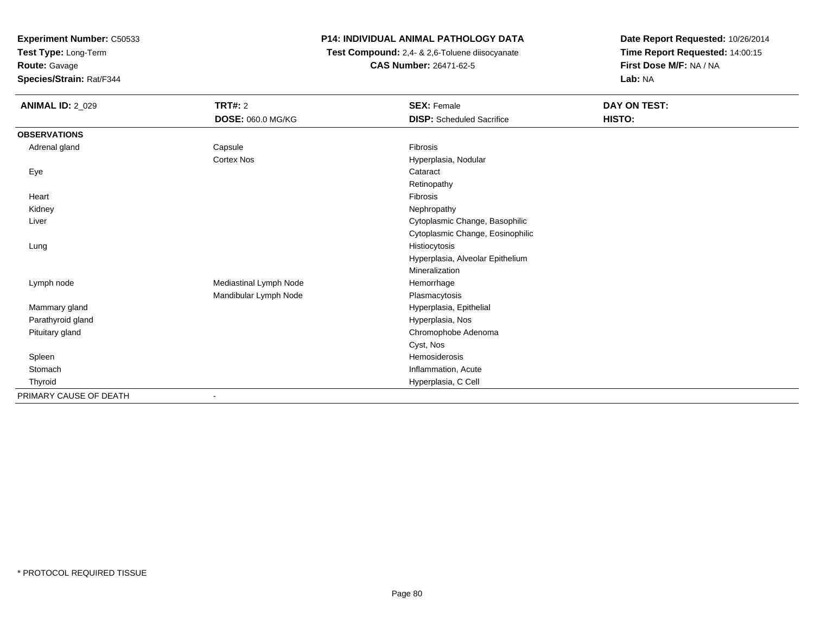**Test Type:** Long-Term

**Route:** Gavage

**Species/Strain:** Rat/F344

### **P14: INDIVIDUAL ANIMAL PATHOLOGY DATA**

 **Test Compound:** 2,4- & 2,6-Toluene diisocyanate**CAS Number:** 26471-62-5

| <b>ANIMAL ID: 2_029</b> | <b>TRT#: 2</b>         | <b>SEX: Female</b>               | DAY ON TEST: |
|-------------------------|------------------------|----------------------------------|--------------|
|                         | DOSE: 060.0 MG/KG      | <b>DISP:</b> Scheduled Sacrifice | HISTO:       |
| <b>OBSERVATIONS</b>     |                        |                                  |              |
| Adrenal gland           | Capsule                | Fibrosis                         |              |
|                         | <b>Cortex Nos</b>      | Hyperplasia, Nodular             |              |
| Eye                     |                        | Cataract                         |              |
|                         |                        | Retinopathy                      |              |
| Heart                   |                        | Fibrosis                         |              |
| Kidney                  |                        | Nephropathy                      |              |
| Liver                   |                        | Cytoplasmic Change, Basophilic   |              |
|                         |                        | Cytoplasmic Change, Eosinophilic |              |
| Lung                    |                        | Histiocytosis                    |              |
|                         |                        | Hyperplasia, Alveolar Epithelium |              |
|                         |                        | Mineralization                   |              |
| Lymph node              | Mediastinal Lymph Node | Hemorrhage                       |              |
|                         | Mandibular Lymph Node  | Plasmacytosis                    |              |
| Mammary gland           |                        | Hyperplasia, Epithelial          |              |
| Parathyroid gland       |                        | Hyperplasia, Nos                 |              |
| Pituitary gland         |                        | Chromophobe Adenoma              |              |
|                         |                        | Cyst, Nos                        |              |
| Spleen                  |                        | Hemosiderosis                    |              |
| Stomach                 |                        | Inflammation, Acute              |              |
| Thyroid                 |                        | Hyperplasia, C Cell              |              |
| PRIMARY CAUSE OF DEATH  | $\blacksquare$         |                                  |              |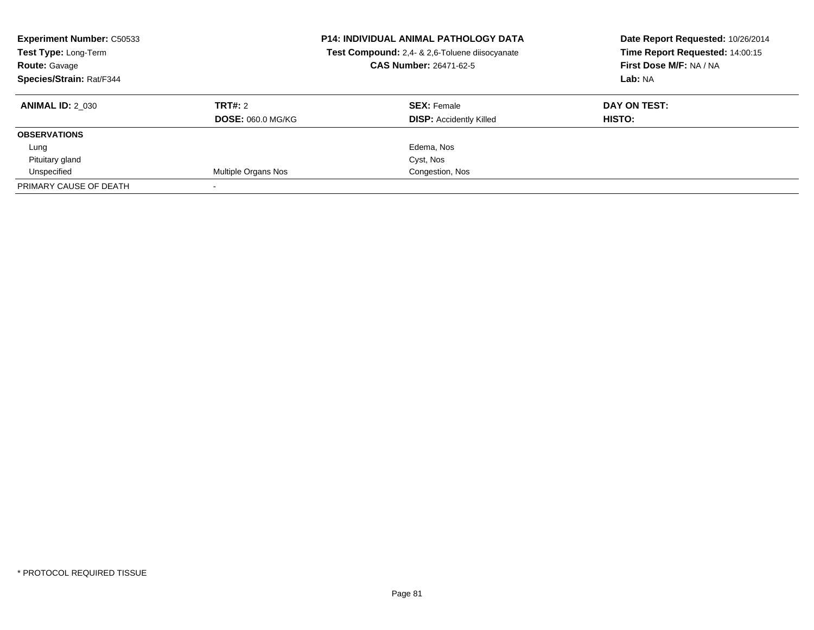| <b>Experiment Number: C50533</b><br>Test Type: Long-Term<br><b>Route: Gavage</b><br>Species/Strain: Rat/F344 |                          | <b>P14: INDIVIDUAL ANIMAL PATHOLOGY DATA</b><br>Test Compound: 2,4- & 2,6-Toluene diisocyanate<br><b>CAS Number: 26471-62-5</b> | Date Report Requested: 10/26/2014<br>Time Report Requested: 14:00:15<br>First Dose M/F: NA / NA<br>Lab: NA |
|--------------------------------------------------------------------------------------------------------------|--------------------------|---------------------------------------------------------------------------------------------------------------------------------|------------------------------------------------------------------------------------------------------------|
| <b>ANIMAL ID: 2 030</b>                                                                                      | TRT#: 2                  | <b>SEX: Female</b>                                                                                                              | DAY ON TEST:                                                                                               |
|                                                                                                              | <b>DOSE: 060.0 MG/KG</b> | <b>DISP:</b> Accidently Killed                                                                                                  | HISTO:                                                                                                     |
| <b>OBSERVATIONS</b>                                                                                          |                          |                                                                                                                                 |                                                                                                            |
| Lung                                                                                                         |                          | Edema, Nos                                                                                                                      |                                                                                                            |
| Pituitary gland                                                                                              |                          | Cyst, Nos                                                                                                                       |                                                                                                            |
| Unspecified                                                                                                  | Multiple Organs Nos      | Congestion, Nos                                                                                                                 |                                                                                                            |
| PRIMARY CAUSE OF DEATH                                                                                       |                          |                                                                                                                                 |                                                                                                            |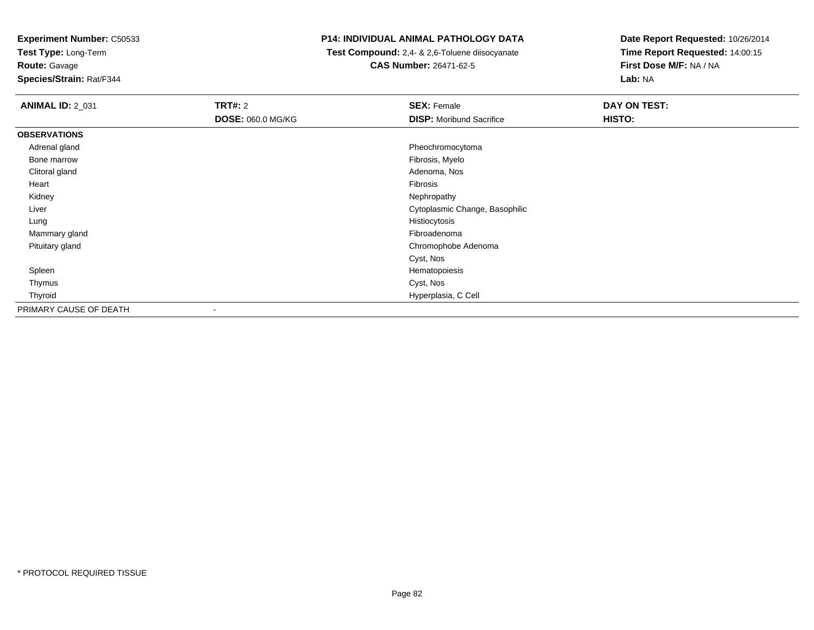**Test Type:** Long-Term**Route:** Gavage

**Species/Strain:** Rat/F344

### **P14: INDIVIDUAL ANIMAL PATHOLOGY DATA**

 **Test Compound:** 2,4- & 2,6-Toluene diisocyanate**CAS Number:** 26471-62-5

| <b>ANIMAL ID: 2_031</b> | <b>TRT#: 2</b>    | <b>SEX: Female</b>              | <b>DAY ON TEST:</b> |  |
|-------------------------|-------------------|---------------------------------|---------------------|--|
|                         | DOSE: 060.0 MG/KG | <b>DISP:</b> Moribund Sacrifice | HISTO:              |  |
| <b>OBSERVATIONS</b>     |                   |                                 |                     |  |
| Adrenal gland           |                   | Pheochromocytoma                |                     |  |
| Bone marrow             |                   | Fibrosis, Myelo                 |                     |  |
| Clitoral gland          |                   | Adenoma, Nos                    |                     |  |
| Heart                   |                   | Fibrosis                        |                     |  |
| Kidney                  |                   | Nephropathy                     |                     |  |
| Liver                   |                   | Cytoplasmic Change, Basophilic  |                     |  |
| Lung                    |                   | Histiocytosis                   |                     |  |
| Mammary gland           |                   | Fibroadenoma                    |                     |  |
| Pituitary gland         |                   | Chromophobe Adenoma             |                     |  |
|                         |                   | Cyst, Nos                       |                     |  |
| Spleen                  |                   | Hematopoiesis                   |                     |  |
| Thymus                  |                   | Cyst, Nos                       |                     |  |
| Thyroid                 |                   | Hyperplasia, C Cell             |                     |  |
| PRIMARY CAUSE OF DEATH  |                   |                                 |                     |  |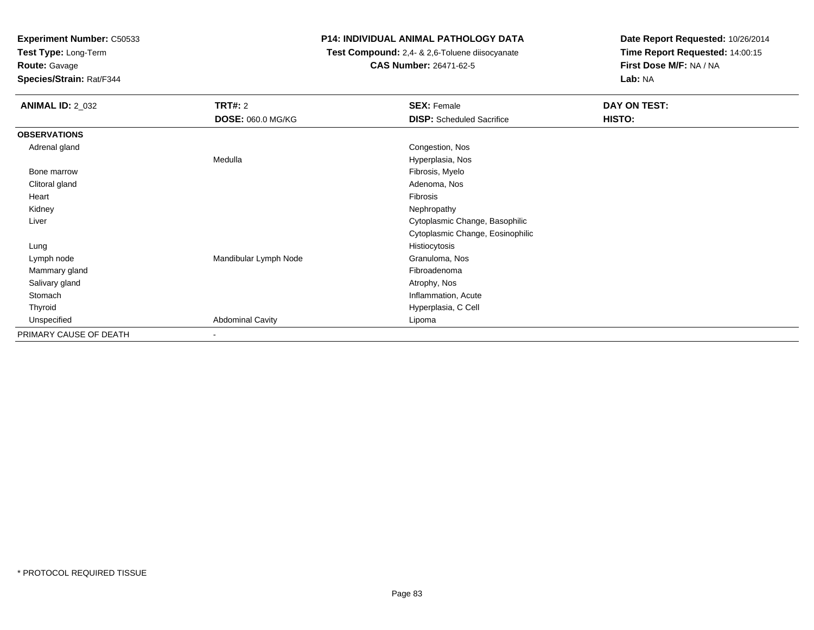**Test Type:** Long-Term

# **Route:** Gavage

**Species/Strain:** Rat/F344

### **P14: INDIVIDUAL ANIMAL PATHOLOGY DATA**

 **Test Compound:** 2,4- & 2,6-Toluene diisocyanate**CAS Number:** 26471-62-5

| <b>ANIMAL ID: 2_032</b> | <b>TRT#:</b> 2           | <b>SEX: Female</b>               | DAY ON TEST: |  |
|-------------------------|--------------------------|----------------------------------|--------------|--|
|                         | <b>DOSE: 060.0 MG/KG</b> | <b>DISP:</b> Scheduled Sacrifice | HISTO:       |  |
| <b>OBSERVATIONS</b>     |                          |                                  |              |  |
| Adrenal gland           |                          | Congestion, Nos                  |              |  |
|                         | Medulla                  | Hyperplasia, Nos                 |              |  |
| Bone marrow             |                          | Fibrosis, Myelo                  |              |  |
| Clitoral gland          |                          | Adenoma, Nos                     |              |  |
| Heart                   |                          | Fibrosis                         |              |  |
| Kidney                  |                          | Nephropathy                      |              |  |
| Liver                   |                          | Cytoplasmic Change, Basophilic   |              |  |
|                         |                          | Cytoplasmic Change, Eosinophilic |              |  |
| Lung                    |                          | Histiocytosis                    |              |  |
| Lymph node              | Mandibular Lymph Node    | Granuloma, Nos                   |              |  |
| Mammary gland           |                          | Fibroadenoma                     |              |  |
| Salivary gland          |                          | Atrophy, Nos                     |              |  |
| Stomach                 |                          | Inflammation, Acute              |              |  |
| Thyroid                 |                          | Hyperplasia, C Cell              |              |  |
| Unspecified             | <b>Abdominal Cavity</b>  | Lipoma                           |              |  |
| PRIMARY CAUSE OF DEATH  | $\overline{\phantom{a}}$ |                                  |              |  |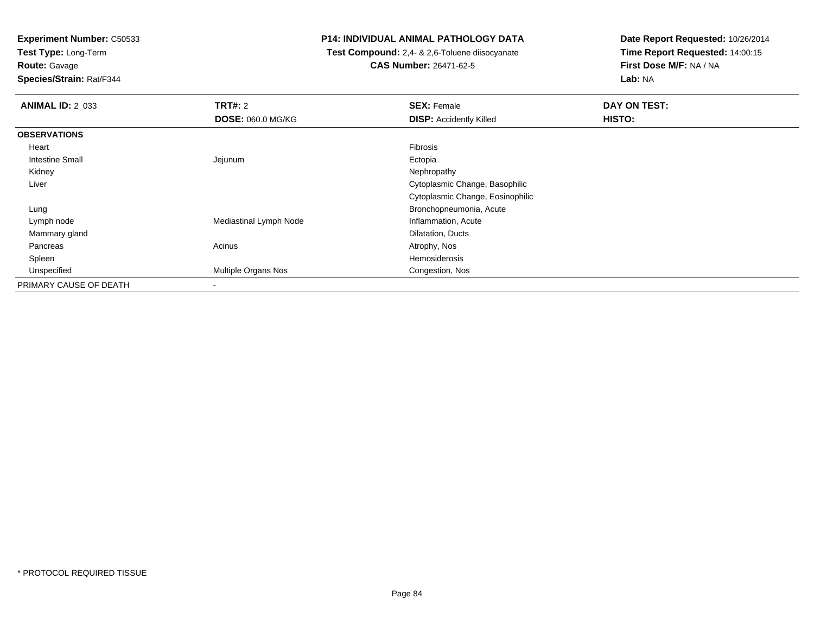**Test Type:** Long-Term

# **Route:** Gavage

**Species/Strain:** Rat/F344

### **P14: INDIVIDUAL ANIMAL PATHOLOGY DATA**

 **Test Compound:** 2,4- & 2,6-Toluene diisocyanate**CAS Number:** 26471-62-5

| <b>ANIMAL ID: 2 033</b> | TRT#: 2<br><b>DOSE: 060.0 MG/KG</b> | <b>SEX: Female</b><br><b>DISP:</b> Accidently Killed | DAY ON TEST:<br>HISTO: |
|-------------------------|-------------------------------------|------------------------------------------------------|------------------------|
| <b>OBSERVATIONS</b>     |                                     |                                                      |                        |
| Heart                   |                                     | Fibrosis                                             |                        |
| <b>Intestine Small</b>  | Jejunum                             | Ectopia                                              |                        |
| Kidney                  |                                     | Nephropathy                                          |                        |
| Liver                   |                                     | Cytoplasmic Change, Basophilic                       |                        |
|                         |                                     | Cytoplasmic Change, Eosinophilic                     |                        |
| Lung                    |                                     | Bronchopneumonia, Acute                              |                        |
| Lymph node              | Mediastinal Lymph Node              | Inflammation, Acute                                  |                        |
| Mammary gland           |                                     | Dilatation, Ducts                                    |                        |
| Pancreas                | Acinus                              | Atrophy, Nos                                         |                        |
| Spleen                  |                                     | Hemosiderosis                                        |                        |
| Unspecified             | Multiple Organs Nos                 | Congestion, Nos                                      |                        |
| PRIMARY CAUSE OF DEATH  | ۰                                   |                                                      |                        |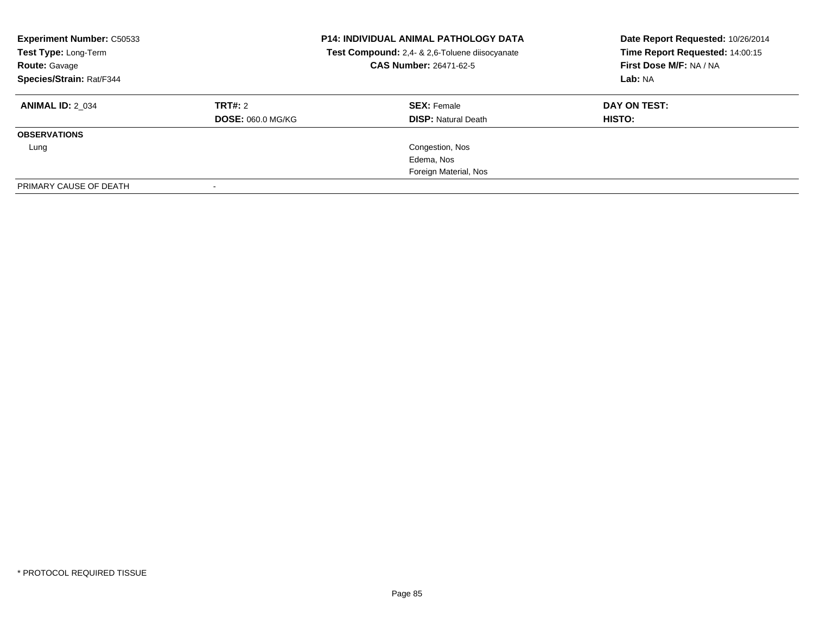| <b>Experiment Number: C50533</b><br>Test Type: Long-Term<br><b>Route: Gavage</b><br>Species/Strain: Rat/F344 | <b>P14: INDIVIDUAL ANIMAL PATHOLOGY DATA</b><br>Test Compound: 2,4- & 2,6-Toluene diisocyanate<br>CAS Number: 26471-62-5 |                            | Date Report Requested: 10/26/2014<br>Time Report Requested: 14:00:15<br>First Dose M/F: NA / NA<br>Lab: NA |
|--------------------------------------------------------------------------------------------------------------|--------------------------------------------------------------------------------------------------------------------------|----------------------------|------------------------------------------------------------------------------------------------------------|
| <b>ANIMAL ID: 2 034</b>                                                                                      | TRT#: 2                                                                                                                  | <b>SEX: Female</b>         | DAY ON TEST:                                                                                               |
|                                                                                                              | <b>DOSE: 060.0 MG/KG</b>                                                                                                 | <b>DISP:</b> Natural Death | HISTO:                                                                                                     |
| <b>OBSERVATIONS</b>                                                                                          |                                                                                                                          |                            |                                                                                                            |
| Lung                                                                                                         |                                                                                                                          | Congestion, Nos            |                                                                                                            |
|                                                                                                              |                                                                                                                          | Edema, Nos                 |                                                                                                            |
|                                                                                                              |                                                                                                                          | Foreign Material, Nos      |                                                                                                            |
| PRIMARY CAUSE OF DEATH                                                                                       | $\overline{\phantom{0}}$                                                                                                 |                            |                                                                                                            |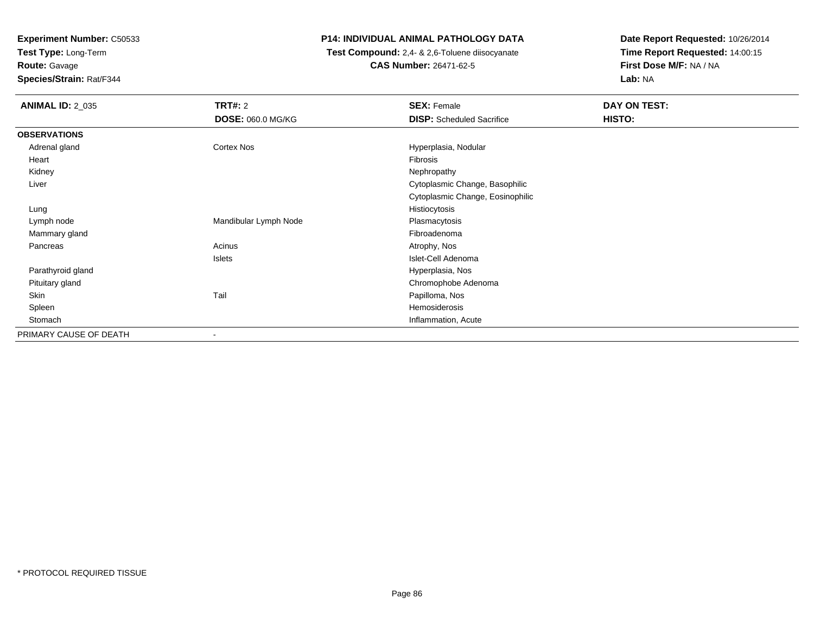**Test Type:** Long-Term

**Route:** Gavage

**Species/Strain:** Rat/F344

### **P14: INDIVIDUAL ANIMAL PATHOLOGY DATA**

 **Test Compound:** 2,4- & 2,6-Toluene diisocyanate**CAS Number:** 26471-62-5

| <b>ANIMAL ID: 2_035</b> | <b>TRT#: 2</b>           | <b>SEX: Female</b>               | DAY ON TEST: |
|-------------------------|--------------------------|----------------------------------|--------------|
|                         | <b>DOSE: 060.0 MG/KG</b> | <b>DISP:</b> Scheduled Sacrifice | HISTO:       |
| <b>OBSERVATIONS</b>     |                          |                                  |              |
| Adrenal gland           | Cortex Nos               | Hyperplasia, Nodular             |              |
| Heart                   |                          | Fibrosis                         |              |
| Kidney                  |                          | Nephropathy                      |              |
| Liver                   |                          | Cytoplasmic Change, Basophilic   |              |
|                         |                          | Cytoplasmic Change, Eosinophilic |              |
| Lung                    |                          | Histiocytosis                    |              |
| Lymph node              | Mandibular Lymph Node    | Plasmacytosis                    |              |
| Mammary gland           |                          | Fibroadenoma                     |              |
| Pancreas                | Acinus                   | Atrophy, Nos                     |              |
|                         | Islets                   | Islet-Cell Adenoma               |              |
| Parathyroid gland       |                          | Hyperplasia, Nos                 |              |
| Pituitary gland         |                          | Chromophobe Adenoma              |              |
| Skin                    | Tail                     | Papilloma, Nos                   |              |
| Spleen                  |                          | Hemosiderosis                    |              |
| Stomach                 |                          | Inflammation, Acute              |              |
| PRIMARY CAUSE OF DEATH  |                          |                                  |              |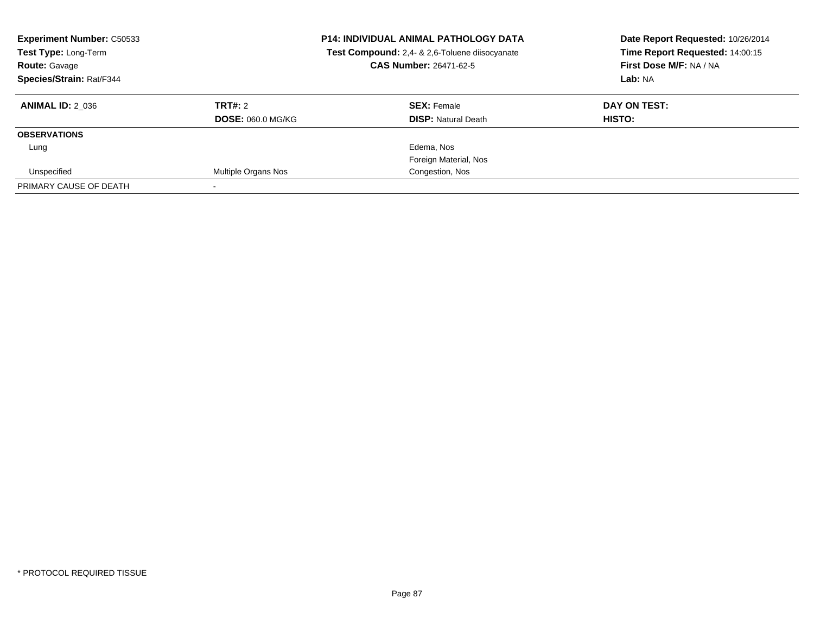| <b>Experiment Number: C50533</b><br>Test Type: Long-Term<br><b>Route: Gavage</b><br>Species/Strain: Rat/F344 |                          | <b>P14: INDIVIDUAL ANIMAL PATHOLOGY DATA</b><br>Test Compound: 2,4- & 2,6-Toluene diisocyanate<br><b>CAS Number: 26471-62-5</b> | Date Report Requested: 10/26/2014<br>Time Report Requested: 14:00:15<br>First Dose M/F: NA / NA<br>Lab: NA |
|--------------------------------------------------------------------------------------------------------------|--------------------------|---------------------------------------------------------------------------------------------------------------------------------|------------------------------------------------------------------------------------------------------------|
| <b>ANIMAL ID: 2 036</b>                                                                                      | TRT#: 2                  | <b>SEX: Female</b>                                                                                                              | DAY ON TEST:                                                                                               |
|                                                                                                              | <b>DOSE: 060.0 MG/KG</b> | <b>DISP: Natural Death</b>                                                                                                      | HISTO:                                                                                                     |
| <b>OBSERVATIONS</b>                                                                                          |                          |                                                                                                                                 |                                                                                                            |
| Lung                                                                                                         |                          | Edema, Nos                                                                                                                      |                                                                                                            |
|                                                                                                              |                          | Foreign Material, Nos                                                                                                           |                                                                                                            |
| Unspecified                                                                                                  | Multiple Organs Nos      | Congestion, Nos                                                                                                                 |                                                                                                            |
| PRIMARY CAUSE OF DEATH                                                                                       |                          |                                                                                                                                 |                                                                                                            |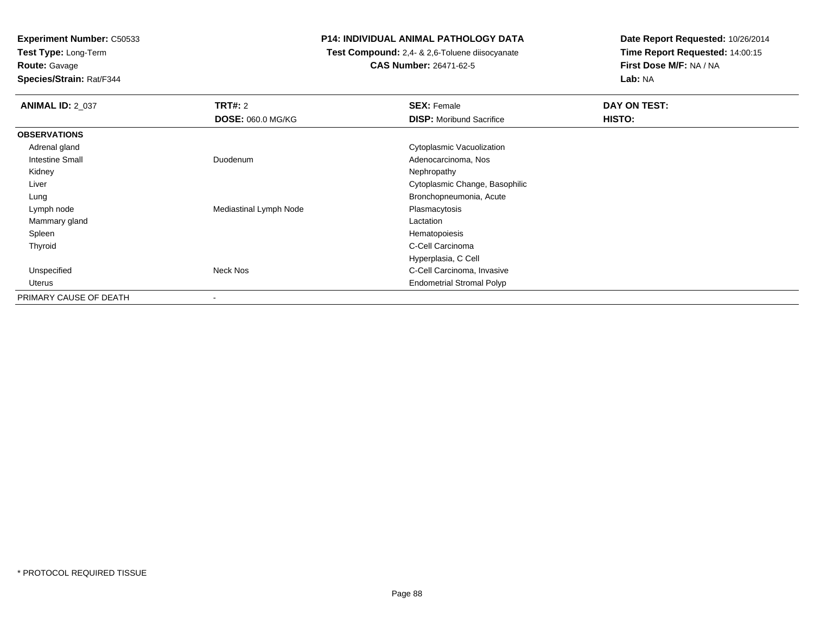**Test Type:** Long-Term**Route:** Gavage

**Species/Strain:** Rat/F344

### **P14: INDIVIDUAL ANIMAL PATHOLOGY DATA**

 **Test Compound:** 2,4- & 2,6-Toluene diisocyanate**CAS Number:** 26471-62-5

| <b>ANIMAL ID: 2_037</b> | <b>TRT#: 2</b>           | <b>SEX: Female</b>               | DAY ON TEST: |  |
|-------------------------|--------------------------|----------------------------------|--------------|--|
|                         | <b>DOSE: 060.0 MG/KG</b> | <b>DISP:</b> Moribund Sacrifice  | HISTO:       |  |
| <b>OBSERVATIONS</b>     |                          |                                  |              |  |
| Adrenal gland           |                          | Cytoplasmic Vacuolization        |              |  |
| <b>Intestine Small</b>  | Duodenum                 | Adenocarcinoma, Nos              |              |  |
| Kidney                  |                          | Nephropathy                      |              |  |
| Liver                   |                          | Cytoplasmic Change, Basophilic   |              |  |
| Lung                    |                          | Bronchopneumonia, Acute          |              |  |
| Lymph node              | Mediastinal Lymph Node   | Plasmacytosis                    |              |  |
| Mammary gland           |                          | Lactation                        |              |  |
| Spleen                  |                          | Hematopoiesis                    |              |  |
| Thyroid                 |                          | C-Cell Carcinoma                 |              |  |
|                         |                          | Hyperplasia, C Cell              |              |  |
| Unspecified             | Neck Nos                 | C-Cell Carcinoma, Invasive       |              |  |
| Uterus                  |                          | <b>Endometrial Stromal Polyp</b> |              |  |
| PRIMARY CAUSE OF DEATH  |                          |                                  |              |  |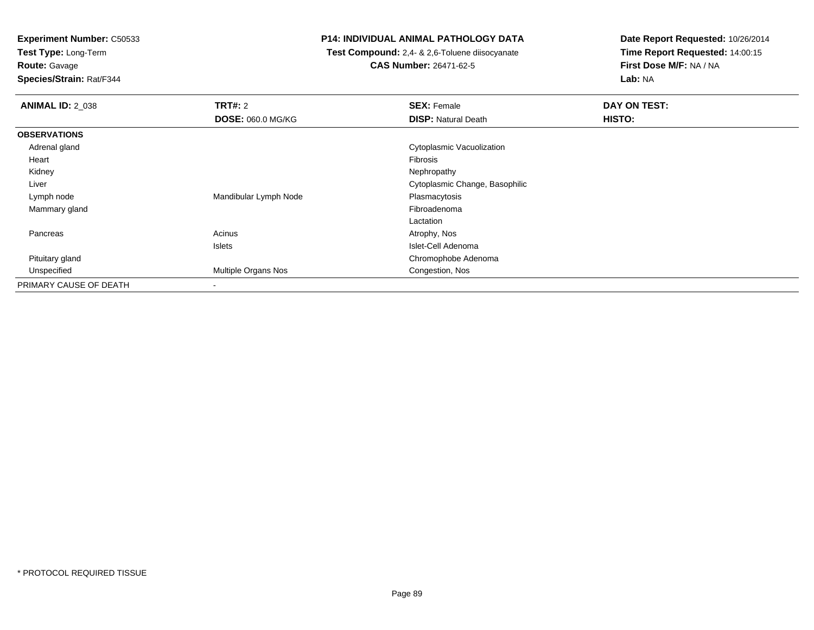**Test Type:** Long-Term**Route:** Gavage

**Species/Strain:** Rat/F344

### **P14: INDIVIDUAL ANIMAL PATHOLOGY DATA**

 **Test Compound:** 2,4- & 2,6-Toluene diisocyanate**CAS Number:** 26471-62-5

| <b>ANIMAL ID: 2 038</b> | <b>TRT#: 2</b>           | <b>SEX: Female</b>             | DAY ON TEST: |  |
|-------------------------|--------------------------|--------------------------------|--------------|--|
|                         | <b>DOSE: 060.0 MG/KG</b> | <b>DISP: Natural Death</b>     | HISTO:       |  |
| <b>OBSERVATIONS</b>     |                          |                                |              |  |
| Adrenal gland           |                          | Cytoplasmic Vacuolization      |              |  |
| Heart                   |                          | Fibrosis                       |              |  |
| Kidney                  |                          | Nephropathy                    |              |  |
| Liver                   |                          | Cytoplasmic Change, Basophilic |              |  |
| Lymph node              | Mandibular Lymph Node    | Plasmacytosis                  |              |  |
| Mammary gland           |                          | Fibroadenoma                   |              |  |
|                         |                          | Lactation                      |              |  |
| Pancreas                | Acinus                   | Atrophy, Nos                   |              |  |
|                         | Islets                   | Islet-Cell Adenoma             |              |  |
| Pituitary gland         |                          | Chromophobe Adenoma            |              |  |
| Unspecified             | Multiple Organs Nos      | Congestion, Nos                |              |  |
| PRIMARY CAUSE OF DEATH  |                          |                                |              |  |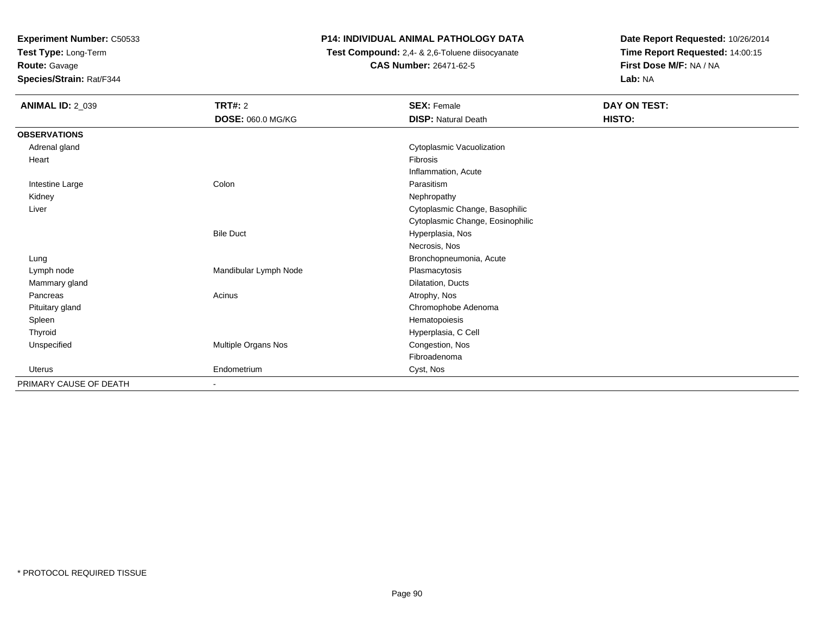**Test Type:** Long-Term

### **Route:** Gavage

**Species/Strain:** Rat/F344

### **P14: INDIVIDUAL ANIMAL PATHOLOGY DATA**

 **Test Compound:** 2,4- & 2,6-Toluene diisocyanate**CAS Number:** 26471-62-5

| <b>ANIMAL ID: 2_039</b> | TRT#: 2                  | <b>SEX: Female</b>               | DAY ON TEST: |
|-------------------------|--------------------------|----------------------------------|--------------|
|                         | DOSE: 060.0 MG/KG        | <b>DISP: Natural Death</b>       | HISTO:       |
| <b>OBSERVATIONS</b>     |                          |                                  |              |
| Adrenal gland           |                          | Cytoplasmic Vacuolization        |              |
| Heart                   |                          | Fibrosis                         |              |
|                         |                          | Inflammation, Acute              |              |
| Intestine Large         | Colon                    | Parasitism                       |              |
| Kidney                  |                          | Nephropathy                      |              |
| Liver                   |                          | Cytoplasmic Change, Basophilic   |              |
|                         |                          | Cytoplasmic Change, Eosinophilic |              |
|                         | <b>Bile Duct</b>         | Hyperplasia, Nos                 |              |
|                         |                          | Necrosis, Nos                    |              |
| Lung                    |                          | Bronchopneumonia, Acute          |              |
| Lymph node              | Mandibular Lymph Node    | Plasmacytosis                    |              |
| Mammary gland           |                          | Dilatation, Ducts                |              |
| Pancreas                | Acinus                   | Atrophy, Nos                     |              |
| Pituitary gland         |                          | Chromophobe Adenoma              |              |
| Spleen                  |                          | Hematopoiesis                    |              |
| Thyroid                 |                          | Hyperplasia, C Cell              |              |
| Unspecified             | Multiple Organs Nos      | Congestion, Nos                  |              |
|                         |                          | Fibroadenoma                     |              |
| Uterus                  | Endometrium              | Cyst, Nos                        |              |
| PRIMARY CAUSE OF DEATH  | $\overline{\phantom{a}}$ |                                  |              |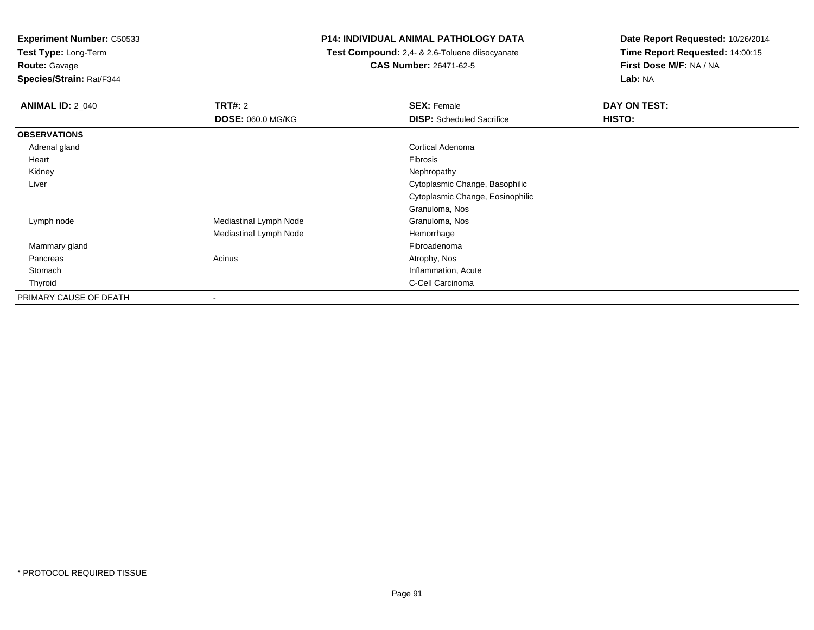**Test Type:** Long-Term**Route:** Gavage

**Species/Strain:** Rat/F344

### **P14: INDIVIDUAL ANIMAL PATHOLOGY DATA**

 **Test Compound:** 2,4- & 2,6-Toluene diisocyanate**CAS Number:** 26471-62-5

| <b>ANIMAL ID: 2_040</b> | TRT#: 2                  | <b>SEX: Female</b>               | DAY ON TEST: |
|-------------------------|--------------------------|----------------------------------|--------------|
|                         | <b>DOSE: 060.0 MG/KG</b> | <b>DISP:</b> Scheduled Sacrifice | HISTO:       |
| <b>OBSERVATIONS</b>     |                          |                                  |              |
| Adrenal gland           |                          | Cortical Adenoma                 |              |
| Heart                   |                          | Fibrosis                         |              |
| Kidney                  |                          | Nephropathy                      |              |
| Liver                   |                          | Cytoplasmic Change, Basophilic   |              |
|                         |                          | Cytoplasmic Change, Eosinophilic |              |
|                         |                          | Granuloma, Nos                   |              |
| Lymph node              | Mediastinal Lymph Node   | Granuloma, Nos                   |              |
|                         | Mediastinal Lymph Node   | Hemorrhage                       |              |
| Mammary gland           |                          | Fibroadenoma                     |              |
| Pancreas                | Acinus                   | Atrophy, Nos                     |              |
| Stomach                 |                          | Inflammation, Acute              |              |
| Thyroid                 |                          | C-Cell Carcinoma                 |              |
| PRIMARY CAUSE OF DEATH  | $\overline{\phantom{a}}$ |                                  |              |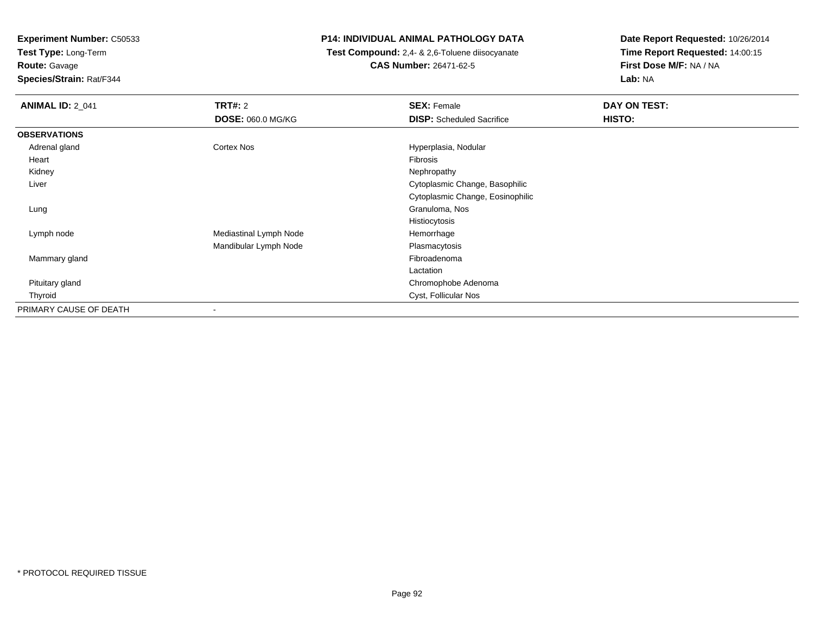**Test Type:** Long-Term**Route:** Gavage

**Species/Strain:** Rat/F344

### **P14: INDIVIDUAL ANIMAL PATHOLOGY DATA**

 **Test Compound:** 2,4- & 2,6-Toluene diisocyanate**CAS Number:** 26471-62-5

| <b>ANIMAL ID: 2_041</b> | <b>TRT#: 2</b>         | <b>SEX: Female</b>               | DAY ON TEST: |
|-------------------------|------------------------|----------------------------------|--------------|
|                         | DOSE: 060.0 MG/KG      | <b>DISP:</b> Scheduled Sacrifice | HISTO:       |
| <b>OBSERVATIONS</b>     |                        |                                  |              |
| Adrenal gland           | Cortex Nos             | Hyperplasia, Nodular             |              |
| Heart                   |                        | Fibrosis                         |              |
| Kidney                  |                        | Nephropathy                      |              |
| Liver                   |                        | Cytoplasmic Change, Basophilic   |              |
|                         |                        | Cytoplasmic Change, Eosinophilic |              |
| Lung                    |                        | Granuloma, Nos                   |              |
|                         |                        | Histiocytosis                    |              |
| Lymph node              | Mediastinal Lymph Node | Hemorrhage                       |              |
|                         | Mandibular Lymph Node  | Plasmacytosis                    |              |
| Mammary gland           |                        | Fibroadenoma                     |              |
|                         |                        | Lactation                        |              |
| Pituitary gland         |                        | Chromophobe Adenoma              |              |
| Thyroid                 |                        | Cyst, Follicular Nos             |              |
| PRIMARY CAUSE OF DEATH  | ٠                      |                                  |              |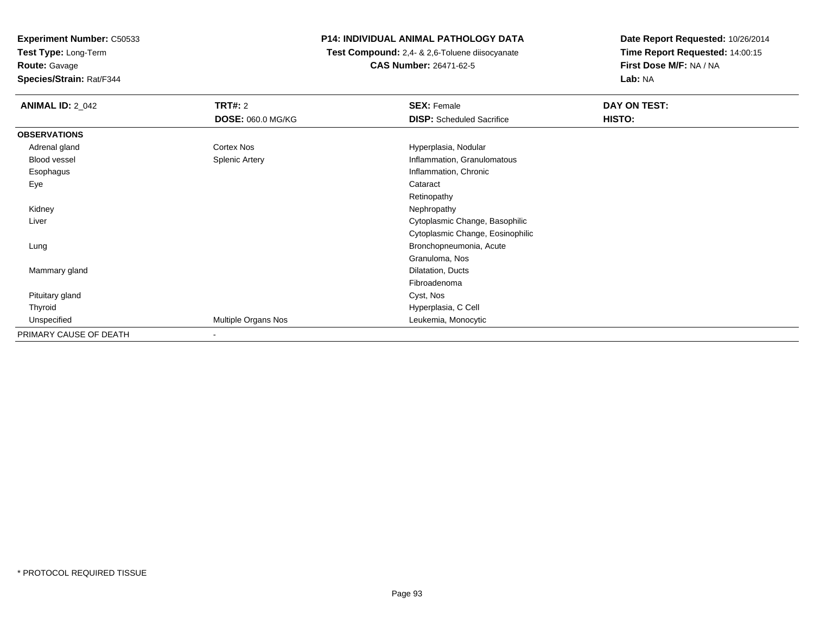**Test Type:** Long-Term

# **Route:** Gavage

**Species/Strain:** Rat/F344

### **P14: INDIVIDUAL ANIMAL PATHOLOGY DATA**

 **Test Compound:** 2,4- & 2,6-Toluene diisocyanate**CAS Number:** 26471-62-5

| <b>ANIMAL ID: 2 042</b> | TRT#: 2                  | <b>SEX: Female</b>               | DAY ON TEST: |
|-------------------------|--------------------------|----------------------------------|--------------|
|                         | <b>DOSE: 060.0 MG/KG</b> | <b>DISP:</b> Scheduled Sacrifice | HISTO:       |
| <b>OBSERVATIONS</b>     |                          |                                  |              |
| Adrenal gland           | Cortex Nos               | Hyperplasia, Nodular             |              |
| Blood vessel            | <b>Splenic Artery</b>    | Inflammation, Granulomatous      |              |
| Esophagus               |                          | Inflammation, Chronic            |              |
| Eye                     |                          | Cataract                         |              |
|                         |                          | Retinopathy                      |              |
| Kidney                  |                          | Nephropathy                      |              |
| Liver                   |                          | Cytoplasmic Change, Basophilic   |              |
|                         |                          | Cytoplasmic Change, Eosinophilic |              |
| Lung                    |                          | Bronchopneumonia, Acute          |              |
|                         |                          | Granuloma, Nos                   |              |
| Mammary gland           |                          | Dilatation, Ducts                |              |
|                         |                          | Fibroadenoma                     |              |
| Pituitary gland         |                          | Cyst, Nos                        |              |
| Thyroid                 |                          | Hyperplasia, C Cell              |              |
| Unspecified             | Multiple Organs Nos      | Leukemia, Monocytic              |              |
| PRIMARY CAUSE OF DEATH  | -                        |                                  |              |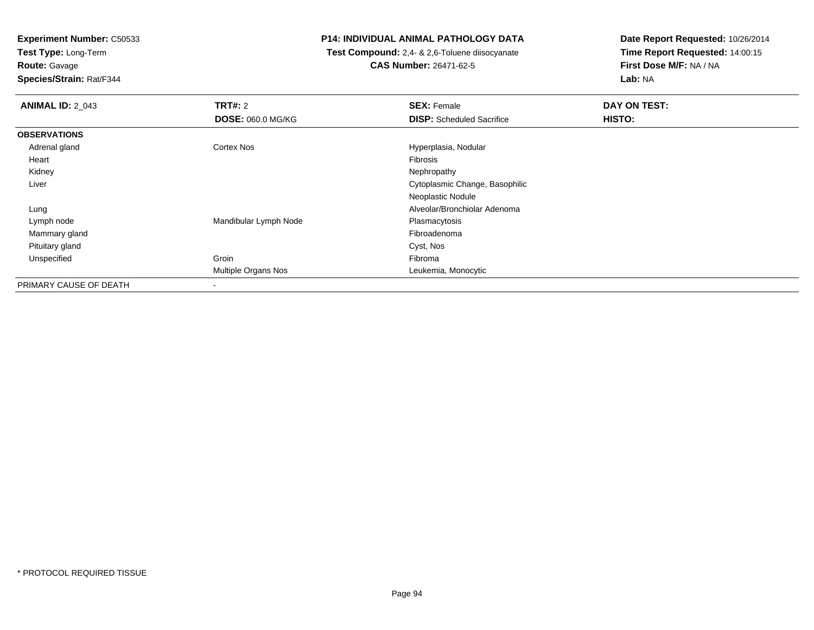**Test Type:** Long-Term**Route:** Gavage

**Species/Strain:** Rat/F344

### **P14: INDIVIDUAL ANIMAL PATHOLOGY DATA**

 **Test Compound:** 2,4- & 2,6-Toluene diisocyanate**CAS Number:** 26471-62-5

| <b>ANIMAL ID: 2_043</b> | TRT#: 2                  | <b>SEX: Female</b>               | DAY ON TEST: |  |
|-------------------------|--------------------------|----------------------------------|--------------|--|
|                         | <b>DOSE: 060.0 MG/KG</b> | <b>DISP:</b> Scheduled Sacrifice | HISTO:       |  |
| <b>OBSERVATIONS</b>     |                          |                                  |              |  |
| Adrenal gland           | Cortex Nos               | Hyperplasia, Nodular             |              |  |
| Heart                   |                          | Fibrosis                         |              |  |
| Kidney                  |                          | Nephropathy                      |              |  |
| Liver                   |                          | Cytoplasmic Change, Basophilic   |              |  |
|                         |                          | Neoplastic Nodule                |              |  |
| Lung                    |                          | Alveolar/Bronchiolar Adenoma     |              |  |
| Lymph node              | Mandibular Lymph Node    | Plasmacytosis                    |              |  |
| Mammary gland           |                          | Fibroadenoma                     |              |  |
| Pituitary gland         |                          | Cyst, Nos                        |              |  |
| Unspecified             | Groin                    | Fibroma                          |              |  |
|                         | Multiple Organs Nos      | Leukemia, Monocytic              |              |  |
| PRIMARY CAUSE OF DEATH  | ۰                        |                                  |              |  |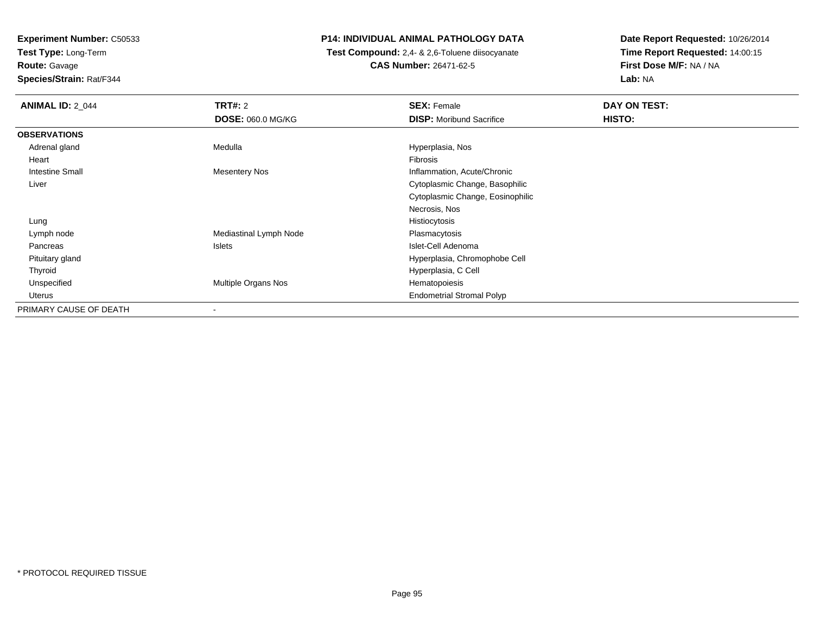**Test Type:** Long-Term**Route:** Gavage

**Species/Strain:** Rat/F344

### **P14: INDIVIDUAL ANIMAL PATHOLOGY DATA**

 **Test Compound:** 2,4- & 2,6-Toluene diisocyanate**CAS Number:** 26471-62-5

| <b>ANIMAL ID: 2_044</b> | <b>TRT#: 2</b>         | <b>SEX: Female</b>               | DAY ON TEST: |
|-------------------------|------------------------|----------------------------------|--------------|
|                         | DOSE: 060.0 MG/KG      | <b>DISP:</b> Moribund Sacrifice  | HISTO:       |
| <b>OBSERVATIONS</b>     |                        |                                  |              |
| Adrenal gland           | Medulla                | Hyperplasia, Nos                 |              |
| Heart                   |                        | Fibrosis                         |              |
| <b>Intestine Small</b>  | <b>Mesentery Nos</b>   | Inflammation, Acute/Chronic      |              |
| Liver                   |                        | Cytoplasmic Change, Basophilic   |              |
|                         |                        | Cytoplasmic Change, Eosinophilic |              |
|                         |                        | Necrosis, Nos                    |              |
| Lung                    |                        | Histiocytosis                    |              |
| Lymph node              | Mediastinal Lymph Node | Plasmacytosis                    |              |
| Pancreas                | Islets                 | Islet-Cell Adenoma               |              |
| Pituitary gland         |                        | Hyperplasia, Chromophobe Cell    |              |
| Thyroid                 |                        | Hyperplasia, C Cell              |              |
| Unspecified             | Multiple Organs Nos    | Hematopoiesis                    |              |
| Uterus                  |                        | <b>Endometrial Stromal Polyp</b> |              |
| PRIMARY CAUSE OF DEATH  | -                      |                                  |              |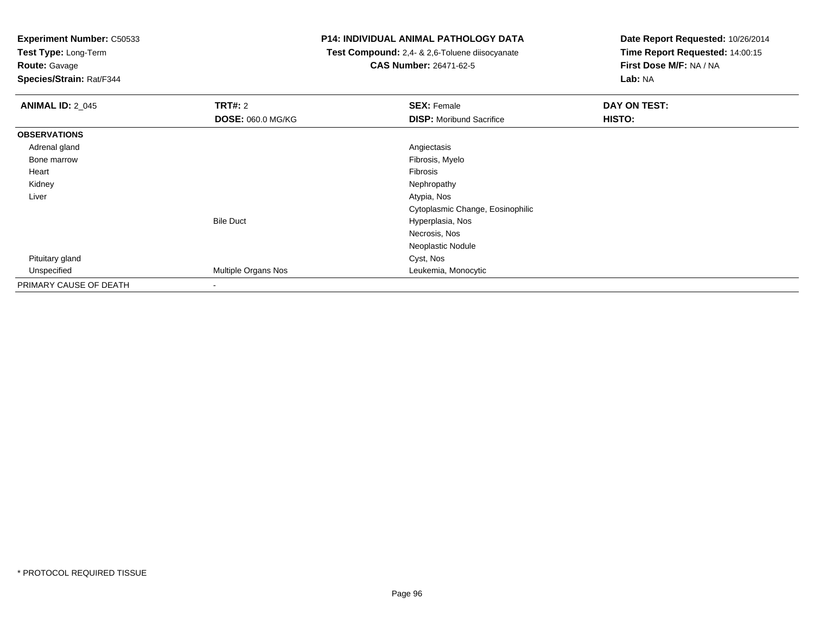**Test Type:** Long-Term

**Route:** Gavage

**Species/Strain:** Rat/F344

### **P14: INDIVIDUAL ANIMAL PATHOLOGY DATA**

 **Test Compound:** 2,4- & 2,6-Toluene diisocyanate**CAS Number:** 26471-62-5

| <b>ANIMAL ID: 2_045</b> | TRT#: 2                  | <b>SEX: Female</b>               | DAY ON TEST: |  |
|-------------------------|--------------------------|----------------------------------|--------------|--|
|                         | <b>DOSE: 060.0 MG/KG</b> | <b>DISP:</b> Moribund Sacrifice  | HISTO:       |  |
| <b>OBSERVATIONS</b>     |                          |                                  |              |  |
| Adrenal gland           |                          | Angiectasis                      |              |  |
| Bone marrow             |                          | Fibrosis, Myelo                  |              |  |
| Heart                   |                          | Fibrosis                         |              |  |
| Kidney                  |                          | Nephropathy                      |              |  |
| Liver                   |                          | Atypia, Nos                      |              |  |
|                         |                          | Cytoplasmic Change, Eosinophilic |              |  |
|                         | <b>Bile Duct</b>         | Hyperplasia, Nos                 |              |  |
|                         |                          | Necrosis, Nos                    |              |  |
|                         |                          | Neoplastic Nodule                |              |  |
| Pituitary gland         |                          | Cyst, Nos                        |              |  |
| Unspecified             | Multiple Organs Nos      | Leukemia, Monocytic              |              |  |
| PRIMARY CAUSE OF DEATH  |                          |                                  |              |  |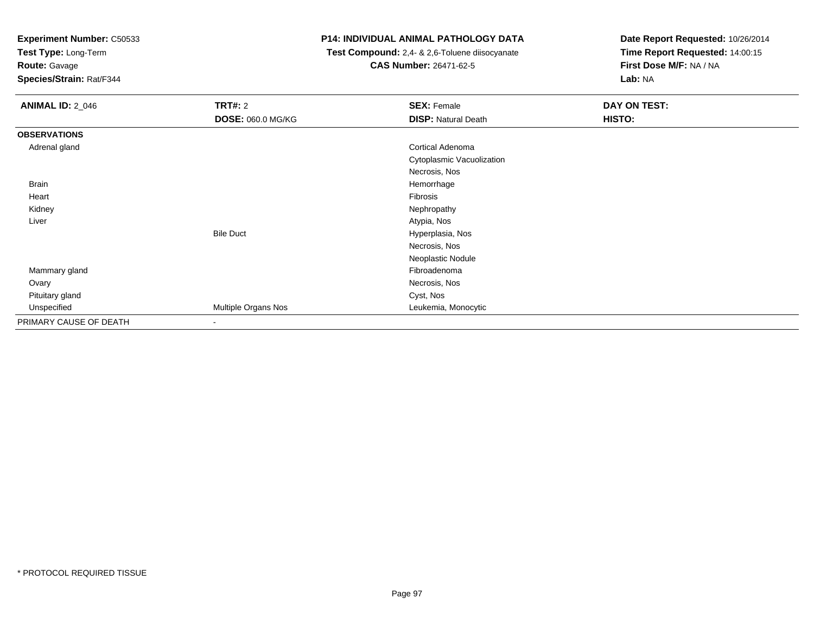**Test Type:** Long-Term

**Route:** Gavage

**Species/Strain:** Rat/F344

### **P14: INDIVIDUAL ANIMAL PATHOLOGY DATA**

 **Test Compound:** 2,4- & 2,6-Toluene diisocyanate**CAS Number:** 26471-62-5

| <b>ANIMAL ID: 2_046</b> | <b>TRT#: 2</b>           | <b>SEX: Female</b>         | DAY ON TEST: |  |
|-------------------------|--------------------------|----------------------------|--------------|--|
|                         | DOSE: 060.0 MG/KG        | <b>DISP: Natural Death</b> | HISTO:       |  |
| <b>OBSERVATIONS</b>     |                          |                            |              |  |
| Adrenal gland           |                          | <b>Cortical Adenoma</b>    |              |  |
|                         |                          | Cytoplasmic Vacuolization  |              |  |
|                         |                          | Necrosis, Nos              |              |  |
| <b>Brain</b>            |                          | Hemorrhage                 |              |  |
| Heart                   |                          | Fibrosis                   |              |  |
| Kidney                  |                          | Nephropathy                |              |  |
| Liver                   |                          | Atypia, Nos                |              |  |
|                         | <b>Bile Duct</b>         | Hyperplasia, Nos           |              |  |
|                         |                          | Necrosis, Nos              |              |  |
|                         |                          | Neoplastic Nodule          |              |  |
| Mammary gland           |                          | Fibroadenoma               |              |  |
| Ovary                   |                          | Necrosis, Nos              |              |  |
| Pituitary gland         |                          | Cyst, Nos                  |              |  |
| Unspecified             | Multiple Organs Nos      | Leukemia, Monocytic        |              |  |
| PRIMARY CAUSE OF DEATH  | $\overline{\phantom{a}}$ |                            |              |  |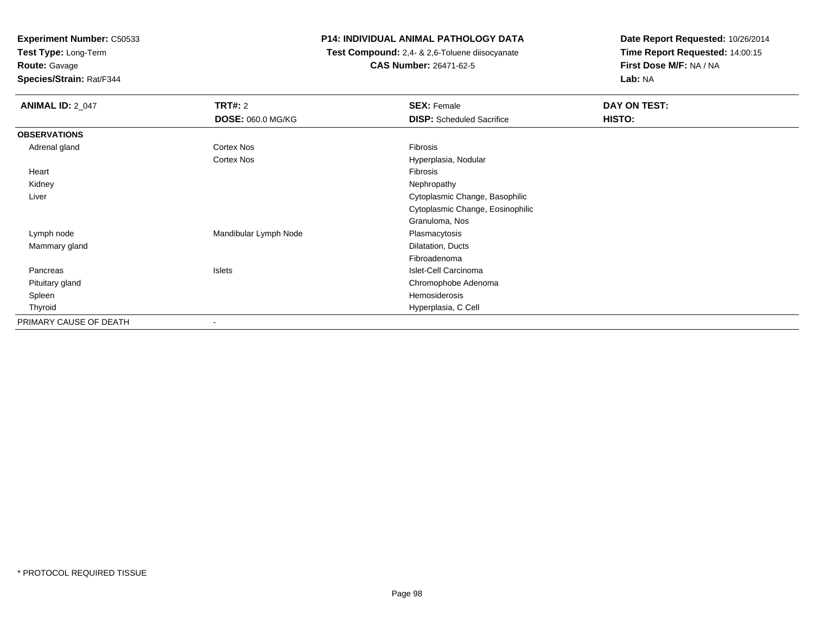**Test Type:** Long-Term

**Route:** Gavage

**Species/Strain:** Rat/F344

### **P14: INDIVIDUAL ANIMAL PATHOLOGY DATA**

 **Test Compound:** 2,4- & 2,6-Toluene diisocyanate**CAS Number:** 26471-62-5

| <b>ANIMAL ID: 2_047</b> | <b>TRT#: 2</b>           | <b>SEX: Female</b>               | <b>DAY ON TEST:</b> |  |
|-------------------------|--------------------------|----------------------------------|---------------------|--|
|                         | <b>DOSE: 060.0 MG/KG</b> | <b>DISP:</b> Scheduled Sacrifice | HISTO:              |  |
| <b>OBSERVATIONS</b>     |                          |                                  |                     |  |
| Adrenal gland           | Cortex Nos               | Fibrosis                         |                     |  |
|                         | Cortex Nos               | Hyperplasia, Nodular             |                     |  |
| Heart                   |                          | Fibrosis                         |                     |  |
| Kidney                  |                          | Nephropathy                      |                     |  |
| Liver                   |                          | Cytoplasmic Change, Basophilic   |                     |  |
|                         |                          | Cytoplasmic Change, Eosinophilic |                     |  |
|                         |                          | Granuloma, Nos                   |                     |  |
| Lymph node              | Mandibular Lymph Node    | Plasmacytosis                    |                     |  |
| Mammary gland           |                          | Dilatation, Ducts                |                     |  |
|                         |                          | Fibroadenoma                     |                     |  |
| Pancreas                | Islets                   | Islet-Cell Carcinoma             |                     |  |
| Pituitary gland         |                          | Chromophobe Adenoma              |                     |  |
| Spleen                  |                          | Hemosiderosis                    |                     |  |
| Thyroid                 |                          | Hyperplasia, C Cell              |                     |  |
| PRIMARY CAUSE OF DEATH  | $\overline{\phantom{a}}$ |                                  |                     |  |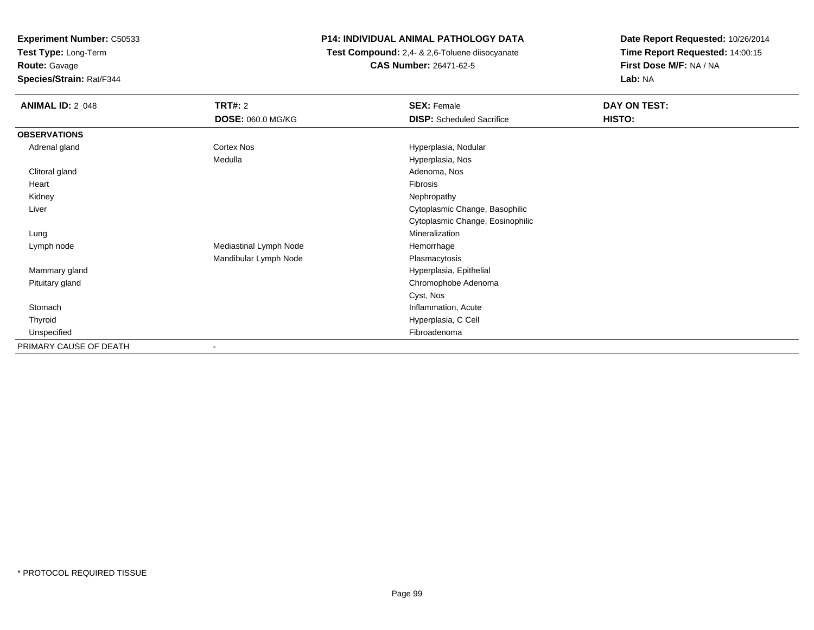**Test Type:** Long-Term**Route:** Gavage

**Species/Strain:** Rat/F344

### **P14: INDIVIDUAL ANIMAL PATHOLOGY DATA**

 **Test Compound:** 2,4- & 2,6-Toluene diisocyanate**CAS Number:** 26471-62-5

| <b>ANIMAL ID: 2_048</b> | <b>TRT#: 2</b>           | <b>SEX: Female</b>               | DAY ON TEST: |
|-------------------------|--------------------------|----------------------------------|--------------|
|                         | <b>DOSE: 060.0 MG/KG</b> | <b>DISP:</b> Scheduled Sacrifice | HISTO:       |
| <b>OBSERVATIONS</b>     |                          |                                  |              |
| Adrenal gland           | Cortex Nos               | Hyperplasia, Nodular             |              |
|                         | Medulla                  | Hyperplasia, Nos                 |              |
| Clitoral gland          |                          | Adenoma, Nos                     |              |
| Heart                   |                          | Fibrosis                         |              |
| Kidney                  |                          | Nephropathy                      |              |
| Liver                   |                          | Cytoplasmic Change, Basophilic   |              |
|                         |                          | Cytoplasmic Change, Eosinophilic |              |
| Lung                    |                          | Mineralization                   |              |
| Lymph node              | Mediastinal Lymph Node   | Hemorrhage                       |              |
|                         | Mandibular Lymph Node    | Plasmacytosis                    |              |
| Mammary gland           |                          | Hyperplasia, Epithelial          |              |
| Pituitary gland         |                          | Chromophobe Adenoma              |              |
|                         |                          | Cyst, Nos                        |              |
| Stomach                 |                          | Inflammation, Acute              |              |
| Thyroid                 |                          | Hyperplasia, C Cell              |              |
| Unspecified             |                          | Fibroadenoma                     |              |
| PRIMARY CAUSE OF DEATH  | ۰                        |                                  |              |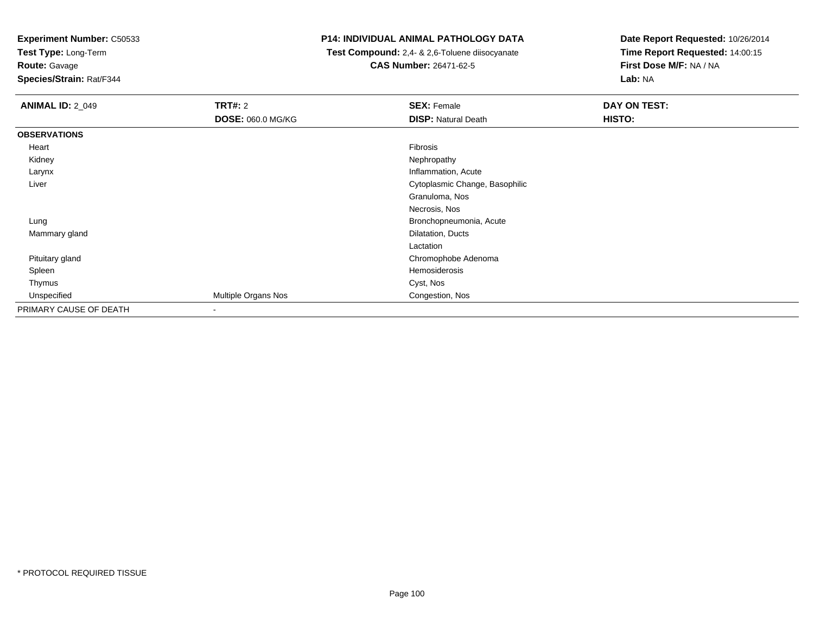**Test Type:** Long-Term

**Route:** Gavage

**Species/Strain:** Rat/F344

### **P14: INDIVIDUAL ANIMAL PATHOLOGY DATA**

 **Test Compound:** 2,4- & 2,6-Toluene diisocyanate**CAS Number:** 26471-62-5

| <b>ANIMAL ID: 2_049</b> | TRT#: 2             | <b>SEX: Female</b>             | <b>DAY ON TEST:</b> |
|-------------------------|---------------------|--------------------------------|---------------------|
|                         | DOSE: 060.0 MG/KG   | <b>DISP: Natural Death</b>     | HISTO:              |
| <b>OBSERVATIONS</b>     |                     |                                |                     |
| Heart                   |                     | Fibrosis                       |                     |
| Kidney                  |                     | Nephropathy                    |                     |
| Larynx                  |                     | Inflammation, Acute            |                     |
| Liver                   |                     | Cytoplasmic Change, Basophilic |                     |
|                         |                     | Granuloma, Nos                 |                     |
|                         |                     | Necrosis, Nos                  |                     |
| Lung                    |                     | Bronchopneumonia, Acute        |                     |
| Mammary gland           |                     | Dilatation, Ducts              |                     |
|                         |                     | Lactation                      |                     |
| Pituitary gland         |                     | Chromophobe Adenoma            |                     |
| Spleen                  |                     | Hemosiderosis                  |                     |
| Thymus                  |                     | Cyst, Nos                      |                     |
| Unspecified             | Multiple Organs Nos | Congestion, Nos                |                     |
| PRIMARY CAUSE OF DEATH  |                     |                                |                     |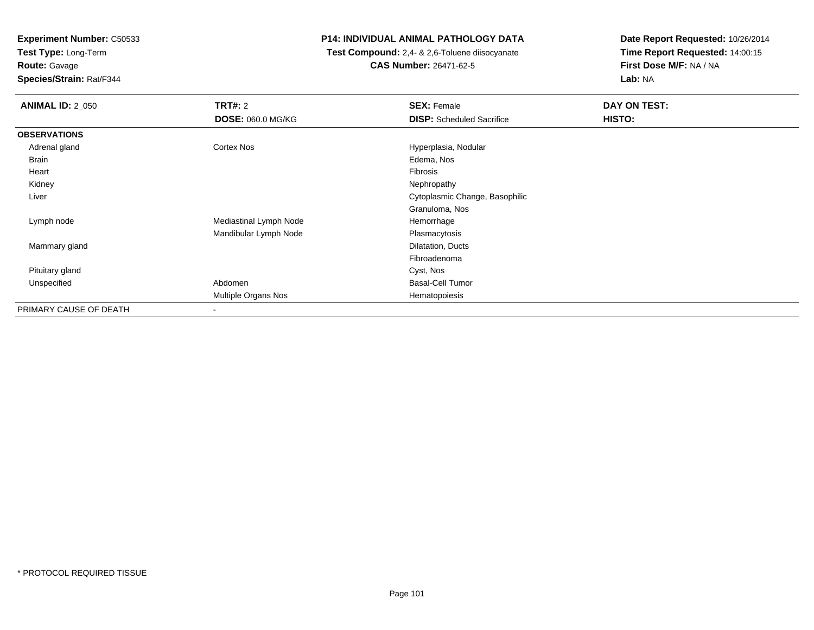**Test Type:** Long-Term**Route:** Gavage

**Species/Strain:** Rat/F344

### **P14: INDIVIDUAL ANIMAL PATHOLOGY DATA**

 **Test Compound:** 2,4- & 2,6-Toluene diisocyanate**CAS Number:** 26471-62-5

| <b>ANIMAL ID: 2_050</b> | <b>TRT#: 2</b>         | <b>SEX: Female</b>               | DAY ON TEST: |  |
|-------------------------|------------------------|----------------------------------|--------------|--|
|                         | DOSE: 060.0 MG/KG      | <b>DISP:</b> Scheduled Sacrifice | HISTO:       |  |
| <b>OBSERVATIONS</b>     |                        |                                  |              |  |
| Adrenal gland           | Cortex Nos             | Hyperplasia, Nodular             |              |  |
| Brain                   |                        | Edema, Nos                       |              |  |
| Heart                   |                        | Fibrosis                         |              |  |
| Kidney                  |                        | Nephropathy                      |              |  |
| Liver                   |                        | Cytoplasmic Change, Basophilic   |              |  |
|                         |                        | Granuloma, Nos                   |              |  |
| Lymph node              | Mediastinal Lymph Node | Hemorrhage                       |              |  |
|                         | Mandibular Lymph Node  | Plasmacytosis                    |              |  |
| Mammary gland           |                        | Dilatation, Ducts                |              |  |
|                         |                        | Fibroadenoma                     |              |  |
| Pituitary gland         |                        | Cyst, Nos                        |              |  |
| Unspecified             | Abdomen                | <b>Basal-Cell Tumor</b>          |              |  |
|                         | Multiple Organs Nos    | Hematopoiesis                    |              |  |
| PRIMARY CAUSE OF DEATH  |                        |                                  |              |  |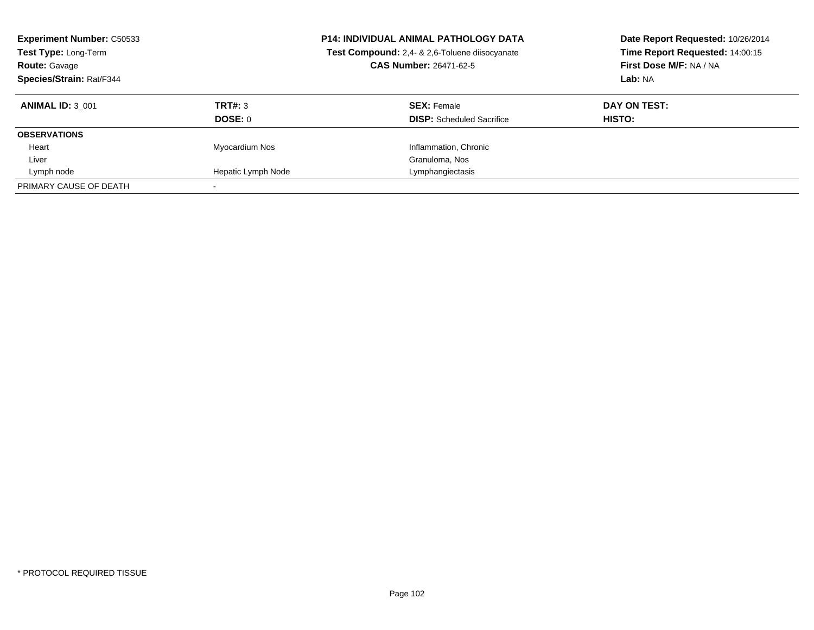| <b>Experiment Number: C50533</b><br>Test Type: Long-Term<br><b>Route: Gavage</b><br>Species/Strain: Rat/F344 |                    | <b>P14: INDIVIDUAL ANIMAL PATHOLOGY DATA</b><br>Test Compound: 2,4- & 2,6-Toluene diisocyanate<br><b>CAS Number: 26471-62-5</b> | Date Report Requested: 10/26/2014<br>Time Report Requested: 14:00:15<br>First Dose M/F: NA / NA<br>Lab: NA |
|--------------------------------------------------------------------------------------------------------------|--------------------|---------------------------------------------------------------------------------------------------------------------------------|------------------------------------------------------------------------------------------------------------|
| <b>ANIMAL ID: 3 001</b>                                                                                      | TRT#: 3            | <b>SEX: Female</b>                                                                                                              | DAY ON TEST:                                                                                               |
|                                                                                                              | DOSE: 0            | <b>DISP:</b> Scheduled Sacrifice                                                                                                | HISTO:                                                                                                     |
| <b>OBSERVATIONS</b>                                                                                          |                    |                                                                                                                                 |                                                                                                            |
| Heart                                                                                                        | Myocardium Nos     | Inflammation, Chronic                                                                                                           |                                                                                                            |
| Liver                                                                                                        |                    | Granuloma, Nos                                                                                                                  |                                                                                                            |
| Lymph node                                                                                                   | Hepatic Lymph Node | Lymphangiectasis                                                                                                                |                                                                                                            |
| PRIMARY CAUSE OF DEATH                                                                                       |                    |                                                                                                                                 |                                                                                                            |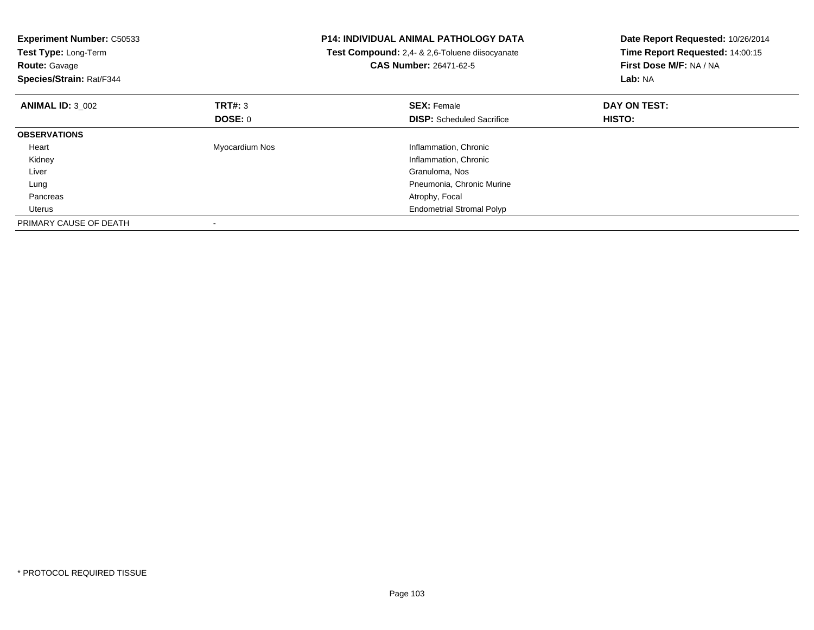| <b>Experiment Number: C50533</b><br>Test Type: Long-Term<br><b>Route: Gavage</b><br>Species/Strain: Rat/F344 |                | <b>P14: INDIVIDUAL ANIMAL PATHOLOGY DATA</b><br>Test Compound: 2,4- & 2,6-Toluene diisocyanate<br><b>CAS Number: 26471-62-5</b> | Date Report Requested: 10/26/2014<br>Time Report Requested: 14:00:15<br>First Dose M/F: NA / NA<br>Lab: NA |
|--------------------------------------------------------------------------------------------------------------|----------------|---------------------------------------------------------------------------------------------------------------------------------|------------------------------------------------------------------------------------------------------------|
| <b>ANIMAL ID: 3 002</b>                                                                                      | TRT#: 3        | <b>SEX: Female</b>                                                                                                              | DAY ON TEST:                                                                                               |
|                                                                                                              | DOSE: 0        | <b>DISP:</b> Scheduled Sacrifice                                                                                                | HISTO:                                                                                                     |
| <b>OBSERVATIONS</b>                                                                                          |                |                                                                                                                                 |                                                                                                            |
| Heart                                                                                                        | Myocardium Nos | Inflammation, Chronic                                                                                                           |                                                                                                            |
| Kidney                                                                                                       |                | Inflammation, Chronic                                                                                                           |                                                                                                            |
| Liver                                                                                                        |                | Granuloma, Nos                                                                                                                  |                                                                                                            |
| Lung                                                                                                         |                | Pneumonia, Chronic Murine                                                                                                       |                                                                                                            |
| Pancreas                                                                                                     |                | Atrophy, Focal                                                                                                                  |                                                                                                            |
| Uterus                                                                                                       |                | <b>Endometrial Stromal Polyp</b>                                                                                                |                                                                                                            |
| PRIMARY CAUSE OF DEATH                                                                                       |                |                                                                                                                                 |                                                                                                            |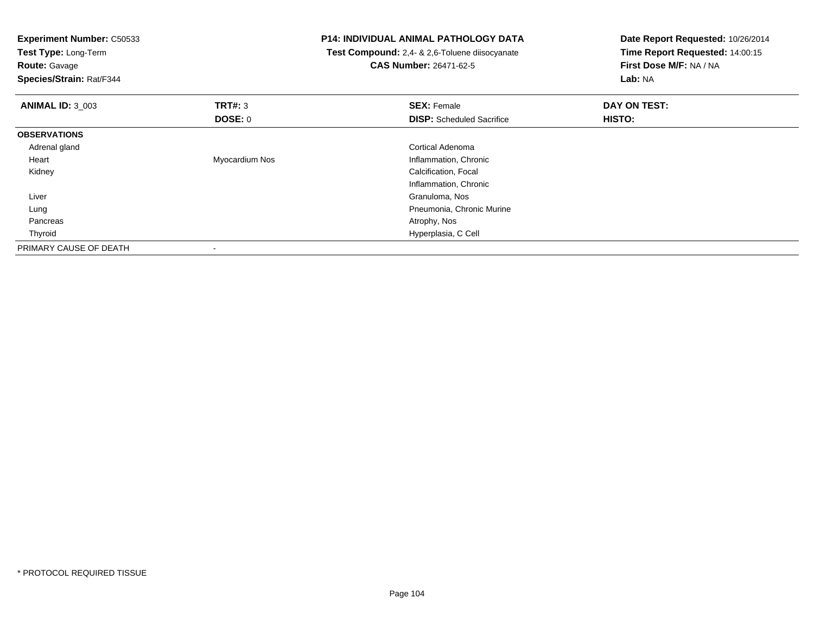| <b>Experiment Number: C50533</b><br>Test Type: Long-Term<br><b>Route: Gavage</b><br>Species/Strain: Rat/F344 |                | <b>P14: INDIVIDUAL ANIMAL PATHOLOGY DATA</b><br>Test Compound: 2,4- & 2,6-Toluene diisocyanate<br><b>CAS Number: 26471-62-5</b> | Date Report Requested: 10/26/2014<br>Time Report Requested: 14:00:15<br>First Dose M/F: NA / NA<br>Lab: NA |
|--------------------------------------------------------------------------------------------------------------|----------------|---------------------------------------------------------------------------------------------------------------------------------|------------------------------------------------------------------------------------------------------------|
| <b>ANIMAL ID: 3 003</b>                                                                                      | <b>TRT#: 3</b> | <b>SEX: Female</b>                                                                                                              | DAY ON TEST:                                                                                               |
|                                                                                                              | DOSE: 0        | <b>DISP:</b> Scheduled Sacrifice                                                                                                | HISTO:                                                                                                     |
| <b>OBSERVATIONS</b>                                                                                          |                |                                                                                                                                 |                                                                                                            |
| Adrenal gland                                                                                                |                | <b>Cortical Adenoma</b>                                                                                                         |                                                                                                            |
| Heart                                                                                                        | Myocardium Nos | Inflammation, Chronic                                                                                                           |                                                                                                            |
| Kidney                                                                                                       |                | Calcification, Focal                                                                                                            |                                                                                                            |
|                                                                                                              |                | Inflammation, Chronic                                                                                                           |                                                                                                            |
| Liver                                                                                                        |                | Granuloma, Nos                                                                                                                  |                                                                                                            |
| Lung                                                                                                         |                | Pneumonia, Chronic Murine                                                                                                       |                                                                                                            |
| Pancreas                                                                                                     |                | Atrophy, Nos                                                                                                                    |                                                                                                            |
| Thyroid                                                                                                      |                | Hyperplasia, C Cell                                                                                                             |                                                                                                            |
| PRIMARY CAUSE OF DEATH                                                                                       |                |                                                                                                                                 |                                                                                                            |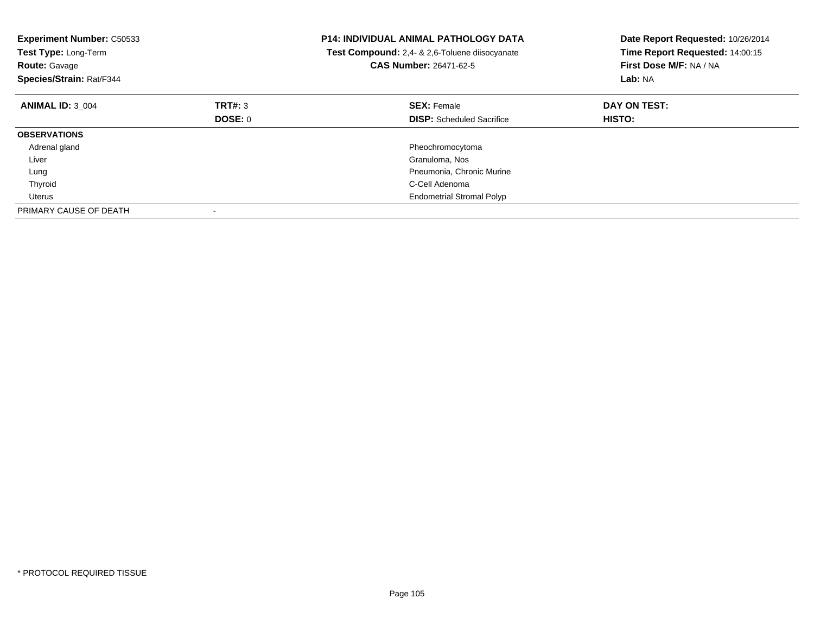| <b>Experiment Number: C50533</b><br>Test Type: Long-Term<br><b>Route: Gavage</b><br>Species/Strain: Rat/F344 |         | <b>P14: INDIVIDUAL ANIMAL PATHOLOGY DATA</b><br>Test Compound: 2,4- & 2,6-Toluene diisocyanate<br>CAS Number: 26471-62-5 | Date Report Requested: 10/26/2014<br>Time Report Requested: 14:00:15<br>First Dose M/F: NA / NA<br>Lab: NA |
|--------------------------------------------------------------------------------------------------------------|---------|--------------------------------------------------------------------------------------------------------------------------|------------------------------------------------------------------------------------------------------------|
| <b>ANIMAL ID: 3 004</b>                                                                                      | TRT#: 3 | <b>SEX: Female</b>                                                                                                       | DAY ON TEST:                                                                                               |
|                                                                                                              | DOSE: 0 | <b>DISP:</b> Scheduled Sacrifice                                                                                         | <b>HISTO:</b>                                                                                              |
| <b>OBSERVATIONS</b>                                                                                          |         |                                                                                                                          |                                                                                                            |
| Adrenal gland                                                                                                |         | Pheochromocytoma                                                                                                         |                                                                                                            |
| Liver                                                                                                        |         | Granuloma, Nos                                                                                                           |                                                                                                            |
| Lung                                                                                                         |         | Pneumonia, Chronic Murine                                                                                                |                                                                                                            |
| Thyroid                                                                                                      |         | C-Cell Adenoma                                                                                                           |                                                                                                            |
| Uterus                                                                                                       |         | <b>Endometrial Stromal Polyp</b>                                                                                         |                                                                                                            |
| PRIMARY CAUSE OF DEATH                                                                                       |         |                                                                                                                          |                                                                                                            |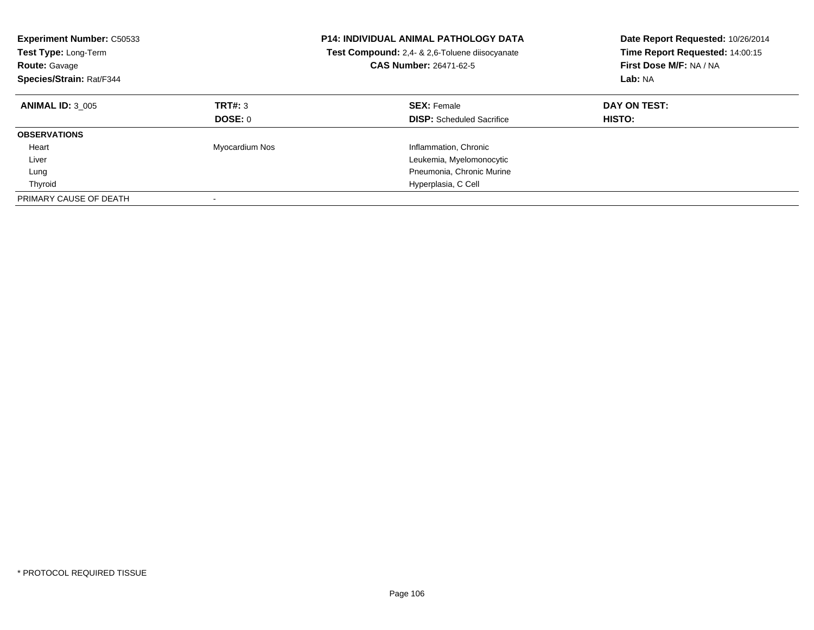| <b>Experiment Number: C50533</b><br><b>Test Type: Long-Term</b><br><b>Route: Gavage</b><br>Species/Strain: Rat/F344 |                    | <b>P14: INDIVIDUAL ANIMAL PATHOLOGY DATA</b><br><b>Test Compound:</b> 2.4- & 2.6-Toluene diisocyanate<br><b>CAS Number: 26471-62-5</b> | Date Report Requested: 10/26/2014<br>Time Report Requested: 14:00:15<br>First Dose M/F: NA / NA<br>Lab: NA |
|---------------------------------------------------------------------------------------------------------------------|--------------------|----------------------------------------------------------------------------------------------------------------------------------------|------------------------------------------------------------------------------------------------------------|
| <b>ANIMAL ID: 3 005</b>                                                                                             | TRT#: 3<br>DOSE: 0 | <b>SEX: Female</b><br><b>DISP:</b> Scheduled Sacrifice                                                                                 | DAY ON TEST:<br><b>HISTO:</b>                                                                              |
|                                                                                                                     |                    |                                                                                                                                        |                                                                                                            |
| <b>OBSERVATIONS</b>                                                                                                 |                    |                                                                                                                                        |                                                                                                            |
| Heart                                                                                                               | Myocardium Nos     | Inflammation, Chronic                                                                                                                  |                                                                                                            |
| Liver                                                                                                               |                    | Leukemia, Myelomonocytic                                                                                                               |                                                                                                            |
| Lung                                                                                                                |                    | Pneumonia, Chronic Murine                                                                                                              |                                                                                                            |
| Thyroid                                                                                                             |                    | Hyperplasia, C Cell                                                                                                                    |                                                                                                            |
| PRIMARY CAUSE OF DEATH                                                                                              |                    |                                                                                                                                        |                                                                                                            |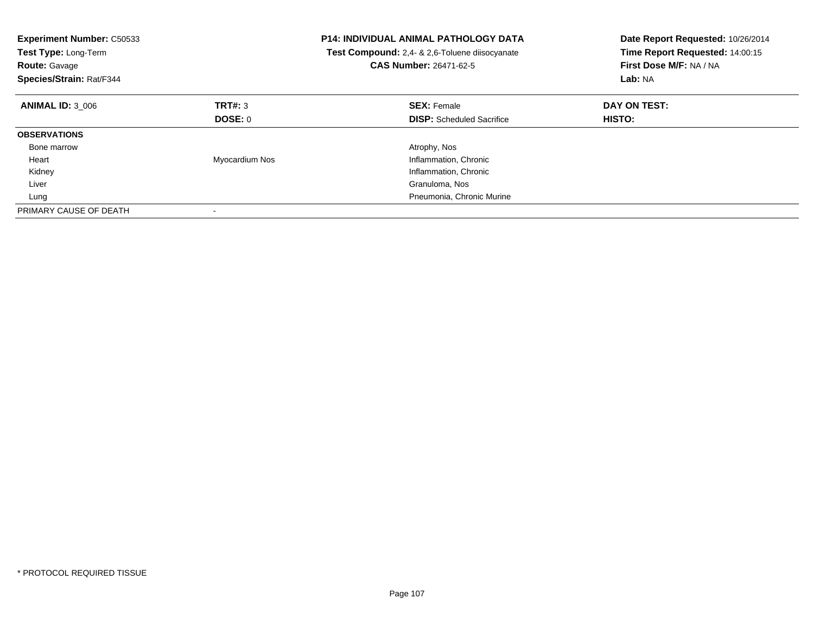| <b>Experiment Number: C50533</b><br>Test Type: Long-Term<br><b>Route: Gavage</b><br>Species/Strain: Rat/F344 |                | <b>P14: INDIVIDUAL ANIMAL PATHOLOGY DATA</b><br>Test Compound: 2,4- & 2,6-Toluene diisocyanate<br>CAS Number: 26471-62-5 | Date Report Requested: 10/26/2014<br>Time Report Requested: 14:00:15<br>First Dose M/F: NA / NA<br>Lab: NA |
|--------------------------------------------------------------------------------------------------------------|----------------|--------------------------------------------------------------------------------------------------------------------------|------------------------------------------------------------------------------------------------------------|
| <b>ANIMAL ID: 3 006</b>                                                                                      | TRT#: 3        | <b>SEX: Female</b>                                                                                                       | DAY ON TEST:                                                                                               |
|                                                                                                              | DOSE: 0        | <b>DISP:</b> Scheduled Sacrifice                                                                                         | <b>HISTO:</b>                                                                                              |
| <b>OBSERVATIONS</b>                                                                                          |                |                                                                                                                          |                                                                                                            |
| Bone marrow                                                                                                  |                | Atrophy, Nos                                                                                                             |                                                                                                            |
| Heart                                                                                                        | Myocardium Nos | Inflammation, Chronic                                                                                                    |                                                                                                            |
| Kidney                                                                                                       |                | Inflammation, Chronic                                                                                                    |                                                                                                            |
| Liver                                                                                                        |                | Granuloma, Nos                                                                                                           |                                                                                                            |
| Lung                                                                                                         |                | Pneumonia, Chronic Murine                                                                                                |                                                                                                            |
| PRIMARY CAUSE OF DEATH                                                                                       |                |                                                                                                                          |                                                                                                            |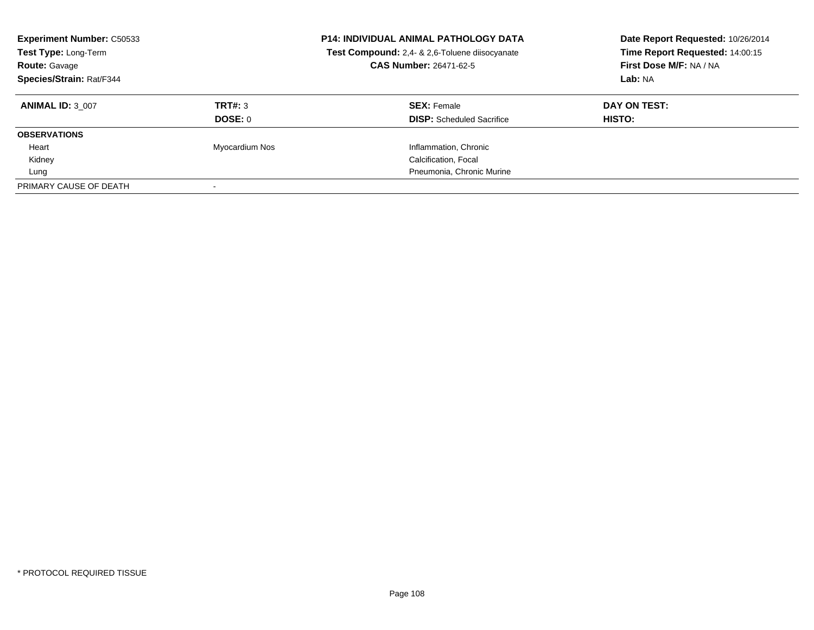| <b>Experiment Number: C50533</b><br>Test Type: Long-Term<br><b>Route: Gavage</b><br>Species/Strain: Rat/F344 |                | <b>P14: INDIVIDUAL ANIMAL PATHOLOGY DATA</b><br>Test Compound: 2,4- & 2,6-Toluene diisocyanate<br><b>CAS Number: 26471-62-5</b> | Date Report Requested: 10/26/2014<br>Time Report Requested: 14:00:15<br>First Dose M/F: NA / NA<br>Lab: NA |
|--------------------------------------------------------------------------------------------------------------|----------------|---------------------------------------------------------------------------------------------------------------------------------|------------------------------------------------------------------------------------------------------------|
| <b>ANIMAL ID: 3 007</b>                                                                                      | TRT#: 3        | <b>SEX: Female</b>                                                                                                              | DAY ON TEST:                                                                                               |
|                                                                                                              | <b>DOSE: 0</b> | <b>DISP:</b> Scheduled Sacrifice                                                                                                | HISTO:                                                                                                     |
| <b>OBSERVATIONS</b>                                                                                          |                |                                                                                                                                 |                                                                                                            |
| Heart                                                                                                        | Myocardium Nos | Inflammation, Chronic                                                                                                           |                                                                                                            |
| Kidney                                                                                                       |                | Calcification, Focal                                                                                                            |                                                                                                            |
| Lung                                                                                                         |                | Pneumonia, Chronic Murine                                                                                                       |                                                                                                            |
| PRIMARY CAUSE OF DEATH                                                                                       |                |                                                                                                                                 |                                                                                                            |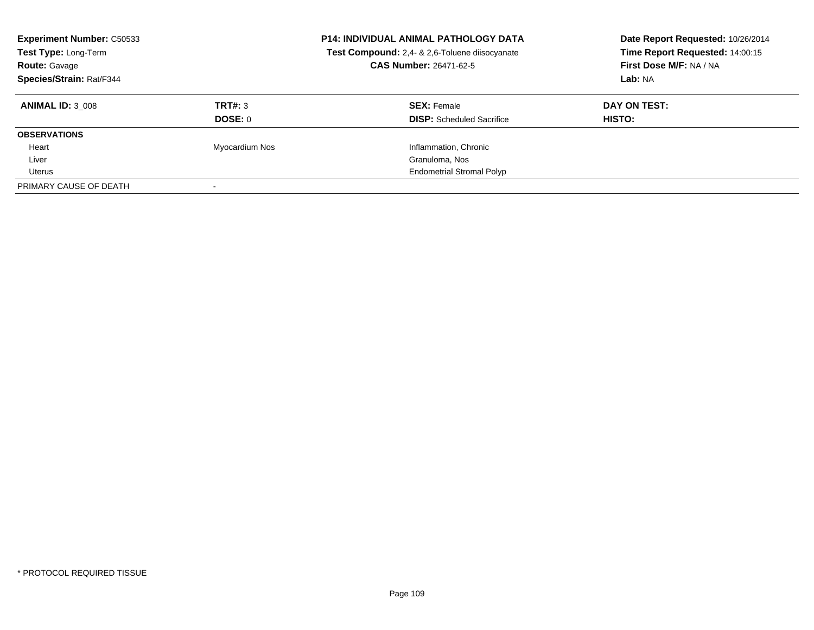| <b>Experiment Number: C50533</b><br>Test Type: Long-Term<br><b>Route:</b> Gavage<br>Species/Strain: Rat/F344 |                | <b>P14: INDIVIDUAL ANIMAL PATHOLOGY DATA</b><br>Test Compound: 2,4- & 2,6-Toluene diisocyanate<br><b>CAS Number: 26471-62-5</b> | Date Report Requested: 10/26/2014<br>Time Report Requested: 14:00:15<br>First Dose M/F: NA / NA<br>Lab: NA |
|--------------------------------------------------------------------------------------------------------------|----------------|---------------------------------------------------------------------------------------------------------------------------------|------------------------------------------------------------------------------------------------------------|
| <b>ANIMAL ID: 3 008</b>                                                                                      | TRT#: 3        | <b>SEX: Female</b>                                                                                                              | DAY ON TEST:                                                                                               |
|                                                                                                              | DOSE: 0        | <b>DISP:</b> Scheduled Sacrifice                                                                                                | HISTO:                                                                                                     |
| <b>OBSERVATIONS</b>                                                                                          |                |                                                                                                                                 |                                                                                                            |
| Heart                                                                                                        | Myocardium Nos | Inflammation, Chronic                                                                                                           |                                                                                                            |
| Liver                                                                                                        |                | Granuloma, Nos                                                                                                                  |                                                                                                            |
| Uterus                                                                                                       |                | <b>Endometrial Stromal Polyp</b>                                                                                                |                                                                                                            |
| PRIMARY CAUSE OF DEATH                                                                                       |                |                                                                                                                                 |                                                                                                            |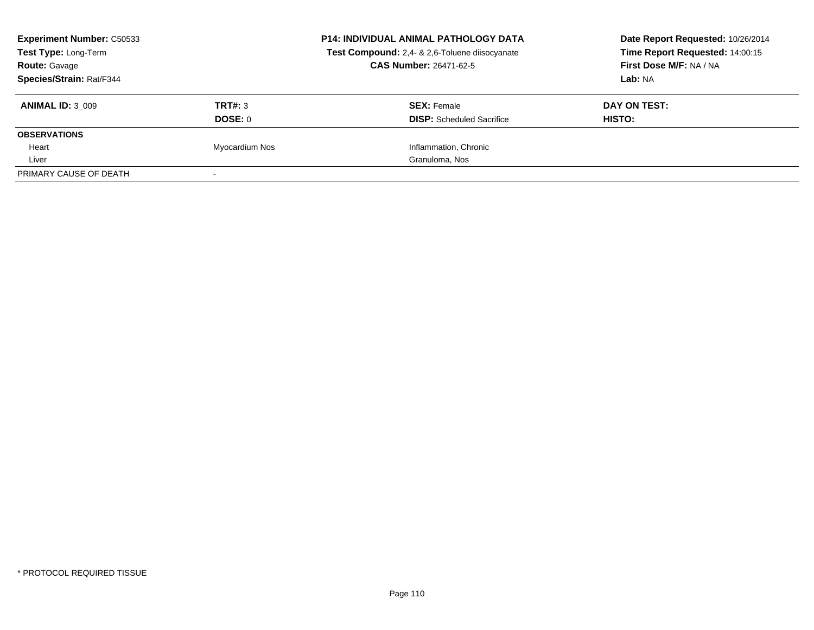| <b>Experiment Number: C50533</b><br>Test Type: Long-Term<br><b>Route: Gavage</b><br>Species/Strain: Rat/F344 |                    | <b>P14: INDIVIDUAL ANIMAL PATHOLOGY DATA</b><br>Test Compound: 2,4- & 2,6-Toluene diisocyanate<br>CAS Number: 26471-62-5 | Date Report Requested: 10/26/2014<br>Time Report Requested: 14:00:15<br>First Dose M/F: NA / NA<br>Lab: NA |
|--------------------------------------------------------------------------------------------------------------|--------------------|--------------------------------------------------------------------------------------------------------------------------|------------------------------------------------------------------------------------------------------------|
| <b>ANIMAL ID: 3 009</b>                                                                                      | TRT#: 3<br>DOSE: 0 | <b>SEX: Female</b><br><b>DISP:</b> Scheduled Sacrifice                                                                   | DAY ON TEST:<br>HISTO:                                                                                     |
| <b>OBSERVATIONS</b>                                                                                          |                    |                                                                                                                          |                                                                                                            |
| Heart                                                                                                        | Myocardium Nos     | Inflammation, Chronic                                                                                                    |                                                                                                            |
| Liver                                                                                                        |                    | Granuloma, Nos                                                                                                           |                                                                                                            |
| PRIMARY CAUSE OF DEATH                                                                                       |                    |                                                                                                                          |                                                                                                            |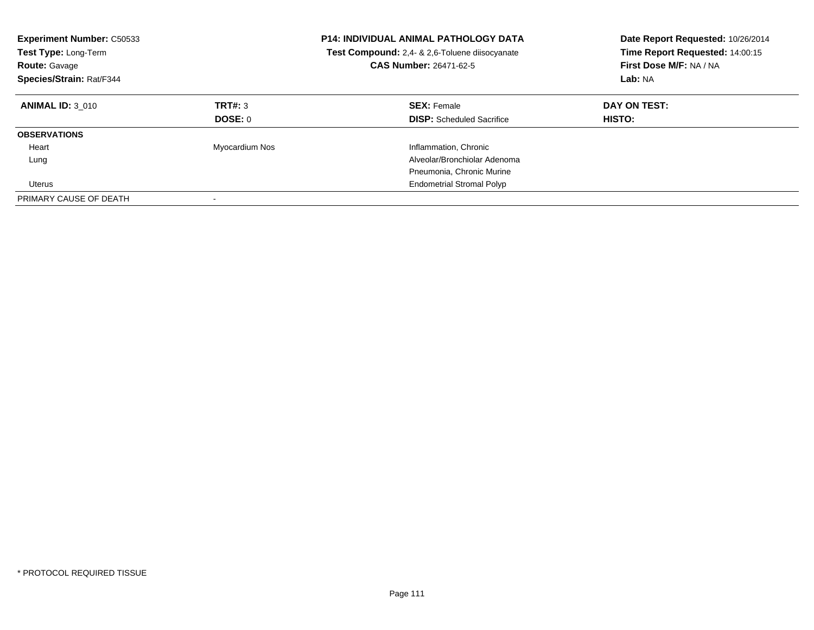| <b>Experiment Number: C50533</b><br><b>Test Type: Long-Term</b><br><b>Route: Gavage</b><br>Species/Strain: Rat/F344 |                           | <b>P14: INDIVIDUAL ANIMAL PATHOLOGY DATA</b><br>Test Compound: 2,4- & 2,6-Toluene diisocyanate<br><b>CAS Number: 26471-62-5</b> | Date Report Requested: 10/26/2014<br>Time Report Requested: 14:00:15<br>First Dose M/F: NA / NA<br>Lab: NA |
|---------------------------------------------------------------------------------------------------------------------|---------------------------|---------------------------------------------------------------------------------------------------------------------------------|------------------------------------------------------------------------------------------------------------|
| <b>ANIMAL ID: 3 010</b>                                                                                             | TRT#: 3<br><b>DOSE: 0</b> | <b>SEX: Female</b><br><b>DISP:</b> Scheduled Sacrifice                                                                          | DAY ON TEST:<br><b>HISTO:</b>                                                                              |
| <b>OBSERVATIONS</b>                                                                                                 |                           |                                                                                                                                 |                                                                                                            |
| Heart                                                                                                               | Myocardium Nos            | Inflammation, Chronic                                                                                                           |                                                                                                            |
| Lung                                                                                                                |                           | Alveolar/Bronchiolar Adenoma                                                                                                    |                                                                                                            |
|                                                                                                                     |                           | Pneumonia, Chronic Murine                                                                                                       |                                                                                                            |
| <b>Uterus</b>                                                                                                       |                           | <b>Endometrial Stromal Polyp</b>                                                                                                |                                                                                                            |
| PRIMARY CAUSE OF DEATH                                                                                              |                           |                                                                                                                                 |                                                                                                            |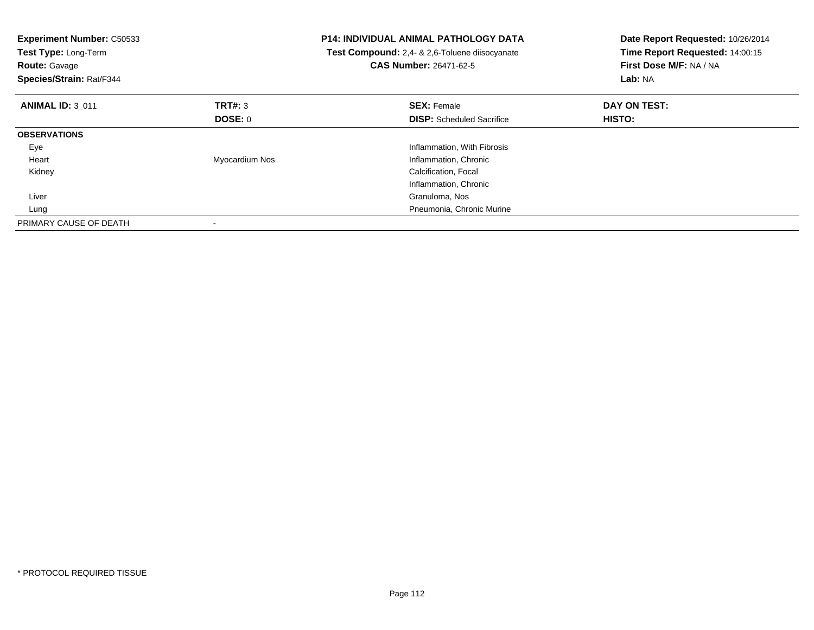| <b>Experiment Number: C50533</b><br>Test Type: Long-Term<br><b>Route:</b> Gavage<br>Species/Strain: Rat/F344 |                | <b>P14: INDIVIDUAL ANIMAL PATHOLOGY DATA</b><br><b>Test Compound:</b> 2,4- & 2,6-Toluene diisocyanate<br>CAS Number: 26471-62-5 | Date Report Requested: 10/26/2014<br>Time Report Requested: 14:00:15<br>First Dose M/F: NA / NA<br>Lab: NA |
|--------------------------------------------------------------------------------------------------------------|----------------|---------------------------------------------------------------------------------------------------------------------------------|------------------------------------------------------------------------------------------------------------|
| <b>ANIMAL ID: 3 011</b>                                                                                      | TRT#: 3        | <b>SEX: Female</b>                                                                                                              | DAY ON TEST:                                                                                               |
|                                                                                                              | DOSE: 0        | <b>DISP:</b> Scheduled Sacrifice                                                                                                | <b>HISTO:</b>                                                                                              |
| <b>OBSERVATIONS</b>                                                                                          |                |                                                                                                                                 |                                                                                                            |
| Eye                                                                                                          |                | Inflammation, With Fibrosis                                                                                                     |                                                                                                            |
| Heart                                                                                                        | Myocardium Nos | Inflammation, Chronic                                                                                                           |                                                                                                            |
| Kidney                                                                                                       |                | Calcification, Focal                                                                                                            |                                                                                                            |
|                                                                                                              |                | Inflammation, Chronic                                                                                                           |                                                                                                            |
| Liver                                                                                                        |                | Granuloma, Nos                                                                                                                  |                                                                                                            |
| Lung                                                                                                         |                | Pneumonia, Chronic Murine                                                                                                       |                                                                                                            |
| PRIMARY CAUSE OF DEATH                                                                                       |                |                                                                                                                                 |                                                                                                            |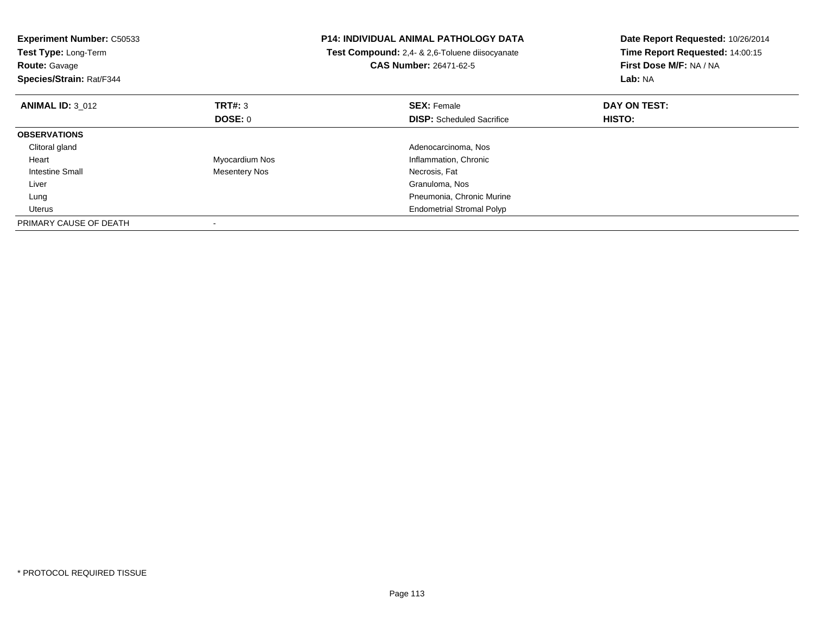| <b>Experiment Number: C50533</b><br>Test Type: Long-Term<br><b>Route: Gavage</b><br>Species/Strain: Rat/F344 |                      | <b>P14: INDIVIDUAL ANIMAL PATHOLOGY DATA</b><br>Test Compound: 2,4- & 2,6-Toluene diisocyanate<br><b>CAS Number: 26471-62-5</b> | Date Report Requested: 10/26/2014<br>Time Report Requested: 14:00:15<br>First Dose M/F: NA / NA<br>Lab: NA |
|--------------------------------------------------------------------------------------------------------------|----------------------|---------------------------------------------------------------------------------------------------------------------------------|------------------------------------------------------------------------------------------------------------|
| <b>ANIMAL ID: 3 012</b>                                                                                      | <b>TRT#: 3</b>       | <b>SEX: Female</b>                                                                                                              | DAY ON TEST:                                                                                               |
|                                                                                                              | DOSE: 0              | <b>DISP:</b> Scheduled Sacrifice                                                                                                | HISTO:                                                                                                     |
| <b>OBSERVATIONS</b>                                                                                          |                      |                                                                                                                                 |                                                                                                            |
| Clitoral gland                                                                                               |                      | Adenocarcinoma, Nos                                                                                                             |                                                                                                            |
| Heart                                                                                                        | Myocardium Nos       | Inflammation, Chronic                                                                                                           |                                                                                                            |
| Intestine Small                                                                                              | <b>Mesentery Nos</b> | Necrosis, Fat                                                                                                                   |                                                                                                            |
| Liver                                                                                                        |                      | Granuloma, Nos                                                                                                                  |                                                                                                            |
| Lung                                                                                                         |                      | Pneumonia, Chronic Murine                                                                                                       |                                                                                                            |
| <b>Uterus</b>                                                                                                |                      | <b>Endometrial Stromal Polyp</b>                                                                                                |                                                                                                            |
| PRIMARY CAUSE OF DEATH                                                                                       |                      |                                                                                                                                 |                                                                                                            |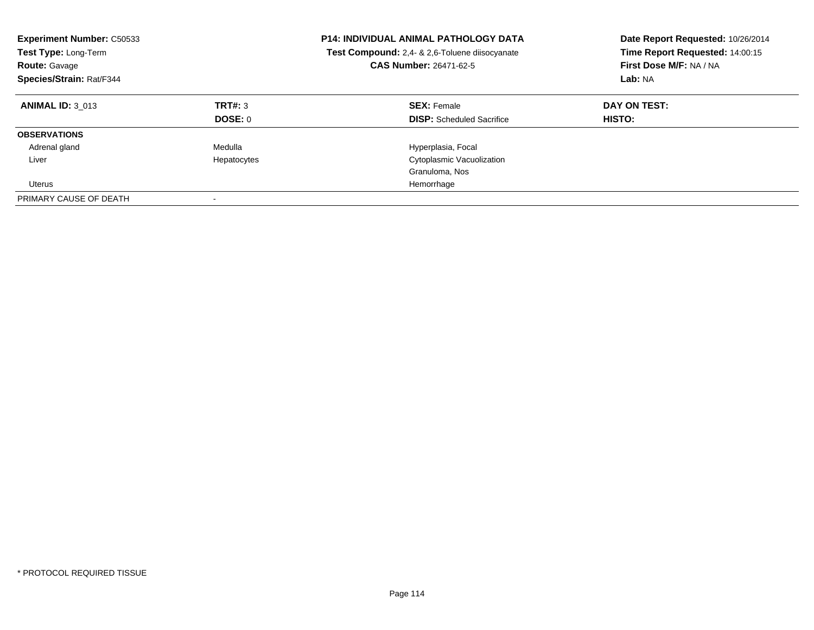| <b>Experiment Number: C50533</b><br>Test Type: Long-Term<br><b>Route: Gavage</b><br>Species/Strain: Rat/F344 |                    | <b>P14: INDIVIDUAL ANIMAL PATHOLOGY DATA</b><br>Test Compound: 2,4- & 2,6-Toluene diisocyanate<br><b>CAS Number: 26471-62-5</b> | Date Report Requested: 10/26/2014<br>Time Report Requested: 14:00:15<br>First Dose M/F: NA / NA<br>Lab: NA |
|--------------------------------------------------------------------------------------------------------------|--------------------|---------------------------------------------------------------------------------------------------------------------------------|------------------------------------------------------------------------------------------------------------|
| <b>ANIMAL ID: 3 013</b>                                                                                      | TRT#: 3<br>DOSE: 0 | <b>SEX: Female</b><br><b>DISP:</b> Scheduled Sacrifice                                                                          | DAY ON TEST:<br>HISTO:                                                                                     |
| <b>OBSERVATIONS</b>                                                                                          |                    |                                                                                                                                 |                                                                                                            |
| Adrenal gland                                                                                                | Medulla            | Hyperplasia, Focal                                                                                                              |                                                                                                            |
| Liver                                                                                                        | Hepatocytes        | Cytoplasmic Vacuolization                                                                                                       |                                                                                                            |
|                                                                                                              |                    | Granuloma, Nos                                                                                                                  |                                                                                                            |
| Uterus                                                                                                       |                    | Hemorrhage                                                                                                                      |                                                                                                            |
| PRIMARY CAUSE OF DEATH                                                                                       |                    |                                                                                                                                 |                                                                                                            |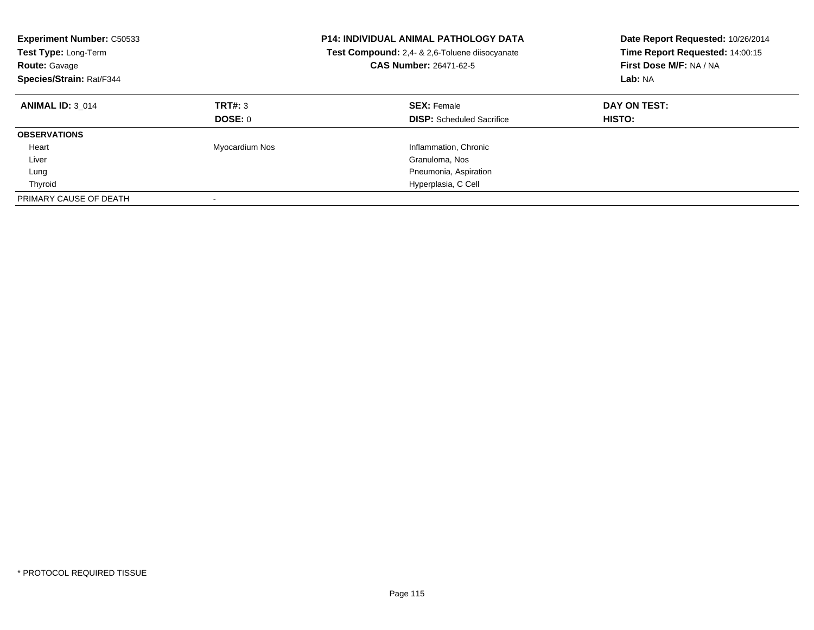| <b>Experiment Number: C50533</b><br><b>Test Type: Long-Term</b><br><b>Route: Gavage</b><br>Species/Strain: Rat/F344 |                           | <b>P14: INDIVIDUAL ANIMAL PATHOLOGY DATA</b><br>Test Compound: 2,4- & 2,6-Toluene diisocyanate<br>CAS Number: 26471-62-5 | Date Report Requested: 10/26/2014<br>Time Report Requested: 14:00:15<br>First Dose M/F: NA / NA<br>Lab: NA |
|---------------------------------------------------------------------------------------------------------------------|---------------------------|--------------------------------------------------------------------------------------------------------------------------|------------------------------------------------------------------------------------------------------------|
| <b>ANIMAL ID: 3 014</b>                                                                                             | TRT#: 3<br><b>DOSE: 0</b> | <b>SEX: Female</b><br><b>DISP:</b> Scheduled Sacrifice                                                                   | DAY ON TEST:<br><b>HISTO:</b>                                                                              |
| <b>OBSERVATIONS</b>                                                                                                 |                           |                                                                                                                          |                                                                                                            |
| Heart                                                                                                               | Myocardium Nos            | Inflammation, Chronic                                                                                                    |                                                                                                            |
| Liver                                                                                                               |                           | Granuloma, Nos                                                                                                           |                                                                                                            |
| Lung                                                                                                                |                           | Pneumonia, Aspiration                                                                                                    |                                                                                                            |
| Thyroid                                                                                                             |                           | Hyperplasia, C Cell                                                                                                      |                                                                                                            |
| PRIMARY CAUSE OF DEATH                                                                                              |                           |                                                                                                                          |                                                                                                            |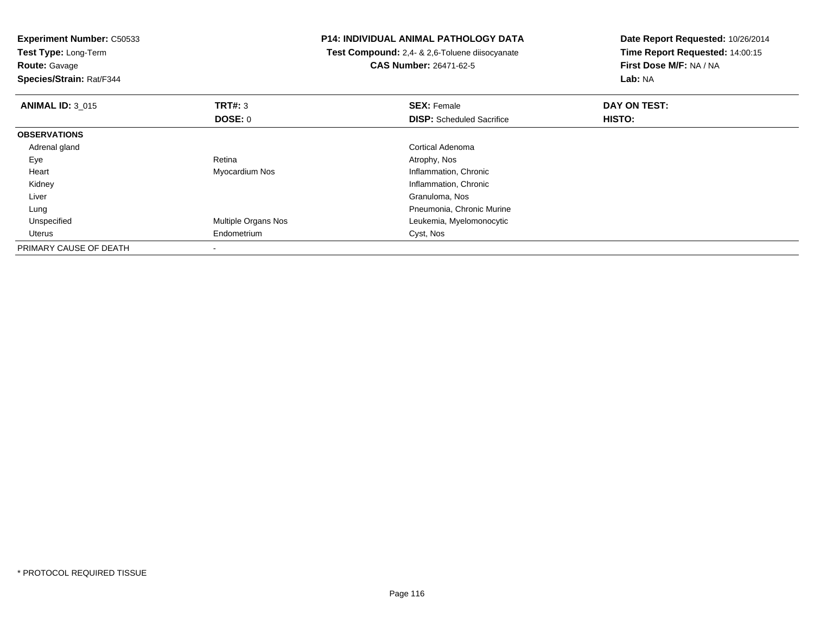**Experiment Number:** C50533**Test Type:** Long-Term**Route:** Gavage **Species/Strain:** Rat/F344**P14: INDIVIDUAL ANIMAL PATHOLOGY DATA Test Compound:** 2,4- & 2,6-Toluene diisocyanate**CAS Number:** 26471-62-5**Date Report Requested:** 10/26/2014**Time Report Requested:** 14:00:15**First Dose M/F:** NA / NA**Lab:** NA**ANIMAL ID:** 3\_015 **TRT#:** <sup>3</sup> **SEX:** Female **DAY ON TEST: DOSE:** 0**DISP:** Scheduled Sacrifice **HISTO: OBSERVATIONS** Adrenal glandCortical Adenoma<br>Retina Matrophy, Nos Eyee and the contract of the Retina Atrophy, Nos and Atrophy, Nos and Atrophy, Nos and Atrophy, Nos and Atrophy, Nos Heart Myocardium Nos Inflammation, Chronic Kidney Inflammation, Chronic Liver Granuloma, Nos Pneumonia, Chronic Murine Lung Unspecified Multiple Organs Nos Leukemia, Myelomonocytic Uterus Endometrium Cyst, Nos PRIMARY CAUSE OF DEATH-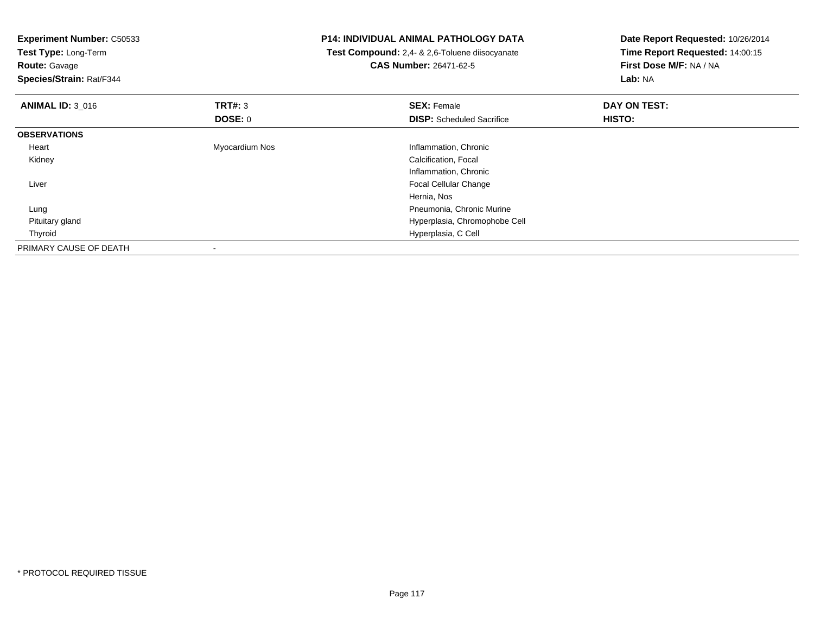| <b>Experiment Number: C50533</b><br>Test Type: Long-Term |                | P14: INDIVIDUAL ANIMAL PATHOLOGY DATA          | Date Report Requested: 10/26/2014<br>Time Report Requested: 14:00:15 |  |
|----------------------------------------------------------|----------------|------------------------------------------------|----------------------------------------------------------------------|--|
|                                                          |                | Test Compound: 2,4- & 2,6-Toluene diisocyanate |                                                                      |  |
| <b>Route: Gavage</b>                                     |                | <b>CAS Number: 26471-62-5</b>                  | First Dose M/F: NA / NA                                              |  |
| Species/Strain: Rat/F344                                 |                |                                                | Lab: NA                                                              |  |
| <b>ANIMAL ID: 3_016</b>                                  | TRT#: 3        | <b>SEX: Female</b>                             | DAY ON TEST:                                                         |  |
|                                                          | <b>DOSE: 0</b> | <b>DISP:</b> Scheduled Sacrifice               | HISTO:                                                               |  |
| <b>OBSERVATIONS</b>                                      |                |                                                |                                                                      |  |
| Heart                                                    | Myocardium Nos | Inflammation, Chronic                          |                                                                      |  |
| Kidney                                                   |                | Calcification, Focal                           |                                                                      |  |
|                                                          |                | Inflammation, Chronic                          |                                                                      |  |
| Liver                                                    |                | Focal Cellular Change                          |                                                                      |  |
|                                                          |                | Hernia, Nos                                    |                                                                      |  |
| Lung                                                     |                | Pneumonia, Chronic Murine                      |                                                                      |  |
| Pituitary gland                                          |                | Hyperplasia, Chromophobe Cell                  |                                                                      |  |
| Thyroid                                                  |                | Hyperplasia, C Cell                            |                                                                      |  |
| PRIMARY CAUSE OF DEATH                                   |                |                                                |                                                                      |  |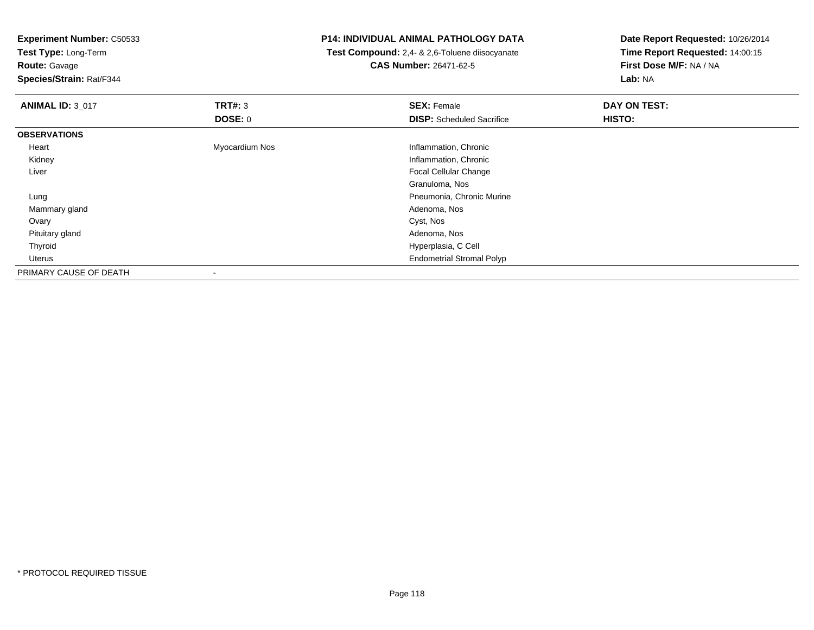**Experiment Number:** C50533

**Test Type:** Long-Term

**Route:** Gavage

**Species/Strain:** Rat/F344

## **P14: INDIVIDUAL ANIMAL PATHOLOGY DATA**

 **Test Compound:** 2,4- & 2,6-Toluene diisocyanate**CAS Number:** 26471-62-5

**Date Report Requested:** 10/26/2014**Time Report Requested:** 14:00:15**First Dose M/F:** NA / NA**Lab:** NA

| <b>ANIMAL ID: 3_017</b> | TRT#: 3        | <b>SEX: Female</b>               | DAY ON TEST: |  |
|-------------------------|----------------|----------------------------------|--------------|--|
|                         | <b>DOSE: 0</b> | <b>DISP:</b> Scheduled Sacrifice | HISTO:       |  |
| <b>OBSERVATIONS</b>     |                |                                  |              |  |
| Heart                   | Myocardium Nos | Inflammation, Chronic            |              |  |
| Kidney                  |                | Inflammation, Chronic            |              |  |
| Liver                   |                | Focal Cellular Change            |              |  |
|                         |                | Granuloma, Nos                   |              |  |
| Lung                    |                | Pneumonia, Chronic Murine        |              |  |
| Mammary gland           |                | Adenoma, Nos                     |              |  |
| Ovary                   |                | Cyst, Nos                        |              |  |
| Pituitary gland         |                | Adenoma, Nos                     |              |  |
| Thyroid                 |                | Hyperplasia, C Cell              |              |  |
| Uterus                  |                | <b>Endometrial Stromal Polyp</b> |              |  |
| PRIMARY CAUSE OF DEATH  |                |                                  |              |  |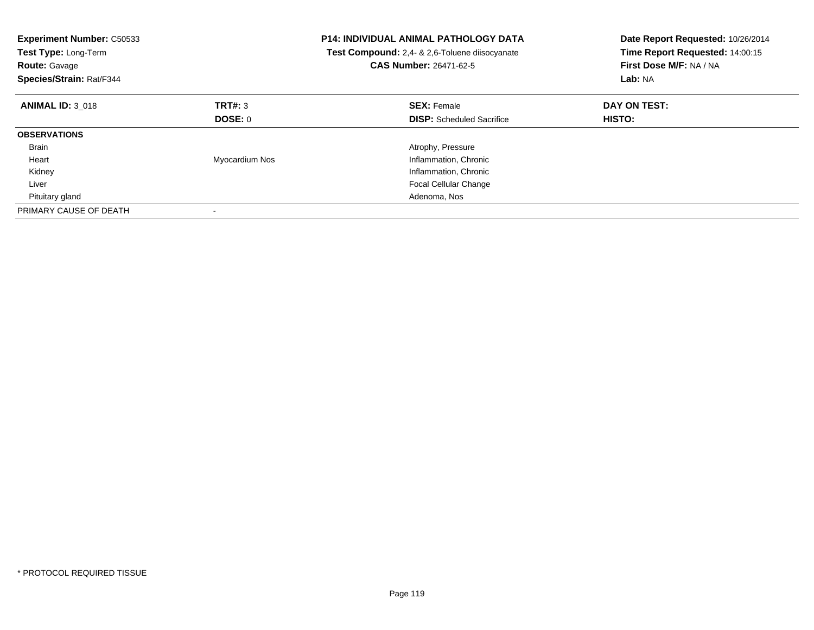| <b>Experiment Number: C50533</b><br>Test Type: Long-Term<br><b>Route: Gavage</b><br>Species/Strain: Rat/F344 |                | <b>P14: INDIVIDUAL ANIMAL PATHOLOGY DATA</b><br>Test Compound: 2,4- & 2,6-Toluene diisocyanate<br><b>CAS Number: 26471-62-5</b> | Date Report Requested: 10/26/2014<br>Time Report Requested: 14:00:15<br>First Dose M/F: NA / NA<br>Lab: NA |
|--------------------------------------------------------------------------------------------------------------|----------------|---------------------------------------------------------------------------------------------------------------------------------|------------------------------------------------------------------------------------------------------------|
| <b>ANIMAL ID: 3 018</b>                                                                                      | TRT#: 3        | <b>SEX: Female</b>                                                                                                              | DAY ON TEST:                                                                                               |
|                                                                                                              | DOSE: 0        | <b>DISP:</b> Scheduled Sacrifice                                                                                                | <b>HISTO:</b>                                                                                              |
| <b>OBSERVATIONS</b>                                                                                          |                |                                                                                                                                 |                                                                                                            |
| <b>Brain</b>                                                                                                 |                | Atrophy, Pressure                                                                                                               |                                                                                                            |
| Heart                                                                                                        | Myocardium Nos | Inflammation, Chronic                                                                                                           |                                                                                                            |
| Kidney                                                                                                       |                | Inflammation, Chronic                                                                                                           |                                                                                                            |
| Liver                                                                                                        |                | <b>Focal Cellular Change</b>                                                                                                    |                                                                                                            |
| Pituitary gland                                                                                              |                | Adenoma, Nos                                                                                                                    |                                                                                                            |
| PRIMARY CAUSE OF DEATH                                                                                       |                |                                                                                                                                 |                                                                                                            |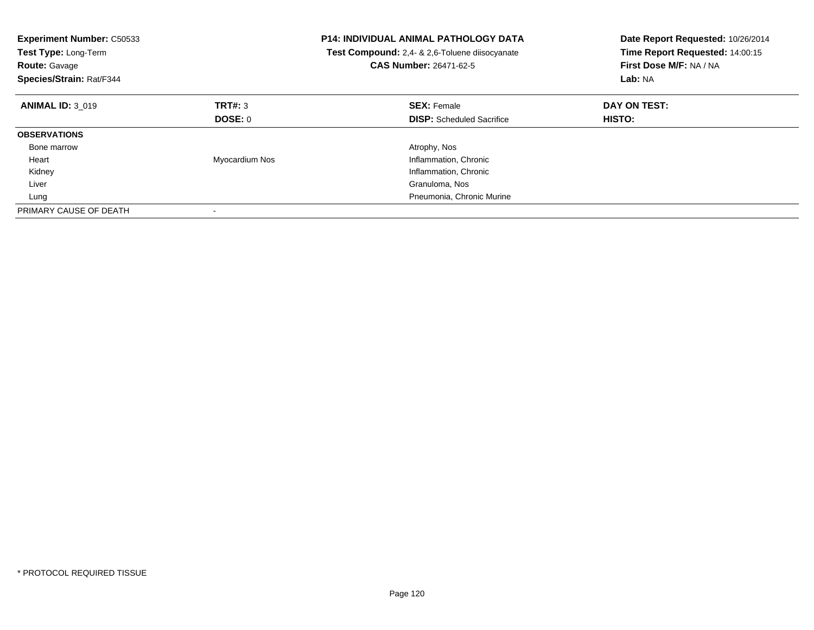| <b>Experiment Number: C50533</b><br>Test Type: Long-Term<br><b>Route: Gavage</b><br>Species/Strain: Rat/F344 |                | <b>P14: INDIVIDUAL ANIMAL PATHOLOGY DATA</b><br>Test Compound: 2,4- & 2,6-Toluene diisocyanate<br>CAS Number: 26471-62-5 | Date Report Requested: 10/26/2014<br>Time Report Requested: 14:00:15<br>First Dose M/F: NA / NA<br>Lab: NA |
|--------------------------------------------------------------------------------------------------------------|----------------|--------------------------------------------------------------------------------------------------------------------------|------------------------------------------------------------------------------------------------------------|
| <b>ANIMAL ID: 3 019</b>                                                                                      | TRT#: 3        | <b>SEX: Female</b>                                                                                                       | DAY ON TEST:                                                                                               |
|                                                                                                              | DOSE: 0        | <b>DISP:</b> Scheduled Sacrifice                                                                                         | <b>HISTO:</b>                                                                                              |
| <b>OBSERVATIONS</b>                                                                                          |                |                                                                                                                          |                                                                                                            |
| Bone marrow                                                                                                  |                | Atrophy, Nos                                                                                                             |                                                                                                            |
| Heart                                                                                                        | Myocardium Nos | Inflammation, Chronic                                                                                                    |                                                                                                            |
| Kidney                                                                                                       |                | Inflammation, Chronic                                                                                                    |                                                                                                            |
| Liver                                                                                                        |                | Granuloma, Nos                                                                                                           |                                                                                                            |
| Lung                                                                                                         |                | Pneumonia, Chronic Murine                                                                                                |                                                                                                            |
| PRIMARY CAUSE OF DEATH                                                                                       |                |                                                                                                                          |                                                                                                            |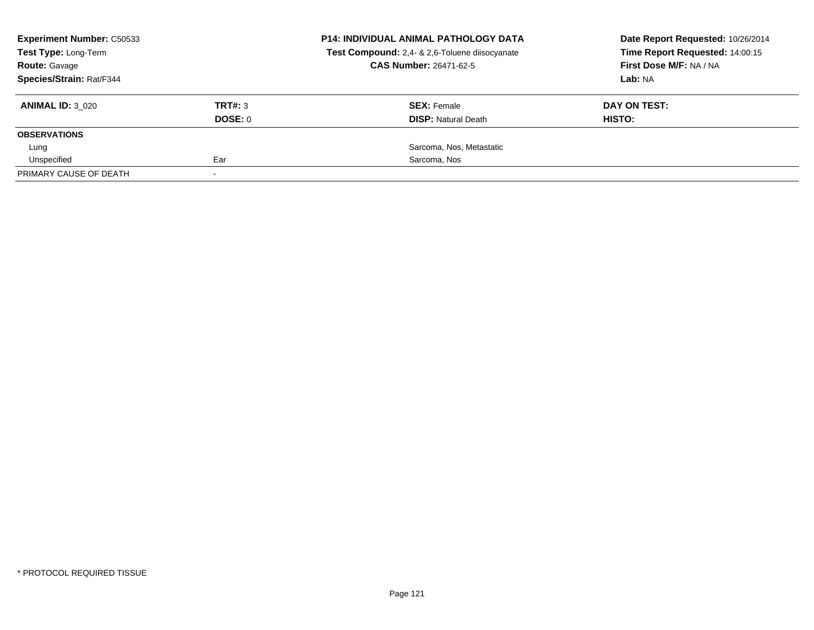| <b>Experiment Number: C50533</b><br>Test Type: Long-Term<br><b>Route: Gavage</b> |         | <b>P14: INDIVIDUAL ANIMAL PATHOLOGY DATA</b>   | Date Report Requested: 10/26/2014 |  |
|----------------------------------------------------------------------------------|---------|------------------------------------------------|-----------------------------------|--|
|                                                                                  |         | Test Compound: 2,4- & 2,6-Toluene diisocyanate | Time Report Requested: 14:00:15   |  |
|                                                                                  |         | <b>CAS Number: 26471-62-5</b>                  | First Dose M/F: NA / NA           |  |
| Species/Strain: Rat/F344                                                         |         |                                                | Lab: NA                           |  |
| <b>ANIMAL ID: 3 020</b>                                                          | TRT#: 3 | <b>SEX: Female</b>                             | DAY ON TEST:                      |  |
|                                                                                  | DOSE: 0 | <b>DISP:</b> Natural Death                     | HISTO:                            |  |
| <b>OBSERVATIONS</b>                                                              |         |                                                |                                   |  |
| Lung                                                                             |         | Sarcoma, Nos, Metastatic                       |                                   |  |
| Unspecified                                                                      | Ear     | Sarcoma, Nos                                   |                                   |  |
| PRIMARY CAUSE OF DEATH                                                           |         |                                                |                                   |  |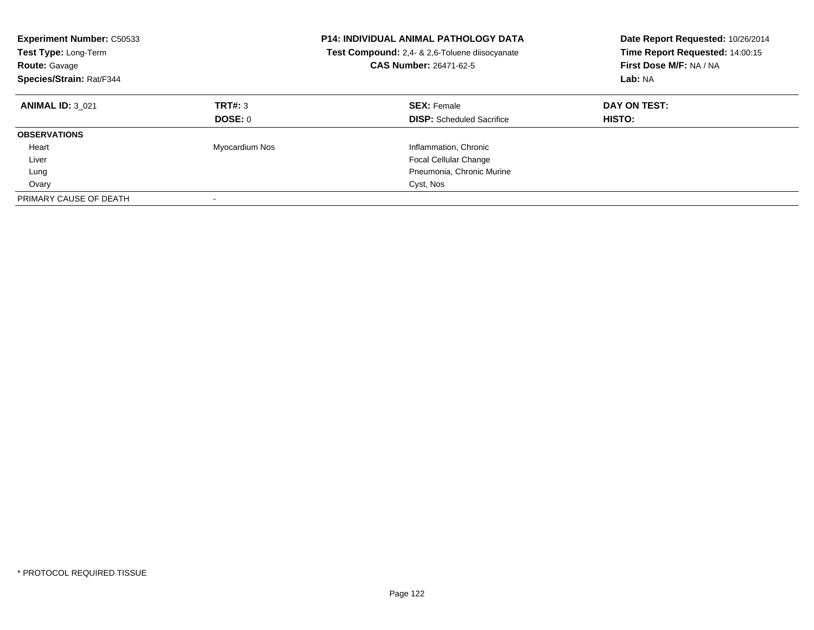| <b>Experiment Number: C50533</b><br><b>Test Type: Long-Term</b><br><b>Route: Gavage</b><br>Species/Strain: Rat/F344 |                           | <b>P14: INDIVIDUAL ANIMAL PATHOLOGY DATA</b><br>Test Compound: 2,4- & 2,6-Toluene diisocyanate<br><b>CAS Number: 26471-62-5</b> | Date Report Requested: 10/26/2014<br>Time Report Requested: 14:00:15<br>First Dose M/F: NA / NA<br>Lab: NA |
|---------------------------------------------------------------------------------------------------------------------|---------------------------|---------------------------------------------------------------------------------------------------------------------------------|------------------------------------------------------------------------------------------------------------|
| <b>ANIMAL ID: 3 021</b>                                                                                             | TRT#: 3<br><b>DOSE: 0</b> | <b>SEX: Female</b><br><b>DISP:</b> Scheduled Sacrifice                                                                          | DAY ON TEST:<br><b>HISTO:</b>                                                                              |
| <b>OBSERVATIONS</b>                                                                                                 |                           |                                                                                                                                 |                                                                                                            |
| Heart                                                                                                               | Myocardium Nos            | Inflammation, Chronic                                                                                                           |                                                                                                            |
| Liver                                                                                                               |                           | <b>Focal Cellular Change</b>                                                                                                    |                                                                                                            |
| Lung                                                                                                                |                           | Pneumonia, Chronic Murine                                                                                                       |                                                                                                            |
| Ovary                                                                                                               |                           | Cyst, Nos                                                                                                                       |                                                                                                            |
| PRIMARY CAUSE OF DEATH                                                                                              |                           |                                                                                                                                 |                                                                                                            |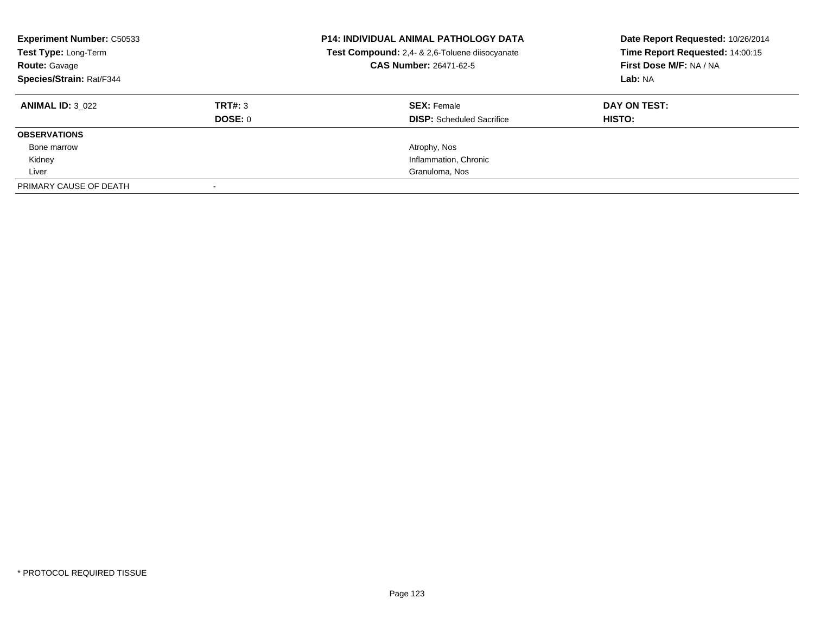| <b>Experiment Number: C50533</b><br>Test Type: Long-Term<br><b>Route: Gavage</b><br>Species/Strain: Rat/F344 |                | <b>P14: INDIVIDUAL ANIMAL PATHOLOGY DATA</b><br>Test Compound: 2,4- & 2,6-Toluene diisocyanate<br><b>CAS Number: 26471-62-5</b> | Date Report Requested: 10/26/2014<br>Time Report Requested: 14:00:15<br>First Dose M/F: NA / NA<br>Lab: NA |
|--------------------------------------------------------------------------------------------------------------|----------------|---------------------------------------------------------------------------------------------------------------------------------|------------------------------------------------------------------------------------------------------------|
| <b>ANIMAL ID: 3 022</b>                                                                                      | TRT#: 3        | <b>SEX: Female</b>                                                                                                              | DAY ON TEST:                                                                                               |
|                                                                                                              | <b>DOSE: 0</b> | <b>DISP:</b> Scheduled Sacrifice                                                                                                | HISTO:                                                                                                     |
| <b>OBSERVATIONS</b>                                                                                          |                |                                                                                                                                 |                                                                                                            |
| Bone marrow                                                                                                  |                | Atrophy, Nos                                                                                                                    |                                                                                                            |
| Kidney                                                                                                       |                | Inflammation, Chronic                                                                                                           |                                                                                                            |
| Liver                                                                                                        |                | Granuloma, Nos                                                                                                                  |                                                                                                            |
| PRIMARY CAUSE OF DEATH                                                                                       |                |                                                                                                                                 |                                                                                                            |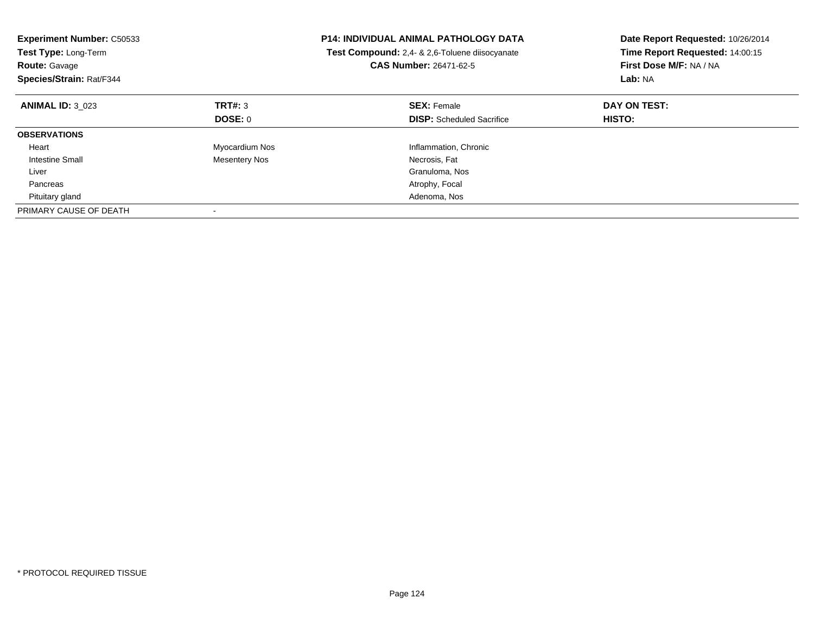| <b>Experiment Number: C50533</b><br>Test Type: Long-Term<br><b>Route: Gavage</b><br>Species/Strain: Rat/F344 |                      | <b>P14: INDIVIDUAL ANIMAL PATHOLOGY DATA</b><br>Test Compound: 2,4- & 2,6-Toluene diisocyanate<br><b>CAS Number: 26471-62-5</b> | Date Report Requested: 10/26/2014<br>Time Report Requested: 14:00:15<br>First Dose M/F: NA / NA<br>Lab: NA |
|--------------------------------------------------------------------------------------------------------------|----------------------|---------------------------------------------------------------------------------------------------------------------------------|------------------------------------------------------------------------------------------------------------|
| <b>ANIMAL ID: 3 023</b>                                                                                      | TRT#: 3              | <b>SEX: Female</b>                                                                                                              | DAY ON TEST:                                                                                               |
|                                                                                                              | DOSE: 0              | <b>DISP:</b> Scheduled Sacrifice                                                                                                | <b>HISTO:</b>                                                                                              |
| <b>OBSERVATIONS</b>                                                                                          |                      |                                                                                                                                 |                                                                                                            |
| Heart                                                                                                        | Myocardium Nos       | Inflammation, Chronic                                                                                                           |                                                                                                            |
| Intestine Small                                                                                              | <b>Mesentery Nos</b> | Necrosis, Fat                                                                                                                   |                                                                                                            |
| Liver                                                                                                        |                      | Granuloma, Nos                                                                                                                  |                                                                                                            |
| Pancreas                                                                                                     |                      | Atrophy, Focal                                                                                                                  |                                                                                                            |
| Pituitary gland                                                                                              |                      | Adenoma, Nos                                                                                                                    |                                                                                                            |
| PRIMARY CAUSE OF DEATH                                                                                       |                      |                                                                                                                                 |                                                                                                            |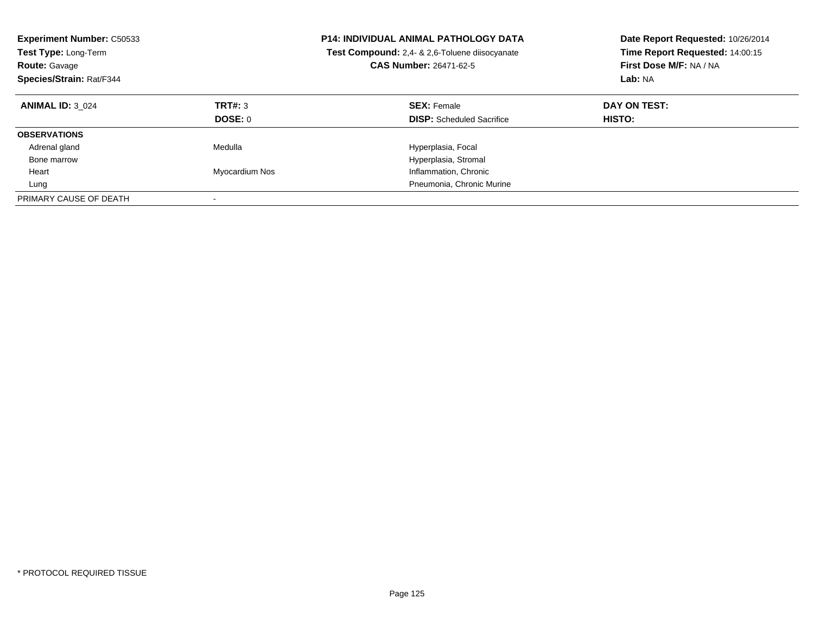| <b>Experiment Number: C50533</b><br><b>Test Type: Long-Term</b><br><b>Route: Gavage</b><br>Species/Strain: Rat/F344 |                    | <b>P14: INDIVIDUAL ANIMAL PATHOLOGY DATA</b><br>Test Compound: 2,4- & 2,6-Toluene diisocyanate<br><b>CAS Number: 26471-62-5</b> | Date Report Requested: 10/26/2014<br>Time Report Requested: 14:00:15<br>First Dose M/F: NA / NA<br>Lab: NA |
|---------------------------------------------------------------------------------------------------------------------|--------------------|---------------------------------------------------------------------------------------------------------------------------------|------------------------------------------------------------------------------------------------------------|
| <b>ANIMAL ID: 3 024</b>                                                                                             | TRT#: 3<br>DOSE: 0 | <b>SEX: Female</b><br><b>DISP:</b> Scheduled Sacrifice                                                                          | DAY ON TEST:<br><b>HISTO:</b>                                                                              |
| <b>OBSERVATIONS</b>                                                                                                 |                    |                                                                                                                                 |                                                                                                            |
| Adrenal gland                                                                                                       | Medulla            | Hyperplasia, Focal                                                                                                              |                                                                                                            |
| Bone marrow                                                                                                         |                    | Hyperplasia, Stromal                                                                                                            |                                                                                                            |
| Heart                                                                                                               | Myocardium Nos     | Inflammation, Chronic                                                                                                           |                                                                                                            |
| Lung                                                                                                                |                    | Pneumonia, Chronic Murine                                                                                                       |                                                                                                            |
| PRIMARY CAUSE OF DEATH                                                                                              |                    |                                                                                                                                 |                                                                                                            |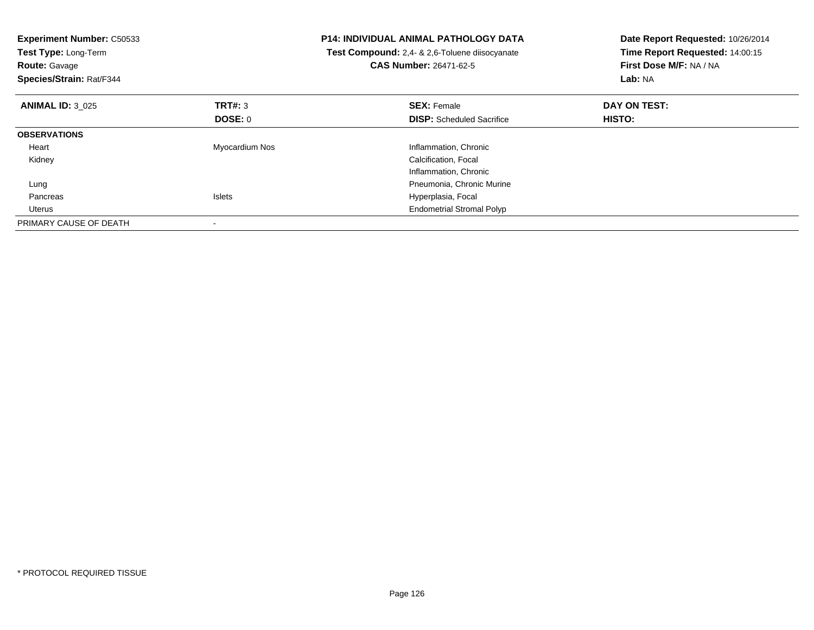| <b>Experiment Number: C50533</b><br>Test Type: Long-Term<br><b>Route: Gavage</b><br>Species/Strain: Rat/F344 |                | <b>P14: INDIVIDUAL ANIMAL PATHOLOGY DATA</b><br>Test Compound: 2,4- & 2,6-Toluene diisocyanate<br><b>CAS Number: 26471-62-5</b> | Date Report Requested: 10/26/2014<br>Time Report Requested: 14:00:15<br>First Dose M/F: NA / NA<br>Lab: NA |
|--------------------------------------------------------------------------------------------------------------|----------------|---------------------------------------------------------------------------------------------------------------------------------|------------------------------------------------------------------------------------------------------------|
| <b>ANIMAL ID: 3 025</b>                                                                                      | TRT#: 3        | <b>SEX: Female</b>                                                                                                              | DAY ON TEST:                                                                                               |
|                                                                                                              | <b>DOSE: 0</b> | <b>DISP:</b> Scheduled Sacrifice                                                                                                | HISTO:                                                                                                     |
| <b>OBSERVATIONS</b>                                                                                          |                |                                                                                                                                 |                                                                                                            |
| Heart                                                                                                        | Myocardium Nos | Inflammation, Chronic                                                                                                           |                                                                                                            |
| Kidney                                                                                                       |                | Calcification, Focal                                                                                                            |                                                                                                            |
|                                                                                                              |                | Inflammation, Chronic                                                                                                           |                                                                                                            |
| Lung                                                                                                         |                | Pneumonia, Chronic Murine                                                                                                       |                                                                                                            |
| Pancreas                                                                                                     | <b>Islets</b>  | Hyperplasia, Focal                                                                                                              |                                                                                                            |
| Uterus                                                                                                       |                | <b>Endometrial Stromal Polyp</b>                                                                                                |                                                                                                            |
| PRIMARY CAUSE OF DEATH                                                                                       |                |                                                                                                                                 |                                                                                                            |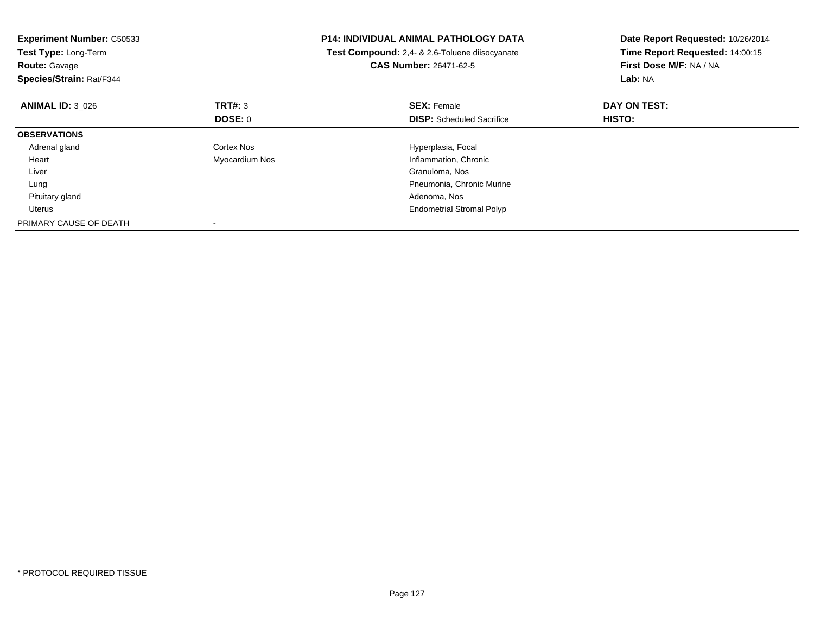| <b>Experiment Number: C50533</b><br>Test Type: Long-Term<br><b>Route: Gavage</b><br>Species/Strain: Rat/F344 |                | <b>P14: INDIVIDUAL ANIMAL PATHOLOGY DATA</b><br><b>Test Compound:</b> 2,4- & 2,6-Toluene diisocyanate<br><b>CAS Number: 26471-62-5</b> | Date Report Requested: 10/26/2014<br>Time Report Requested: 14:00:15<br>First Dose M/F: NA / NA<br>Lab: NA |
|--------------------------------------------------------------------------------------------------------------|----------------|----------------------------------------------------------------------------------------------------------------------------------------|------------------------------------------------------------------------------------------------------------|
| <b>ANIMAL ID: 3 026</b>                                                                                      | <b>TRT#: 3</b> | <b>SEX: Female</b>                                                                                                                     | DAY ON TEST:                                                                                               |
|                                                                                                              | DOSE: 0        | <b>DISP:</b> Scheduled Sacrifice                                                                                                       | HISTO:                                                                                                     |
| <b>OBSERVATIONS</b>                                                                                          |                |                                                                                                                                        |                                                                                                            |
| Adrenal gland                                                                                                | Cortex Nos     | Hyperplasia, Focal                                                                                                                     |                                                                                                            |
| Heart                                                                                                        | Myocardium Nos | Inflammation, Chronic                                                                                                                  |                                                                                                            |
| Liver                                                                                                        |                | Granuloma, Nos                                                                                                                         |                                                                                                            |
| Lung                                                                                                         |                | Pneumonia, Chronic Murine                                                                                                              |                                                                                                            |
| Pituitary gland                                                                                              |                | Adenoma, Nos                                                                                                                           |                                                                                                            |
| Uterus                                                                                                       |                | <b>Endometrial Stromal Polyp</b>                                                                                                       |                                                                                                            |
| PRIMARY CAUSE OF DEATH                                                                                       |                |                                                                                                                                        |                                                                                                            |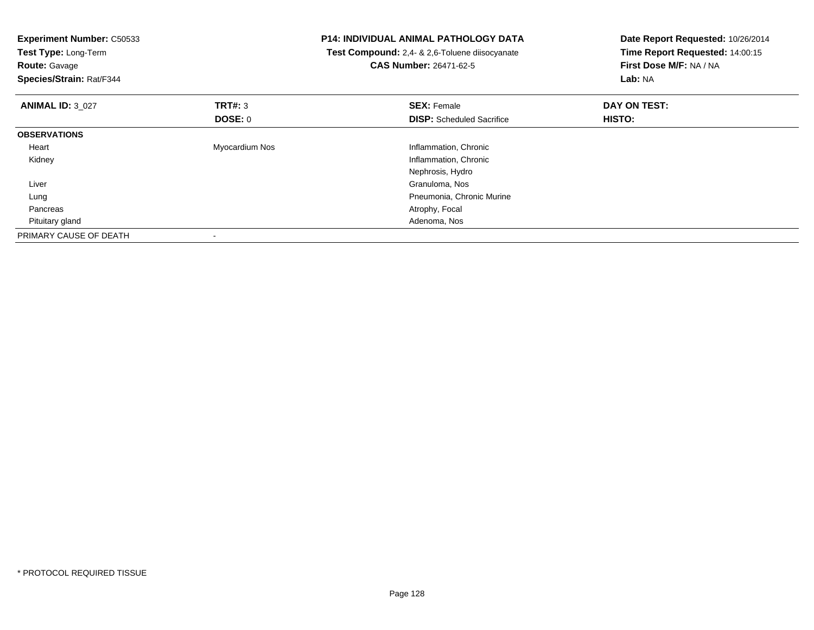| <b>Experiment Number: C50533</b><br>Test Type: Long-Term<br><b>Route: Gavage</b><br>Species/Strain: Rat/F344 |                | <b>P14: INDIVIDUAL ANIMAL PATHOLOGY DATA</b><br>Test Compound: 2,4- & 2,6-Toluene diisocyanate<br><b>CAS Number: 26471-62-5</b> | Date Report Requested: 10/26/2014<br>Time Report Requested: 14:00:15<br>First Dose M/F: NA / NA<br>Lab: NA |
|--------------------------------------------------------------------------------------------------------------|----------------|---------------------------------------------------------------------------------------------------------------------------------|------------------------------------------------------------------------------------------------------------|
| <b>ANIMAL ID: 3 027</b>                                                                                      | <b>TRT#: 3</b> | <b>SEX: Female</b>                                                                                                              | DAY ON TEST:                                                                                               |
|                                                                                                              | DOSE: 0        | <b>DISP:</b> Scheduled Sacrifice                                                                                                | <b>HISTO:</b>                                                                                              |
| <b>OBSERVATIONS</b>                                                                                          |                |                                                                                                                                 |                                                                                                            |
| Heart                                                                                                        | Myocardium Nos | Inflammation, Chronic                                                                                                           |                                                                                                            |
| Kidney                                                                                                       |                | Inflammation, Chronic                                                                                                           |                                                                                                            |
|                                                                                                              |                | Nephrosis, Hydro                                                                                                                |                                                                                                            |
| Liver                                                                                                        |                | Granuloma, Nos                                                                                                                  |                                                                                                            |
| Lung                                                                                                         |                | Pneumonia, Chronic Murine                                                                                                       |                                                                                                            |
| Pancreas                                                                                                     |                | Atrophy, Focal                                                                                                                  |                                                                                                            |
| Pituitary gland                                                                                              |                | Adenoma, Nos                                                                                                                    |                                                                                                            |
| PRIMARY CAUSE OF DEATH                                                                                       |                |                                                                                                                                 |                                                                                                            |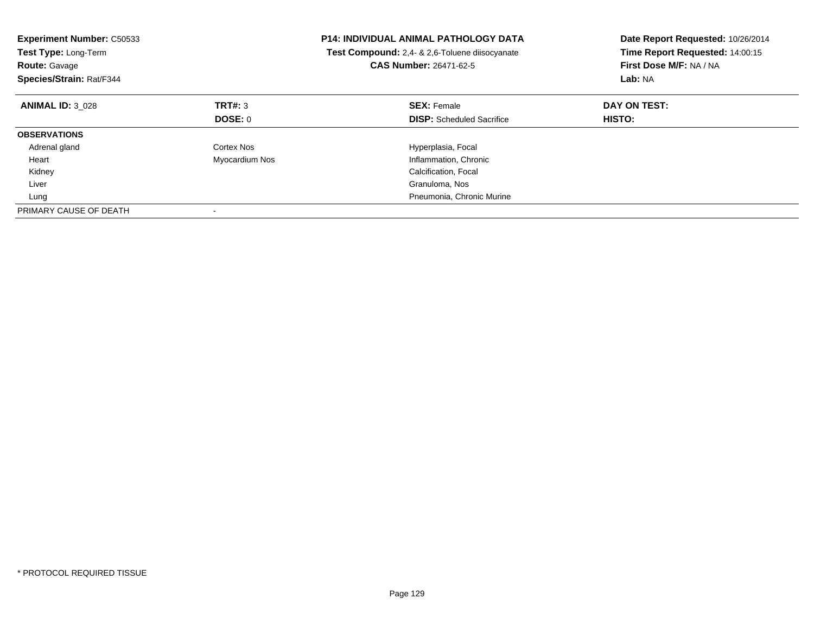| <b>Experiment Number: C50533</b><br>Test Type: Long-Term<br><b>Route: Gavage</b><br>Species/Strain: Rat/F344 |                | <b>P14: INDIVIDUAL ANIMAL PATHOLOGY DATA</b><br>Test Compound: 2,4- & 2,6-Toluene diisocyanate<br><b>CAS Number: 26471-62-5</b> | Date Report Requested: 10/26/2014<br>Time Report Requested: 14:00:15<br>First Dose M/F: NA / NA<br>Lab: NA |
|--------------------------------------------------------------------------------------------------------------|----------------|---------------------------------------------------------------------------------------------------------------------------------|------------------------------------------------------------------------------------------------------------|
| <b>ANIMAL ID: 3 028</b>                                                                                      | TRT#: 3        | <b>SEX: Female</b>                                                                                                              | DAY ON TEST:                                                                                               |
|                                                                                                              | DOSE: 0        | <b>DISP:</b> Scheduled Sacrifice                                                                                                | <b>HISTO:</b>                                                                                              |
| <b>OBSERVATIONS</b>                                                                                          |                |                                                                                                                                 |                                                                                                            |
| Adrenal gland                                                                                                | Cortex Nos     | Hyperplasia, Focal                                                                                                              |                                                                                                            |
| Heart                                                                                                        | Myocardium Nos | Inflammation, Chronic                                                                                                           |                                                                                                            |
| Kidney                                                                                                       |                | Calcification, Focal                                                                                                            |                                                                                                            |
| Liver                                                                                                        |                | Granuloma, Nos                                                                                                                  |                                                                                                            |
| Lung                                                                                                         |                | Pneumonia, Chronic Murine                                                                                                       |                                                                                                            |
| PRIMARY CAUSE OF DEATH                                                                                       |                |                                                                                                                                 |                                                                                                            |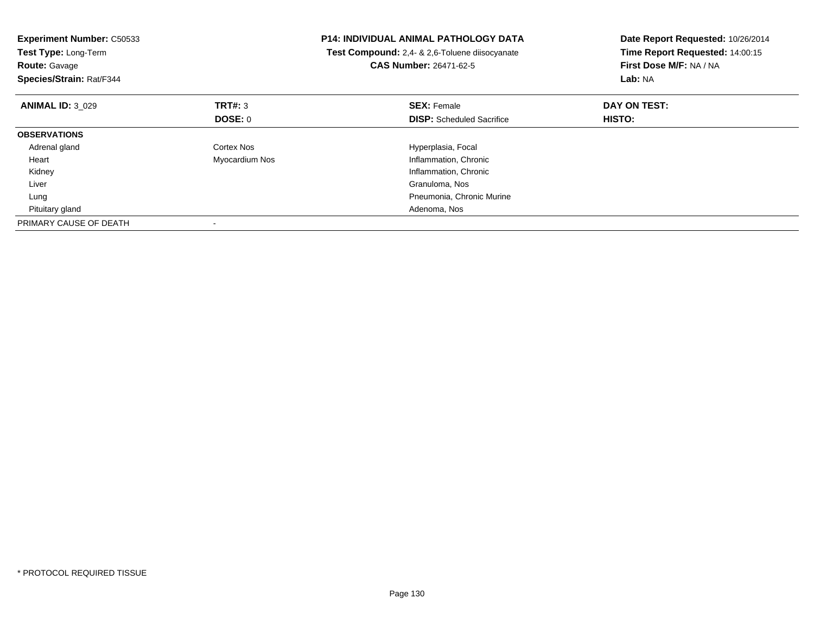| <b>Experiment Number: C50533</b><br>Test Type: Long-Term<br><b>Route: Gavage</b><br>Species/Strain: Rat/F344 |                | <b>P14: INDIVIDUAL ANIMAL PATHOLOGY DATA</b><br>Test Compound: 2,4- & 2,6-Toluene diisocyanate<br><b>CAS Number: 26471-62-5</b> | Date Report Requested: 10/26/2014<br>Time Report Requested: 14:00:15<br>First Dose M/F: NA / NA<br>Lab: NA |
|--------------------------------------------------------------------------------------------------------------|----------------|---------------------------------------------------------------------------------------------------------------------------------|------------------------------------------------------------------------------------------------------------|
| <b>ANIMAL ID: 3 029</b>                                                                                      | TRT#: 3        | <b>SEX: Female</b>                                                                                                              | DAY ON TEST:                                                                                               |
|                                                                                                              | DOSE: 0        | <b>DISP:</b> Scheduled Sacrifice                                                                                                | HISTO:                                                                                                     |
| <b>OBSERVATIONS</b>                                                                                          |                |                                                                                                                                 |                                                                                                            |
| Adrenal gland                                                                                                | Cortex Nos     | Hyperplasia, Focal                                                                                                              |                                                                                                            |
| Heart                                                                                                        | Myocardium Nos | Inflammation, Chronic                                                                                                           |                                                                                                            |
| Kidney                                                                                                       |                | Inflammation, Chronic                                                                                                           |                                                                                                            |
| Liver                                                                                                        |                | Granuloma, Nos                                                                                                                  |                                                                                                            |
| Lung                                                                                                         |                | Pneumonia, Chronic Murine                                                                                                       |                                                                                                            |
| Pituitary gland                                                                                              |                | Adenoma, Nos                                                                                                                    |                                                                                                            |
| PRIMARY CAUSE OF DEATH                                                                                       |                |                                                                                                                                 |                                                                                                            |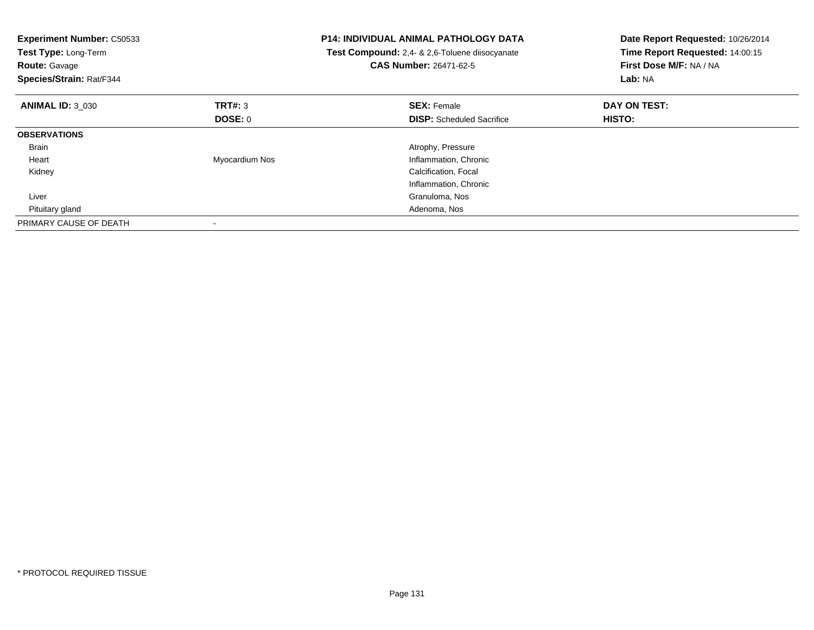| <b>Experiment Number: C50533</b><br>Test Type: Long-Term<br><b>Route: Gavage</b><br>Species/Strain: Rat/F344 |                | <b>P14: INDIVIDUAL ANIMAL PATHOLOGY DATA</b><br><b>Test Compound:</b> 2,4- & 2,6-Toluene diisocyanate<br>CAS Number: 26471-62-5 | Date Report Requested: 10/26/2014<br>Time Report Requested: 14:00:15<br>First Dose M/F: NA / NA<br>Lab: NA |
|--------------------------------------------------------------------------------------------------------------|----------------|---------------------------------------------------------------------------------------------------------------------------------|------------------------------------------------------------------------------------------------------------|
| <b>ANIMAL ID: 3 030</b>                                                                                      | TRT#: 3        | <b>SEX: Female</b>                                                                                                              | DAY ON TEST:                                                                                               |
|                                                                                                              | <b>DOSE: 0</b> | <b>DISP:</b> Scheduled Sacrifice                                                                                                | <b>HISTO:</b>                                                                                              |
| <b>OBSERVATIONS</b>                                                                                          |                |                                                                                                                                 |                                                                                                            |
| <b>Brain</b>                                                                                                 |                | Atrophy, Pressure                                                                                                               |                                                                                                            |
| Heart                                                                                                        | Myocardium Nos | Inflammation, Chronic                                                                                                           |                                                                                                            |
| Kidney                                                                                                       |                | Calcification, Focal                                                                                                            |                                                                                                            |
|                                                                                                              |                | Inflammation, Chronic                                                                                                           |                                                                                                            |
| Liver                                                                                                        |                | Granuloma, Nos                                                                                                                  |                                                                                                            |
| Pituitary gland                                                                                              |                | Adenoma, Nos                                                                                                                    |                                                                                                            |
| PRIMARY CAUSE OF DEATH                                                                                       |                |                                                                                                                                 |                                                                                                            |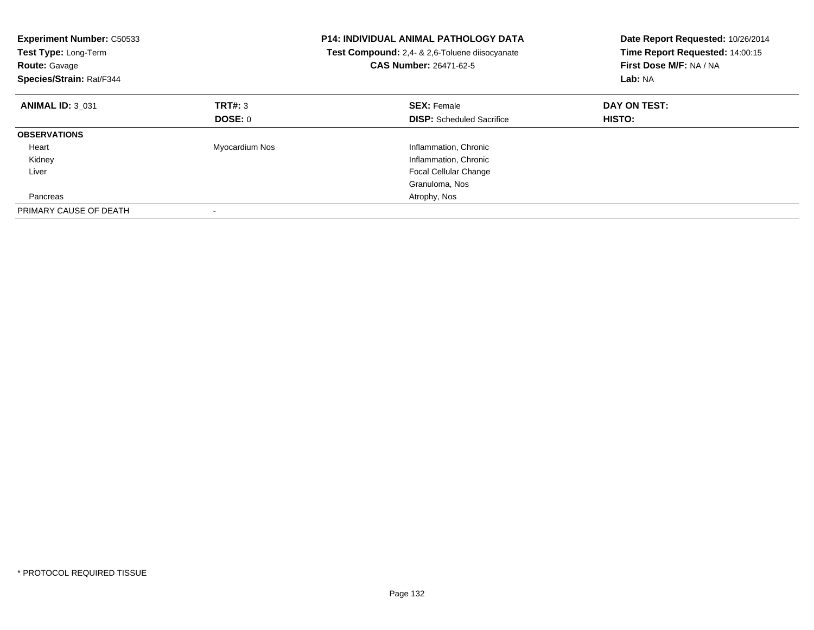| <b>Experiment Number: C50533</b><br>Test Type: Long-Term<br><b>Route: Gavage</b><br>Species/Strain: Rat/F344 |                | <b>P14: INDIVIDUAL ANIMAL PATHOLOGY DATA</b><br>Test Compound: 2,4- & 2,6-Toluene diisocyanate<br>CAS Number: 26471-62-5 | Date Report Requested: 10/26/2014<br>Time Report Requested: 14:00:15<br>First Dose M/F: NA / NA<br>Lab: NA |
|--------------------------------------------------------------------------------------------------------------|----------------|--------------------------------------------------------------------------------------------------------------------------|------------------------------------------------------------------------------------------------------------|
| <b>ANIMAL ID: 3 031</b>                                                                                      | TRT#: 3        | <b>SEX: Female</b>                                                                                                       | DAY ON TEST:                                                                                               |
|                                                                                                              | DOSE: 0        | <b>DISP:</b> Scheduled Sacrifice                                                                                         | <b>HISTO:</b>                                                                                              |
| <b>OBSERVATIONS</b>                                                                                          |                |                                                                                                                          |                                                                                                            |
| Heart                                                                                                        | Myocardium Nos | Inflammation, Chronic                                                                                                    |                                                                                                            |
| Kidney                                                                                                       |                | Inflammation, Chronic                                                                                                    |                                                                                                            |
| Liver                                                                                                        |                | <b>Focal Cellular Change</b>                                                                                             |                                                                                                            |
|                                                                                                              |                | Granuloma, Nos                                                                                                           |                                                                                                            |
| Pancreas                                                                                                     |                | Atrophy, Nos                                                                                                             |                                                                                                            |
| PRIMARY CAUSE OF DEATH                                                                                       |                |                                                                                                                          |                                                                                                            |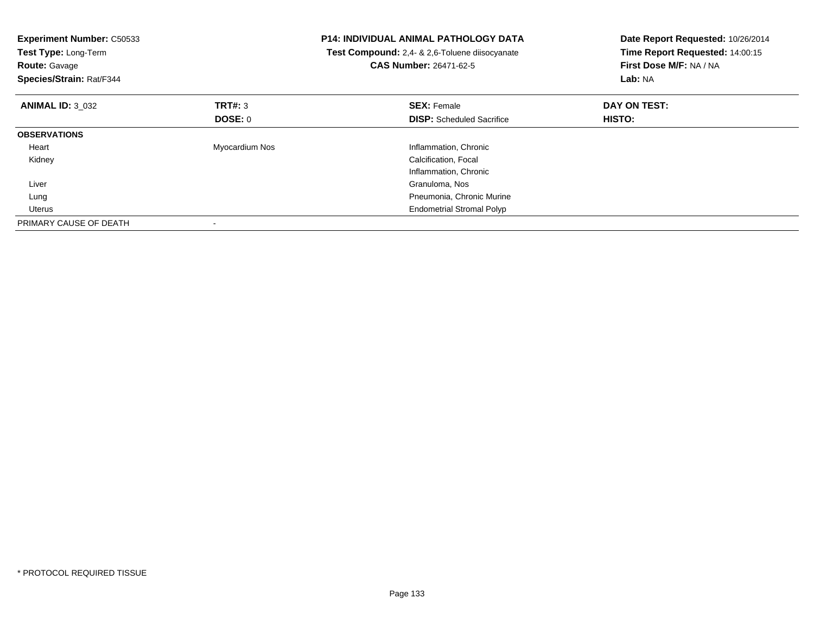| <b>Experiment Number: C50533</b><br>Test Type: Long-Term<br><b>Route: Gavage</b><br>Species/Strain: Rat/F344 |                | <b>P14: INDIVIDUAL ANIMAL PATHOLOGY DATA</b><br>Test Compound: 2,4- & 2,6-Toluene diisocyanate<br><b>CAS Number: 26471-62-5</b> | Date Report Requested: 10/26/2014<br>Time Report Requested: 14:00:15<br>First Dose M/F: NA / NA<br>Lab: NA |
|--------------------------------------------------------------------------------------------------------------|----------------|---------------------------------------------------------------------------------------------------------------------------------|------------------------------------------------------------------------------------------------------------|
| <b>ANIMAL ID: 3 032</b>                                                                                      | TRT#: 3        | <b>SEX: Female</b>                                                                                                              | DAY ON TEST:                                                                                               |
|                                                                                                              | DOSE: 0        | <b>DISP:</b> Scheduled Sacrifice                                                                                                | HISTO:                                                                                                     |
| <b>OBSERVATIONS</b>                                                                                          |                |                                                                                                                                 |                                                                                                            |
| Heart                                                                                                        | Myocardium Nos | Inflammation, Chronic                                                                                                           |                                                                                                            |
| Kidney                                                                                                       |                | Calcification, Focal                                                                                                            |                                                                                                            |
|                                                                                                              |                | Inflammation, Chronic                                                                                                           |                                                                                                            |
| Liver                                                                                                        |                | Granuloma, Nos                                                                                                                  |                                                                                                            |
| Lung                                                                                                         |                | Pneumonia, Chronic Murine                                                                                                       |                                                                                                            |
| Uterus                                                                                                       |                | <b>Endometrial Stromal Polyp</b>                                                                                                |                                                                                                            |
| PRIMARY CAUSE OF DEATH                                                                                       |                |                                                                                                                                 |                                                                                                            |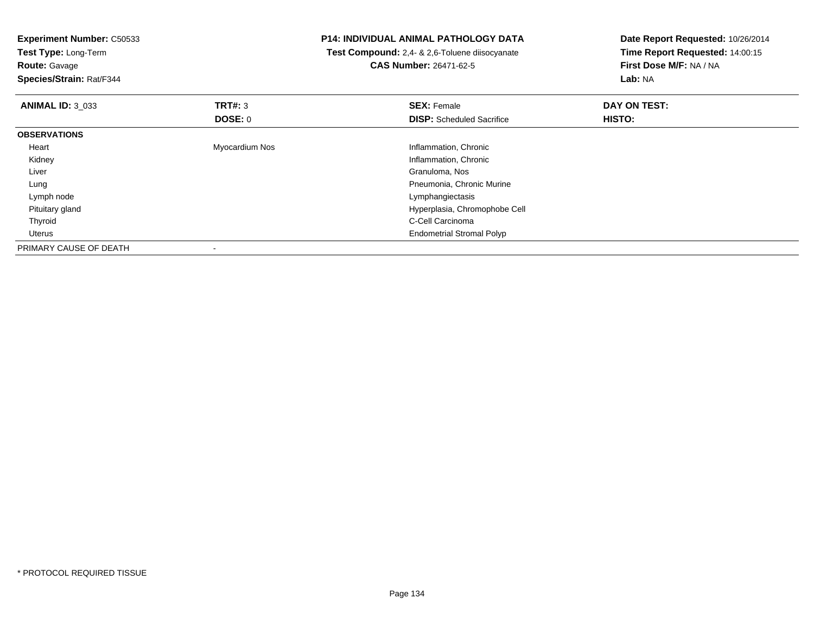| <b>Experiment Number: C50533</b><br>Test Type: Long-Term |                | <b>P14: INDIVIDUAL ANIMAL PATHOLOGY DATA</b>   | Date Report Requested: 10/26/2014 |  |
|----------------------------------------------------------|----------------|------------------------------------------------|-----------------------------------|--|
|                                                          |                | Test Compound: 2,4- & 2,6-Toluene diisocyanate | Time Report Requested: 14:00:15   |  |
| <b>Route: Gavage</b>                                     |                | <b>CAS Number: 26471-62-5</b>                  | First Dose M/F: NA / NA           |  |
| Species/Strain: Rat/F344                                 |                |                                                | Lab: NA                           |  |
| <b>ANIMAL ID: 3_033</b>                                  | TRT#: 3        | <b>SEX: Female</b>                             | DAY ON TEST:                      |  |
|                                                          | DOSE: 0        | <b>DISP:</b> Scheduled Sacrifice               | HISTO:                            |  |
| <b>OBSERVATIONS</b>                                      |                |                                                |                                   |  |
| Heart                                                    | Myocardium Nos | Inflammation, Chronic                          |                                   |  |
| Kidney                                                   |                | Inflammation, Chronic                          |                                   |  |
| Liver                                                    |                | Granuloma, Nos                                 |                                   |  |
| Lung                                                     |                | Pneumonia, Chronic Murine                      |                                   |  |
| Lymph node                                               |                | Lymphangiectasis                               |                                   |  |
| Pituitary gland                                          |                | Hyperplasia, Chromophobe Cell                  |                                   |  |
| Thyroid                                                  |                | C-Cell Carcinoma                               |                                   |  |
| Uterus                                                   |                | <b>Endometrial Stromal Polyp</b>               |                                   |  |
| PRIMARY CAUSE OF DEATH                                   |                |                                                |                                   |  |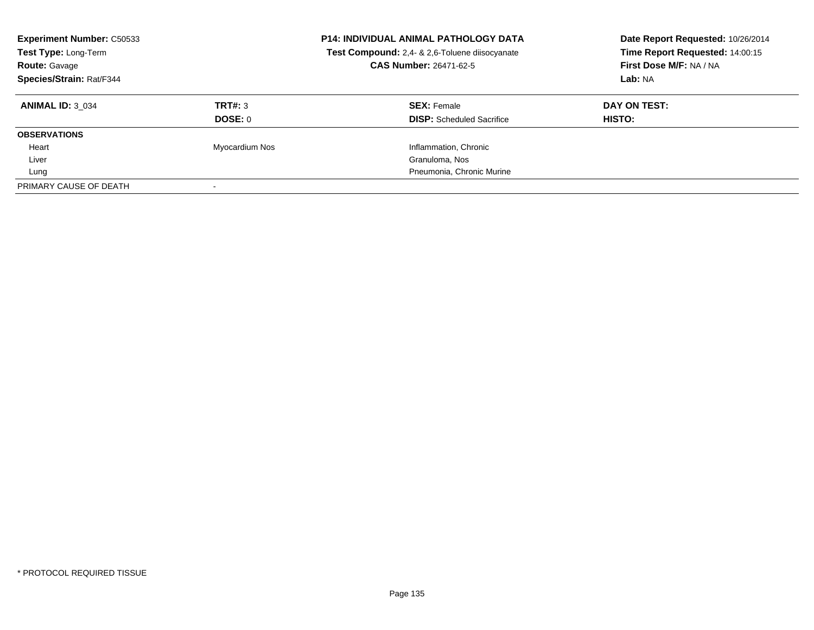| <b>Experiment Number: C50533</b><br>Test Type: Long-Term<br><b>Route: Gavage</b><br>Species/Strain: Rat/F344 |                | <b>P14: INDIVIDUAL ANIMAL PATHOLOGY DATA</b><br>Test Compound: 2,4- & 2,6-Toluene diisocyanate<br><b>CAS Number: 26471-62-5</b> | Date Report Requested: 10/26/2014<br>Time Report Requested: 14:00:15<br>First Dose M/F: NA / NA<br>Lab: NA |
|--------------------------------------------------------------------------------------------------------------|----------------|---------------------------------------------------------------------------------------------------------------------------------|------------------------------------------------------------------------------------------------------------|
| <b>ANIMAL ID: 3 034</b>                                                                                      | TRT#: 3        | <b>SEX: Female</b>                                                                                                              | DAY ON TEST:                                                                                               |
|                                                                                                              | DOSE: 0        | <b>DISP:</b> Scheduled Sacrifice                                                                                                | HISTO:                                                                                                     |
| <b>OBSERVATIONS</b>                                                                                          |                |                                                                                                                                 |                                                                                                            |
| Heart                                                                                                        | Myocardium Nos | Inflammation, Chronic                                                                                                           |                                                                                                            |
| Liver                                                                                                        |                | Granuloma, Nos                                                                                                                  |                                                                                                            |
| Lung                                                                                                         |                | Pneumonia, Chronic Murine                                                                                                       |                                                                                                            |
| PRIMARY CAUSE OF DEATH                                                                                       |                |                                                                                                                                 |                                                                                                            |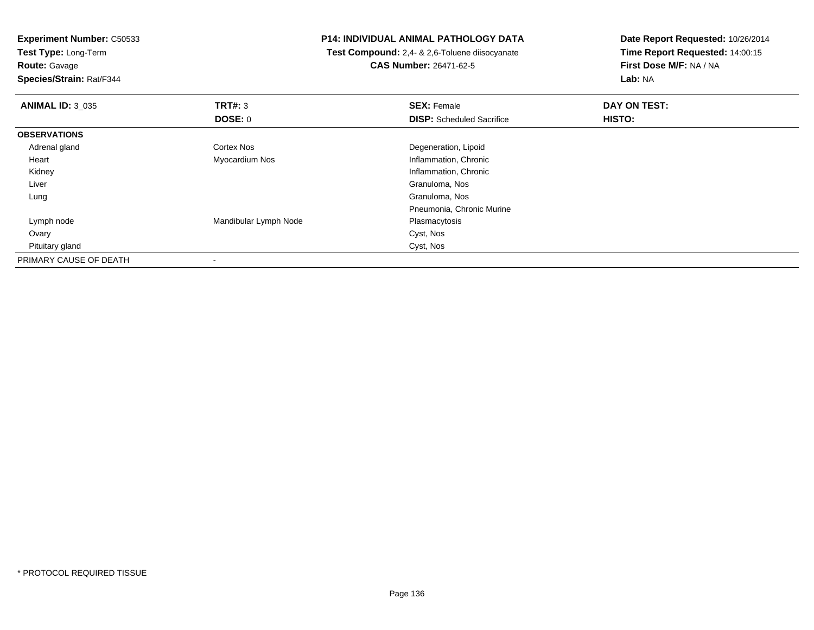**Experiment Number:** C50533**Test Type:** Long-Term**Route:** Gavage **Species/Strain:** Rat/F344**P14: INDIVIDUAL ANIMAL PATHOLOGY DATA Test Compound:** 2,4- & 2,6-Toluene diisocyanate**CAS Number:** 26471-62-5**Date Report Requested:** 10/26/2014**Time Report Requested:** 14:00:15**First Dose M/F:** NA / NA**Lab:** NA**ANIMAL ID:** 3\_035 **TRT#:** <sup>3</sup> **SEX:** Female **DAY ON TEST: DOSE:** 0**DISP:** Scheduled Sacrifice **HISTO: OBSERVATIONS** Adrenal glandCortex Nos **Cortex Nos** Degeneration, Lipoid Heart Myocardium Nos Inflammation, Chronic Kidney Inflammation, Chronic Liver Granuloma, NosGranuloma, Nos Lung Granuloma, Nos Pneumonia, Chronic Murine Lymph nodeMandibular Lymph Node<br>
Plasmacytosis<br>
Cyst, Nos Ovaryy and the control of the control of the control of the control of the control of the control of the control of the control of the control of the control of the control of the control of the control of the control of the co Pituitary glandd Cyst, Nos PRIMARY CAUSE OF DEATH-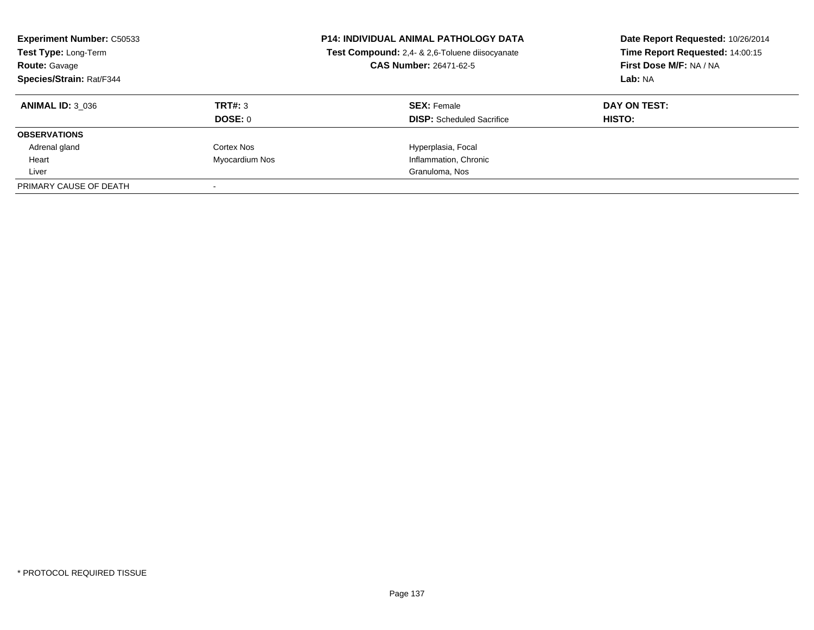| <b>Experiment Number: C50533</b><br>Test Type: Long-Term<br><b>Route: Gavage</b><br>Species/Strain: Rat/F344 |                | <b>P14: INDIVIDUAL ANIMAL PATHOLOGY DATA</b><br>Test Compound: 2,4- & 2,6-Toluene diisocyanate<br><b>CAS Number: 26471-62-5</b> | Date Report Requested: 10/26/2014<br>Time Report Requested: 14:00:15<br>First Dose M/F: NA / NA<br>Lab: NA |
|--------------------------------------------------------------------------------------------------------------|----------------|---------------------------------------------------------------------------------------------------------------------------------|------------------------------------------------------------------------------------------------------------|
| <b>ANIMAL ID: 3 036</b>                                                                                      | TRT#: 3        | <b>SEX: Female</b>                                                                                                              | DAY ON TEST:                                                                                               |
|                                                                                                              | DOSE: 0        | <b>DISP:</b> Scheduled Sacrifice                                                                                                | HISTO:                                                                                                     |
| <b>OBSERVATIONS</b>                                                                                          |                |                                                                                                                                 |                                                                                                            |
| Adrenal gland                                                                                                | Cortex Nos     | Hyperplasia, Focal                                                                                                              |                                                                                                            |
| Heart                                                                                                        | Myocardium Nos | Inflammation, Chronic                                                                                                           |                                                                                                            |
| Liver                                                                                                        |                | Granuloma, Nos                                                                                                                  |                                                                                                            |
| PRIMARY CAUSE OF DEATH                                                                                       |                |                                                                                                                                 |                                                                                                            |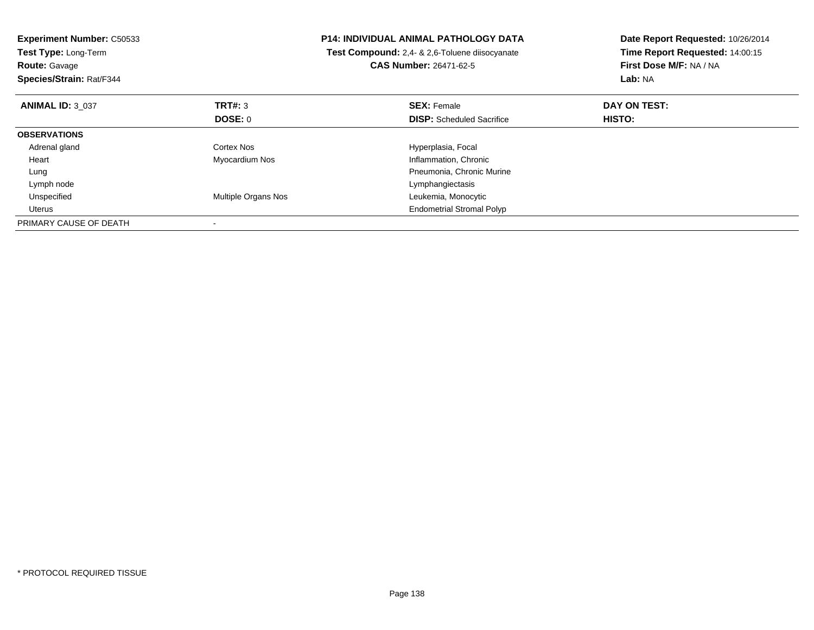| <b>Experiment Number: C50533</b><br>Test Type: Long-Term<br><b>Route: Gavage</b><br>Species/Strain: Rat/F344 |                     | <b>P14: INDIVIDUAL ANIMAL PATHOLOGY DATA</b><br><b>Test Compound:</b> 2,4- & 2,6-Toluene diisocyanate<br><b>CAS Number: 26471-62-5</b> | Date Report Requested: 10/26/2014<br>Time Report Requested: 14:00:15<br>First Dose M/F: NA / NA<br>Lab: NA |
|--------------------------------------------------------------------------------------------------------------|---------------------|----------------------------------------------------------------------------------------------------------------------------------------|------------------------------------------------------------------------------------------------------------|
| <b>ANIMAL ID: 3 037</b>                                                                                      | TRT#: 3             | <b>SEX: Female</b>                                                                                                                     | DAY ON TEST:                                                                                               |
|                                                                                                              | <b>DOSE: 0</b>      | <b>DISP:</b> Scheduled Sacrifice                                                                                                       | HISTO:                                                                                                     |
| <b>OBSERVATIONS</b>                                                                                          |                     |                                                                                                                                        |                                                                                                            |
| Adrenal gland                                                                                                | Cortex Nos          | Hyperplasia, Focal                                                                                                                     |                                                                                                            |
| Heart                                                                                                        | Myocardium Nos      | Inflammation, Chronic                                                                                                                  |                                                                                                            |
| Lung                                                                                                         |                     | Pneumonia, Chronic Murine                                                                                                              |                                                                                                            |
| Lymph node                                                                                                   |                     | Lymphangiectasis                                                                                                                       |                                                                                                            |
| Unspecified                                                                                                  | Multiple Organs Nos | Leukemia, Monocytic                                                                                                                    |                                                                                                            |
| Uterus                                                                                                       |                     | <b>Endometrial Stromal Polyp</b>                                                                                                       |                                                                                                            |
| PRIMARY CAUSE OF DEATH                                                                                       |                     |                                                                                                                                        |                                                                                                            |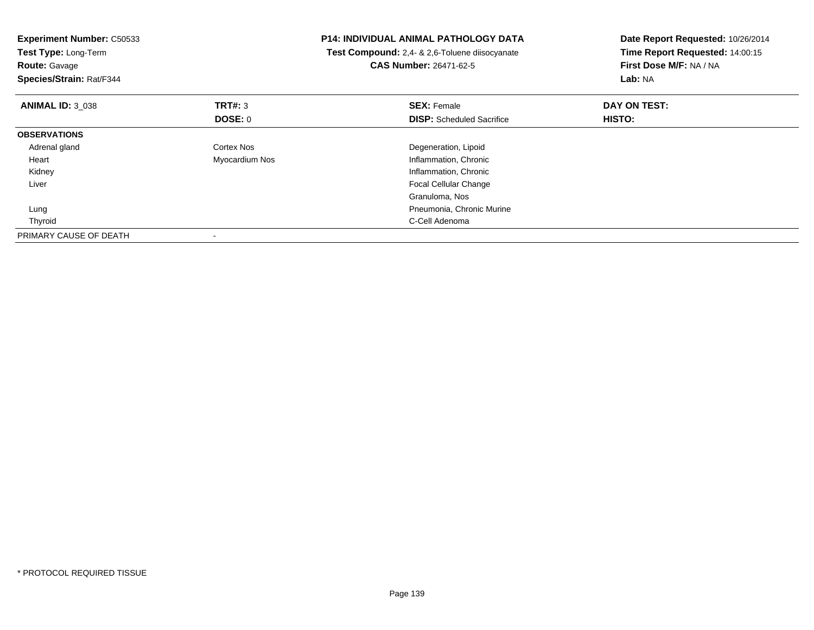| <b>Experiment Number: C50533</b><br>Test Type: Long-Term<br><b>Route: Gavage</b><br>Species/Strain: Rat/F344 |                           | <b>P14: INDIVIDUAL ANIMAL PATHOLOGY DATA</b><br>Test Compound: 2,4- & 2,6-Toluene diisocyanate<br><b>CAS Number: 26471-62-5</b> | Date Report Requested: 10/26/2014<br>Time Report Requested: 14:00:15<br>First Dose M/F: NA / NA<br>Lab: NA |
|--------------------------------------------------------------------------------------------------------------|---------------------------|---------------------------------------------------------------------------------------------------------------------------------|------------------------------------------------------------------------------------------------------------|
| <b>ANIMAL ID: 3 038</b>                                                                                      | <b>TRT#: 3</b><br>DOSE: 0 | <b>SEX: Female</b><br><b>DISP:</b> Scheduled Sacrifice                                                                          | DAY ON TEST:<br>HISTO:                                                                                     |
| <b>OBSERVATIONS</b>                                                                                          |                           |                                                                                                                                 |                                                                                                            |
| Adrenal gland                                                                                                | Cortex Nos                | Degeneration, Lipoid                                                                                                            |                                                                                                            |
| Heart                                                                                                        | Myocardium Nos            | Inflammation, Chronic                                                                                                           |                                                                                                            |
| Kidney                                                                                                       |                           | Inflammation, Chronic                                                                                                           |                                                                                                            |
| Liver                                                                                                        |                           | <b>Focal Cellular Change</b>                                                                                                    |                                                                                                            |
|                                                                                                              |                           | Granuloma, Nos                                                                                                                  |                                                                                                            |
| Lung                                                                                                         |                           | Pneumonia, Chronic Murine                                                                                                       |                                                                                                            |
| Thyroid                                                                                                      |                           | C-Cell Adenoma                                                                                                                  |                                                                                                            |
| PRIMARY CAUSE OF DEATH                                                                                       |                           |                                                                                                                                 |                                                                                                            |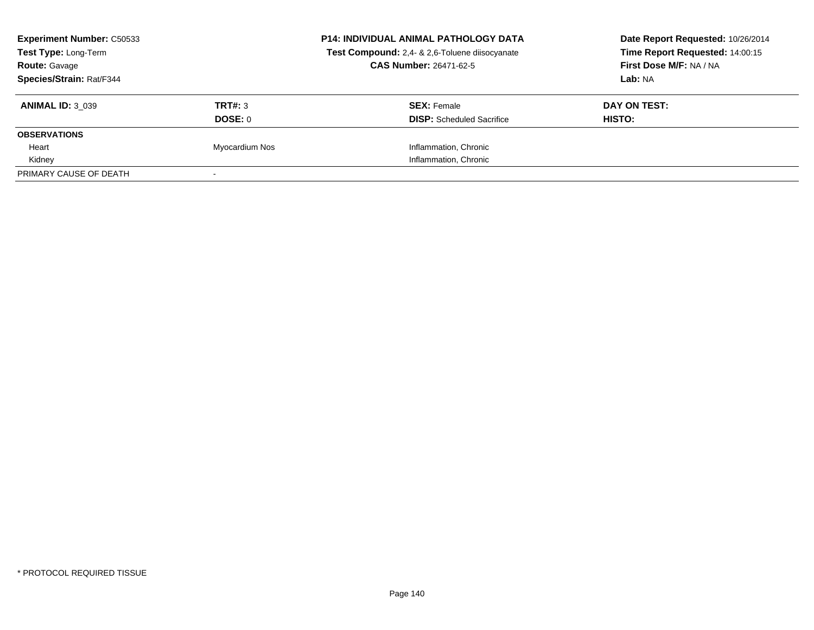| <b>Experiment Number: C50533</b><br>Test Type: Long-Term |                | <b>P14: INDIVIDUAL ANIMAL PATHOLOGY DATA</b><br>Test Compound: 2,4- & 2,6-Toluene diisocyanate | Date Report Requested: 10/26/2014<br>Time Report Requested: 14:00:15 |
|----------------------------------------------------------|----------------|------------------------------------------------------------------------------------------------|----------------------------------------------------------------------|
|                                                          |                |                                                                                                |                                                                      |
| Species/Strain: Rat/F344                                 |                |                                                                                                | Lab: NA                                                              |
| <b>ANIMAL ID: 3 039</b>                                  | TRT#: 3        | <b>SEX: Female</b>                                                                             | DAY ON TEST:                                                         |
|                                                          | DOSE: 0        | <b>DISP:</b> Scheduled Sacrifice                                                               | <b>HISTO:</b>                                                        |
| <b>OBSERVATIONS</b>                                      |                |                                                                                                |                                                                      |
| Heart                                                    | Myocardium Nos | Inflammation, Chronic                                                                          |                                                                      |
| Kidney                                                   |                | Inflammation, Chronic                                                                          |                                                                      |
| PRIMARY CAUSE OF DEATH                                   |                |                                                                                                |                                                                      |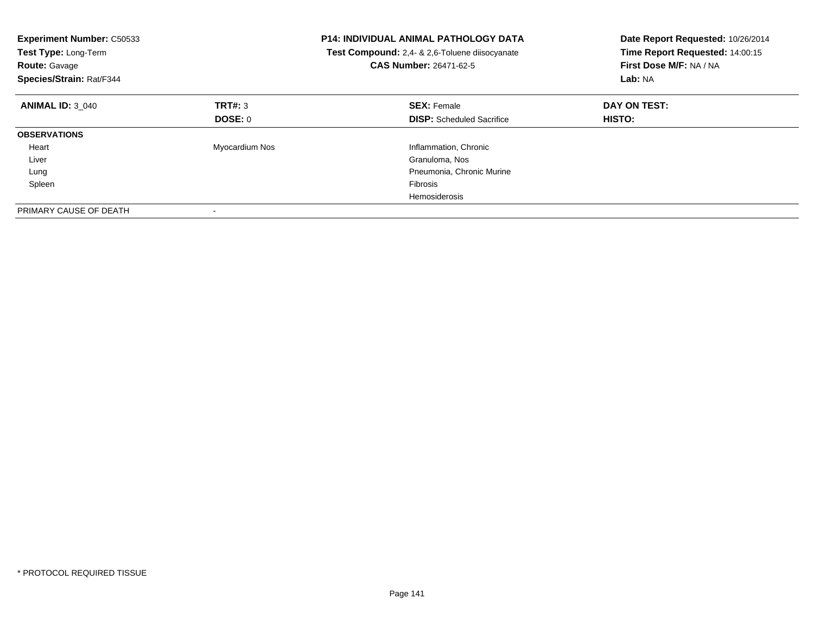| <b>Experiment Number: C50533</b><br>Test Type: Long-Term<br><b>Route: Gavage</b><br>Species/Strain: Rat/F344 |                | <b>P14: INDIVIDUAL ANIMAL PATHOLOGY DATA</b><br>Test Compound: 2,4- & 2,6-Toluene diisocyanate<br>CAS Number: 26471-62-5 | Date Report Requested: 10/26/2014<br>Time Report Requested: 14:00:15<br>First Dose M/F: NA / NA<br>Lab: NA |
|--------------------------------------------------------------------------------------------------------------|----------------|--------------------------------------------------------------------------------------------------------------------------|------------------------------------------------------------------------------------------------------------|
| <b>ANIMAL ID: 3 040</b>                                                                                      | TRT#: 3        | <b>SEX: Female</b>                                                                                                       | DAY ON TEST:                                                                                               |
|                                                                                                              | DOSE: 0        | <b>DISP:</b> Scheduled Sacrifice                                                                                         | <b>HISTO:</b>                                                                                              |
| <b>OBSERVATIONS</b>                                                                                          |                |                                                                                                                          |                                                                                                            |
| Heart                                                                                                        | Myocardium Nos | Inflammation, Chronic                                                                                                    |                                                                                                            |
| Liver                                                                                                        |                | Granuloma, Nos                                                                                                           |                                                                                                            |
| Lung                                                                                                         |                | Pneumonia, Chronic Murine                                                                                                |                                                                                                            |
| Spleen                                                                                                       |                | Fibrosis                                                                                                                 |                                                                                                            |
|                                                                                                              |                | Hemosiderosis                                                                                                            |                                                                                                            |
| PRIMARY CAUSE OF DEATH                                                                                       |                |                                                                                                                          |                                                                                                            |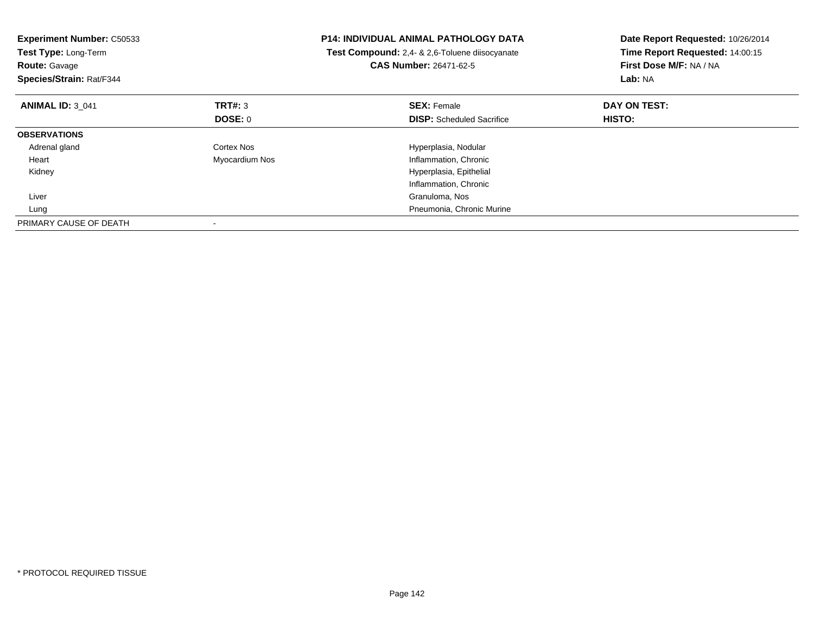| <b>Experiment Number: C50533</b><br>Test Type: Long-Term<br><b>Route: Gavage</b><br>Species/Strain: Rat/F344 |                | <b>P14: INDIVIDUAL ANIMAL PATHOLOGY DATA</b><br>Test Compound: 2,4- & 2,6-Toluene diisocyanate<br><b>CAS Number: 26471-62-5</b> | Date Report Requested: 10/26/2014<br>Time Report Requested: 14:00:15<br>First Dose M/F: NA / NA<br>Lab: NA |
|--------------------------------------------------------------------------------------------------------------|----------------|---------------------------------------------------------------------------------------------------------------------------------|------------------------------------------------------------------------------------------------------------|
| <b>ANIMAL ID: 3 041</b>                                                                                      | TRT#: 3        | <b>SEX: Female</b>                                                                                                              | DAY ON TEST:                                                                                               |
|                                                                                                              | DOSE: 0        | <b>DISP:</b> Scheduled Sacrifice                                                                                                | <b>HISTO:</b>                                                                                              |
| <b>OBSERVATIONS</b>                                                                                          |                |                                                                                                                                 |                                                                                                            |
| Adrenal gland                                                                                                | Cortex Nos     | Hyperplasia, Nodular                                                                                                            |                                                                                                            |
| Heart                                                                                                        | Myocardium Nos | Inflammation, Chronic                                                                                                           |                                                                                                            |
| Kidney                                                                                                       |                | Hyperplasia, Epithelial                                                                                                         |                                                                                                            |
|                                                                                                              |                | Inflammation, Chronic                                                                                                           |                                                                                                            |
| Liver                                                                                                        |                | Granuloma, Nos                                                                                                                  |                                                                                                            |
| Lung                                                                                                         |                | Pneumonia, Chronic Murine                                                                                                       |                                                                                                            |
| PRIMARY CAUSE OF DEATH                                                                                       |                |                                                                                                                                 |                                                                                                            |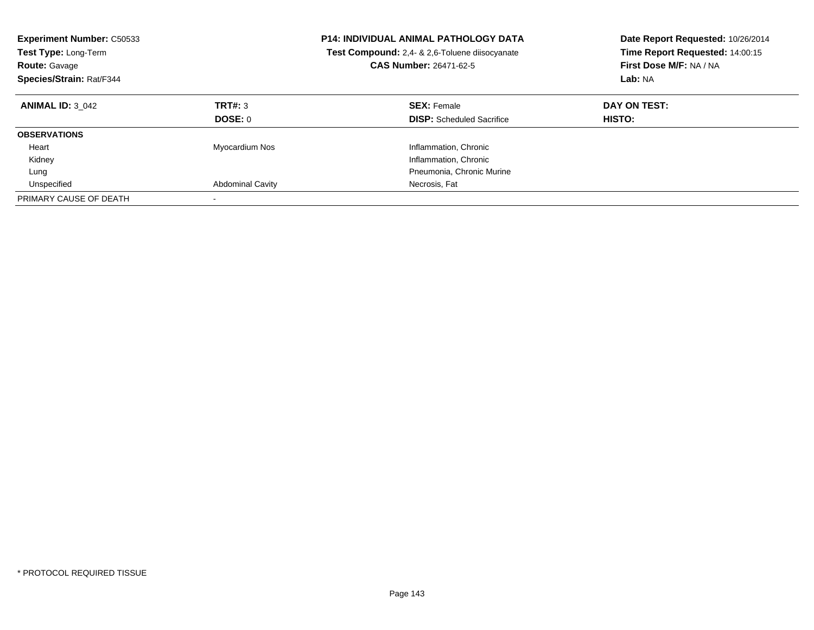| <b>Experiment Number: C50533</b><br><b>Test Type: Long-Term</b><br><b>Route: Gavage</b><br>Species/Strain: Rat/F344 |                           | <b>P14: INDIVIDUAL ANIMAL PATHOLOGY DATA</b><br><b>Test Compound:</b> 2.4- & 2.6-Toluene diisocyanate<br><b>CAS Number: 26471-62-5</b> | Date Report Requested: 10/26/2014<br>Time Report Requested: 14:00:15<br>First Dose M/F: NA / NA<br>Lab: NA |
|---------------------------------------------------------------------------------------------------------------------|---------------------------|----------------------------------------------------------------------------------------------------------------------------------------|------------------------------------------------------------------------------------------------------------|
| <b>ANIMAL ID: 3 042</b>                                                                                             | TRT#: 3<br><b>DOSE: 0</b> | <b>SEX: Female</b><br><b>DISP:</b> Scheduled Sacrifice                                                                                 | DAY ON TEST:<br><b>HISTO:</b>                                                                              |
| <b>OBSERVATIONS</b>                                                                                                 |                           |                                                                                                                                        |                                                                                                            |
| Heart<br>Kidney                                                                                                     | Myocardium Nos            | Inflammation, Chronic<br>Inflammation, Chronic                                                                                         |                                                                                                            |
| Lung                                                                                                                |                           | Pneumonia, Chronic Murine                                                                                                              |                                                                                                            |
| Unspecified<br>PRIMARY CAUSE OF DEATH                                                                               | <b>Abdominal Cavity</b>   | Necrosis, Fat                                                                                                                          |                                                                                                            |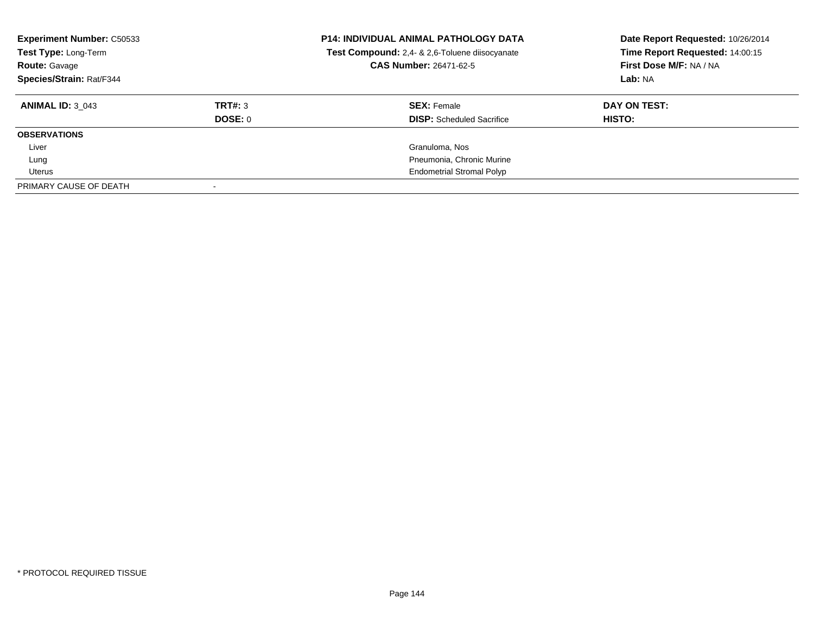| <b>Experiment Number: C50533</b><br>Test Type: Long-Term<br><b>Route: Gavage</b><br>Species/Strain: Rat/F344 |         | <b>P14: INDIVIDUAL ANIMAL PATHOLOGY DATA</b><br>Test Compound: 2,4- & 2,6-Toluene diisocyanate<br><b>CAS Number: 26471-62-5</b> | Date Report Requested: 10/26/2014<br>Time Report Requested: 14:00:15<br>First Dose M/F: NA / NA<br>Lab: NA |
|--------------------------------------------------------------------------------------------------------------|---------|---------------------------------------------------------------------------------------------------------------------------------|------------------------------------------------------------------------------------------------------------|
| <b>ANIMAL ID: 3 043</b>                                                                                      | TRT#: 3 | <b>SEX: Female</b>                                                                                                              | DAY ON TEST:                                                                                               |
|                                                                                                              | DOSE: 0 | <b>DISP:</b> Scheduled Sacrifice                                                                                                | HISTO:                                                                                                     |
| <b>OBSERVATIONS</b>                                                                                          |         |                                                                                                                                 |                                                                                                            |
| Liver                                                                                                        |         | Granuloma, Nos                                                                                                                  |                                                                                                            |
| Lung                                                                                                         |         | Pneumonia, Chronic Murine                                                                                                       |                                                                                                            |
| Uterus                                                                                                       |         | <b>Endometrial Stromal Polyp</b>                                                                                                |                                                                                                            |
| PRIMARY CAUSE OF DEATH                                                                                       |         |                                                                                                                                 |                                                                                                            |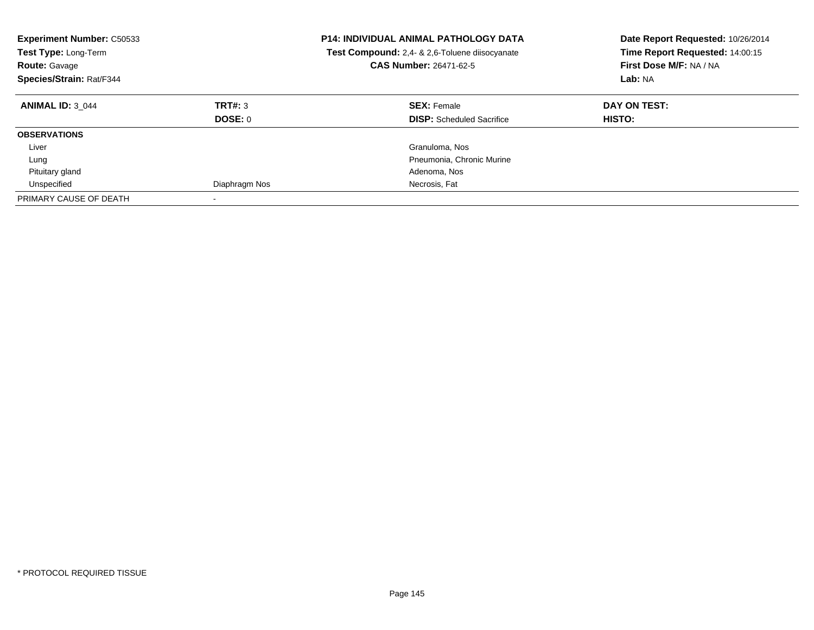| <b>Experiment Number: C50533</b><br>Test Type: Long-Term<br><b>Route: Gavage</b><br>Species/Strain: Rat/F344 |               | <b>P14: INDIVIDUAL ANIMAL PATHOLOGY DATA</b><br>Test Compound: 2,4- & 2,6-Toluene diisocyanate<br><b>CAS Number: 26471-62-5</b> | Date Report Requested: 10/26/2014<br>Time Report Requested: 14:00:15<br>First Dose M/F: NA / NA<br>Lab: NA |  |
|--------------------------------------------------------------------------------------------------------------|---------------|---------------------------------------------------------------------------------------------------------------------------------|------------------------------------------------------------------------------------------------------------|--|
| <b>ANIMAL ID: 3 044</b>                                                                                      | TRT#: 3       | <b>SEX: Female</b>                                                                                                              | DAY ON TEST:                                                                                               |  |
|                                                                                                              | DOSE: 0       | <b>DISP:</b> Scheduled Sacrifice                                                                                                | HISTO:                                                                                                     |  |
| <b>OBSERVATIONS</b>                                                                                          |               |                                                                                                                                 |                                                                                                            |  |
| Liver                                                                                                        |               | Granuloma, Nos                                                                                                                  |                                                                                                            |  |
| Lung                                                                                                         |               | Pneumonia, Chronic Murine                                                                                                       |                                                                                                            |  |
| Pituitary gland                                                                                              |               | Adenoma, Nos                                                                                                                    |                                                                                                            |  |
| Unspecified                                                                                                  | Diaphragm Nos | Necrosis, Fat                                                                                                                   |                                                                                                            |  |
| PRIMARY CAUSE OF DEATH                                                                                       |               |                                                                                                                                 |                                                                                                            |  |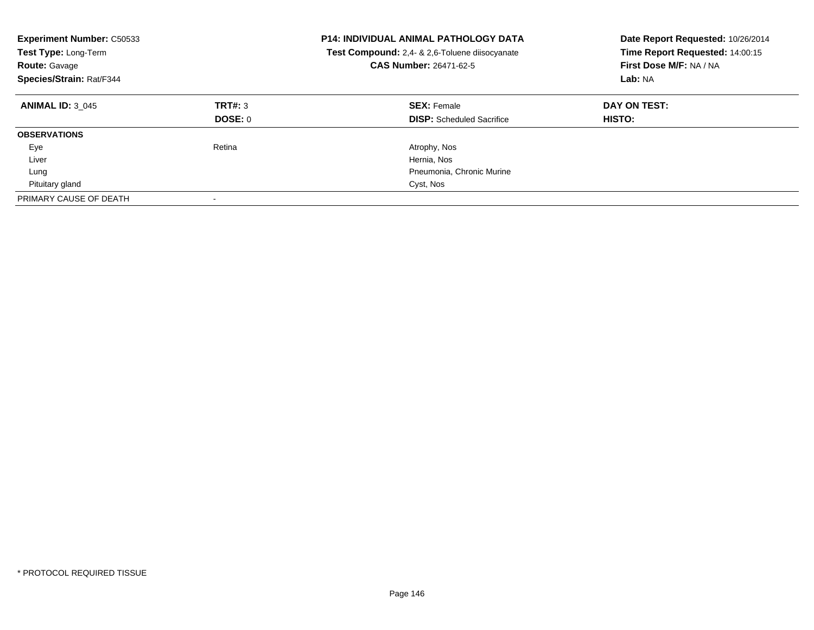| <b>Experiment Number: C50533</b><br>Test Type: Long-Term<br><b>Route: Gavage</b><br>Species/Strain: Rat/F344 |                    | <b>P14: INDIVIDUAL ANIMAL PATHOLOGY DATA</b><br>Test Compound: 2,4- & 2,6-Toluene diisocyanate<br><b>CAS Number: 26471-62-5</b> | Date Report Requested: 10/26/2014<br>Time Report Requested: 14:00:15<br>First Dose M/F: NA / NA<br>Lab: NA |  |
|--------------------------------------------------------------------------------------------------------------|--------------------|---------------------------------------------------------------------------------------------------------------------------------|------------------------------------------------------------------------------------------------------------|--|
| <b>ANIMAL ID: 3 045</b>                                                                                      | TRT#: 3<br>DOSE: 0 | <b>SEX: Female</b><br><b>DISP:</b> Scheduled Sacrifice                                                                          | DAY ON TEST:<br><b>HISTO:</b>                                                                              |  |
| <b>OBSERVATIONS</b>                                                                                          |                    |                                                                                                                                 |                                                                                                            |  |
| Eye                                                                                                          | Retina             | Atrophy, Nos                                                                                                                    |                                                                                                            |  |
| Liver                                                                                                        |                    | Hernia, Nos                                                                                                                     |                                                                                                            |  |
| Lung                                                                                                         |                    | Pneumonia, Chronic Murine                                                                                                       |                                                                                                            |  |
| Pituitary gland                                                                                              |                    | Cyst, Nos                                                                                                                       |                                                                                                            |  |
| PRIMARY CAUSE OF DEATH                                                                                       |                    |                                                                                                                                 |                                                                                                            |  |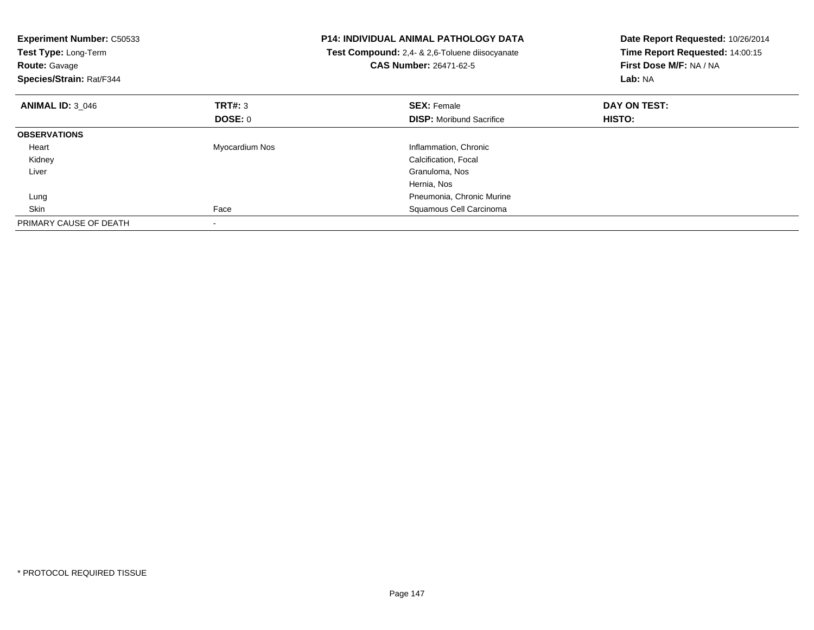| <b>Experiment Number: C50533</b><br>Test Type: Long-Term<br><b>Route: Gavage</b><br>Species/Strain: Rat/F344 |                | <b>P14: INDIVIDUAL ANIMAL PATHOLOGY DATA</b><br>Test Compound: 2,4- & 2,6-Toluene diisocyanate<br><b>CAS Number: 26471-62-5</b> | Date Report Requested: 10/26/2014<br>Time Report Requested: 14:00:15<br>First Dose M/F: NA / NA<br>Lab: NA |
|--------------------------------------------------------------------------------------------------------------|----------------|---------------------------------------------------------------------------------------------------------------------------------|------------------------------------------------------------------------------------------------------------|
| <b>ANIMAL ID: 3 046</b>                                                                                      | TRT#: 3        | <b>SEX: Female</b>                                                                                                              | DAY ON TEST:                                                                                               |
|                                                                                                              | <b>DOSE: 0</b> | <b>DISP:</b> Moribund Sacrifice                                                                                                 | HISTO:                                                                                                     |
| <b>OBSERVATIONS</b>                                                                                          |                |                                                                                                                                 |                                                                                                            |
| Heart                                                                                                        | Myocardium Nos | Inflammation, Chronic                                                                                                           |                                                                                                            |
| Kidney                                                                                                       |                | Calcification, Focal                                                                                                            |                                                                                                            |
| Liver                                                                                                        |                | Granuloma, Nos                                                                                                                  |                                                                                                            |
|                                                                                                              |                | Hernia, Nos                                                                                                                     |                                                                                                            |
| Lung                                                                                                         |                | Pneumonia, Chronic Murine                                                                                                       |                                                                                                            |
| Skin                                                                                                         | Face           | Squamous Cell Carcinoma                                                                                                         |                                                                                                            |
| PRIMARY CAUSE OF DEATH                                                                                       |                |                                                                                                                                 |                                                                                                            |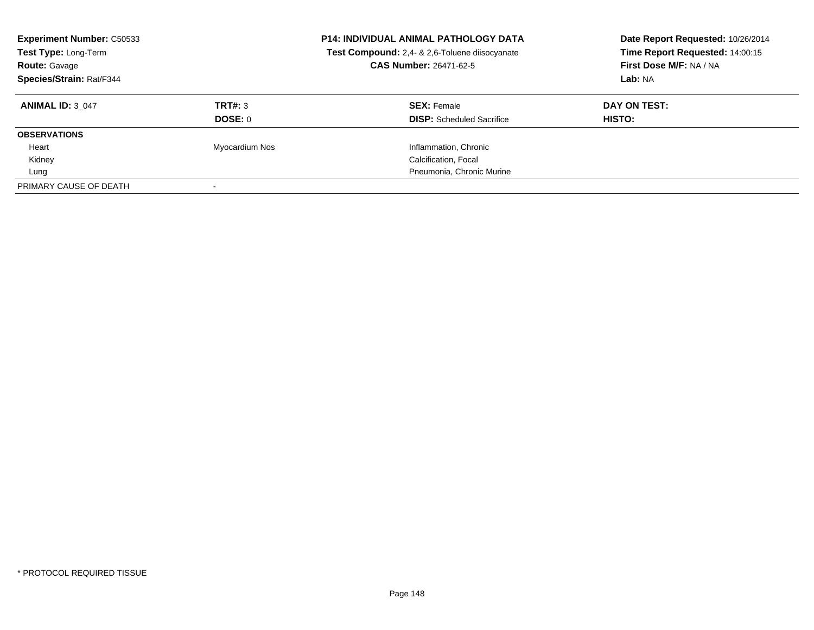| <b>Experiment Number: C50533</b><br>Test Type: Long-Term<br><b>Route: Gavage</b><br>Species/Strain: Rat/F344 |                | <b>P14: INDIVIDUAL ANIMAL PATHOLOGY DATA</b><br>Test Compound: 2,4- & 2,6-Toluene diisocyanate<br><b>CAS Number: 26471-62-5</b> | Date Report Requested: 10/26/2014<br>Time Report Requested: 14:00:15<br>First Dose M/F: NA / NA<br>Lab: NA |  |
|--------------------------------------------------------------------------------------------------------------|----------------|---------------------------------------------------------------------------------------------------------------------------------|------------------------------------------------------------------------------------------------------------|--|
| <b>ANIMAL ID: 3 047</b>                                                                                      | TRT#: 3        | <b>SEX: Female</b>                                                                                                              | DAY ON TEST:                                                                                               |  |
|                                                                                                              | <b>DOSE: 0</b> | <b>DISP:</b> Scheduled Sacrifice                                                                                                | HISTO:                                                                                                     |  |
| <b>OBSERVATIONS</b>                                                                                          |                |                                                                                                                                 |                                                                                                            |  |
| Heart                                                                                                        | Myocardium Nos | Inflammation, Chronic                                                                                                           |                                                                                                            |  |
| Kidney                                                                                                       |                | Calcification, Focal                                                                                                            |                                                                                                            |  |
| Lung                                                                                                         |                | Pneumonia, Chronic Murine                                                                                                       |                                                                                                            |  |
| PRIMARY CAUSE OF DEATH                                                                                       |                |                                                                                                                                 |                                                                                                            |  |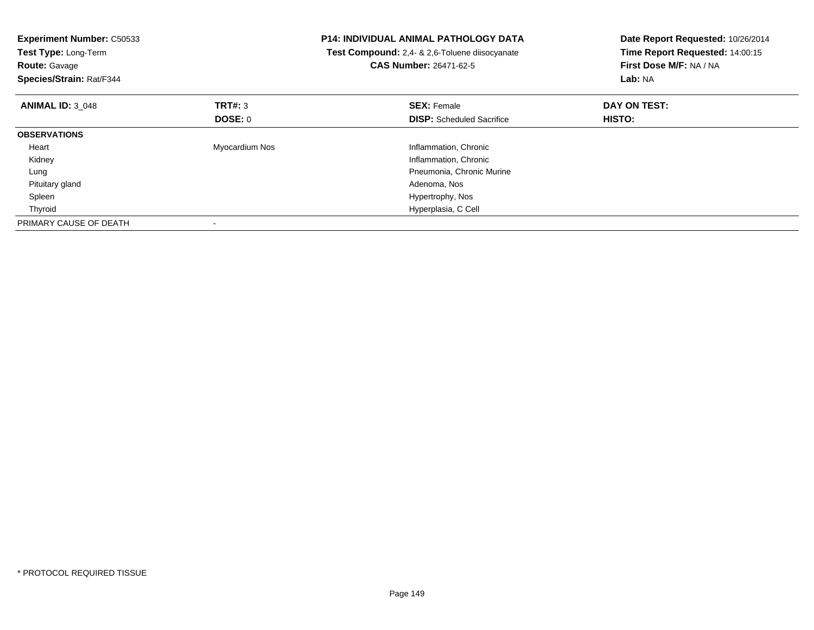| <b>Experiment Number: C50533</b><br>Test Type: Long-Term<br><b>Route: Gavage</b><br>Species/Strain: Rat/F344 |                | <b>P14: INDIVIDUAL ANIMAL PATHOLOGY DATA</b><br>Test Compound: 2,4- & 2,6-Toluene diisocyanate<br><b>CAS Number: 26471-62-5</b> | Date Report Requested: 10/26/2014<br>Time Report Requested: 14:00:15<br>First Dose M/F: NA / NA<br>Lab: NA |
|--------------------------------------------------------------------------------------------------------------|----------------|---------------------------------------------------------------------------------------------------------------------------------|------------------------------------------------------------------------------------------------------------|
| <b>ANIMAL ID: 3 048</b>                                                                                      | TRT#: 3        | <b>SEX: Female</b>                                                                                                              | DAY ON TEST:                                                                                               |
|                                                                                                              | DOSE: 0        | <b>DISP:</b> Scheduled Sacrifice                                                                                                | HISTO:                                                                                                     |
| <b>OBSERVATIONS</b>                                                                                          |                |                                                                                                                                 |                                                                                                            |
| Heart                                                                                                        | Myocardium Nos | Inflammation, Chronic                                                                                                           |                                                                                                            |
| Kidney                                                                                                       |                | Inflammation, Chronic                                                                                                           |                                                                                                            |
| Lung                                                                                                         |                | Pneumonia, Chronic Murine                                                                                                       |                                                                                                            |
| Pituitary gland                                                                                              |                | Adenoma, Nos                                                                                                                    |                                                                                                            |
| Spleen                                                                                                       |                | Hypertrophy, Nos                                                                                                                |                                                                                                            |
| Thyroid                                                                                                      |                | Hyperplasia, C Cell                                                                                                             |                                                                                                            |
| PRIMARY CAUSE OF DEATH                                                                                       |                |                                                                                                                                 |                                                                                                            |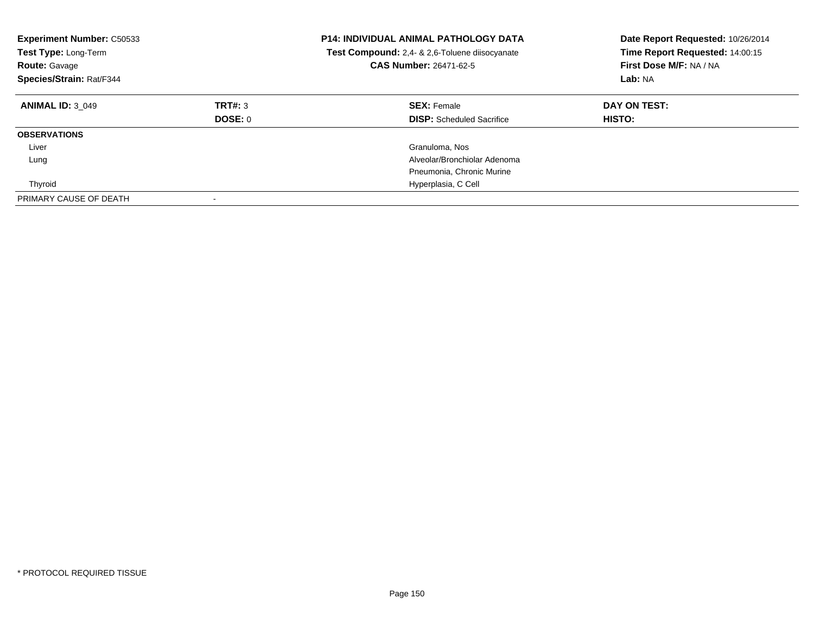| <b>Experiment Number: C50533</b><br>Test Type: Long-Term<br><b>Route: Gavage</b><br>Species/Strain: Rat/F344 |                    | <b>P14: INDIVIDUAL ANIMAL PATHOLOGY DATA</b><br>Test Compound: 2,4- & 2,6-Toluene diisocyanate<br><b>CAS Number: 26471-62-5</b> | Date Report Requested: 10/26/2014<br>Time Report Requested: 14:00:15<br>First Dose M/F: NA / NA<br>Lab: NA |  |
|--------------------------------------------------------------------------------------------------------------|--------------------|---------------------------------------------------------------------------------------------------------------------------------|------------------------------------------------------------------------------------------------------------|--|
| <b>ANIMAL ID: 3 049</b>                                                                                      | TRT#: 3<br>DOSE: 0 | <b>SEX: Female</b><br><b>DISP:</b> Scheduled Sacrifice                                                                          | DAY ON TEST:<br><b>HISTO:</b>                                                                              |  |
| <b>OBSERVATIONS</b>                                                                                          |                    |                                                                                                                                 |                                                                                                            |  |
| Liver                                                                                                        |                    | Granuloma, Nos                                                                                                                  |                                                                                                            |  |
| Lung                                                                                                         |                    | Alveolar/Bronchiolar Adenoma                                                                                                    |                                                                                                            |  |
|                                                                                                              |                    | Pneumonia, Chronic Murine                                                                                                       |                                                                                                            |  |
| Thyroid                                                                                                      |                    | Hyperplasia, C Cell                                                                                                             |                                                                                                            |  |
| PRIMARY CAUSE OF DEATH                                                                                       |                    |                                                                                                                                 |                                                                                                            |  |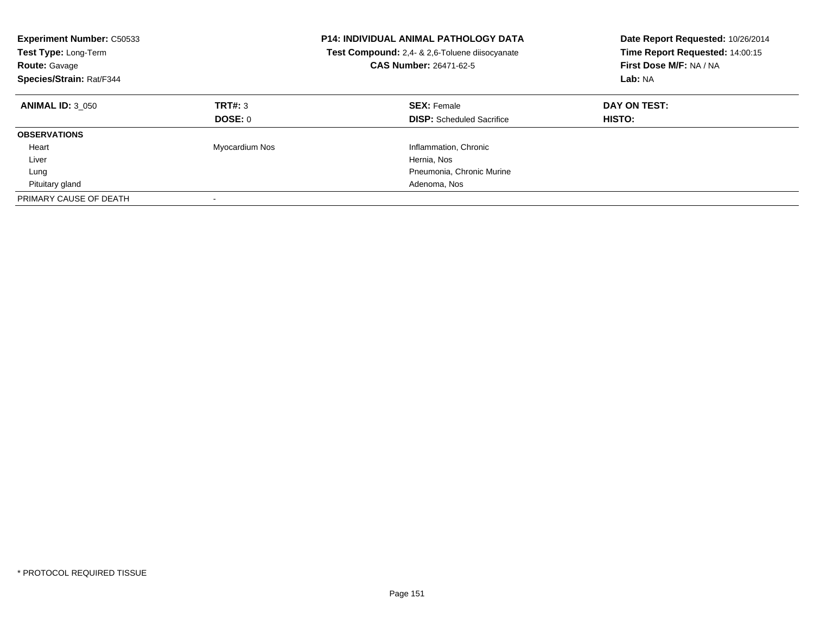| <b>Experiment Number: C50533</b><br><b>Test Type: Long-Term</b><br><b>Route: Gavage</b><br>Species/Strain: Rat/F344 |                           | <b>P14: INDIVIDUAL ANIMAL PATHOLOGY DATA</b><br>Test Compound: 2,4- & 2,6-Toluene diisocyanate<br>CAS Number: 26471-62-5 | Date Report Requested: 10/26/2014<br>Time Report Requested: 14:00:15<br>First Dose M/F: NA / NA<br>Lab: NA |  |
|---------------------------------------------------------------------------------------------------------------------|---------------------------|--------------------------------------------------------------------------------------------------------------------------|------------------------------------------------------------------------------------------------------------|--|
| <b>ANIMAL ID: 3 050</b>                                                                                             | TRT#: 3<br><b>DOSE: 0</b> | <b>SEX: Female</b><br><b>DISP:</b> Scheduled Sacrifice                                                                   | DAY ON TEST:<br>HISTO:                                                                                     |  |
| <b>OBSERVATIONS</b>                                                                                                 |                           |                                                                                                                          |                                                                                                            |  |
| Heart                                                                                                               | Myocardium Nos            | Inflammation, Chronic                                                                                                    |                                                                                                            |  |
| Liver                                                                                                               |                           | Hernia, Nos                                                                                                              |                                                                                                            |  |
| Lung                                                                                                                |                           | Pneumonia, Chronic Murine                                                                                                |                                                                                                            |  |
| Pituitary gland                                                                                                     |                           | Adenoma, Nos                                                                                                             |                                                                                                            |  |
| PRIMARY CAUSE OF DEATH                                                                                              |                           |                                                                                                                          |                                                                                                            |  |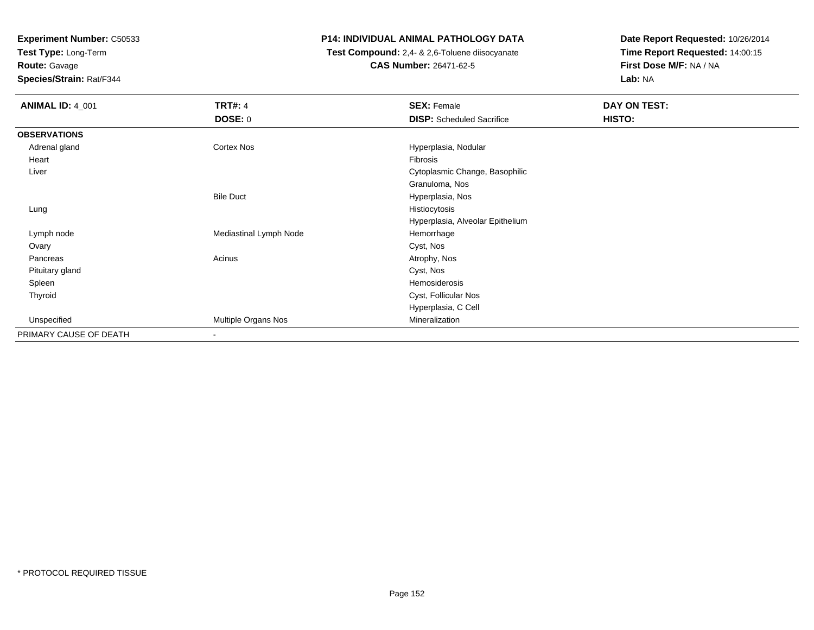**Test Type:** Long-Term

**Route:** Gavage

**Species/Strain:** Rat/F344

# **P14: INDIVIDUAL ANIMAL PATHOLOGY DATA**

 **Test Compound:** 2,4- & 2,6-Toluene diisocyanate**CAS Number:** 26471-62-5

| <b>ANIMAL ID: 4_001</b> | <b>TRT#: 4</b>           | <b>SEX: Female</b>               | DAY ON TEST: |  |
|-------------------------|--------------------------|----------------------------------|--------------|--|
|                         | <b>DOSE: 0</b>           | <b>DISP:</b> Scheduled Sacrifice | HISTO:       |  |
| <b>OBSERVATIONS</b>     |                          |                                  |              |  |
| Adrenal gland           | Cortex Nos               | Hyperplasia, Nodular             |              |  |
| Heart                   |                          | Fibrosis                         |              |  |
| Liver                   |                          | Cytoplasmic Change, Basophilic   |              |  |
|                         |                          | Granuloma, Nos                   |              |  |
|                         | <b>Bile Duct</b>         | Hyperplasia, Nos                 |              |  |
| Lung                    |                          | Histiocytosis                    |              |  |
|                         |                          | Hyperplasia, Alveolar Epithelium |              |  |
| Lymph node              | Mediastinal Lymph Node   | Hemorrhage                       |              |  |
| Ovary                   |                          | Cyst, Nos                        |              |  |
| Pancreas                | Acinus                   | Atrophy, Nos                     |              |  |
| Pituitary gland         |                          | Cyst, Nos                        |              |  |
| Spleen                  |                          | Hemosiderosis                    |              |  |
| Thyroid                 |                          | Cyst, Follicular Nos             |              |  |
|                         |                          | Hyperplasia, C Cell              |              |  |
| Unspecified             | Multiple Organs Nos      | Mineralization                   |              |  |
| PRIMARY CAUSE OF DEATH  | $\overline{\phantom{a}}$ |                                  |              |  |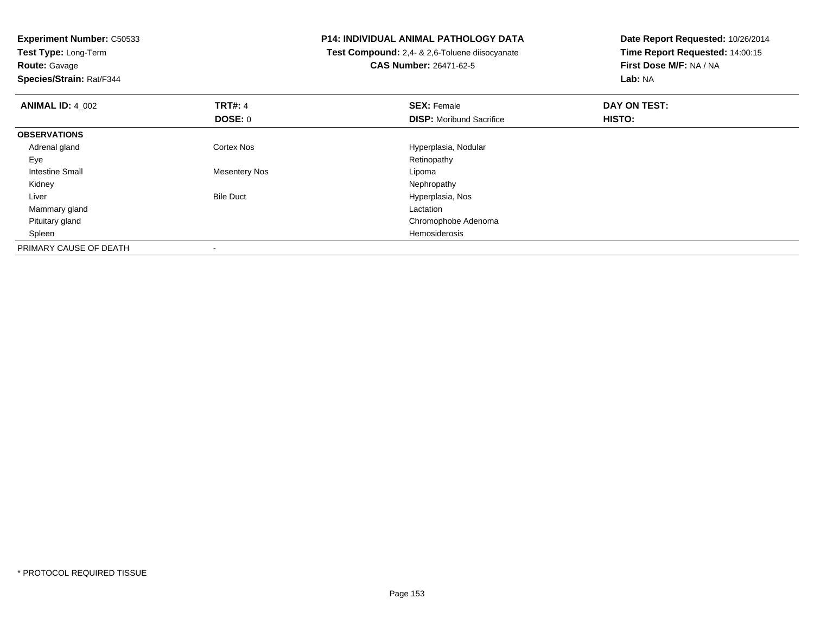**Experiment Number:** C50533**Test Type:** Long-Term**Route:** Gavage **Species/Strain:** Rat/F344**P14: INDIVIDUAL ANIMAL PATHOLOGY DATA Test Compound:** 2,4- & 2,6-Toluene diisocyanate**CAS Number:** 26471-62-5**Date Report Requested:** 10/26/2014**Time Report Requested:** 14:00:15**First Dose M/F:** NA / NA**Lab:** NA**ANIMAL ID:** 4\_002**TRT#:** 4 **SEX:** Female **DAY ON TEST: DOSE:** 0**DISP:** Moribund Sacrifice **HISTO: OBSERVATIONS** Adrenal glandCortex Nos **Hyperplasia, Nodular**<br>
Retinopathy Eyee and the contract of the contract of the contract of the contract of the contract of the contract of the contract of the contract of the contract of the contract of the contract of the contract of the contract of the cont Intestine Small Mesentery Nos LipomaNephropathy Kidneyy the control of the control of the control of the control of the control of the control of the control of the control of the control of the control of the control of the control of the control of the control of the contro LiverBile Duct **Hyperplasia**, Nos Mammary glandd<sub>d</sub> Lactation and the control of the control of the control of the control of the control of the control of the control of the control of the control of the control of the control of the control of the control of the cont Pituitary glandChromophobe Adenoma<br>Hemosiderosis Spleenn de la constitución de la constitución de la constitución de la constitución de la constitución de la constitución<br>En la constitución de la constitución de la constitución de la constitución de la constitución de la const PRIMARY CAUSE OF DEATH-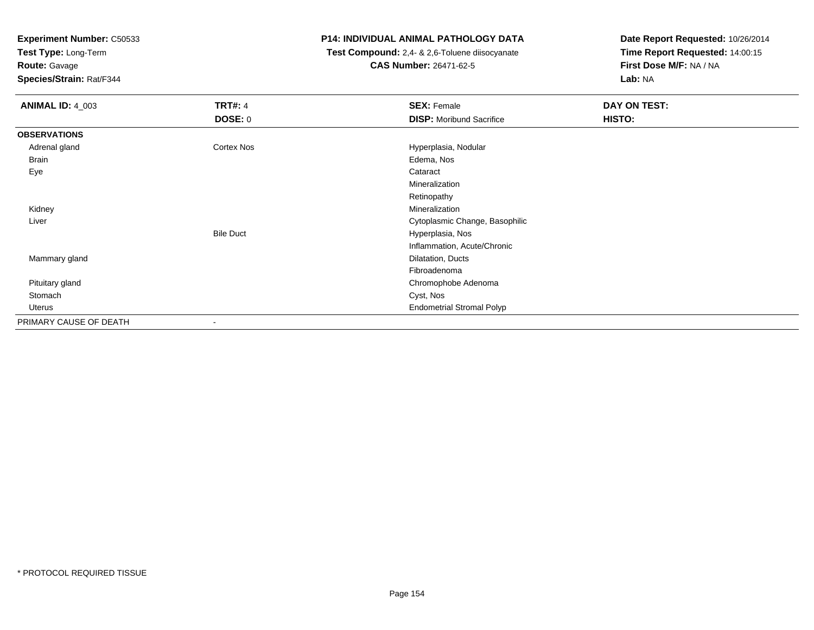**Test Type:** Long-Term

**Route:** Gavage

**Species/Strain:** Rat/F344

# **P14: INDIVIDUAL ANIMAL PATHOLOGY DATA**

 **Test Compound:** 2,4- & 2,6-Toluene diisocyanate**CAS Number:** 26471-62-5

| <b>ANIMAL ID: 4_003</b> | <b>TRT#: 4</b>   | <b>SEX: Female</b>               | DAY ON TEST: |
|-------------------------|------------------|----------------------------------|--------------|
|                         | <b>DOSE: 0</b>   | <b>DISP:</b> Moribund Sacrifice  | HISTO:       |
| <b>OBSERVATIONS</b>     |                  |                                  |              |
| Adrenal gland           | Cortex Nos       | Hyperplasia, Nodular             |              |
| <b>Brain</b>            |                  | Edema, Nos                       |              |
| Eye                     |                  | Cataract                         |              |
|                         |                  | Mineralization                   |              |
|                         |                  | Retinopathy                      |              |
| Kidney                  |                  | Mineralization                   |              |
| Liver                   |                  | Cytoplasmic Change, Basophilic   |              |
|                         | <b>Bile Duct</b> | Hyperplasia, Nos                 |              |
|                         |                  | Inflammation, Acute/Chronic      |              |
| Mammary gland           |                  | Dilatation, Ducts                |              |
|                         |                  | Fibroadenoma                     |              |
| Pituitary gland         |                  | Chromophobe Adenoma              |              |
| Stomach                 |                  | Cyst, Nos                        |              |
| Uterus                  |                  | <b>Endometrial Stromal Polyp</b> |              |
| PRIMARY CAUSE OF DEATH  | ۰.               |                                  |              |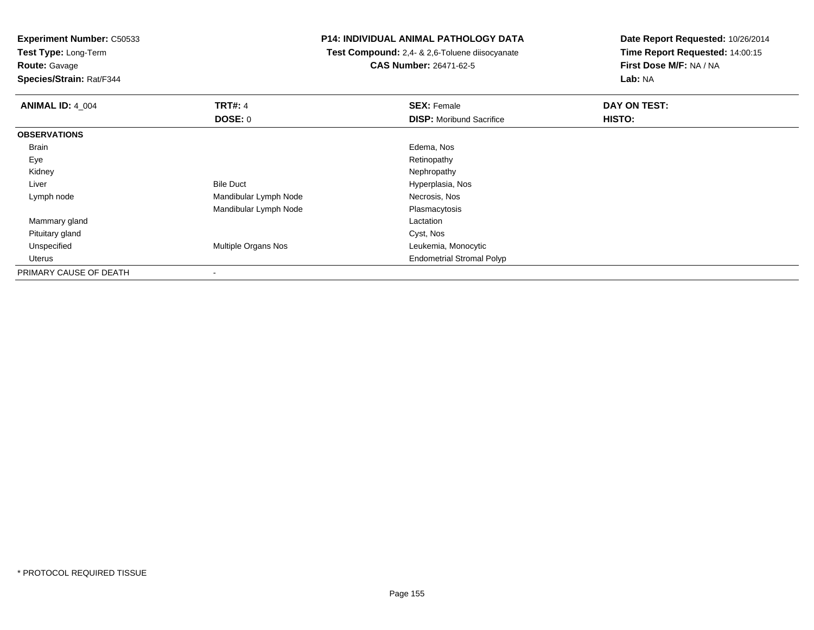**Test Type:** Long-Term

**Route:** Gavage

**Species/Strain:** Rat/F344

# **P14: INDIVIDUAL ANIMAL PATHOLOGY DATA**

 **Test Compound:** 2,4- & 2,6-Toluene diisocyanate**CAS Number:** 26471-62-5

| <b>ANIMAL ID: 4_004</b> | <b>TRT#: 4</b>           | <b>SEX: Female</b>               | DAY ON TEST: |  |
|-------------------------|--------------------------|----------------------------------|--------------|--|
|                         | DOSE: 0                  | <b>DISP:</b> Moribund Sacrifice  | HISTO:       |  |
| <b>OBSERVATIONS</b>     |                          |                                  |              |  |
| Brain                   |                          | Edema, Nos                       |              |  |
| Eye                     |                          | Retinopathy                      |              |  |
| Kidney                  |                          | Nephropathy                      |              |  |
| Liver                   | <b>Bile Duct</b>         | Hyperplasia, Nos                 |              |  |
| Lymph node              | Mandibular Lymph Node    | Necrosis, Nos                    |              |  |
|                         | Mandibular Lymph Node    | Plasmacytosis                    |              |  |
| Mammary gland           |                          | Lactation                        |              |  |
| Pituitary gland         |                          | Cyst, Nos                        |              |  |
| Unspecified             | Multiple Organs Nos      | Leukemia, Monocytic              |              |  |
| Uterus                  |                          | <b>Endometrial Stromal Polyp</b> |              |  |
| PRIMARY CAUSE OF DEATH  | $\overline{\phantom{a}}$ |                                  |              |  |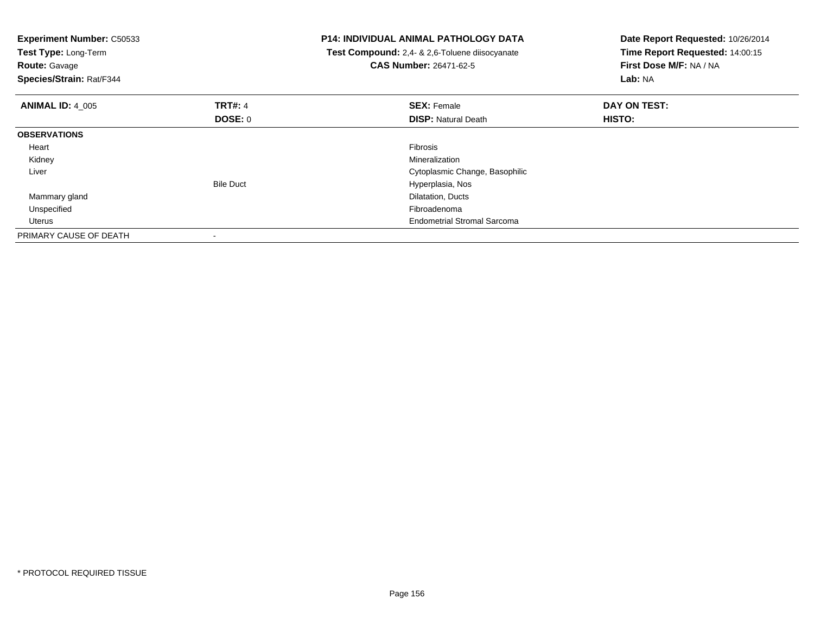| <b>Experiment Number: C50533</b><br>Test Type: Long-Term<br><b>Route: Gavage</b><br>Species/Strain: Rat/F344 |                  | <b>P14: INDIVIDUAL ANIMAL PATHOLOGY DATA</b><br>Test Compound: 2,4- & 2,6-Toluene diisocyanate<br><b>CAS Number: 26471-62-5</b> | Date Report Requested: 10/26/2014<br>Time Report Requested: 14:00:15<br>First Dose M/F: NA / NA<br>Lab: NA |
|--------------------------------------------------------------------------------------------------------------|------------------|---------------------------------------------------------------------------------------------------------------------------------|------------------------------------------------------------------------------------------------------------|
| <b>ANIMAL ID: 4 005</b>                                                                                      | <b>TRT#: 4</b>   | <b>SEX: Female</b>                                                                                                              | DAY ON TEST:                                                                                               |
|                                                                                                              | DOSE: 0          | <b>DISP: Natural Death</b>                                                                                                      | <b>HISTO:</b>                                                                                              |
| <b>OBSERVATIONS</b>                                                                                          |                  |                                                                                                                                 |                                                                                                            |
| Heart                                                                                                        |                  | <b>Fibrosis</b>                                                                                                                 |                                                                                                            |
| Kidney                                                                                                       |                  | Mineralization                                                                                                                  |                                                                                                            |
| Liver                                                                                                        |                  | Cytoplasmic Change, Basophilic                                                                                                  |                                                                                                            |
|                                                                                                              | <b>Bile Duct</b> | Hyperplasia, Nos                                                                                                                |                                                                                                            |
| Mammary gland                                                                                                |                  | Dilatation, Ducts                                                                                                               |                                                                                                            |
| Unspecified                                                                                                  |                  | Fibroadenoma                                                                                                                    |                                                                                                            |
| Uterus                                                                                                       |                  | <b>Endometrial Stromal Sarcoma</b>                                                                                              |                                                                                                            |
| PRIMARY CAUSE OF DEATH                                                                                       |                  |                                                                                                                                 |                                                                                                            |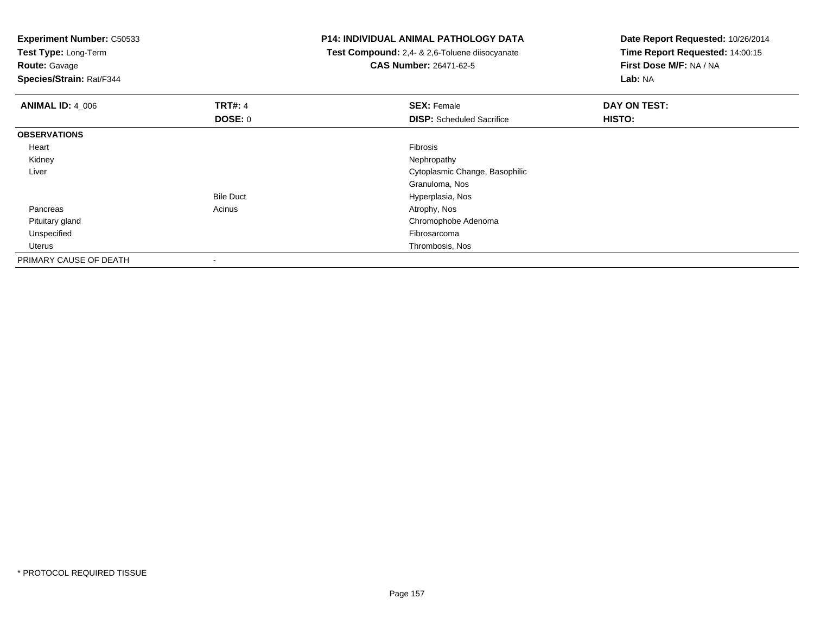**Experiment Number:** C50533**Test Type:** Long-Term**Route:** Gavage **Species/Strain:** Rat/F344**P14: INDIVIDUAL ANIMAL PATHOLOGY DATA Test Compound:** 2,4- & 2,6-Toluene diisocyanate**CAS Number:** 26471-62-5**Date Report Requested:** 10/26/2014**Time Report Requested:** 14:00:15**First Dose M/F:** NA / NA**Lab:** NA**ANIMAL ID:** 4\_006**6 DAY ON TEST:** 4 **SEX:** Female **SEX: Female DAY ON TEST: DOSE:** 0**DISP:** Scheduled Sacrifice **HISTO: OBSERVATIONS** Heartt de la constitución de la constitución de la constitución de la constitución de la constitución de la constitución Nephropathy Kidneyy the control of the control of the control of the control of the control of the control of the control of the control of the control of the control of the control of the control of the control of the control of the contro Liver Cytoplasmic Change, BasophilicGranuloma, Nos Hyperplasia, NosBile Duct Pancreass and the contract of the contract of the contract of the contract of the contract  $\mathsf{A}$  at  $\mathsf{A}$  and  $\mathsf{A}$  and  $\mathsf{A}$  and  $\mathsf{A}$  and  $\mathsf{A}$  are contract of  $\mathsf{A}$  and  $\mathsf{A}$  and  $\mathsf{A}$  are contract of Pituitary gland Chromophobe Adenoma Unspecifiedd **Example 2018** and the control of the control of the control of the control of the control of the control of the control of the control of the control of the control of the control of the control of the control of the co Uterus Thrombosis, Nos PRIMARY CAUSE OF DEATH-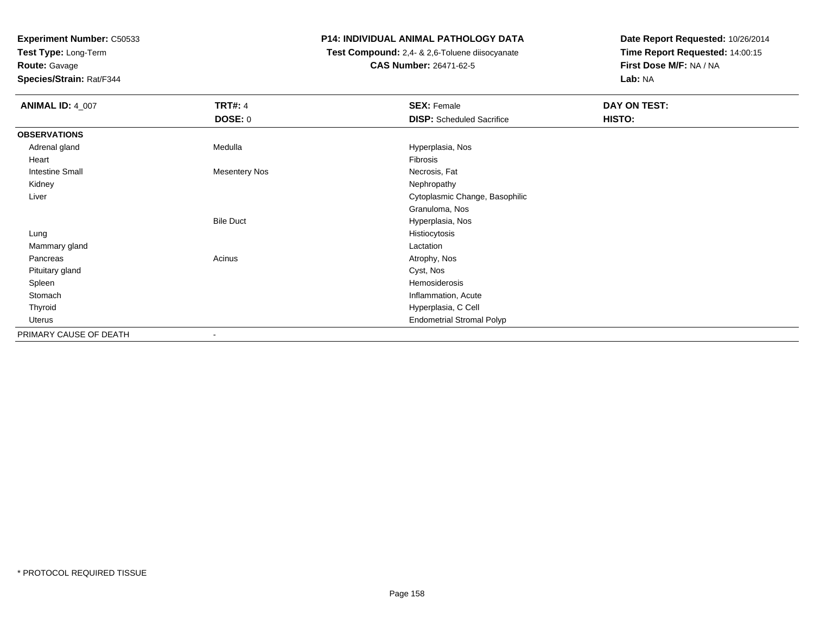**Test Type:** Long-Term

**Route:** Gavage

**Species/Strain:** Rat/F344

# **P14: INDIVIDUAL ANIMAL PATHOLOGY DATA**

 **Test Compound:** 2,4- & 2,6-Toluene diisocyanate**CAS Number:** 26471-62-5

| <b>ANIMAL ID: 4_007</b> | <b>TRT#: 4</b>       | <b>SEX: Female</b>               | DAY ON TEST: |  |
|-------------------------|----------------------|----------------------------------|--------------|--|
|                         | DOSE: 0              | <b>DISP:</b> Scheduled Sacrifice | HISTO:       |  |
| <b>OBSERVATIONS</b>     |                      |                                  |              |  |
| Adrenal gland           | Medulla              | Hyperplasia, Nos                 |              |  |
| Heart                   |                      | Fibrosis                         |              |  |
| <b>Intestine Small</b>  | <b>Mesentery Nos</b> | Necrosis, Fat                    |              |  |
| Kidney                  |                      | Nephropathy                      |              |  |
| Liver                   |                      | Cytoplasmic Change, Basophilic   |              |  |
|                         |                      | Granuloma, Nos                   |              |  |
|                         | <b>Bile Duct</b>     | Hyperplasia, Nos                 |              |  |
| Lung                    |                      | Histiocytosis                    |              |  |
| Mammary gland           |                      | Lactation                        |              |  |
| Pancreas                | Acinus               | Atrophy, Nos                     |              |  |
| Pituitary gland         |                      | Cyst, Nos                        |              |  |
| Spleen                  |                      | Hemosiderosis                    |              |  |
| Stomach                 |                      | Inflammation, Acute              |              |  |
| Thyroid                 |                      | Hyperplasia, C Cell              |              |  |
| Uterus                  |                      | <b>Endometrial Stromal Polyp</b> |              |  |
| PRIMARY CAUSE OF DEATH  |                      |                                  |              |  |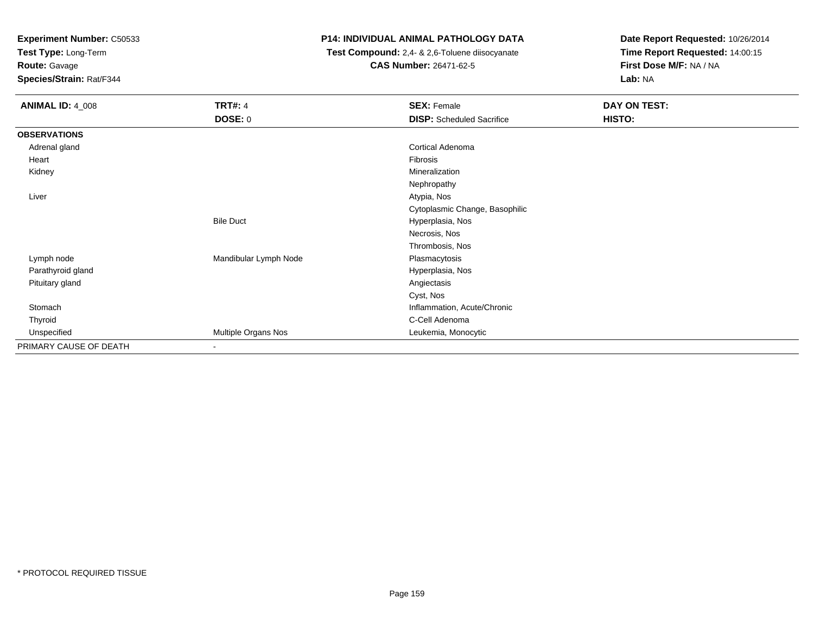**Test Type:** Long-Term

**Route:** Gavage

**Species/Strain:** Rat/F344

# **P14: INDIVIDUAL ANIMAL PATHOLOGY DATA**

 **Test Compound:** 2,4- & 2,6-Toluene diisocyanate**CAS Number:** 26471-62-5

| <b>ANIMAL ID: 4_008</b> | <b>TRT#: 4</b>        | <b>SEX: Female</b>               | DAY ON TEST: |
|-------------------------|-----------------------|----------------------------------|--------------|
|                         | <b>DOSE: 0</b>        | <b>DISP:</b> Scheduled Sacrifice | HISTO:       |
| <b>OBSERVATIONS</b>     |                       |                                  |              |
| Adrenal gland           |                       | <b>Cortical Adenoma</b>          |              |
| Heart                   |                       | Fibrosis                         |              |
| Kidney                  |                       | Mineralization                   |              |
|                         |                       | Nephropathy                      |              |
| Liver                   |                       | Atypia, Nos                      |              |
|                         |                       | Cytoplasmic Change, Basophilic   |              |
|                         | <b>Bile Duct</b>      | Hyperplasia, Nos                 |              |
|                         |                       | Necrosis, Nos                    |              |
|                         |                       | Thrombosis, Nos                  |              |
| Lymph node              | Mandibular Lymph Node | Plasmacytosis                    |              |
| Parathyroid gland       |                       | Hyperplasia, Nos                 |              |
| Pituitary gland         |                       | Angiectasis                      |              |
|                         |                       | Cyst, Nos                        |              |
| Stomach                 |                       | Inflammation, Acute/Chronic      |              |
| Thyroid                 |                       | C-Cell Adenoma                   |              |
| Unspecified             | Multiple Organs Nos   | Leukemia, Monocytic              |              |
| PRIMARY CAUSE OF DEATH  | $\blacksquare$        |                                  |              |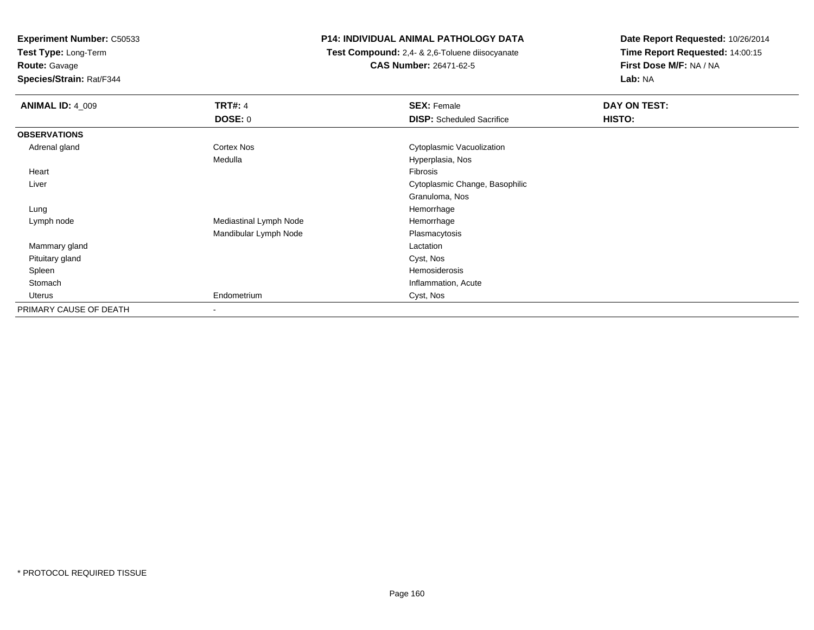**Test Type:** Long-Term

**Route:** Gavage

**Species/Strain:** Rat/F344

# **P14: INDIVIDUAL ANIMAL PATHOLOGY DATA**

 **Test Compound:** 2,4- & 2,6-Toluene diisocyanate**CAS Number:** 26471-62-5

| <b>ANIMAL ID: 4_009</b> | <b>TRT#: 4</b>         | <b>SEX: Female</b>               | DAY ON TEST: |
|-------------------------|------------------------|----------------------------------|--------------|
|                         | DOSE: 0                | <b>DISP:</b> Scheduled Sacrifice | HISTO:       |
| <b>OBSERVATIONS</b>     |                        |                                  |              |
| Adrenal gland           | Cortex Nos             | Cytoplasmic Vacuolization        |              |
|                         | Medulla                | Hyperplasia, Nos                 |              |
| Heart                   |                        | Fibrosis                         |              |
| Liver                   |                        | Cytoplasmic Change, Basophilic   |              |
|                         |                        | Granuloma, Nos                   |              |
| Lung                    |                        | Hemorrhage                       |              |
| Lymph node              | Mediastinal Lymph Node | Hemorrhage                       |              |
|                         | Mandibular Lymph Node  | Plasmacytosis                    |              |
| Mammary gland           |                        | Lactation                        |              |
| Pituitary gland         |                        | Cyst, Nos                        |              |
| Spleen                  |                        | Hemosiderosis                    |              |
| Stomach                 |                        | Inflammation, Acute              |              |
| Uterus                  | Endometrium            | Cyst, Nos                        |              |
| PRIMARY CAUSE OF DEATH  | -                      |                                  |              |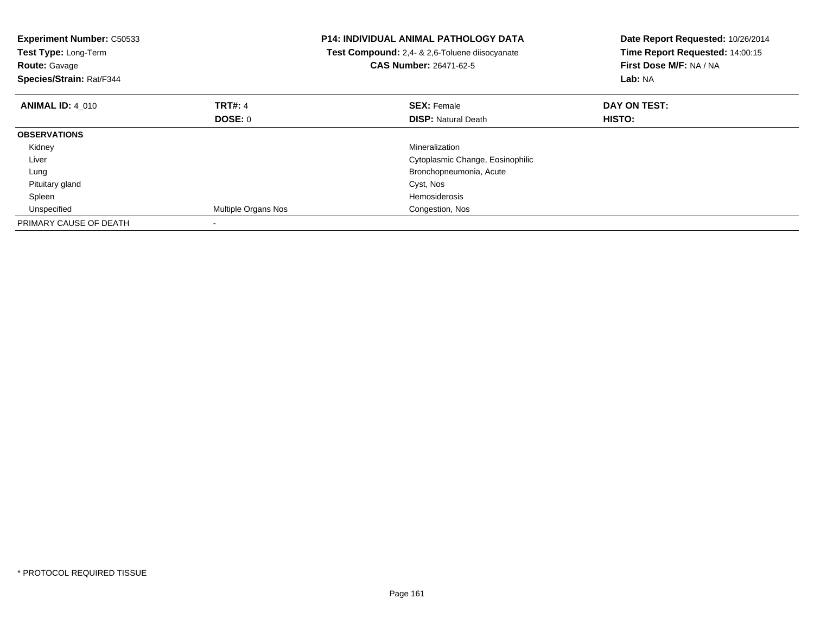| <b>Experiment Number: C50533</b><br>Test Type: Long-Term<br><b>Route: Gavage</b><br>Species/Strain: Rat/F344 |                     | <b>P14: INDIVIDUAL ANIMAL PATHOLOGY DATA</b><br><b>Test Compound:</b> 2,4- & 2,6-Toluene diisocyanate<br><b>CAS Number: 26471-62-5</b> | Date Report Requested: 10/26/2014<br>Time Report Requested: 14:00:15<br>First Dose M/F: NA / NA<br>Lab: NA |
|--------------------------------------------------------------------------------------------------------------|---------------------|----------------------------------------------------------------------------------------------------------------------------------------|------------------------------------------------------------------------------------------------------------|
| <b>ANIMAL ID: 4 010</b>                                                                                      | <b>TRT#: 4</b>      | <b>SEX: Female</b>                                                                                                                     | DAY ON TEST:                                                                                               |
|                                                                                                              | <b>DOSE: 0</b>      | <b>DISP: Natural Death</b>                                                                                                             | <b>HISTO:</b>                                                                                              |
| <b>OBSERVATIONS</b>                                                                                          |                     |                                                                                                                                        |                                                                                                            |
| Kidney                                                                                                       |                     | Mineralization                                                                                                                         |                                                                                                            |
| Liver                                                                                                        |                     | Cytoplasmic Change, Eosinophilic                                                                                                       |                                                                                                            |
| Lung                                                                                                         |                     | Bronchopneumonia, Acute                                                                                                                |                                                                                                            |
| Pituitary gland                                                                                              |                     | Cyst, Nos                                                                                                                              |                                                                                                            |
| Spleen                                                                                                       |                     | <b>Hemosiderosis</b>                                                                                                                   |                                                                                                            |
| Unspecified                                                                                                  | Multiple Organs Nos | Congestion, Nos                                                                                                                        |                                                                                                            |
| PRIMARY CAUSE OF DEATH                                                                                       |                     |                                                                                                                                        |                                                                                                            |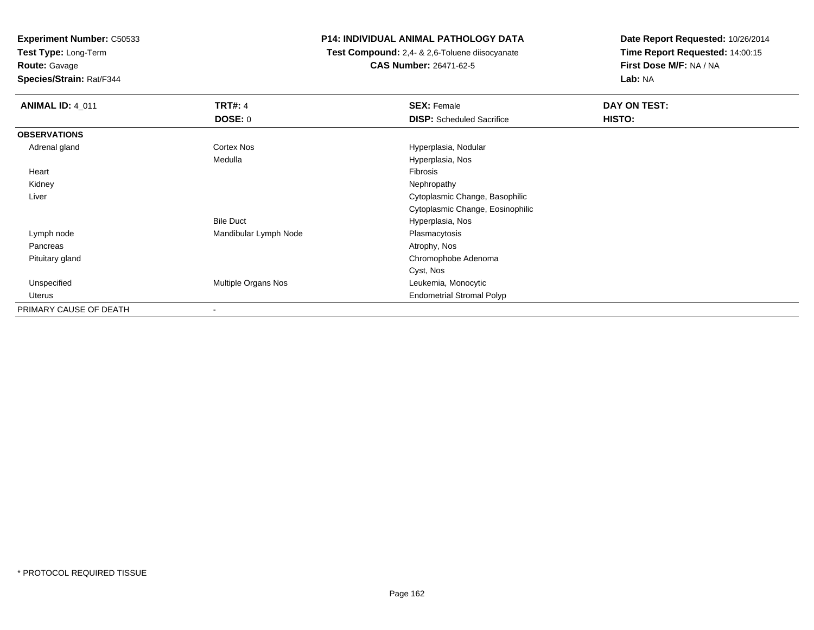**Test Type:** Long-Term

**Route:** Gavage

**Species/Strain:** Rat/F344

# **P14: INDIVIDUAL ANIMAL PATHOLOGY DATA**

 **Test Compound:** 2,4- & 2,6-Toluene diisocyanate**CAS Number:** 26471-62-5

| <b>ANIMAL ID: 4_011</b> | <b>TRT#: 4</b>        | <b>SEX: Female</b>               | DAY ON TEST: |  |
|-------------------------|-----------------------|----------------------------------|--------------|--|
|                         | <b>DOSE: 0</b>        | <b>DISP:</b> Scheduled Sacrifice | HISTO:       |  |
| <b>OBSERVATIONS</b>     |                       |                                  |              |  |
| Adrenal gland           | <b>Cortex Nos</b>     | Hyperplasia, Nodular             |              |  |
|                         | Medulla               | Hyperplasia, Nos                 |              |  |
| Heart                   |                       | Fibrosis                         |              |  |
| Kidney                  |                       | Nephropathy                      |              |  |
| Liver                   |                       | Cytoplasmic Change, Basophilic   |              |  |
|                         |                       | Cytoplasmic Change, Eosinophilic |              |  |
|                         | <b>Bile Duct</b>      | Hyperplasia, Nos                 |              |  |
| Lymph node              | Mandibular Lymph Node | Plasmacytosis                    |              |  |
| Pancreas                |                       | Atrophy, Nos                     |              |  |
| Pituitary gland         |                       | Chromophobe Adenoma              |              |  |
|                         |                       | Cyst, Nos                        |              |  |
| Unspecified             | Multiple Organs Nos   | Leukemia, Monocytic              |              |  |
| Uterus                  |                       | <b>Endometrial Stromal Polyp</b> |              |  |
| PRIMARY CAUSE OF DEATH  |                       |                                  |              |  |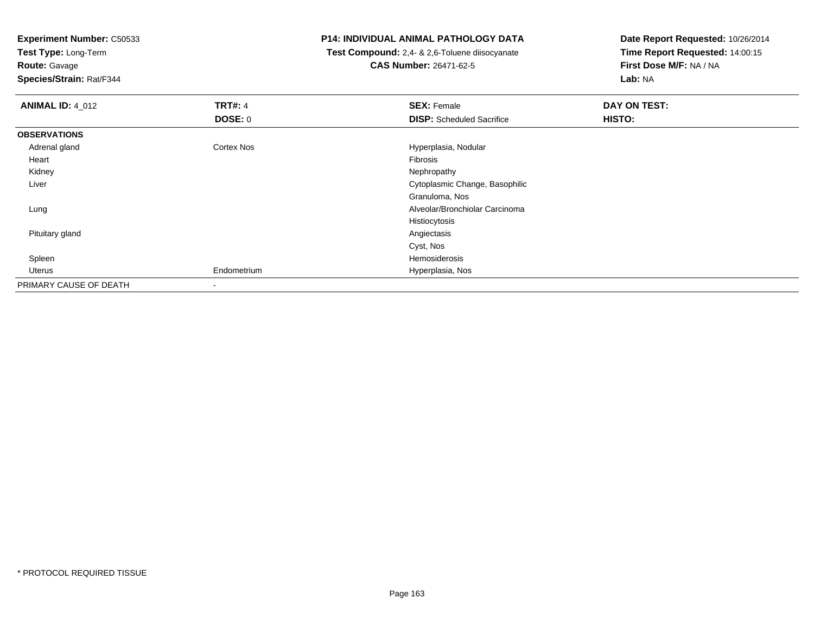**Test Type:** Long-Term

**Route:** Gavage

**Species/Strain:** Rat/F344

# **P14: INDIVIDUAL ANIMAL PATHOLOGY DATA**

 **Test Compound:** 2,4- & 2,6-Toluene diisocyanate**CAS Number:** 26471-62-5

| <b>ANIMAL ID: 4_012</b> | <b>TRT#: 4</b>    | <b>SEX: Female</b>               | DAY ON TEST: |  |
|-------------------------|-------------------|----------------------------------|--------------|--|
|                         | <b>DOSE: 0</b>    | <b>DISP:</b> Scheduled Sacrifice | HISTO:       |  |
| <b>OBSERVATIONS</b>     |                   |                                  |              |  |
| Adrenal gland           | <b>Cortex Nos</b> | Hyperplasia, Nodular             |              |  |
| Heart                   |                   | Fibrosis                         |              |  |
| Kidney                  |                   | Nephropathy                      |              |  |
| Liver                   |                   | Cytoplasmic Change, Basophilic   |              |  |
|                         |                   | Granuloma, Nos                   |              |  |
| Lung                    |                   | Alveolar/Bronchiolar Carcinoma   |              |  |
|                         |                   | Histiocytosis                    |              |  |
| Pituitary gland         |                   | Angiectasis                      |              |  |
|                         |                   | Cyst, Nos                        |              |  |
| Spleen                  |                   | Hemosiderosis                    |              |  |
| Uterus                  | Endometrium       | Hyperplasia, Nos                 |              |  |
| PRIMARY CAUSE OF DEATH  | $\blacksquare$    |                                  |              |  |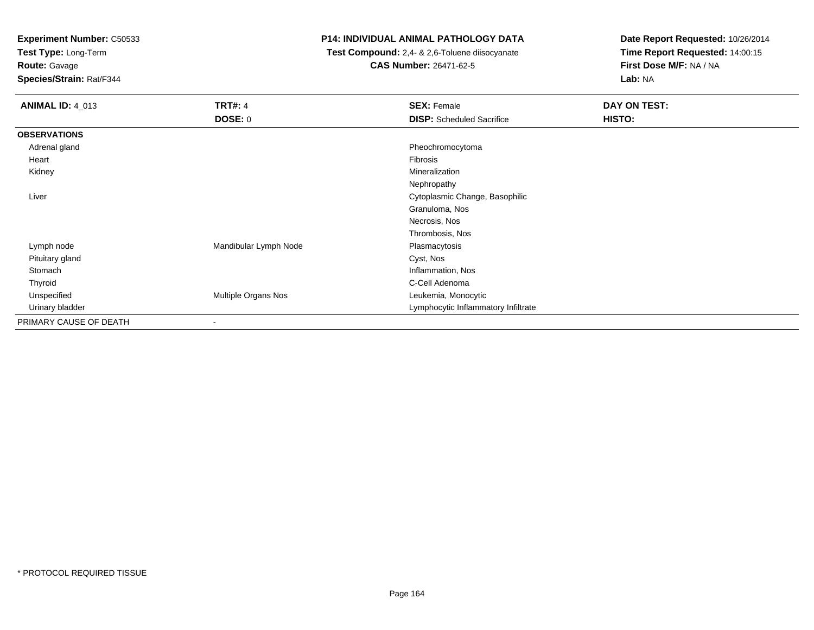**Test Type:** Long-Term

**Route:** Gavage

**Species/Strain:** Rat/F344

# **P14: INDIVIDUAL ANIMAL PATHOLOGY DATA**

 **Test Compound:** 2,4- & 2,6-Toluene diisocyanate**CAS Number:** 26471-62-5

| <b>ANIMAL ID: 4_013</b> | <b>TRT#: 4</b>           | <b>SEX: Female</b>                  | DAY ON TEST: |  |
|-------------------------|--------------------------|-------------------------------------|--------------|--|
|                         | <b>DOSE: 0</b>           | <b>DISP:</b> Scheduled Sacrifice    | HISTO:       |  |
| <b>OBSERVATIONS</b>     |                          |                                     |              |  |
| Adrenal gland           |                          | Pheochromocytoma                    |              |  |
| Heart                   |                          | Fibrosis                            |              |  |
| Kidney                  |                          | Mineralization                      |              |  |
|                         |                          | Nephropathy                         |              |  |
| Liver                   |                          | Cytoplasmic Change, Basophilic      |              |  |
|                         |                          | Granuloma, Nos                      |              |  |
|                         |                          | Necrosis, Nos                       |              |  |
|                         |                          | Thrombosis, Nos                     |              |  |
| Lymph node              | Mandibular Lymph Node    | Plasmacytosis                       |              |  |
| Pituitary gland         |                          | Cyst, Nos                           |              |  |
| Stomach                 |                          | Inflammation, Nos                   |              |  |
| Thyroid                 |                          | C-Cell Adenoma                      |              |  |
| Unspecified             | Multiple Organs Nos      | Leukemia, Monocytic                 |              |  |
| Urinary bladder         |                          | Lymphocytic Inflammatory Infiltrate |              |  |
| PRIMARY CAUSE OF DEATH  | $\overline{\phantom{a}}$ |                                     |              |  |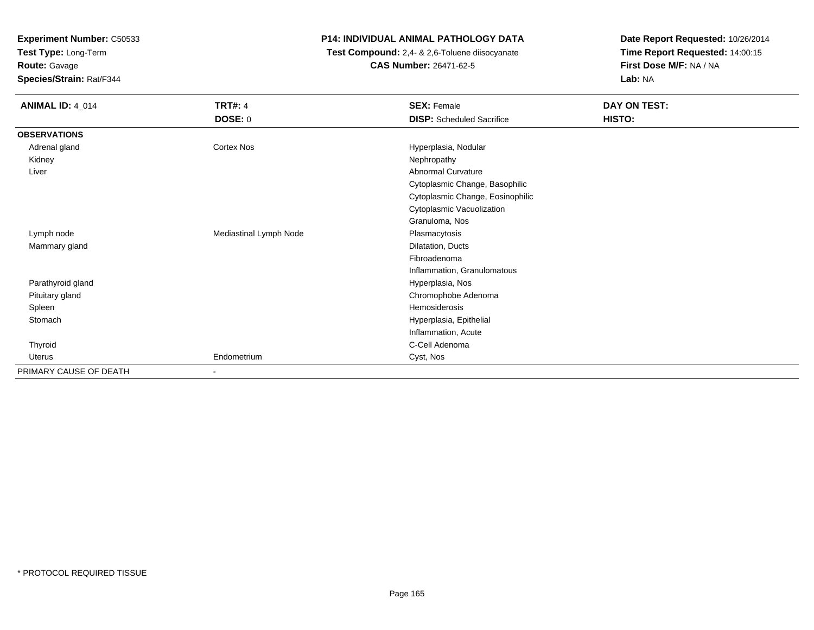**Test Type:** Long-Term

**Route:** Gavage

**Species/Strain:** Rat/F344

# **P14: INDIVIDUAL ANIMAL PATHOLOGY DATA**

 **Test Compound:** 2,4- & 2,6-Toluene diisocyanate**CAS Number:** 26471-62-5

| <b>ANIMAL ID: 4_014</b> | <b>TRT#: 4</b>           | <b>SEX: Female</b>               | DAY ON TEST: |
|-------------------------|--------------------------|----------------------------------|--------------|
|                         | DOSE: 0                  | <b>DISP:</b> Scheduled Sacrifice | HISTO:       |
| <b>OBSERVATIONS</b>     |                          |                                  |              |
| Adrenal gland           | <b>Cortex Nos</b>        | Hyperplasia, Nodular             |              |
| Kidney                  |                          | Nephropathy                      |              |
| Liver                   |                          | Abnormal Curvature               |              |
|                         |                          | Cytoplasmic Change, Basophilic   |              |
|                         |                          | Cytoplasmic Change, Eosinophilic |              |
|                         |                          | Cytoplasmic Vacuolization        |              |
|                         |                          | Granuloma, Nos                   |              |
| Lymph node              | Mediastinal Lymph Node   | Plasmacytosis                    |              |
| Mammary gland           |                          | Dilatation, Ducts                |              |
|                         |                          | Fibroadenoma                     |              |
|                         |                          | Inflammation, Granulomatous      |              |
| Parathyroid gland       |                          | Hyperplasia, Nos                 |              |
| Pituitary gland         |                          | Chromophobe Adenoma              |              |
| Spleen                  |                          | Hemosiderosis                    |              |
| Stomach                 |                          | Hyperplasia, Epithelial          |              |
|                         |                          | Inflammation, Acute              |              |
| Thyroid                 |                          | C-Cell Adenoma                   |              |
| Uterus                  | Endometrium              | Cyst, Nos                        |              |
| PRIMARY CAUSE OF DEATH  | $\overline{\phantom{a}}$ |                                  |              |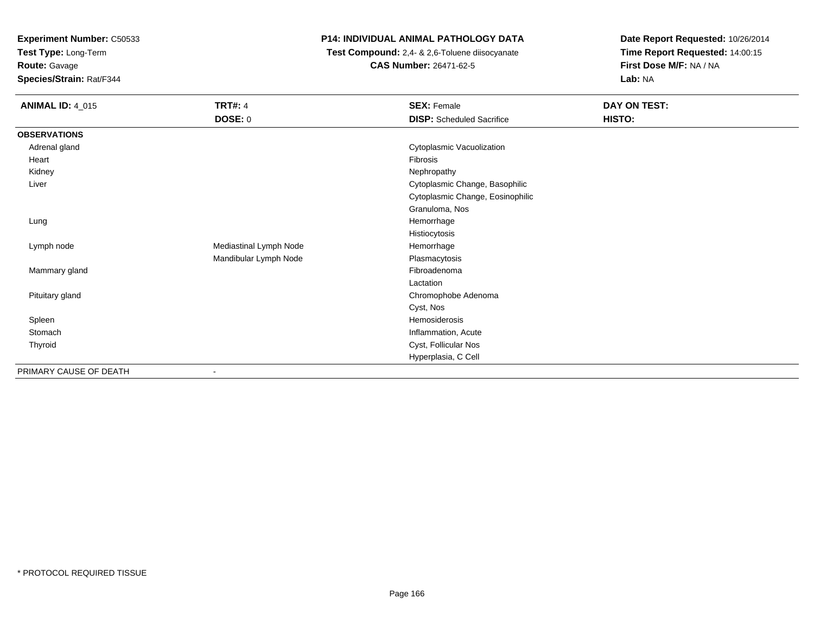**Test Type:** Long-Term

**Route:** Gavage

**Species/Strain:** Rat/F344

# **P14: INDIVIDUAL ANIMAL PATHOLOGY DATA**

 **Test Compound:** 2,4- & 2,6-Toluene diisocyanate**CAS Number:** 26471-62-5

| <b>ANIMAL ID: 4_015</b> | <b>TRT#: 4</b><br><b>DOSE: 0</b> | <b>SEX: Female</b><br><b>DISP:</b> Scheduled Sacrifice | DAY ON TEST:<br>HISTO: |
|-------------------------|----------------------------------|--------------------------------------------------------|------------------------|
| <b>OBSERVATIONS</b>     |                                  |                                                        |                        |
| Adrenal gland           |                                  | Cytoplasmic Vacuolization                              |                        |
| Heart                   |                                  | Fibrosis                                               |                        |
| Kidney                  |                                  | Nephropathy                                            |                        |
| Liver                   |                                  | Cytoplasmic Change, Basophilic                         |                        |
|                         |                                  | Cytoplasmic Change, Eosinophilic                       |                        |
|                         |                                  | Granuloma, Nos                                         |                        |
| Lung                    |                                  | Hemorrhage                                             |                        |
|                         |                                  | Histiocytosis                                          |                        |
| Lymph node              | Mediastinal Lymph Node           | Hemorrhage                                             |                        |
|                         | Mandibular Lymph Node            | Plasmacytosis                                          |                        |
| Mammary gland           |                                  | Fibroadenoma                                           |                        |
|                         |                                  | Lactation                                              |                        |
| Pituitary gland         |                                  | Chromophobe Adenoma                                    |                        |
|                         |                                  | Cyst, Nos                                              |                        |
| Spleen                  |                                  | Hemosiderosis                                          |                        |
| Stomach                 |                                  | Inflammation, Acute                                    |                        |
| Thyroid                 |                                  | Cyst, Follicular Nos                                   |                        |
|                         |                                  | Hyperplasia, C Cell                                    |                        |
| PRIMARY CAUSE OF DEATH  | $\sim$                           |                                                        |                        |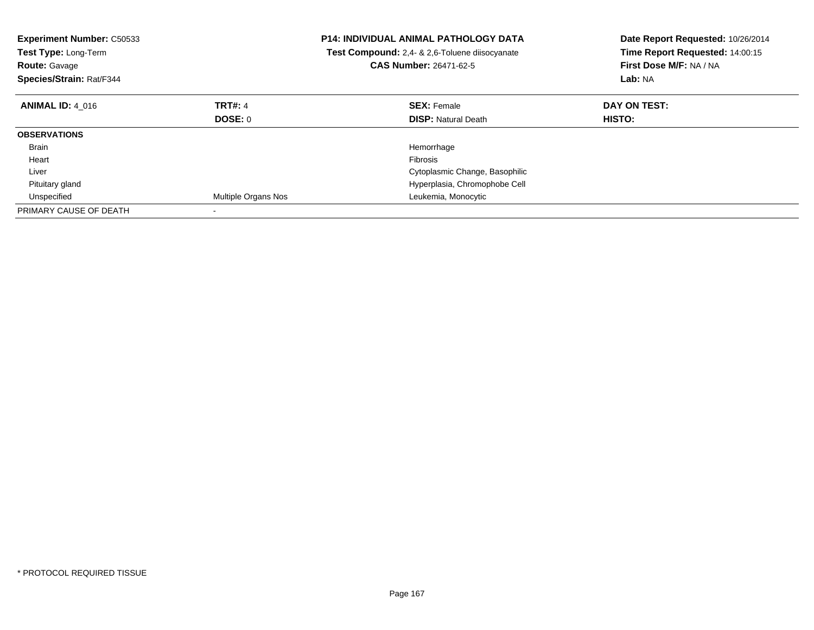| <b>Experiment Number: C50533</b><br>Test Type: Long-Term<br><b>Route: Gavage</b><br>Species/Strain: Rat/F344 |                     | <b>P14: INDIVIDUAL ANIMAL PATHOLOGY DATA</b><br>Test Compound: 2,4- & 2,6-Toluene diisocyanate<br><b>CAS Number: 26471-62-5</b> | Date Report Requested: 10/26/2014<br>Time Report Requested: 14:00:15<br>First Dose M/F: NA / NA<br>Lab: NA |
|--------------------------------------------------------------------------------------------------------------|---------------------|---------------------------------------------------------------------------------------------------------------------------------|------------------------------------------------------------------------------------------------------------|
| <b>ANIMAL ID: 4 016</b>                                                                                      | <b>TRT#: 4</b>      | <b>SEX: Female</b>                                                                                                              | DAY ON TEST:                                                                                               |
|                                                                                                              | DOSE: 0             | <b>DISP: Natural Death</b>                                                                                                      | <b>HISTO:</b>                                                                                              |
| <b>OBSERVATIONS</b>                                                                                          |                     |                                                                                                                                 |                                                                                                            |
| <b>Brain</b>                                                                                                 |                     | Hemorrhage                                                                                                                      |                                                                                                            |
| Heart                                                                                                        |                     | Fibrosis                                                                                                                        |                                                                                                            |
| Liver                                                                                                        |                     | Cytoplasmic Change, Basophilic                                                                                                  |                                                                                                            |
| Pituitary gland                                                                                              |                     | Hyperplasia, Chromophobe Cell                                                                                                   |                                                                                                            |
| Unspecified                                                                                                  | Multiple Organs Nos | Leukemia, Monocytic                                                                                                             |                                                                                                            |
| PRIMARY CAUSE OF DEATH                                                                                       |                     |                                                                                                                                 |                                                                                                            |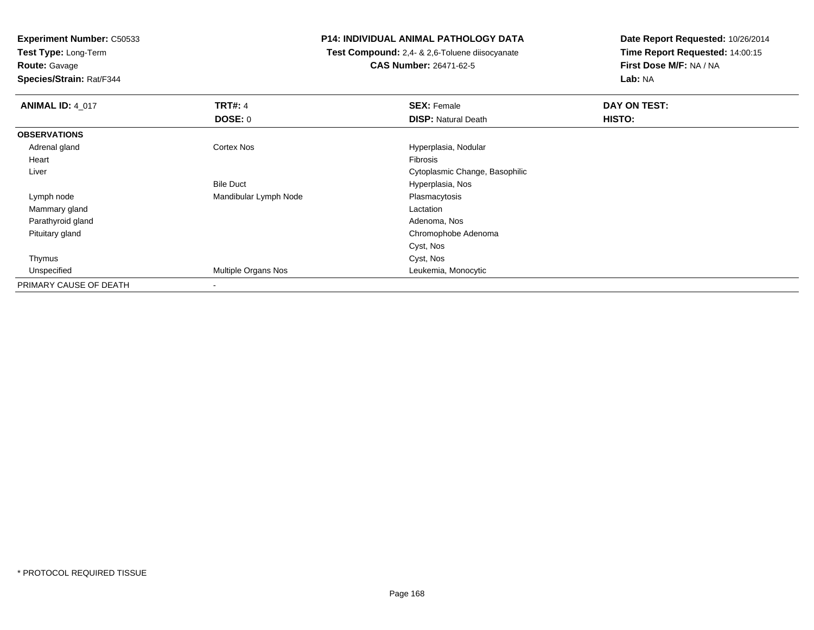**Test Type:** Long-Term

**Route:** Gavage

**Species/Strain:** Rat/F344

# **P14: INDIVIDUAL ANIMAL PATHOLOGY DATA**

 **Test Compound:** 2,4- & 2,6-Toluene diisocyanate**CAS Number:** 26471-62-5

| <b>ANIMAL ID: 4_017</b> | <b>TRT#: 4</b>        | <b>SEX: Female</b>             | DAY ON TEST: |  |
|-------------------------|-----------------------|--------------------------------|--------------|--|
|                         | DOSE: 0               | <b>DISP: Natural Death</b>     | HISTO:       |  |
| <b>OBSERVATIONS</b>     |                       |                                |              |  |
| Adrenal gland           | <b>Cortex Nos</b>     | Hyperplasia, Nodular           |              |  |
| Heart                   |                       | Fibrosis                       |              |  |
| Liver                   |                       | Cytoplasmic Change, Basophilic |              |  |
|                         | <b>Bile Duct</b>      | Hyperplasia, Nos               |              |  |
| Lymph node              | Mandibular Lymph Node | Plasmacytosis                  |              |  |
| Mammary gland           |                       | Lactation                      |              |  |
| Parathyroid gland       |                       | Adenoma, Nos                   |              |  |
| Pituitary gland         |                       | Chromophobe Adenoma            |              |  |
|                         |                       | Cyst, Nos                      |              |  |
| Thymus                  |                       | Cyst, Nos                      |              |  |
| Unspecified             | Multiple Organs Nos   | Leukemia, Monocytic            |              |  |
| PRIMARY CAUSE OF DEATH  |                       |                                |              |  |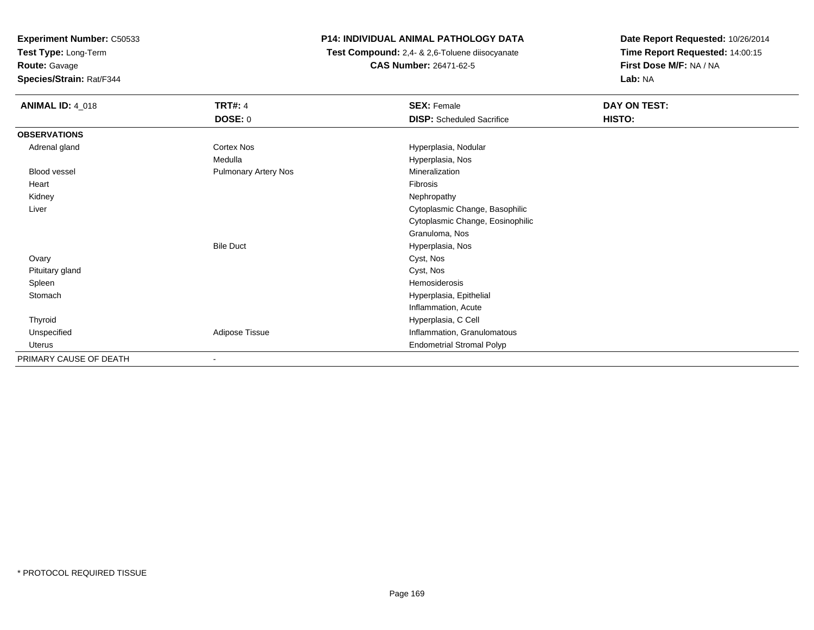**Test Type:** Long-Term

**Route:** Gavage

**Species/Strain:** Rat/F344

# **P14: INDIVIDUAL ANIMAL PATHOLOGY DATA**

 **Test Compound:** 2,4- & 2,6-Toluene diisocyanate**CAS Number:** 26471-62-5

| <b>ANIMAL ID: 4_018</b> | <b>TRT#: 4</b>              | <b>SEX: Female</b>               | DAY ON TEST: |
|-------------------------|-----------------------------|----------------------------------|--------------|
|                         | DOSE: 0                     | <b>DISP:</b> Scheduled Sacrifice | HISTO:       |
| <b>OBSERVATIONS</b>     |                             |                                  |              |
| Adrenal gland           | Cortex Nos                  | Hyperplasia, Nodular             |              |
|                         | Medulla                     | Hyperplasia, Nos                 |              |
| Blood vessel            | <b>Pulmonary Artery Nos</b> | Mineralization                   |              |
| Heart                   |                             | Fibrosis                         |              |
| Kidney                  |                             | Nephropathy                      |              |
| Liver                   |                             | Cytoplasmic Change, Basophilic   |              |
|                         |                             | Cytoplasmic Change, Eosinophilic |              |
|                         |                             | Granuloma, Nos                   |              |
|                         | <b>Bile Duct</b>            | Hyperplasia, Nos                 |              |
| Ovary                   |                             | Cyst, Nos                        |              |
| Pituitary gland         |                             | Cyst, Nos                        |              |
| Spleen                  |                             | Hemosiderosis                    |              |
| Stomach                 |                             | Hyperplasia, Epithelial          |              |
|                         |                             | Inflammation, Acute              |              |
| Thyroid                 |                             | Hyperplasia, C Cell              |              |
| Unspecified             | Adipose Tissue              | Inflammation, Granulomatous      |              |
| Uterus                  |                             | <b>Endometrial Stromal Polyp</b> |              |
| PRIMARY CAUSE OF DEATH  |                             |                                  |              |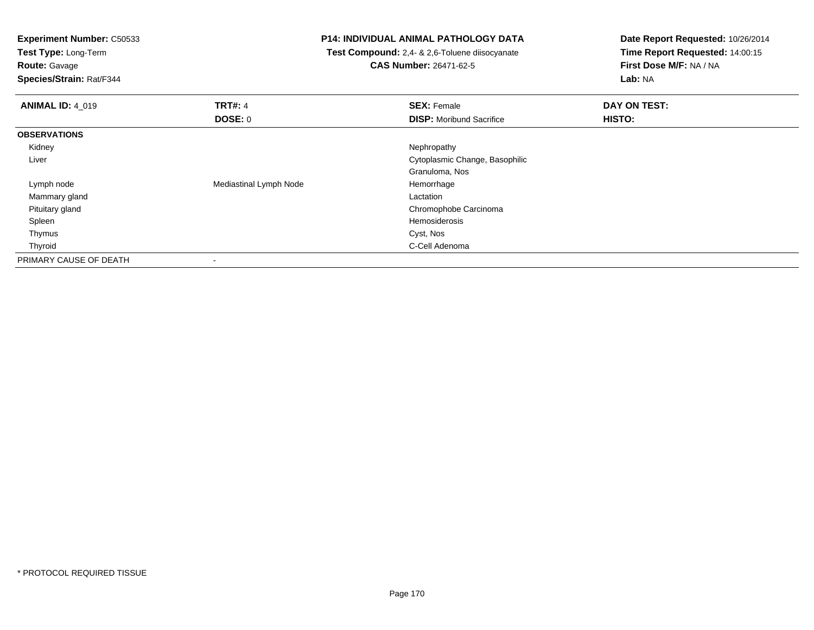**Test Type:** Long-Term

**Route:** Gavage

**Species/Strain:** Rat/F344

# **P14: INDIVIDUAL ANIMAL PATHOLOGY DATA**

 **Test Compound:** 2,4- & 2,6-Toluene diisocyanate**CAS Number:** 26471-62-5

| <b>ANIMAL ID: 4 019</b> | <b>TRT#: 4</b>         | <b>SEX: Female</b>              | DAY ON TEST: |  |
|-------------------------|------------------------|---------------------------------|--------------|--|
|                         | <b>DOSE: 0</b>         | <b>DISP:</b> Moribund Sacrifice | HISTO:       |  |
| <b>OBSERVATIONS</b>     |                        |                                 |              |  |
| Kidney                  |                        | Nephropathy                     |              |  |
| Liver                   |                        | Cytoplasmic Change, Basophilic  |              |  |
|                         |                        | Granuloma, Nos                  |              |  |
| Lymph node              | Mediastinal Lymph Node | Hemorrhage                      |              |  |
| Mammary gland           |                        | Lactation                       |              |  |
| Pituitary gland         |                        | Chromophobe Carcinoma           |              |  |
| Spleen                  |                        | Hemosiderosis                   |              |  |
| Thymus                  |                        | Cyst, Nos                       |              |  |
| Thyroid                 |                        | C-Cell Adenoma                  |              |  |
| PRIMARY CAUSE OF DEATH  |                        |                                 |              |  |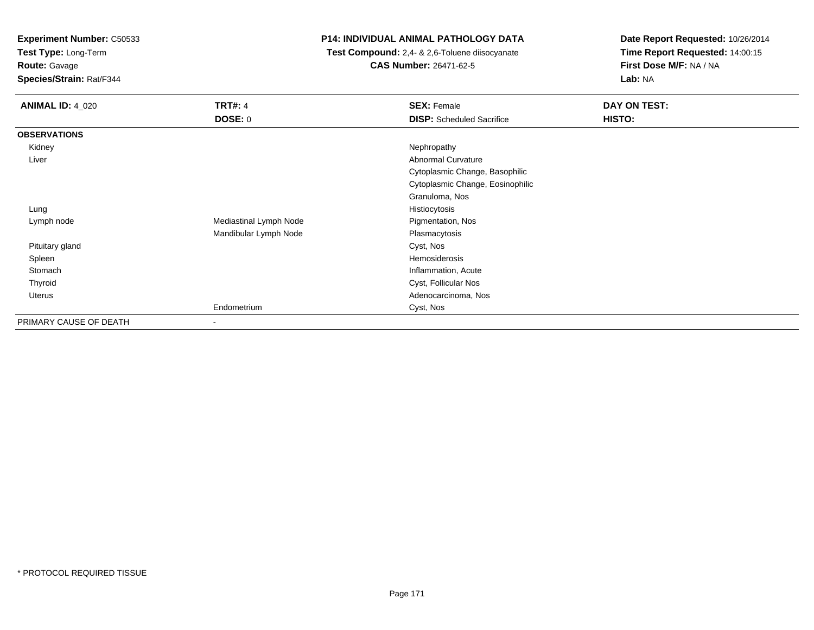**Test Type:** Long-Term

**Route:** Gavage

**Species/Strain:** Rat/F344

# **P14: INDIVIDUAL ANIMAL PATHOLOGY DATA**

 **Test Compound:** 2,4- & 2,6-Toluene diisocyanate**CAS Number:** 26471-62-5

| <b>ANIMAL ID: 4 020</b> | <b>TRT#: 4</b>         | <b>SEX: Female</b>               | DAY ON TEST: |
|-------------------------|------------------------|----------------------------------|--------------|
|                         | <b>DOSE: 0</b>         | <b>DISP:</b> Scheduled Sacrifice | HISTO:       |
| <b>OBSERVATIONS</b>     |                        |                                  |              |
| Kidney                  |                        | Nephropathy                      |              |
| Liver                   |                        | <b>Abnormal Curvature</b>        |              |
|                         |                        | Cytoplasmic Change, Basophilic   |              |
|                         |                        | Cytoplasmic Change, Eosinophilic |              |
|                         |                        | Granuloma, Nos                   |              |
| Lung                    |                        | Histiocytosis                    |              |
| Lymph node              | Mediastinal Lymph Node | Pigmentation, Nos                |              |
|                         | Mandibular Lymph Node  | Plasmacytosis                    |              |
| Pituitary gland         |                        | Cyst, Nos                        |              |
| Spleen                  |                        | Hemosiderosis                    |              |
| Stomach                 |                        | Inflammation, Acute              |              |
| Thyroid                 |                        | Cyst, Follicular Nos             |              |
| Uterus                  |                        | Adenocarcinoma, Nos              |              |
|                         | Endometrium            | Cyst, Nos                        |              |
| PRIMARY CAUSE OF DEATH  | $\sim$                 |                                  |              |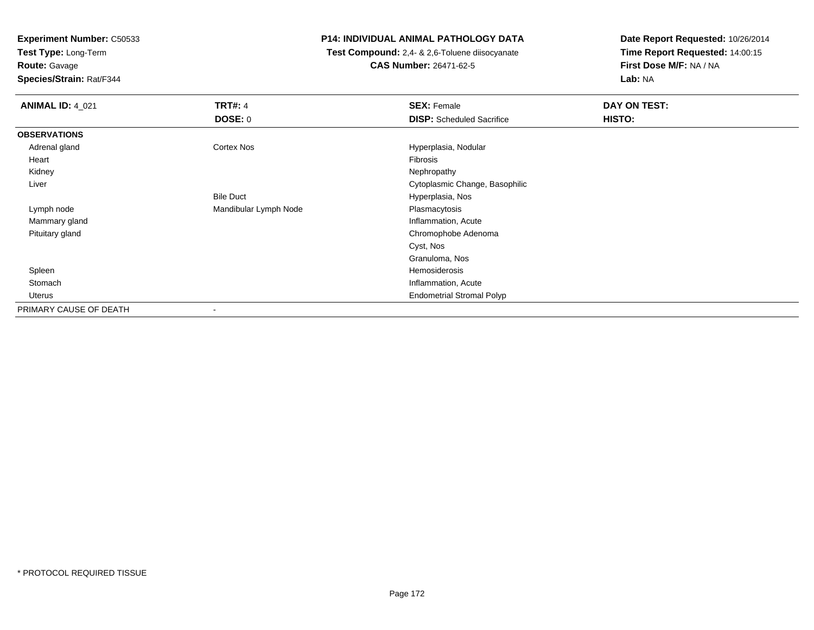**Test Type:** Long-Term

**Route:** Gavage

**Species/Strain:** Rat/F344

# **P14: INDIVIDUAL ANIMAL PATHOLOGY DATA**

 **Test Compound:** 2,4- & 2,6-Toluene diisocyanate**CAS Number:** 26471-62-5

| <b>ANIMAL ID: 4_021</b> | <b>TRT#: 4</b>        | <b>SEX: Female</b>               | DAY ON TEST: |
|-------------------------|-----------------------|----------------------------------|--------------|
|                         | <b>DOSE: 0</b>        | <b>DISP:</b> Scheduled Sacrifice | HISTO:       |
| <b>OBSERVATIONS</b>     |                       |                                  |              |
| Adrenal gland           | Cortex Nos            | Hyperplasia, Nodular             |              |
| Heart                   |                       | Fibrosis                         |              |
| Kidney                  |                       | Nephropathy                      |              |
| Liver                   |                       | Cytoplasmic Change, Basophilic   |              |
|                         | <b>Bile Duct</b>      | Hyperplasia, Nos                 |              |
| Lymph node              | Mandibular Lymph Node | Plasmacytosis                    |              |
| Mammary gland           |                       | Inflammation, Acute              |              |
| Pituitary gland         |                       | Chromophobe Adenoma              |              |
|                         |                       | Cyst, Nos                        |              |
|                         |                       | Granuloma, Nos                   |              |
| Spleen                  |                       | Hemosiderosis                    |              |
| Stomach                 |                       | Inflammation, Acute              |              |
| Uterus                  |                       | <b>Endometrial Stromal Polyp</b> |              |
| PRIMARY CAUSE OF DEATH  |                       |                                  |              |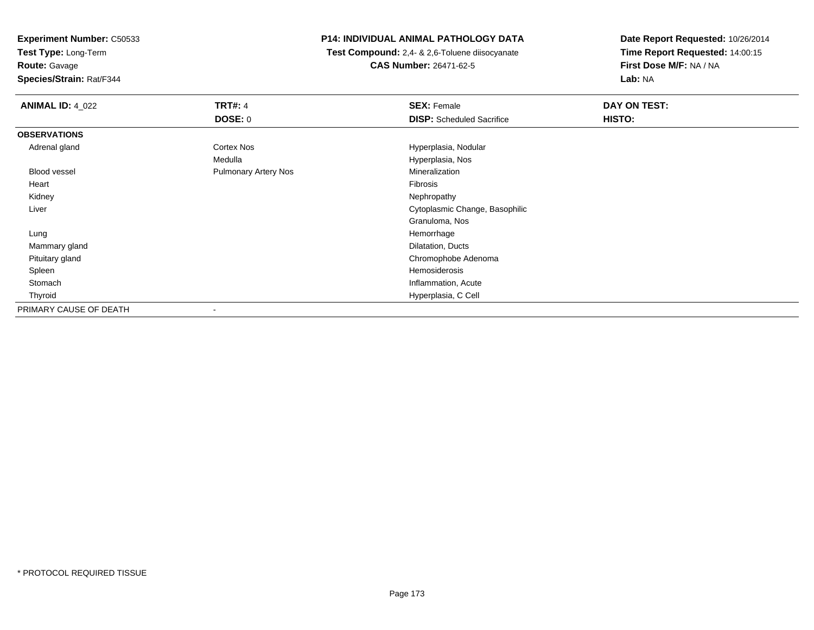**Test Type:** Long-Term

**Route:** Gavage

**Species/Strain:** Rat/F344

# **P14: INDIVIDUAL ANIMAL PATHOLOGY DATA**

 **Test Compound:** 2,4- & 2,6-Toluene diisocyanate**CAS Number:** 26471-62-5

| <b>ANIMAL ID: 4_022</b> | <b>TRT#: 4</b>              | <b>SEX: Female</b>               | DAY ON TEST: |  |
|-------------------------|-----------------------------|----------------------------------|--------------|--|
|                         | <b>DOSE: 0</b>              | <b>DISP:</b> Scheduled Sacrifice | HISTO:       |  |
| <b>OBSERVATIONS</b>     |                             |                                  |              |  |
| Adrenal gland           | Cortex Nos                  | Hyperplasia, Nodular             |              |  |
|                         | Medulla                     | Hyperplasia, Nos                 |              |  |
| Blood vessel            | <b>Pulmonary Artery Nos</b> | Mineralization                   |              |  |
| Heart                   |                             | Fibrosis                         |              |  |
| Kidney                  |                             | Nephropathy                      |              |  |
| Liver                   |                             | Cytoplasmic Change, Basophilic   |              |  |
|                         |                             | Granuloma, Nos                   |              |  |
| Lung                    |                             | Hemorrhage                       |              |  |
| Mammary gland           |                             | Dilatation, Ducts                |              |  |
| Pituitary gland         |                             | Chromophobe Adenoma              |              |  |
| Spleen                  |                             | Hemosiderosis                    |              |  |
| Stomach                 |                             | Inflammation, Acute              |              |  |
| Thyroid                 |                             | Hyperplasia, C Cell              |              |  |
| PRIMARY CAUSE OF DEATH  |                             |                                  |              |  |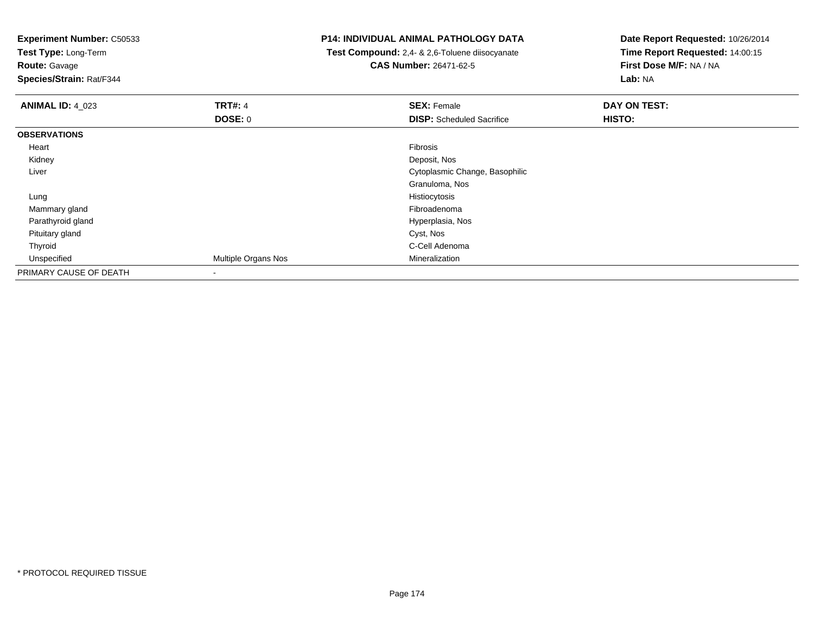**Experiment Number:** C50533**Test Type:** Long-Term**Route:** Gavage **Species/Strain:** Rat/F344**P14: INDIVIDUAL ANIMAL PATHOLOGY DATA Test Compound:** 2,4- & 2,6-Toluene diisocyanate**CAS Number:** 26471-62-5**Date Report Requested:** 10/26/2014**Time Report Requested:** 14:00:15**First Dose M/F:** NA / NA**Lab:** NA**ANIMAL ID:** 4\_023**TRT#:** 4 **SEX:** Female **DAY ON TEST: DOSE:** 0**DISP:** Scheduled Sacrifice **HISTO: OBSERVATIONS** Heartt de la constitución de la constitución de la constitución de la constitución de la constitución de la constitución Deposit, Nos Kidneyy and the control of the control of the control of the control of the control of the control of the control of the control of the control of the control of the control of the control of the control of the control of the co Liver Cytoplasmic Change, BasophilicGranuloma, Nos Lungg and the state of the state of the state of the state of the state of the state of the state of the state of the state of the state of the state of the state of the state of the state of the state of the state of the stat Mammary glandd and the control of the control of the control of the control of the control of the control of the control of the control of the control of the control of the control of the control of the control of the control of the co Parathyroid gland Hyperplasia, Nos Pituitary gland Cyst, Nos Thyroid C-Cell Adenoma UnspecifiedMultiple Organs Nos PRIMARY CAUSE OF DEATH-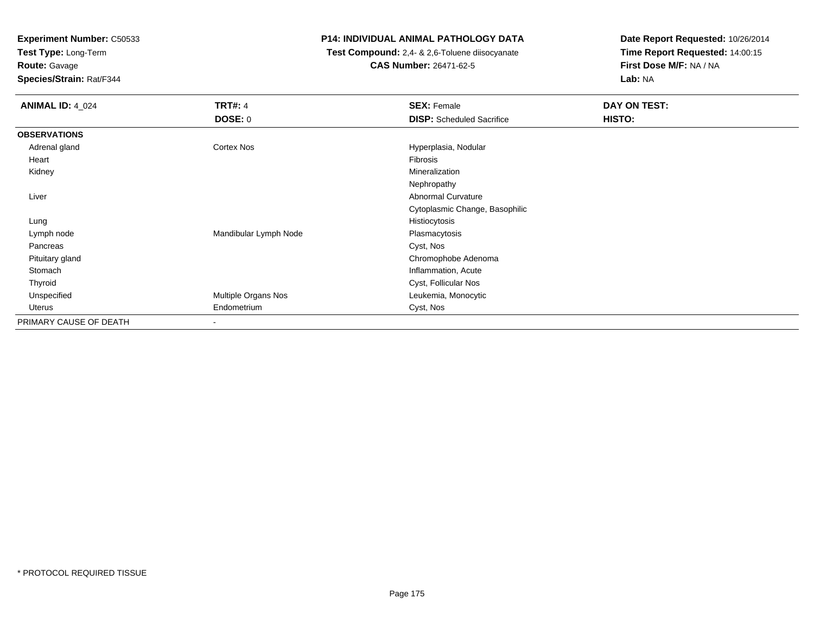**Test Type:** Long-Term

**Route:** Gavage

**Species/Strain:** Rat/F344

# **P14: INDIVIDUAL ANIMAL PATHOLOGY DATA**

 **Test Compound:** 2,4- & 2,6-Toluene diisocyanate**CAS Number:** 26471-62-5

| <b>ANIMAL ID: 4 024</b> | <b>TRT#: 4</b>           | <b>SEX: Female</b>               | <b>DAY ON TEST:</b> |
|-------------------------|--------------------------|----------------------------------|---------------------|
|                         | <b>DOSE: 0</b>           | <b>DISP:</b> Scheduled Sacrifice | HISTO:              |
| <b>OBSERVATIONS</b>     |                          |                                  |                     |
| Adrenal gland           | Cortex Nos               | Hyperplasia, Nodular             |                     |
| Heart                   |                          | Fibrosis                         |                     |
| Kidney                  |                          | Mineralization                   |                     |
|                         |                          | Nephropathy                      |                     |
| Liver                   |                          | Abnormal Curvature               |                     |
|                         |                          | Cytoplasmic Change, Basophilic   |                     |
| Lung                    |                          | Histiocytosis                    |                     |
| Lymph node              | Mandibular Lymph Node    | Plasmacytosis                    |                     |
| Pancreas                |                          | Cyst, Nos                        |                     |
| Pituitary gland         |                          | Chromophobe Adenoma              |                     |
| Stomach                 |                          | Inflammation, Acute              |                     |
| Thyroid                 |                          | Cyst, Follicular Nos             |                     |
| Unspecified             | Multiple Organs Nos      | Leukemia, Monocytic              |                     |
| Uterus                  | Endometrium              | Cyst, Nos                        |                     |
| PRIMARY CAUSE OF DEATH  | $\overline{\phantom{a}}$ |                                  |                     |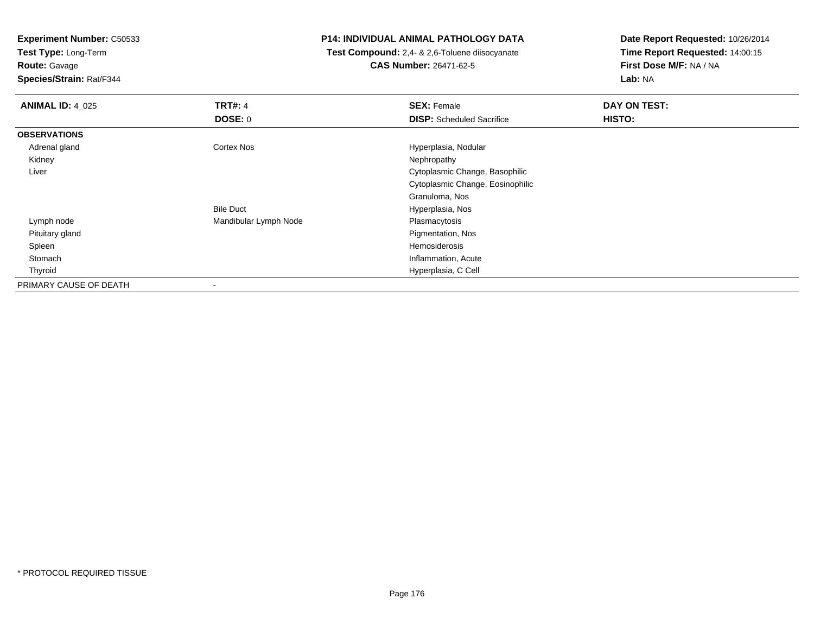**Test Type:** Long-Term

**Route:** Gavage

**Species/Strain:** Rat/F344

# **P14: INDIVIDUAL ANIMAL PATHOLOGY DATA**

 **Test Compound:** 2,4- & 2,6-Toluene diisocyanate**CAS Number:** 26471-62-5

| <b>ANIMAL ID: 4_025</b> | <b>TRT#: 4</b>        | <b>SEX: Female</b>               | DAY ON TEST: |
|-------------------------|-----------------------|----------------------------------|--------------|
|                         | <b>DOSE: 0</b>        | <b>DISP:</b> Scheduled Sacrifice | HISTO:       |
| <b>OBSERVATIONS</b>     |                       |                                  |              |
| Adrenal gland           | <b>Cortex Nos</b>     | Hyperplasia, Nodular             |              |
| Kidney                  |                       | Nephropathy                      |              |
| Liver                   |                       | Cytoplasmic Change, Basophilic   |              |
|                         |                       | Cytoplasmic Change, Eosinophilic |              |
|                         |                       | Granuloma, Nos                   |              |
|                         | <b>Bile Duct</b>      | Hyperplasia, Nos                 |              |
| Lymph node              | Mandibular Lymph Node | Plasmacytosis                    |              |
| Pituitary gland         |                       | Pigmentation, Nos                |              |
| Spleen                  |                       | Hemosiderosis                    |              |
| Stomach                 |                       | Inflammation, Acute              |              |
| Thyroid                 |                       | Hyperplasia, C Cell              |              |
| PRIMARY CAUSE OF DEATH  |                       |                                  |              |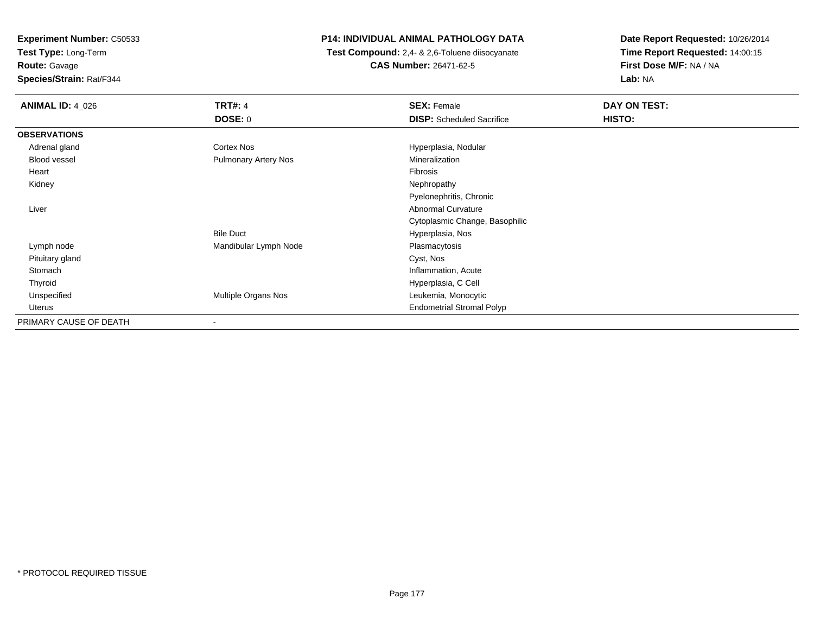**Test Type:** Long-Term

**Route:** Gavage

**Species/Strain:** Rat/F344

# **P14: INDIVIDUAL ANIMAL PATHOLOGY DATA**

 **Test Compound:** 2,4- & 2,6-Toluene diisocyanate**CAS Number:** 26471-62-5

| <b>ANIMAL ID: 4_026</b> | <b>TRT#: 4</b>              | <b>SEX: Female</b>               | DAY ON TEST: |  |
|-------------------------|-----------------------------|----------------------------------|--------------|--|
|                         | DOSE: 0                     | <b>DISP:</b> Scheduled Sacrifice | HISTO:       |  |
| <b>OBSERVATIONS</b>     |                             |                                  |              |  |
| Adrenal gland           | Cortex Nos                  | Hyperplasia, Nodular             |              |  |
| Blood vessel            | <b>Pulmonary Artery Nos</b> | Mineralization                   |              |  |
| Heart                   |                             | Fibrosis                         |              |  |
| Kidney                  |                             | Nephropathy                      |              |  |
|                         |                             | Pyelonephritis, Chronic          |              |  |
| Liver                   |                             | <b>Abnormal Curvature</b>        |              |  |
|                         |                             | Cytoplasmic Change, Basophilic   |              |  |
|                         | <b>Bile Duct</b>            | Hyperplasia, Nos                 |              |  |
| Lymph node              | Mandibular Lymph Node       | Plasmacytosis                    |              |  |
| Pituitary gland         |                             | Cyst, Nos                        |              |  |
| Stomach                 |                             | Inflammation, Acute              |              |  |
| Thyroid                 |                             | Hyperplasia, C Cell              |              |  |
| Unspecified             | Multiple Organs Nos         | Leukemia, Monocytic              |              |  |
| Uterus                  |                             | <b>Endometrial Stromal Polyp</b> |              |  |
| PRIMARY CAUSE OF DEATH  | $\overline{\phantom{a}}$    |                                  |              |  |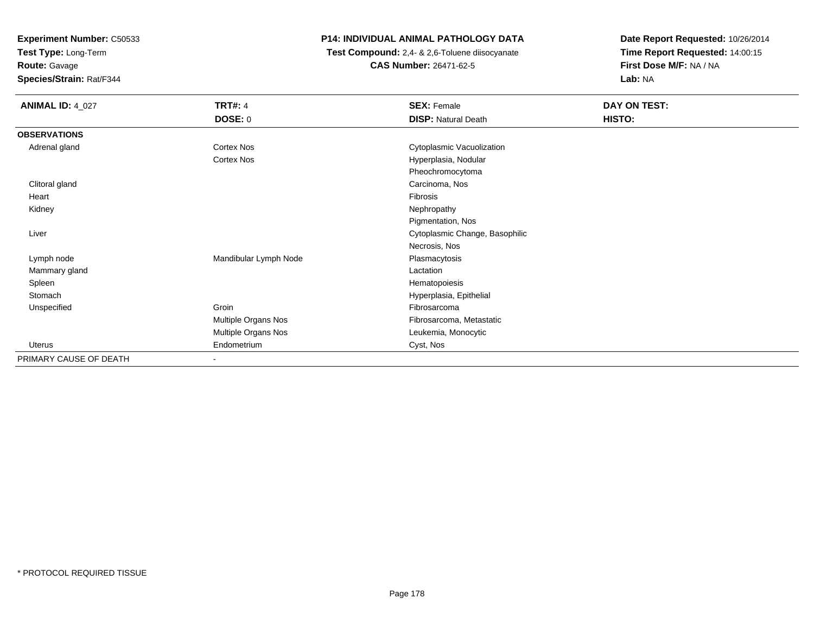**Test Type:** Long-Term

# **Route:** Gavage

**Species/Strain:** Rat/F344

# **P14: INDIVIDUAL ANIMAL PATHOLOGY DATA**

 **Test Compound:** 2,4- & 2,6-Toluene diisocyanate**CAS Number:** 26471-62-5

| <b>ANIMAL ID: 4_027</b> | <b>TRT#: 4</b>           | <b>SEX: Female</b>             | DAY ON TEST: |
|-------------------------|--------------------------|--------------------------------|--------------|
|                         | DOSE: 0                  | <b>DISP: Natural Death</b>     | HISTO:       |
| <b>OBSERVATIONS</b>     |                          |                                |              |
| Adrenal gland           | Cortex Nos               | Cytoplasmic Vacuolization      |              |
|                         | <b>Cortex Nos</b>        | Hyperplasia, Nodular           |              |
|                         |                          | Pheochromocytoma               |              |
| Clitoral gland          |                          | Carcinoma, Nos                 |              |
| Heart                   |                          | Fibrosis                       |              |
| Kidney                  |                          | Nephropathy                    |              |
|                         |                          | Pigmentation, Nos              |              |
| Liver                   |                          | Cytoplasmic Change, Basophilic |              |
|                         |                          | Necrosis, Nos                  |              |
| Lymph node              | Mandibular Lymph Node    | Plasmacytosis                  |              |
| Mammary gland           |                          | Lactation                      |              |
| Spleen                  |                          | Hematopoiesis                  |              |
| Stomach                 |                          | Hyperplasia, Epithelial        |              |
| Unspecified             | Groin                    | Fibrosarcoma                   |              |
|                         | Multiple Organs Nos      | Fibrosarcoma, Metastatic       |              |
|                         | Multiple Organs Nos      | Leukemia, Monocytic            |              |
| <b>Uterus</b>           | Endometrium              | Cyst, Nos                      |              |
| PRIMARY CAUSE OF DEATH  | $\overline{\phantom{a}}$ |                                |              |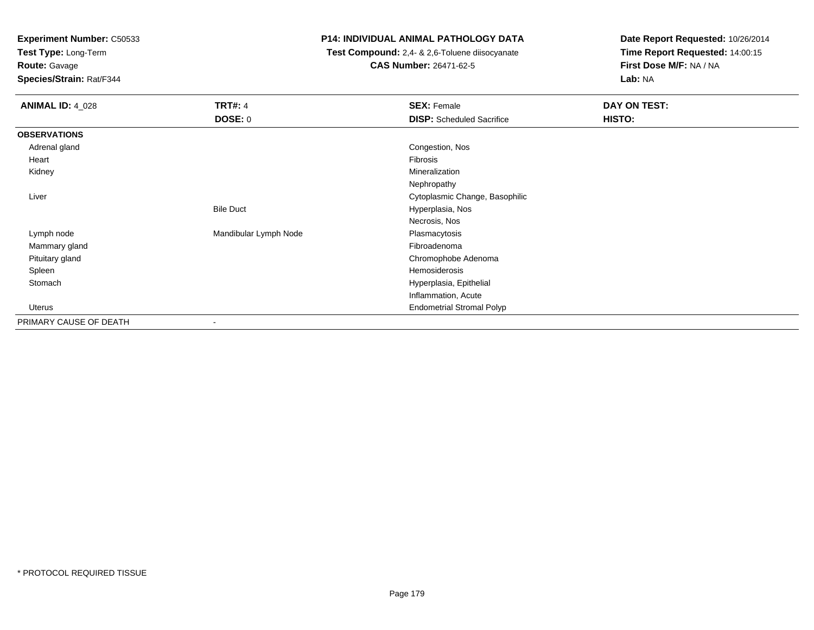**Test Type:** Long-Term

**Route:** Gavage

**Species/Strain:** Rat/F344

# **P14: INDIVIDUAL ANIMAL PATHOLOGY DATA**

 **Test Compound:** 2,4- & 2,6-Toluene diisocyanate**CAS Number:** 26471-62-5

| <b>ANIMAL ID: 4_028</b> | <b>TRT#: 4</b>           | <b>SEX: Female</b>               | DAY ON TEST: |  |
|-------------------------|--------------------------|----------------------------------|--------------|--|
|                         | <b>DOSE: 0</b>           | <b>DISP:</b> Scheduled Sacrifice | HISTO:       |  |
| <b>OBSERVATIONS</b>     |                          |                                  |              |  |
| Adrenal gland           |                          | Congestion, Nos                  |              |  |
| Heart                   |                          | Fibrosis                         |              |  |
| Kidney                  |                          | Mineralization                   |              |  |
|                         |                          | Nephropathy                      |              |  |
| Liver                   |                          | Cytoplasmic Change, Basophilic   |              |  |
|                         | <b>Bile Duct</b>         | Hyperplasia, Nos                 |              |  |
|                         |                          | Necrosis, Nos                    |              |  |
| Lymph node              | Mandibular Lymph Node    | Plasmacytosis                    |              |  |
| Mammary gland           |                          | Fibroadenoma                     |              |  |
| Pituitary gland         |                          | Chromophobe Adenoma              |              |  |
| Spleen                  |                          | Hemosiderosis                    |              |  |
| Stomach                 |                          | Hyperplasia, Epithelial          |              |  |
|                         |                          | Inflammation, Acute              |              |  |
| Uterus                  |                          | <b>Endometrial Stromal Polyp</b> |              |  |
| PRIMARY CAUSE OF DEATH  | $\overline{\phantom{a}}$ |                                  |              |  |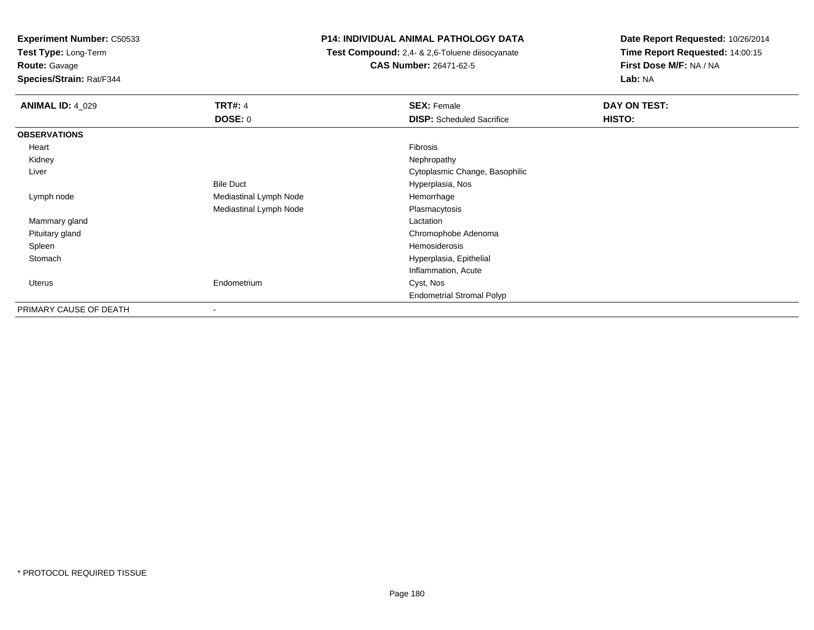**Test Type:** Long-Term

**Route:** Gavage

**Species/Strain:** Rat/F344

# **P14: INDIVIDUAL ANIMAL PATHOLOGY DATA**

 **Test Compound:** 2,4- & 2,6-Toluene diisocyanate**CAS Number:** 26471-62-5

| <b>ANIMAL ID: 4_029</b> | <b>TRT#: 4</b>         | <b>SEX: Female</b>               | DAY ON TEST: |
|-------------------------|------------------------|----------------------------------|--------------|
|                         | DOSE: 0                | <b>DISP:</b> Scheduled Sacrifice | HISTO:       |
| <b>OBSERVATIONS</b>     |                        |                                  |              |
| Heart                   |                        | Fibrosis                         |              |
| Kidney                  |                        | Nephropathy                      |              |
| Liver                   |                        | Cytoplasmic Change, Basophilic   |              |
|                         | <b>Bile Duct</b>       | Hyperplasia, Nos                 |              |
| Lymph node              | Mediastinal Lymph Node | Hemorrhage                       |              |
|                         | Mediastinal Lymph Node | Plasmacytosis                    |              |
| Mammary gland           |                        | Lactation                        |              |
| Pituitary gland         |                        | Chromophobe Adenoma              |              |
| Spleen                  |                        | Hemosiderosis                    |              |
| Stomach                 |                        | Hyperplasia, Epithelial          |              |
|                         |                        | Inflammation, Acute              |              |
| <b>Uterus</b>           | Endometrium            | Cyst, Nos                        |              |
|                         |                        | <b>Endometrial Stromal Polyp</b> |              |
| PRIMARY CAUSE OF DEATH  | -                      |                                  |              |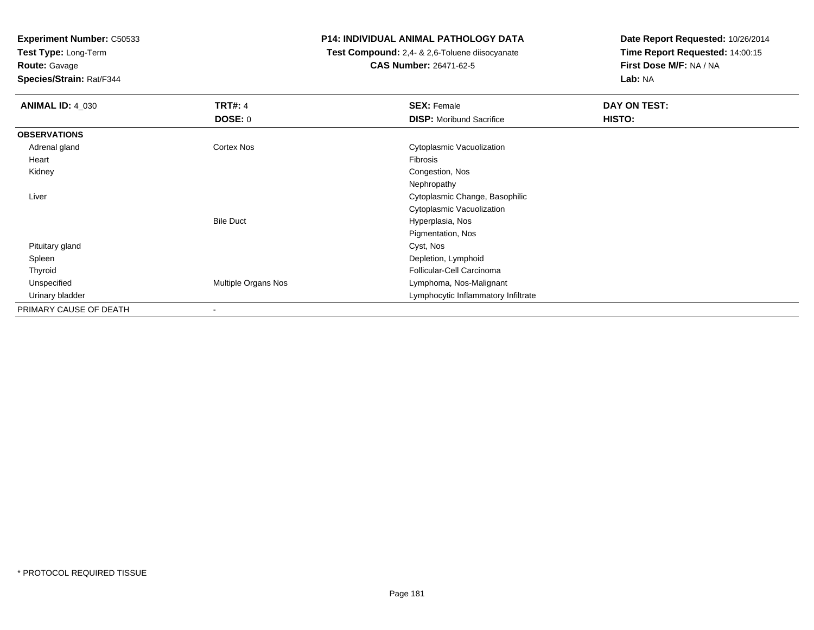**Test Type:** Long-Term

**Route:** Gavage

**Species/Strain:** Rat/F344

#### **P14: INDIVIDUAL ANIMAL PATHOLOGY DATA**

 **Test Compound:** 2,4- & 2,6-Toluene diisocyanate**CAS Number:** 26471-62-5

| <b>ANIMAL ID: 4_030</b> | <b>TRT#: 4</b>           | <b>SEX: Female</b>                  | DAY ON TEST: |
|-------------------------|--------------------------|-------------------------------------|--------------|
|                         | <b>DOSE: 0</b>           | <b>DISP:</b> Moribund Sacrifice     | HISTO:       |
| <b>OBSERVATIONS</b>     |                          |                                     |              |
| Adrenal gland           | <b>Cortex Nos</b>        | Cytoplasmic Vacuolization           |              |
| Heart                   |                          | Fibrosis                            |              |
| Kidney                  |                          | Congestion, Nos                     |              |
|                         |                          | Nephropathy                         |              |
| Liver                   |                          | Cytoplasmic Change, Basophilic      |              |
|                         |                          | Cytoplasmic Vacuolization           |              |
|                         | <b>Bile Duct</b>         | Hyperplasia, Nos                    |              |
|                         |                          | Pigmentation, Nos                   |              |
| Pituitary gland         |                          | Cyst, Nos                           |              |
| Spleen                  |                          | Depletion, Lymphoid                 |              |
| Thyroid                 |                          | Follicular-Cell Carcinoma           |              |
| Unspecified             | Multiple Organs Nos      | Lymphoma, Nos-Malignant             |              |
| Urinary bladder         |                          | Lymphocytic Inflammatory Infiltrate |              |
| PRIMARY CAUSE OF DEATH  | $\overline{\phantom{a}}$ |                                     |              |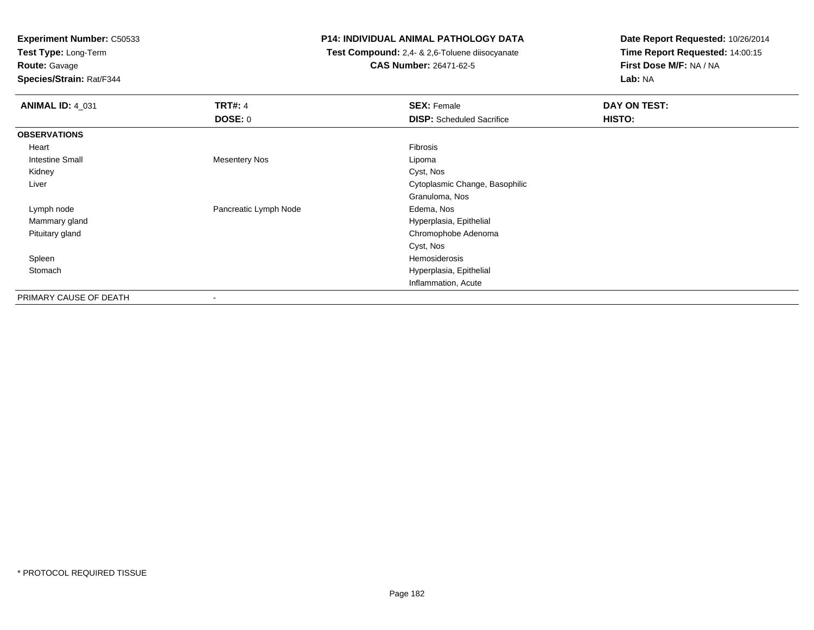**Test Type:** Long-Term

# **Route:** Gavage

**Species/Strain:** Rat/F344

#### **P14: INDIVIDUAL ANIMAL PATHOLOGY DATA**

 **Test Compound:** 2,4- & 2,6-Toluene diisocyanate**CAS Number:** 26471-62-5

| <b>ANIMAL ID: 4 031</b> | <b>TRT#: 4</b><br><b>DOSE: 0</b> | <b>SEX: Female</b><br><b>DISP:</b> Scheduled Sacrifice | DAY ON TEST:<br>HISTO: |
|-------------------------|----------------------------------|--------------------------------------------------------|------------------------|
| <b>OBSERVATIONS</b>     |                                  |                                                        |                        |
| Heart                   |                                  | Fibrosis                                               |                        |
| <b>Intestine Small</b>  | <b>Mesentery Nos</b>             | Lipoma                                                 |                        |
| Kidney                  |                                  | Cyst, Nos                                              |                        |
| Liver                   |                                  | Cytoplasmic Change, Basophilic                         |                        |
|                         |                                  | Granuloma, Nos                                         |                        |
| Lymph node              | Pancreatic Lymph Node            | Edema, Nos                                             |                        |
| Mammary gland           |                                  | Hyperplasia, Epithelial                                |                        |
| Pituitary gland         |                                  | Chromophobe Adenoma                                    |                        |
|                         |                                  | Cyst, Nos                                              |                        |
| Spleen                  |                                  | Hemosiderosis                                          |                        |
| Stomach                 |                                  | Hyperplasia, Epithelial                                |                        |
|                         |                                  | Inflammation, Acute                                    |                        |
| PRIMARY CAUSE OF DEATH  | -                                |                                                        |                        |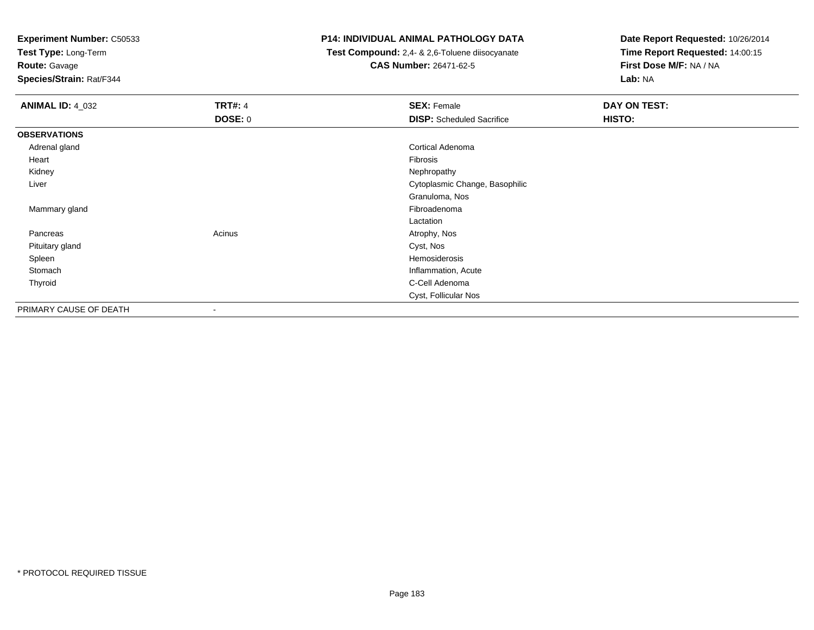**Test Type:** Long-Term

**Route:** Gavage

**Species/Strain:** Rat/F344

#### **P14: INDIVIDUAL ANIMAL PATHOLOGY DATA**

 **Test Compound:** 2,4- & 2,6-Toluene diisocyanate**CAS Number:** 26471-62-5

| <b>ANIMAL ID: 4_032</b> | <b>TRT#: 4</b><br><b>DOSE: 0</b> | <b>SEX: Female</b><br><b>DISP:</b> Scheduled Sacrifice | DAY ON TEST:<br>HISTO: |
|-------------------------|----------------------------------|--------------------------------------------------------|------------------------|
| <b>OBSERVATIONS</b>     |                                  |                                                        |                        |
| Adrenal gland           |                                  | <b>Cortical Adenoma</b>                                |                        |
| Heart                   |                                  | Fibrosis                                               |                        |
| Kidney                  |                                  | Nephropathy                                            |                        |
| Liver                   |                                  | Cytoplasmic Change, Basophilic                         |                        |
|                         |                                  | Granuloma, Nos                                         |                        |
| Mammary gland           |                                  | Fibroadenoma                                           |                        |
|                         |                                  | Lactation                                              |                        |
| Pancreas                | Acinus                           | Atrophy, Nos                                           |                        |
| Pituitary gland         |                                  | Cyst, Nos                                              |                        |
| Spleen                  |                                  | Hemosiderosis                                          |                        |
| Stomach                 |                                  | Inflammation, Acute                                    |                        |
| Thyroid                 |                                  | C-Cell Adenoma                                         |                        |
|                         |                                  | Cyst, Follicular Nos                                   |                        |
| PRIMARY CAUSE OF DEATH  | $\overline{\phantom{a}}$         |                                                        |                        |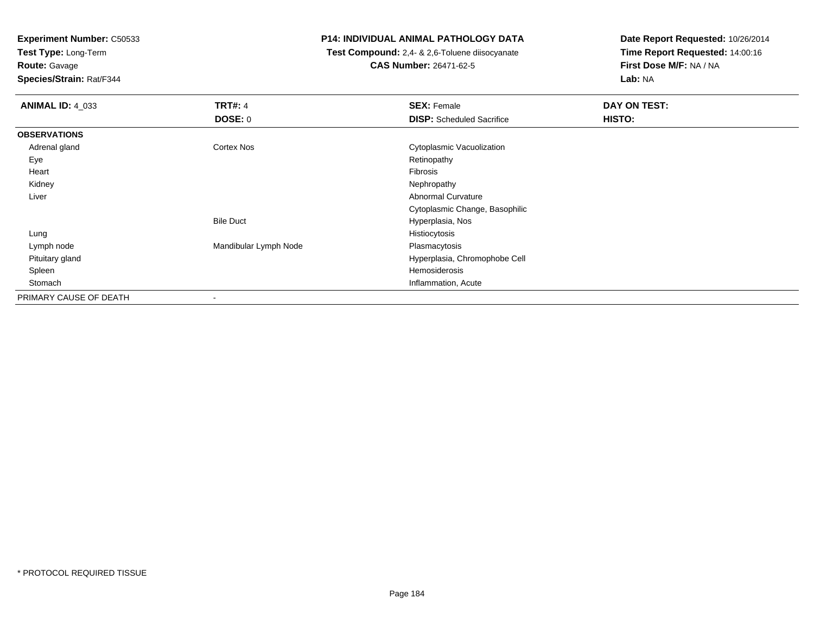**Test Type:** Long-Term

**Route:** Gavage

**Species/Strain:** Rat/F344

#### **P14: INDIVIDUAL ANIMAL PATHOLOGY DATA**

 **Test Compound:** 2,4- & 2,6-Toluene diisocyanate**CAS Number:** 26471-62-5

| <b>ANIMAL ID: 4_033</b> | <b>TRT#: 4</b>        | <b>SEX: Female</b>               | DAY ON TEST: |
|-------------------------|-----------------------|----------------------------------|--------------|
|                         | <b>DOSE: 0</b>        | <b>DISP:</b> Scheduled Sacrifice | HISTO:       |
| <b>OBSERVATIONS</b>     |                       |                                  |              |
| Adrenal gland           | Cortex Nos            | Cytoplasmic Vacuolization        |              |
| Eye                     |                       | Retinopathy                      |              |
| Heart                   |                       | Fibrosis                         |              |
| Kidney                  |                       | Nephropathy                      |              |
| Liver                   |                       | Abnormal Curvature               |              |
|                         |                       | Cytoplasmic Change, Basophilic   |              |
|                         | <b>Bile Duct</b>      | Hyperplasia, Nos                 |              |
| Lung                    |                       | Histiocytosis                    |              |
| Lymph node              | Mandibular Lymph Node | Plasmacytosis                    |              |
| Pituitary gland         |                       | Hyperplasia, Chromophobe Cell    |              |
| Spleen                  |                       | Hemosiderosis                    |              |
| Stomach                 |                       | Inflammation, Acute              |              |
| PRIMARY CAUSE OF DEATH  | ٠                     |                                  |              |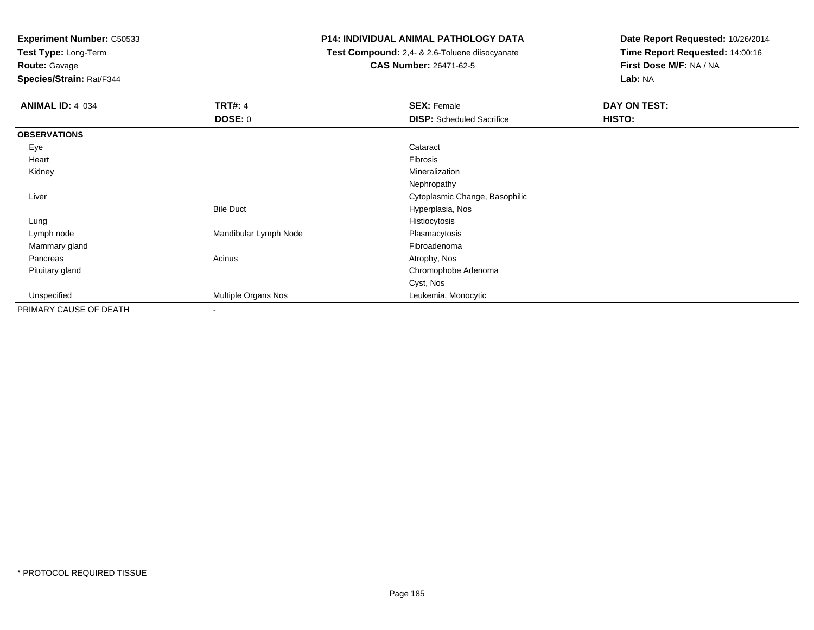**Test Type:** Long-Term

**Route:** Gavage

**Species/Strain:** Rat/F344

#### **P14: INDIVIDUAL ANIMAL PATHOLOGY DATA**

 **Test Compound:** 2,4- & 2,6-Toluene diisocyanate**CAS Number:** 26471-62-5

| <b>ANIMAL ID: 4_034</b> | <b>TRT#: 4</b><br><b>DOSE: 0</b> | <b>SEX: Female</b><br><b>DISP:</b> Scheduled Sacrifice | DAY ON TEST:<br>HISTO: |
|-------------------------|----------------------------------|--------------------------------------------------------|------------------------|
|                         |                                  |                                                        |                        |
| <b>OBSERVATIONS</b>     |                                  |                                                        |                        |
| Eye                     |                                  | Cataract                                               |                        |
| Heart                   |                                  | Fibrosis                                               |                        |
| Kidney                  |                                  | Mineralization                                         |                        |
|                         |                                  | Nephropathy                                            |                        |
| Liver                   |                                  | Cytoplasmic Change, Basophilic                         |                        |
|                         | <b>Bile Duct</b>                 | Hyperplasia, Nos                                       |                        |
| Lung                    |                                  | Histiocytosis                                          |                        |
| Lymph node              | Mandibular Lymph Node            | Plasmacytosis                                          |                        |
| Mammary gland           |                                  | Fibroadenoma                                           |                        |
| Pancreas                | Acinus                           | Atrophy, Nos                                           |                        |
| Pituitary gland         |                                  | Chromophobe Adenoma                                    |                        |
|                         |                                  | Cyst, Nos                                              |                        |
| Unspecified             | Multiple Organs Nos              | Leukemia, Monocytic                                    |                        |
| PRIMARY CAUSE OF DEATH  | $\overline{\phantom{a}}$         |                                                        |                        |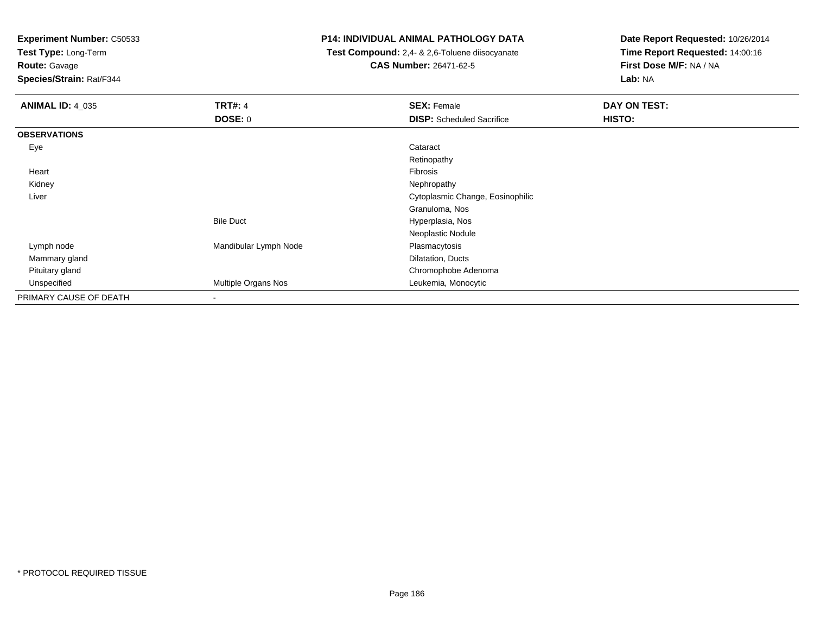**Test Type:** Long-Term

**Route:** Gavage

**Species/Strain:** Rat/F344

#### **P14: INDIVIDUAL ANIMAL PATHOLOGY DATA**

 **Test Compound:** 2,4- & 2,6-Toluene diisocyanate**CAS Number:** 26471-62-5

| <b>ANIMAL ID: 4_035</b> | <b>TRT#: 4</b>           | <b>SEX: Female</b>               | DAY ON TEST: |  |
|-------------------------|--------------------------|----------------------------------|--------------|--|
|                         | <b>DOSE: 0</b>           | <b>DISP:</b> Scheduled Sacrifice | HISTO:       |  |
| <b>OBSERVATIONS</b>     |                          |                                  |              |  |
| Eye                     |                          | Cataract                         |              |  |
|                         |                          | Retinopathy                      |              |  |
| Heart                   |                          | Fibrosis                         |              |  |
| Kidney                  |                          | Nephropathy                      |              |  |
| Liver                   |                          | Cytoplasmic Change, Eosinophilic |              |  |
|                         |                          | Granuloma, Nos                   |              |  |
|                         | <b>Bile Duct</b>         | Hyperplasia, Nos                 |              |  |
|                         |                          | Neoplastic Nodule                |              |  |
| Lymph node              | Mandibular Lymph Node    | Plasmacytosis                    |              |  |
| Mammary gland           |                          | Dilatation, Ducts                |              |  |
| Pituitary gland         |                          | Chromophobe Adenoma              |              |  |
| Unspecified             | Multiple Organs Nos      | Leukemia, Monocytic              |              |  |
| PRIMARY CAUSE OF DEATH  | $\overline{\phantom{0}}$ |                                  |              |  |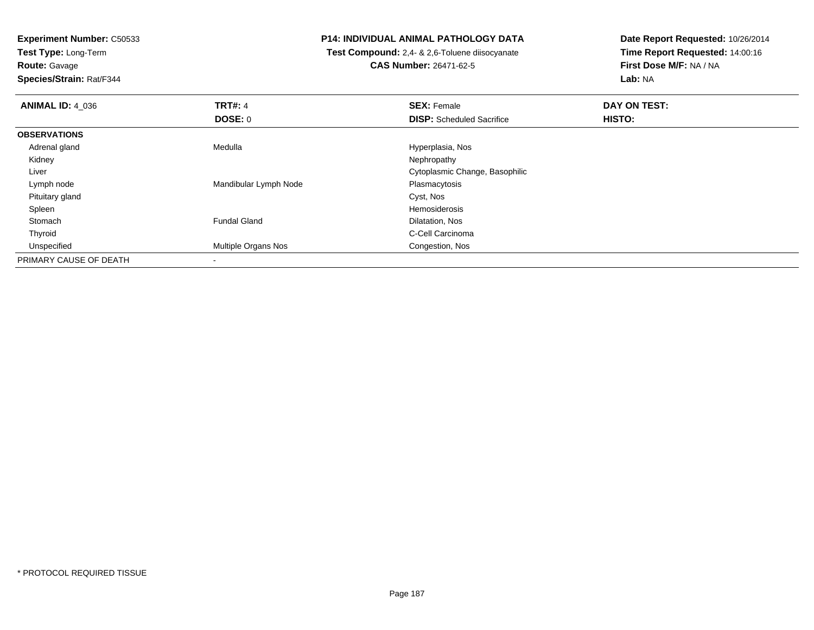**Test Type:** Long-Term

**Route:** Gavage

**Species/Strain:** Rat/F344

#### **P14: INDIVIDUAL ANIMAL PATHOLOGY DATA**

 **Test Compound:** 2,4- & 2,6-Toluene diisocyanate**CAS Number:** 26471-62-5

| <b>ANIMAL ID: 4 036</b> | <b>TRT#: 4</b>        | <b>SEX: Female</b>               | DAY ON TEST: |  |
|-------------------------|-----------------------|----------------------------------|--------------|--|
|                         | <b>DOSE: 0</b>        | <b>DISP:</b> Scheduled Sacrifice | HISTO:       |  |
| <b>OBSERVATIONS</b>     |                       |                                  |              |  |
| Adrenal gland           | Medulla               | Hyperplasia, Nos                 |              |  |
| Kidney                  |                       | Nephropathy                      |              |  |
| Liver                   |                       | Cytoplasmic Change, Basophilic   |              |  |
| Lymph node              | Mandibular Lymph Node | Plasmacytosis                    |              |  |
| Pituitary gland         |                       | Cyst, Nos                        |              |  |
| Spleen                  |                       | Hemosiderosis                    |              |  |
| Stomach                 | <b>Fundal Gland</b>   | Dilatation, Nos                  |              |  |
| Thyroid                 |                       | C-Cell Carcinoma                 |              |  |
| Unspecified             | Multiple Organs Nos   | Congestion, Nos                  |              |  |
| PRIMARY CAUSE OF DEATH  |                       |                                  |              |  |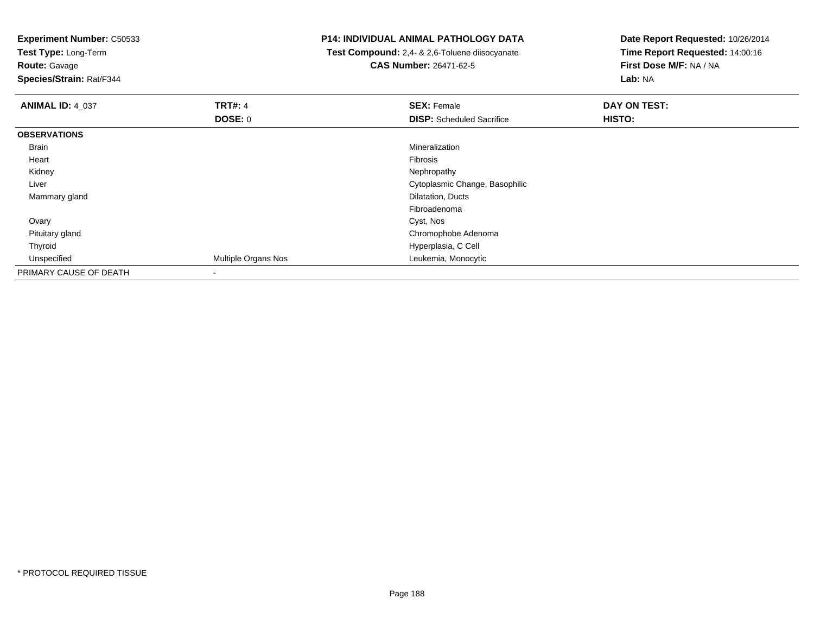**Test Type:** Long-Term

**Route:** Gavage

**Species/Strain:** Rat/F344

#### **P14: INDIVIDUAL ANIMAL PATHOLOGY DATA**

 **Test Compound:** 2,4- & 2,6-Toluene diisocyanate**CAS Number:** 26471-62-5

| <b>ANIMAL ID: 4_037</b> | <b>TRT#: 4</b>      | <b>SEX: Female</b>               | DAY ON TEST: |  |
|-------------------------|---------------------|----------------------------------|--------------|--|
|                         | <b>DOSE: 0</b>      | <b>DISP:</b> Scheduled Sacrifice | HISTO:       |  |
| <b>OBSERVATIONS</b>     |                     |                                  |              |  |
| Brain                   |                     | Mineralization                   |              |  |
| Heart                   |                     | Fibrosis                         |              |  |
| Kidney                  |                     | Nephropathy                      |              |  |
| Liver                   |                     | Cytoplasmic Change, Basophilic   |              |  |
| Mammary gland           |                     | Dilatation, Ducts                |              |  |
|                         |                     | Fibroadenoma                     |              |  |
| Ovary                   |                     | Cyst, Nos                        |              |  |
| Pituitary gland         |                     | Chromophobe Adenoma              |              |  |
| Thyroid                 |                     | Hyperplasia, C Cell              |              |  |
| Unspecified             | Multiple Organs Nos | Leukemia, Monocytic              |              |  |
| PRIMARY CAUSE OF DEATH  |                     |                                  |              |  |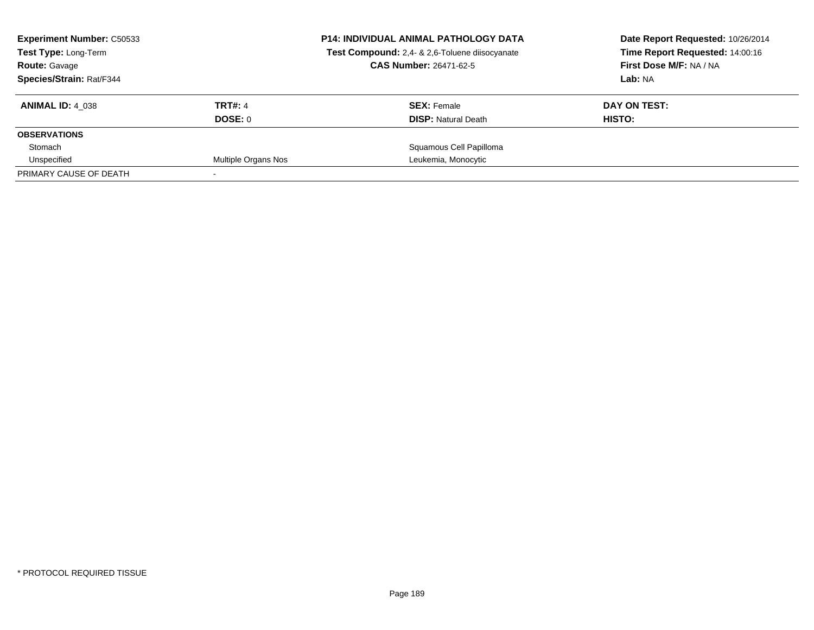| <b>Experiment Number: C50533</b><br><b>Test Type: Long-Term</b><br><b>Route: Gavage</b> |                     | <b>P14: INDIVIDUAL ANIMAL PATHOLOGY DATA</b><br>Test Compound: 2,4- & 2,6-Toluene diisocyanate<br><b>CAS Number: 26471-62-5</b> | Date Report Requested: 10/26/2014<br>Time Report Requested: 14:00:16<br>First Dose M/F: NA / NA |
|-----------------------------------------------------------------------------------------|---------------------|---------------------------------------------------------------------------------------------------------------------------------|-------------------------------------------------------------------------------------------------|
| Species/Strain: Rat/F344                                                                |                     |                                                                                                                                 | Lab: NA                                                                                         |
| <b>ANIMAL ID: 4 038</b>                                                                 | <b>TRT#: 4</b>      | <b>SEX: Female</b>                                                                                                              | DAY ON TEST:                                                                                    |
|                                                                                         | DOSE: 0             | <b>DISP:</b> Natural Death                                                                                                      | HISTO:                                                                                          |
| <b>OBSERVATIONS</b>                                                                     |                     |                                                                                                                                 |                                                                                                 |
| Stomach                                                                                 |                     | Squamous Cell Papilloma                                                                                                         |                                                                                                 |
| Unspecified                                                                             | Multiple Organs Nos | Leukemia, Monocytic                                                                                                             |                                                                                                 |
| PRIMARY CAUSE OF DEATH                                                                  |                     |                                                                                                                                 |                                                                                                 |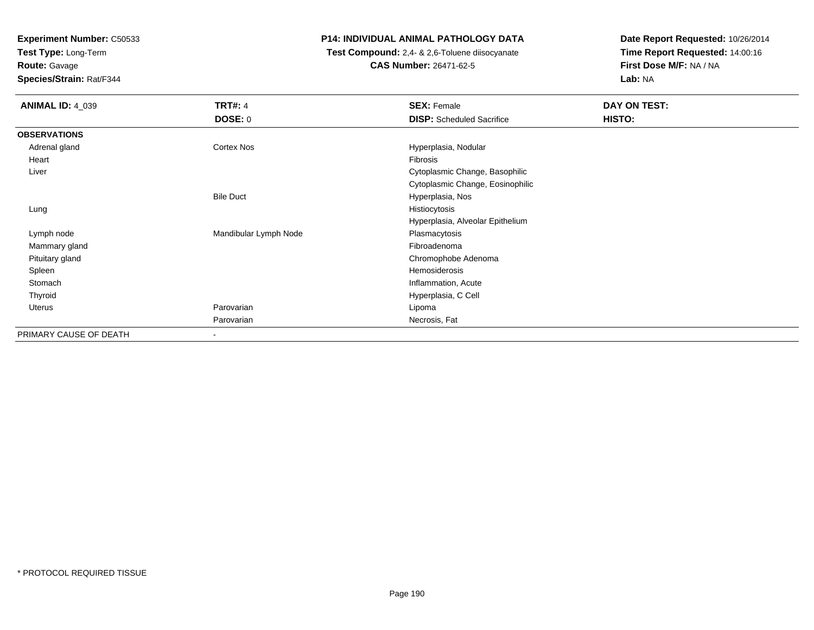**Test Type:** Long-Term

**Route:** Gavage

**Species/Strain:** Rat/F344

#### **P14: INDIVIDUAL ANIMAL PATHOLOGY DATA**

 **Test Compound:** 2,4- & 2,6-Toluene diisocyanate**CAS Number:** 26471-62-5

| <b>ANIMAL ID: 4_039</b> | <b>TRT#: 4</b>        | <b>SEX: Female</b>               | DAY ON TEST: |  |
|-------------------------|-----------------------|----------------------------------|--------------|--|
|                         | <b>DOSE: 0</b>        | <b>DISP:</b> Scheduled Sacrifice | HISTO:       |  |
| <b>OBSERVATIONS</b>     |                       |                                  |              |  |
| Adrenal gland           | Cortex Nos            | Hyperplasia, Nodular             |              |  |
| Heart                   |                       | Fibrosis                         |              |  |
| Liver                   |                       | Cytoplasmic Change, Basophilic   |              |  |
|                         |                       | Cytoplasmic Change, Eosinophilic |              |  |
|                         | <b>Bile Duct</b>      | Hyperplasia, Nos                 |              |  |
| Lung                    |                       | Histiocytosis                    |              |  |
|                         |                       | Hyperplasia, Alveolar Epithelium |              |  |
| Lymph node              | Mandibular Lymph Node | Plasmacytosis                    |              |  |
| Mammary gland           |                       | Fibroadenoma                     |              |  |
| Pituitary gland         |                       | Chromophobe Adenoma              |              |  |
| Spleen                  |                       | Hemosiderosis                    |              |  |
| Stomach                 |                       | Inflammation, Acute              |              |  |
| Thyroid                 |                       | Hyperplasia, C Cell              |              |  |
| Uterus                  | Parovarian            | Lipoma                           |              |  |
|                         | Parovarian            | Necrosis, Fat                    |              |  |
| PRIMARY CAUSE OF DEATH  | ۰                     |                                  |              |  |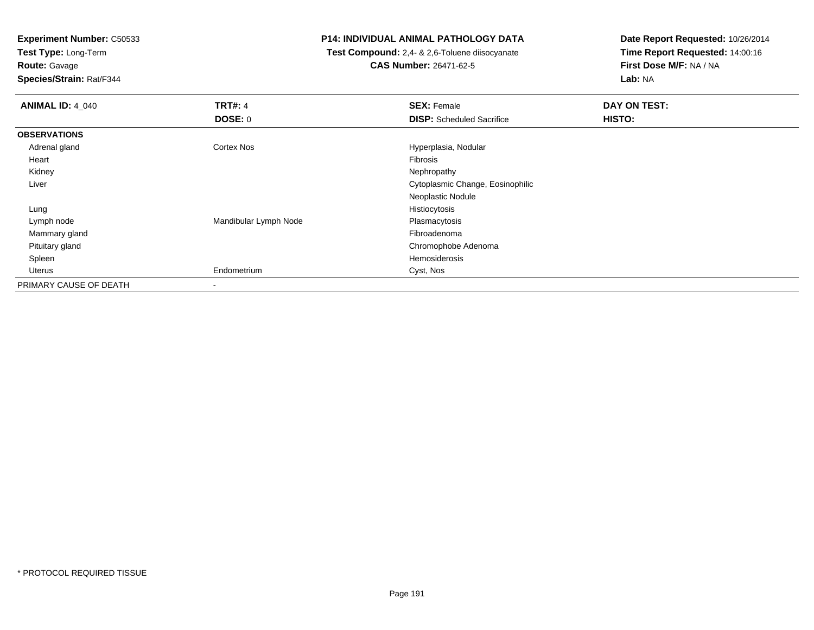**Test Type:** Long-Term

**Route:** Gavage

**Species/Strain:** Rat/F344

#### **P14: INDIVIDUAL ANIMAL PATHOLOGY DATA**

 **Test Compound:** 2,4- & 2,6-Toluene diisocyanate**CAS Number:** 26471-62-5

| <b>ANIMAL ID: 4_040</b> | <b>TRT#: 4</b>        | <b>SEX: Female</b>               | DAY ON TEST: |
|-------------------------|-----------------------|----------------------------------|--------------|
|                         | DOSE: 0               | <b>DISP:</b> Scheduled Sacrifice | HISTO:       |
| <b>OBSERVATIONS</b>     |                       |                                  |              |
| Adrenal gland           | Cortex Nos            | Hyperplasia, Nodular             |              |
| Heart                   |                       | Fibrosis                         |              |
| Kidney                  |                       | Nephropathy                      |              |
| Liver                   |                       | Cytoplasmic Change, Eosinophilic |              |
|                         |                       | Neoplastic Nodule                |              |
| Lung                    |                       | Histiocytosis                    |              |
| Lymph node              | Mandibular Lymph Node | Plasmacytosis                    |              |
| Mammary gland           |                       | Fibroadenoma                     |              |
| Pituitary gland         |                       | Chromophobe Adenoma              |              |
| Spleen                  |                       | Hemosiderosis                    |              |
| Uterus                  | Endometrium           | Cyst, Nos                        |              |
| PRIMARY CAUSE OF DEATH  | ۰                     |                                  |              |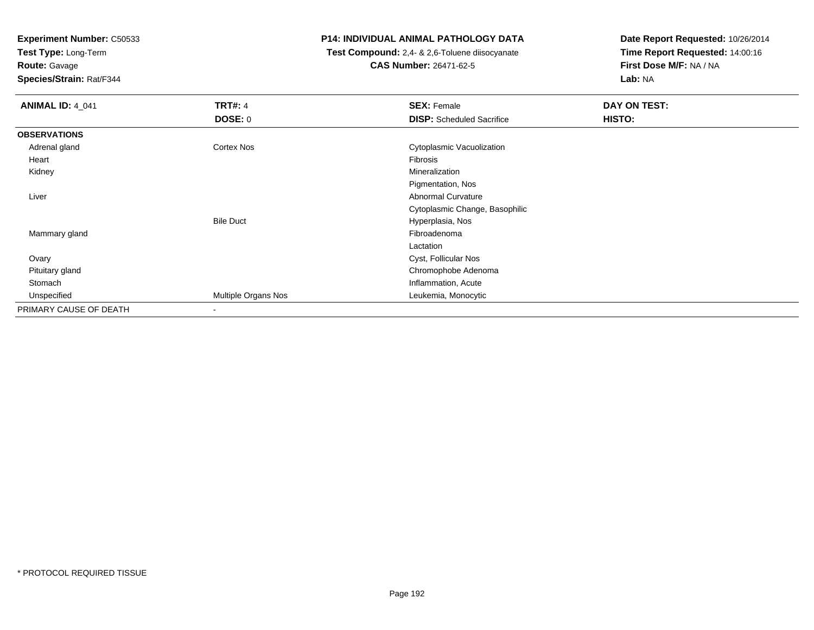**Test Type:** Long-Term

**Route:** Gavage

**Species/Strain:** Rat/F344

#### **P14: INDIVIDUAL ANIMAL PATHOLOGY DATA**

 **Test Compound:** 2,4- & 2,6-Toluene diisocyanate**CAS Number:** 26471-62-5

| <b>ANIMAL ID: 4_041</b> | <b>TRT#: 4</b>      | <b>SEX: Female</b>               | DAY ON TEST: |  |
|-------------------------|---------------------|----------------------------------|--------------|--|
|                         | <b>DOSE: 0</b>      | <b>DISP:</b> Scheduled Sacrifice | HISTO:       |  |
| <b>OBSERVATIONS</b>     |                     |                                  |              |  |
| Adrenal gland           | Cortex Nos          | Cytoplasmic Vacuolization        |              |  |
| Heart                   |                     | Fibrosis                         |              |  |
| Kidney                  |                     | Mineralization                   |              |  |
|                         |                     | Pigmentation, Nos                |              |  |
| Liver                   |                     | <b>Abnormal Curvature</b>        |              |  |
|                         |                     | Cytoplasmic Change, Basophilic   |              |  |
|                         | <b>Bile Duct</b>    | Hyperplasia, Nos                 |              |  |
| Mammary gland           |                     | Fibroadenoma                     |              |  |
|                         |                     | Lactation                        |              |  |
| Ovary                   |                     | Cyst, Follicular Nos             |              |  |
| Pituitary gland         |                     | Chromophobe Adenoma              |              |  |
| Stomach                 |                     | Inflammation, Acute              |              |  |
| Unspecified             | Multiple Organs Nos | Leukemia, Monocytic              |              |  |
| PRIMARY CAUSE OF DEATH  |                     |                                  |              |  |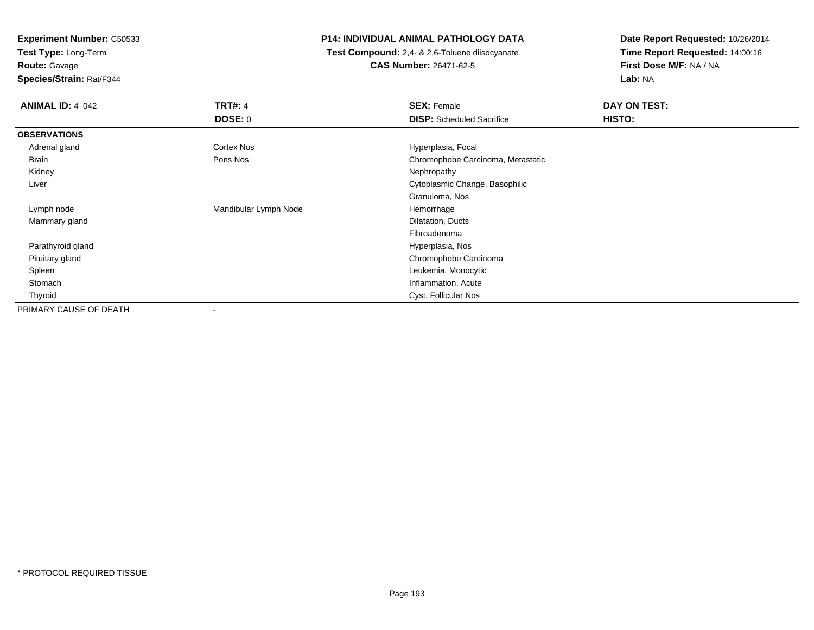**Test Type:** Long-Term

**Route:** Gavage

**Species/Strain:** Rat/F344

#### **P14: INDIVIDUAL ANIMAL PATHOLOGY DATA**

 **Test Compound:** 2,4- & 2,6-Toluene diisocyanate**CAS Number:** 26471-62-5

| <b>ANIMAL ID: 4_042</b> | <b>TRT#: 4</b>           | <b>SEX: Female</b>                | DAY ON TEST: |  |
|-------------------------|--------------------------|-----------------------------------|--------------|--|
|                         | <b>DOSE: 0</b>           | <b>DISP:</b> Scheduled Sacrifice  | HISTO:       |  |
| <b>OBSERVATIONS</b>     |                          |                                   |              |  |
| Adrenal gland           | Cortex Nos               | Hyperplasia, Focal                |              |  |
| Brain                   | Pons Nos                 | Chromophobe Carcinoma, Metastatic |              |  |
| Kidney                  |                          | Nephropathy                       |              |  |
| Liver                   |                          | Cytoplasmic Change, Basophilic    |              |  |
|                         |                          | Granuloma, Nos                    |              |  |
| Lymph node              | Mandibular Lymph Node    | Hemorrhage                        |              |  |
| Mammary gland           |                          | Dilatation, Ducts                 |              |  |
|                         |                          | Fibroadenoma                      |              |  |
| Parathyroid gland       |                          | Hyperplasia, Nos                  |              |  |
| Pituitary gland         |                          | Chromophobe Carcinoma             |              |  |
| Spleen                  |                          | Leukemia, Monocytic               |              |  |
| Stomach                 |                          | Inflammation, Acute               |              |  |
| Thyroid                 |                          | Cyst, Follicular Nos              |              |  |
| PRIMARY CAUSE OF DEATH  | $\overline{\phantom{a}}$ |                                   |              |  |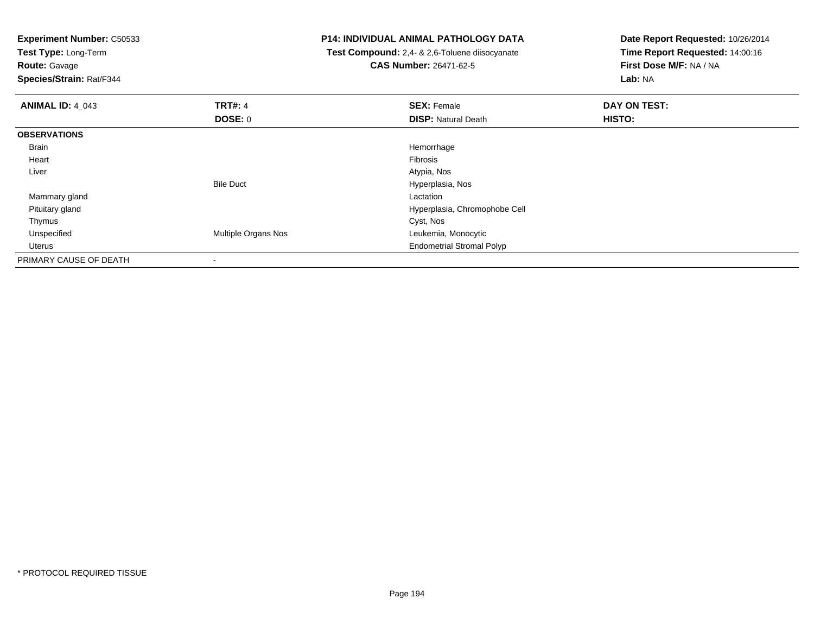**Test Type:** Long-Term

**Route:** Gavage

**Species/Strain:** Rat/F344

#### **P14: INDIVIDUAL ANIMAL PATHOLOGY DATA**

 **Test Compound:** 2,4- & 2,6-Toluene diisocyanate**CAS Number:** 26471-62-5

| <b>ANIMAL ID: 4_043</b> | <b>TRT#: 4</b>      | <b>SEX: Female</b>               | DAY ON TEST: |
|-------------------------|---------------------|----------------------------------|--------------|
|                         | DOSE: 0             | <b>DISP: Natural Death</b>       | HISTO:       |
| <b>OBSERVATIONS</b>     |                     |                                  |              |
| <b>Brain</b>            |                     | Hemorrhage                       |              |
| Heart                   |                     | Fibrosis                         |              |
| Liver                   |                     | Atypia, Nos                      |              |
|                         | <b>Bile Duct</b>    | Hyperplasia, Nos                 |              |
| Mammary gland           |                     | Lactation                        |              |
| Pituitary gland         |                     | Hyperplasia, Chromophobe Cell    |              |
| Thymus                  |                     | Cyst, Nos                        |              |
| Unspecified             | Multiple Organs Nos | Leukemia, Monocytic              |              |
| Uterus                  |                     | <b>Endometrial Stromal Polyp</b> |              |
| PRIMARY CAUSE OF DEATH  |                     |                                  |              |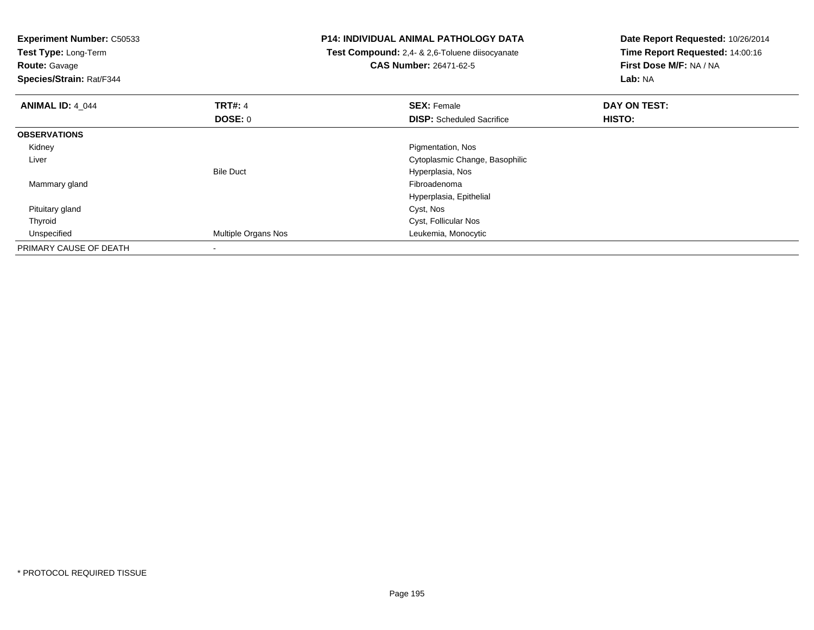| <b>Experiment Number: C50533</b><br>Test Type: Long-Term<br><b>Route: Gavage</b><br>Species/Strain: Rat/F344 |                          | <b>P14: INDIVIDUAL ANIMAL PATHOLOGY DATA</b><br>Test Compound: 2,4- & 2,6-Toluene diisocyanate<br><b>CAS Number: 26471-62-5</b> | Date Report Requested: 10/26/2014<br>Time Report Requested: 14:00:16<br>First Dose M/F: NA / NA<br>Lab: NA |
|--------------------------------------------------------------------------------------------------------------|--------------------------|---------------------------------------------------------------------------------------------------------------------------------|------------------------------------------------------------------------------------------------------------|
| <b>ANIMAL ID: 4 044</b>                                                                                      | <b>TRT#: 4</b>           | <b>SEX: Female</b>                                                                                                              | DAY ON TEST:                                                                                               |
|                                                                                                              | DOSE: 0                  | <b>DISP:</b> Scheduled Sacrifice                                                                                                | HISTO:                                                                                                     |
| <b>OBSERVATIONS</b>                                                                                          |                          |                                                                                                                                 |                                                                                                            |
| Kidney                                                                                                       |                          | Pigmentation, Nos                                                                                                               |                                                                                                            |
| Liver                                                                                                        |                          | Cytoplasmic Change, Basophilic                                                                                                  |                                                                                                            |
|                                                                                                              | <b>Bile Duct</b>         | Hyperplasia, Nos                                                                                                                |                                                                                                            |
| Mammary gland                                                                                                |                          | Fibroadenoma                                                                                                                    |                                                                                                            |
|                                                                                                              |                          | Hyperplasia, Epithelial                                                                                                         |                                                                                                            |
| Pituitary gland                                                                                              |                          | Cyst, Nos                                                                                                                       |                                                                                                            |
| Thyroid                                                                                                      |                          | Cyst, Follicular Nos                                                                                                            |                                                                                                            |
| Unspecified                                                                                                  | Multiple Organs Nos      | Leukemia, Monocytic                                                                                                             |                                                                                                            |
| PRIMARY CAUSE OF DEATH                                                                                       | $\overline{\phantom{a}}$ |                                                                                                                                 |                                                                                                            |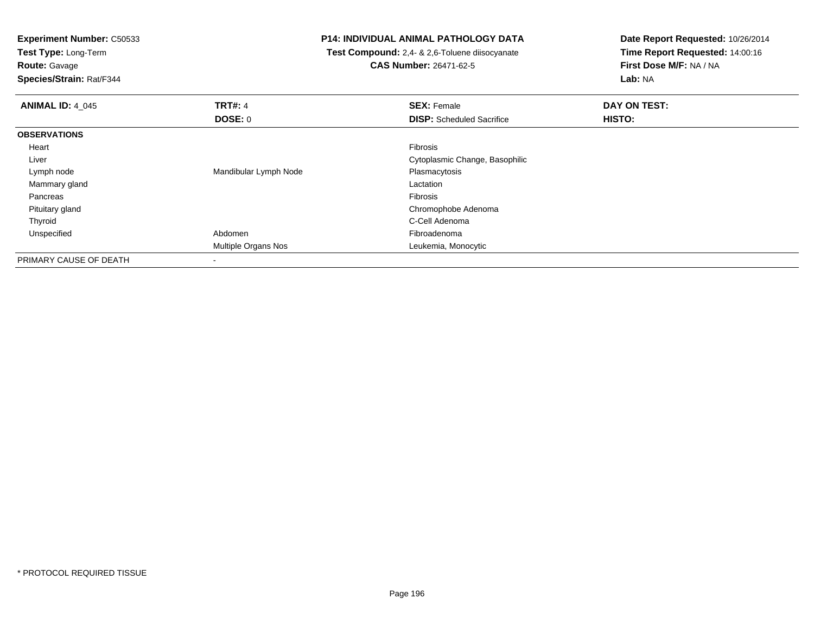**Test Type:** Long-Term

**Route:** Gavage

**Species/Strain:** Rat/F344

#### **P14: INDIVIDUAL ANIMAL PATHOLOGY DATA**

 **Test Compound:** 2,4- & 2,6-Toluene diisocyanate**CAS Number:** 26471-62-5

| <b>ANIMAL ID: 4 045</b> | <b>TRT#: 4</b>        | <b>SEX: Female</b>               | DAY ON TEST: |  |
|-------------------------|-----------------------|----------------------------------|--------------|--|
|                         | <b>DOSE: 0</b>        | <b>DISP:</b> Scheduled Sacrifice | HISTO:       |  |
| <b>OBSERVATIONS</b>     |                       |                                  |              |  |
| Heart                   |                       | Fibrosis                         |              |  |
| Liver                   |                       | Cytoplasmic Change, Basophilic   |              |  |
| Lymph node              | Mandibular Lymph Node | Plasmacytosis                    |              |  |
| Mammary gland           |                       | Lactation                        |              |  |
| Pancreas                |                       | Fibrosis                         |              |  |
| Pituitary gland         |                       | Chromophobe Adenoma              |              |  |
| Thyroid                 |                       | C-Cell Adenoma                   |              |  |
| Unspecified             | Abdomen               | Fibroadenoma                     |              |  |
|                         | Multiple Organs Nos   | Leukemia, Monocytic              |              |  |
| PRIMARY CAUSE OF DEATH  | $\,$                  |                                  |              |  |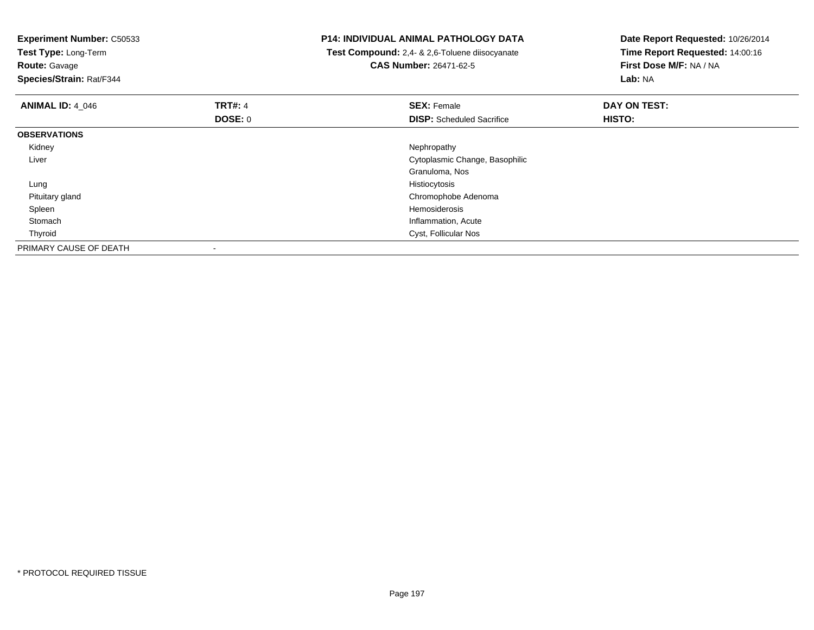| <b>Experiment Number: C50533</b><br>Test Type: Long-Term<br><b>Route: Gavage</b><br>Species/Strain: Rat/F344 |                          | <b>P14: INDIVIDUAL ANIMAL PATHOLOGY DATA</b><br>Test Compound: 2,4- & 2,6-Toluene diisocyanate<br><b>CAS Number: 26471-62-5</b> | Date Report Requested: 10/26/2014<br>Time Report Requested: 14:00:16<br>First Dose M/F: NA / NA<br>Lab: NA |
|--------------------------------------------------------------------------------------------------------------|--------------------------|---------------------------------------------------------------------------------------------------------------------------------|------------------------------------------------------------------------------------------------------------|
| <b>ANIMAL ID: 4 046</b>                                                                                      | <b>TRT#: 4</b>           | <b>SEX: Female</b>                                                                                                              | DAY ON TEST:                                                                                               |
|                                                                                                              | DOSE: 0                  | <b>DISP:</b> Scheduled Sacrifice                                                                                                | HISTO:                                                                                                     |
| <b>OBSERVATIONS</b>                                                                                          |                          |                                                                                                                                 |                                                                                                            |
| Kidney                                                                                                       |                          | Nephropathy                                                                                                                     |                                                                                                            |
| Liver                                                                                                        |                          | Cytoplasmic Change, Basophilic                                                                                                  |                                                                                                            |
|                                                                                                              |                          | Granuloma, Nos                                                                                                                  |                                                                                                            |
| Lung                                                                                                         |                          | Histiocytosis                                                                                                                   |                                                                                                            |
| Pituitary gland                                                                                              |                          | Chromophobe Adenoma                                                                                                             |                                                                                                            |
| Spleen                                                                                                       |                          | Hemosiderosis                                                                                                                   |                                                                                                            |
| Stomach                                                                                                      |                          | Inflammation, Acute                                                                                                             |                                                                                                            |
| Thyroid                                                                                                      |                          | Cyst, Follicular Nos                                                                                                            |                                                                                                            |
| PRIMARY CAUSE OF DEATH                                                                                       | $\overline{\phantom{a}}$ |                                                                                                                                 |                                                                                                            |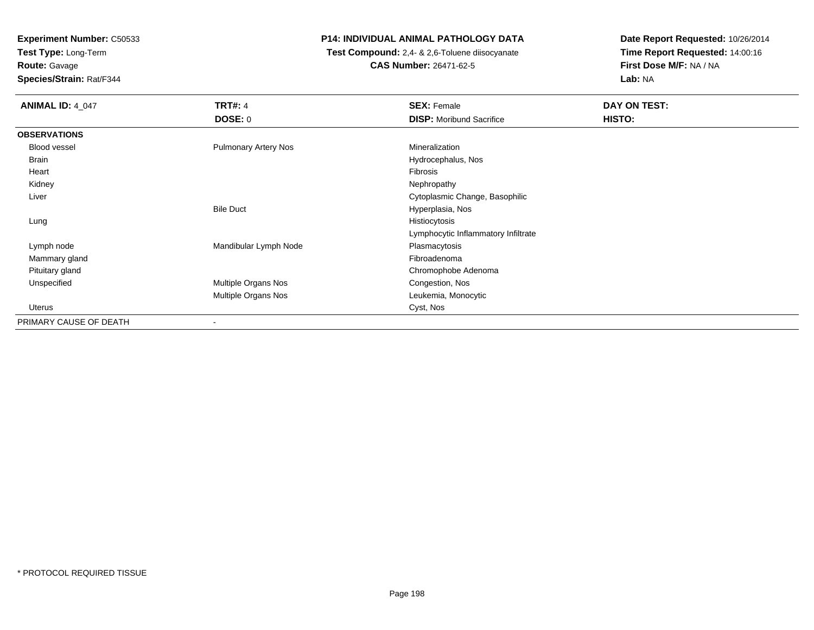**Test Type:** Long-Term**Route:** Gavage

**Species/Strain:** Rat/F344

#### **P14: INDIVIDUAL ANIMAL PATHOLOGY DATA**

 **Test Compound:** 2,4- & 2,6-Toluene diisocyanate**CAS Number:** 26471-62-5

| <b>ANIMAL ID: 4 047</b> | <b>TRT#: 4</b>              | <b>SEX: Female</b>                  | DAY ON TEST: |
|-------------------------|-----------------------------|-------------------------------------|--------------|
|                         | DOSE: 0                     | <b>DISP:</b> Moribund Sacrifice     | HISTO:       |
| <b>OBSERVATIONS</b>     |                             |                                     |              |
| Blood vessel            | <b>Pulmonary Artery Nos</b> | Mineralization                      |              |
| Brain                   |                             | Hydrocephalus, Nos                  |              |
| Heart                   |                             | Fibrosis                            |              |
| Kidney                  |                             | Nephropathy                         |              |
| Liver                   |                             | Cytoplasmic Change, Basophilic      |              |
|                         | <b>Bile Duct</b>            | Hyperplasia, Nos                    |              |
| Lung                    |                             | Histiocytosis                       |              |
|                         |                             | Lymphocytic Inflammatory Infiltrate |              |
| Lymph node              | Mandibular Lymph Node       | Plasmacytosis                       |              |
| Mammary gland           |                             | Fibroadenoma                        |              |
| Pituitary gland         |                             | Chromophobe Adenoma                 |              |
| Unspecified             | Multiple Organs Nos         | Congestion, Nos                     |              |
|                         | Multiple Organs Nos         | Leukemia, Monocytic                 |              |
| Uterus                  |                             | Cyst, Nos                           |              |
| PRIMARY CAUSE OF DEATH  | $\overline{\phantom{a}}$    |                                     |              |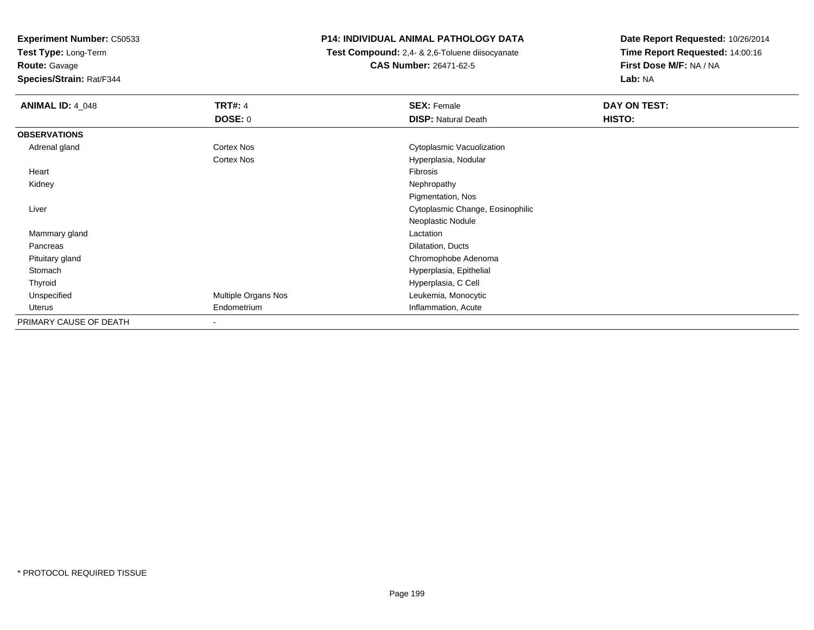**Test Type:** Long-Term

## **Route:** Gavage

**Species/Strain:** Rat/F344

#### **P14: INDIVIDUAL ANIMAL PATHOLOGY DATA**

 **Test Compound:** 2,4- & 2,6-Toluene diisocyanate**CAS Number:** 26471-62-5

| <b>ANIMAL ID: 4_048</b> | <b>TRT#: 4</b>           | <b>SEX: Female</b>               | <b>DAY ON TEST:</b> |  |
|-------------------------|--------------------------|----------------------------------|---------------------|--|
|                         | <b>DOSE: 0</b>           | <b>DISP: Natural Death</b>       | HISTO:              |  |
| <b>OBSERVATIONS</b>     |                          |                                  |                     |  |
| Adrenal gland           | Cortex Nos               | Cytoplasmic Vacuolization        |                     |  |
|                         | Cortex Nos               | Hyperplasia, Nodular             |                     |  |
| Heart                   |                          | Fibrosis                         |                     |  |
| Kidney                  |                          | Nephropathy                      |                     |  |
|                         |                          | Pigmentation, Nos                |                     |  |
| Liver                   |                          | Cytoplasmic Change, Eosinophilic |                     |  |
|                         |                          | Neoplastic Nodule                |                     |  |
| Mammary gland           |                          | Lactation                        |                     |  |
| Pancreas                |                          | Dilatation, Ducts                |                     |  |
| Pituitary gland         |                          | Chromophobe Adenoma              |                     |  |
| Stomach                 |                          | Hyperplasia, Epithelial          |                     |  |
| Thyroid                 |                          | Hyperplasia, C Cell              |                     |  |
| Unspecified             | Multiple Organs Nos      | Leukemia, Monocytic              |                     |  |
| Uterus                  | Endometrium              | Inflammation, Acute              |                     |  |
| PRIMARY CAUSE OF DEATH  | $\overline{\phantom{a}}$ |                                  |                     |  |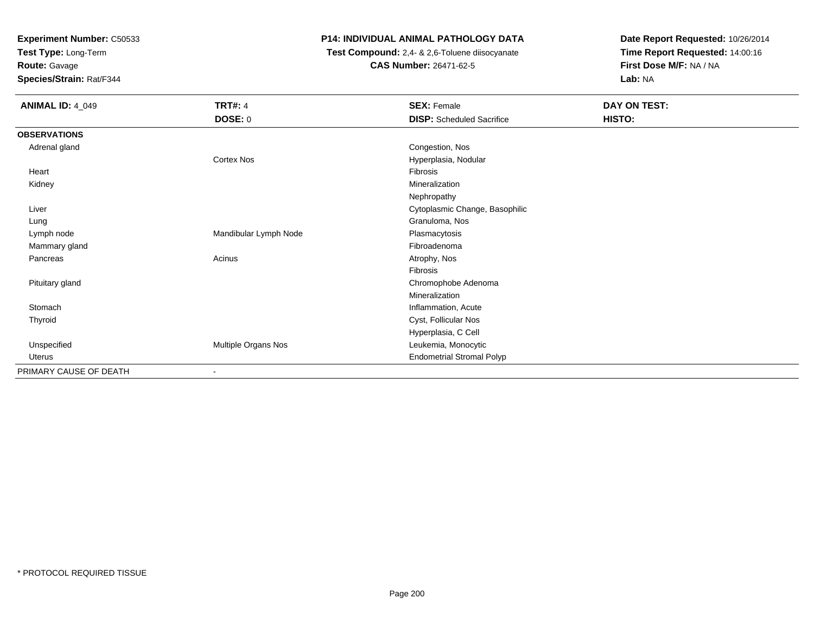**Test Type:** Long-Term

**Route:** Gavage

**Species/Strain:** Rat/F344

### **P14: INDIVIDUAL ANIMAL PATHOLOGY DATA**

 **Test Compound:** 2,4- & 2,6-Toluene diisocyanate**CAS Number:** 26471-62-5

| <b>ANIMAL ID: 4_049</b> | <b>TRT#: 4</b>        | <b>SEX: Female</b>               | DAY ON TEST: |
|-------------------------|-----------------------|----------------------------------|--------------|
|                         | <b>DOSE: 0</b>        | <b>DISP:</b> Scheduled Sacrifice | HISTO:       |
| <b>OBSERVATIONS</b>     |                       |                                  |              |
| Adrenal gland           |                       | Congestion, Nos                  |              |
|                         | Cortex Nos            | Hyperplasia, Nodular             |              |
| Heart                   |                       | Fibrosis                         |              |
| Kidney                  |                       | Mineralization                   |              |
|                         |                       | Nephropathy                      |              |
| Liver                   |                       | Cytoplasmic Change, Basophilic   |              |
| Lung                    |                       | Granuloma, Nos                   |              |
| Lymph node              | Mandibular Lymph Node | Plasmacytosis                    |              |
| Mammary gland           |                       | Fibroadenoma                     |              |
| Pancreas                | Acinus                | Atrophy, Nos                     |              |
|                         |                       | Fibrosis                         |              |
| Pituitary gland         |                       | Chromophobe Adenoma              |              |
|                         |                       | Mineralization                   |              |
| Stomach                 |                       | Inflammation, Acute              |              |
| Thyroid                 |                       | Cyst, Follicular Nos             |              |
|                         |                       | Hyperplasia, C Cell              |              |
| Unspecified             | Multiple Organs Nos   | Leukemia, Monocytic              |              |
| Uterus                  |                       | <b>Endometrial Stromal Polyp</b> |              |
| PRIMARY CAUSE OF DEATH  | ٠                     |                                  |              |